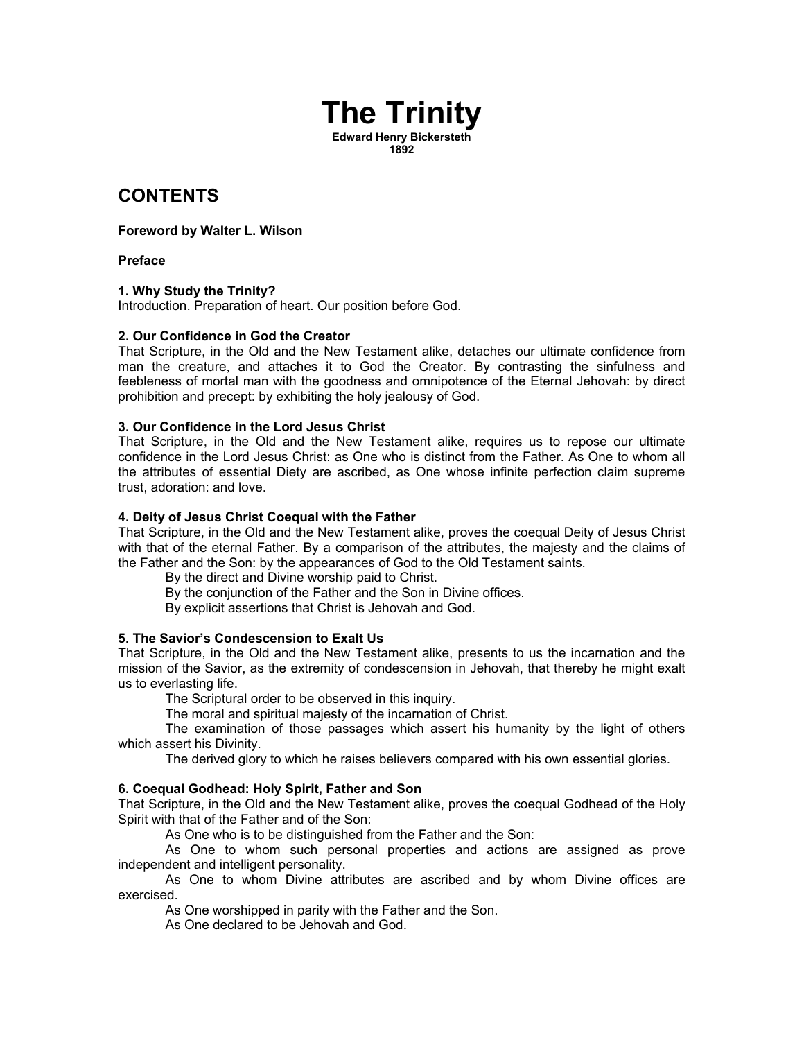

# **CONTENTS**

**Foreword by Walter L. Wilson** 

#### **Preface**

### **1. Why Study the Trinity?**

Introduction. Preparation of heart. Our position before God.

### **2. Our Confidence in God the Creator**

That Scripture, in the Old and the New Testament alike, detaches our ultimate confidence from man the creature, and attaches it to God the Creator. By contrasting the sinfulness and feebleness of mortal man with the goodness and omnipotence of the Eternal Jehovah: by direct prohibition and precept: by exhibiting the holy jealousy of God.

### **3. Our Confidence in the Lord Jesus Christ**

That Scripture, in the Old and the New Testament alike, requires us to repose our ultimate confidence in the Lord Jesus Christ: as One who is distinct from the Father. As One to whom all the attributes of essential Diety are ascribed, as One whose infinite perfection claim supreme trust, adoration: and love.

#### **4. Deity of Jesus Christ Coequal with the Father**

That Scripture, in the Old and the New Testament alike, proves the coequal Deity of Jesus Christ with that of the eternal Father. By a comparison of the attributes, the majesty and the claims of the Father and the Son: by the appearances of God to the Old Testament saints.

By the direct and Divine worship paid to Christ.

By the conjunction of the Father and the Son in Divine offices.

By explicit assertions that Christ is Jehovah and God.

#### **5. The Savior's Condescension to Exalt Us**

That Scripture, in the Old and the New Testament alike, presents to us the incarnation and the mission of the Savior, as the extremity of condescension in Jehovah, that thereby he might exalt us to everlasting life.

The Scriptural order to be observed in this inquiry.

The moral and spiritual majesty of the incarnation of Christ.

The examination of those passages which assert his humanity by the light of others which assert his Divinity.

The derived glory to which he raises believers compared with his own essential glories.

## **6. Coequal Godhead: Holy Spirit, Father and Son**

That Scripture, in the Old and the New Testament alike, proves the coequal Godhead of the Holy Spirit with that of the Father and of the Son:

As One who is to be distinguished from the Father and the Son:

As One to whom such personal properties and actions are assigned as prove independent and intelligent personality.

As One to whom Divine attributes are ascribed and by whom Divine offices are exercised.

As One worshipped in parity with the Father and the Son.

As One declared to be Jehovah and God.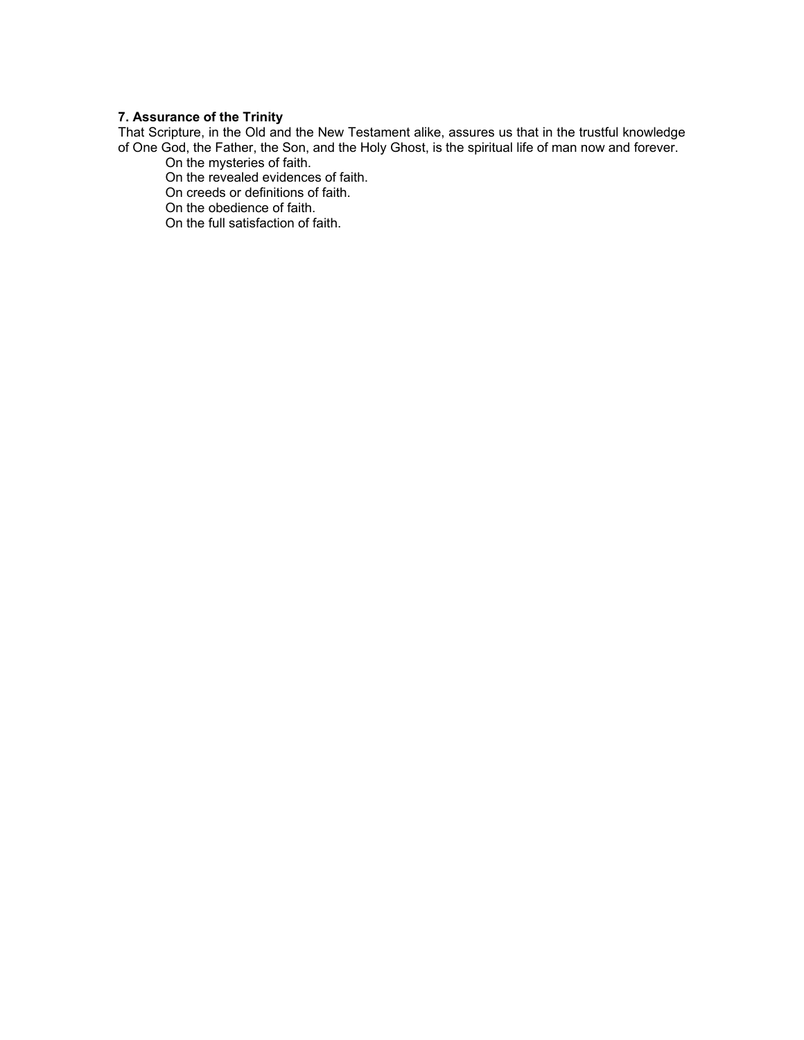#### **7. Assurance of the Trinity**

That Scripture, in the Old and the New Testament alike, assures us that in the trustful knowledge of One God, the Father, the Son, and the Holy Ghost, is the spiritual life of man now and forever.

On the mysteries of faith.

On the revealed evidences of faith.

On creeds or definitions of faith.

On the obedience of faith.

On the full satisfaction of faith.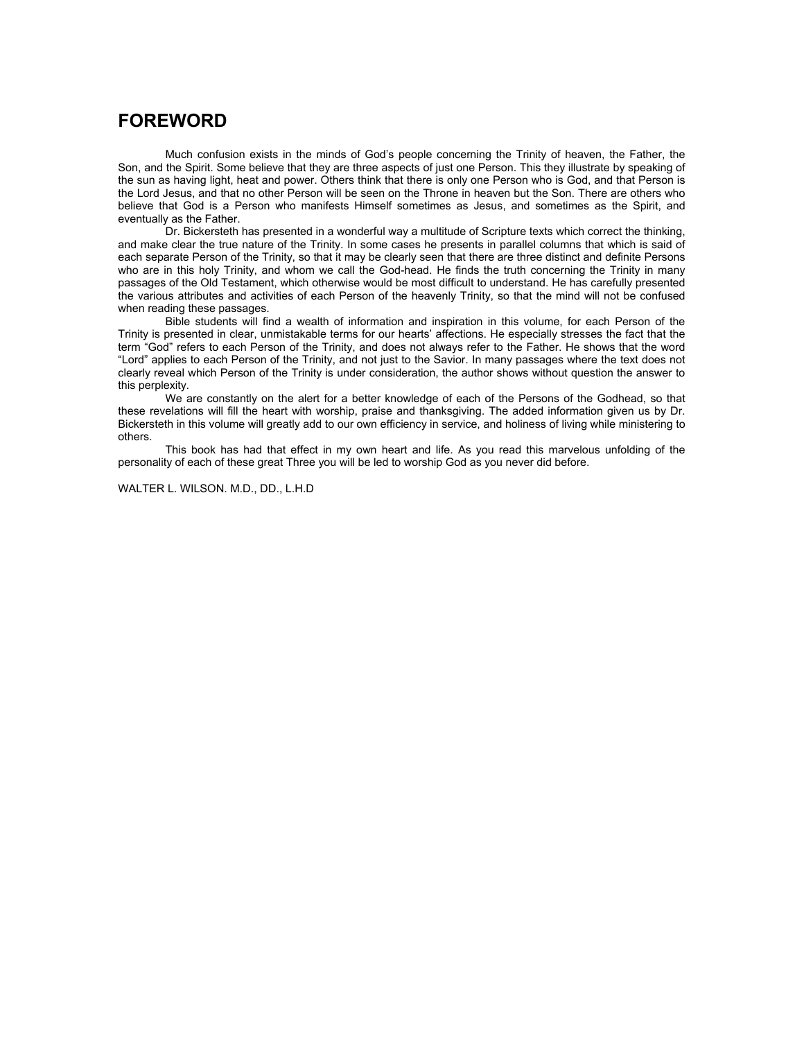# **FOREWORD**

Much confusion exists in the minds of God's people concerning the Trinity of heaven, the Father, the Son, and the Spirit. Some believe that they are three aspects of just one Person. This they illustrate by speaking of the sun as having light, heat and power. Others think that there is only one Person who is God, and that Person is the Lord Jesus, and that no other Person will be seen on the Throne in heaven but the Son. There are others who believe that God is a Person who manifests Himself sometimes as Jesus, and sometimes as the Spirit, and eventually as the Father.

Dr. Bickersteth has presented in a wonderful way a multitude of Scripture texts which correct the thinking, and make clear the true nature of the Trinity. In some cases he presents in parallel columns that which is said of each separate Person of the Trinity, so that it may be clearly seen that there are three distinct and definite Persons who are in this holy Trinity, and whom we call the God-head. He finds the truth concerning the Trinity in many passages of the Old Testament, which otherwise would be most difficult to understand. He has carefully presented the various attributes and activities of each Person of the heavenly Trinity, so that the mind will not be confused when reading these passages.

Bible students will find a wealth of information and inspiration in this volume, for each Person of the Trinity is presented in clear, unmistakable terms for our hearts' affections. He especially stresses the fact that the term "God" refers to each Person of the Trinity, and does not always refer to the Father. He shows that the word "Lord" applies to each Person of the Trinity, and not just to the Savior. In many passages where the text does not clearly reveal which Person of the Trinity is under consideration, the author shows without question the answer to this perplexity.

We are constantly on the alert for a better knowledge of each of the Persons of the Godhead, so that these revelations will fill the heart with worship, praise and thanksgiving. The added information given us by Dr. Bickersteth in this volume will greatly add to our own efficiency in service, and holiness of living while ministering to others.

This book has had that effect in my own heart and life. As you read this marvelous unfolding of the personality of each of these great Three you will be led to worship God as you never did before.

WALTER L. WILSON. M.D., DD., L.H.D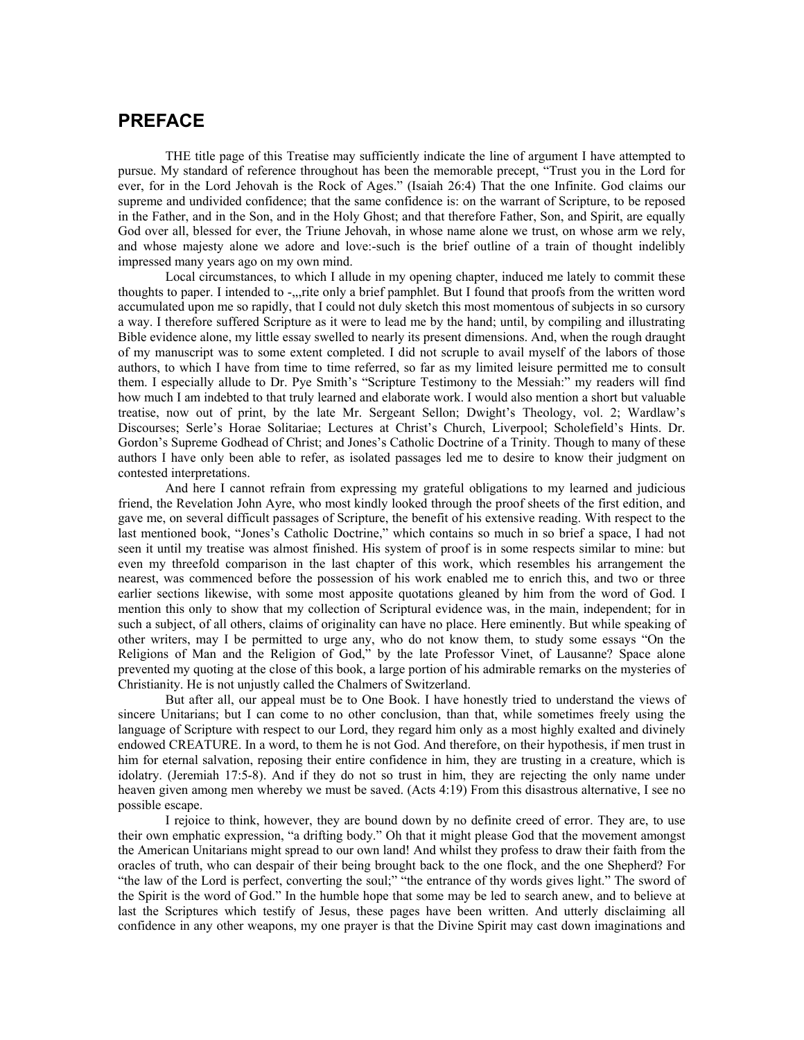# **PREFACE**

THE title page of this Treatise may sufficiently indicate the line of argument I have attempted to pursue. My standard of reference throughout has been the memorable precept, "Trust you in the Lord for ever, for in the Lord Jehovah is the Rock of Ages." (Isaiah 26:4) That the one Infinite. God claims our supreme and undivided confidence; that the same confidence is: on the warrant of Scripture, to be reposed in the Father, and in the Son, and in the Holy Ghost; and that therefore Father, Son, and Spirit, are equally God over all, blessed for ever, the Triune Jehovah, in whose name alone we trust, on whose arm we rely, and whose majesty alone we adore and love:-such is the brief outline of a train of thought indelibly impressed many years ago on my own mind.

Local circumstances, to which I allude in my opening chapter, induced me lately to commit these thoughts to paper. I intended to -,,,rite only a brief pamphlet. But I found that proofs from the written word accumulated upon me so rapidly, that I could not duly sketch this most momentous of subjects in so cursory a way. I therefore suffered Scripture as it were to lead me by the hand; until, by compiling and illustrating Bible evidence alone, my little essay swelled to nearly its present dimensions. And, when the rough draught of my manuscript was to some extent completed. I did not scruple to avail myself of the labors of those authors, to which I have from time to time referred, so far as my limited leisure permitted me to consult them. I especially allude to Dr. Pye Smith's "Scripture Testimony to the Messiah:" my readers will find how much I am indebted to that truly learned and elaborate work. I would also mention a short but valuable treatise, now out of print, by the late Mr. Sergeant Sellon; Dwight's Theology, vol. 2; Wardlaw's Discourses; Serle's Horae Solitariae; Lectures at Christ's Church, Liverpool; Scholefield's Hints. Dr. Gordon's Supreme Godhead of Christ; and Jones's Catholic Doctrine of a Trinity. Though to many of these authors I have only been able to refer, as isolated passages led me to desire to know their judgment on contested interpretations.

And here I cannot refrain from expressing my grateful obligations to my learned and judicious friend, the Revelation John Ayre, who most kindly looked through the proof sheets of the first edition, and gave me, on several difficult passages of Scripture, the benefit of his extensive reading. With respect to the last mentioned book, "Jones's Catholic Doctrine," which contains so much in so brief a space, I had not seen it until my treatise was almost finished. His system of proof is in some respects similar to mine: but even my threefold comparison in the last chapter of this work, which resembles his arrangement the nearest, was commenced before the possession of his work enabled me to enrich this, and two or three earlier sections likewise, with some most apposite quotations gleaned by him from the word of God. I mention this only to show that my collection of Scriptural evidence was, in the main, independent; for in such a subject, of all others, claims of originality can have no place. Here eminently. But while speaking of other writers, may I be permitted to urge any, who do not know them, to study some essays "On the Religions of Man and the Religion of God," by the late Professor Vinet, of Lausanne? Space alone prevented my quoting at the close of this book, a large portion of his admirable remarks on the mysteries of Christianity. He is not unjustly called the Chalmers of Switzerland.

But after all, our appeal must be to One Book. I have honestly tried to understand the views of sincere Unitarians; but I can come to no other conclusion, than that, while sometimes freely using the language of Scripture with respect to our Lord, they regard him only as a most highly exalted and divinely endowed CREATURE. In a word, to them he is not God. And therefore, on their hypothesis, if men trust in him for eternal salvation, reposing their entire confidence in him, they are trusting in a creature, which is idolatry. (Jeremiah 17:5-8). And if they do not so trust in him, they are rejecting the only name under heaven given among men whereby we must be saved. (Acts 4:19) From this disastrous alternative, I see no possible escape.

I rejoice to think, however, they are bound down by no definite creed of error. They are, to use their own emphatic expression, "a drifting body." Oh that it might please God that the movement amongst the American Unitarians might spread to our own land! And whilst they profess to draw their faith from the oracles of truth, who can despair of their being brought back to the one flock, and the one Shepherd? For "the law of the Lord is perfect, converting the soul;" "the entrance of thy words gives light." The sword of the Spirit is the word of God." In the humble hope that some may be led to search anew, and to believe at last the Scriptures which testify of Jesus, these pages have been written. And utterly disclaiming all confidence in any other weapons, my one prayer is that the Divine Spirit may cast down imaginations and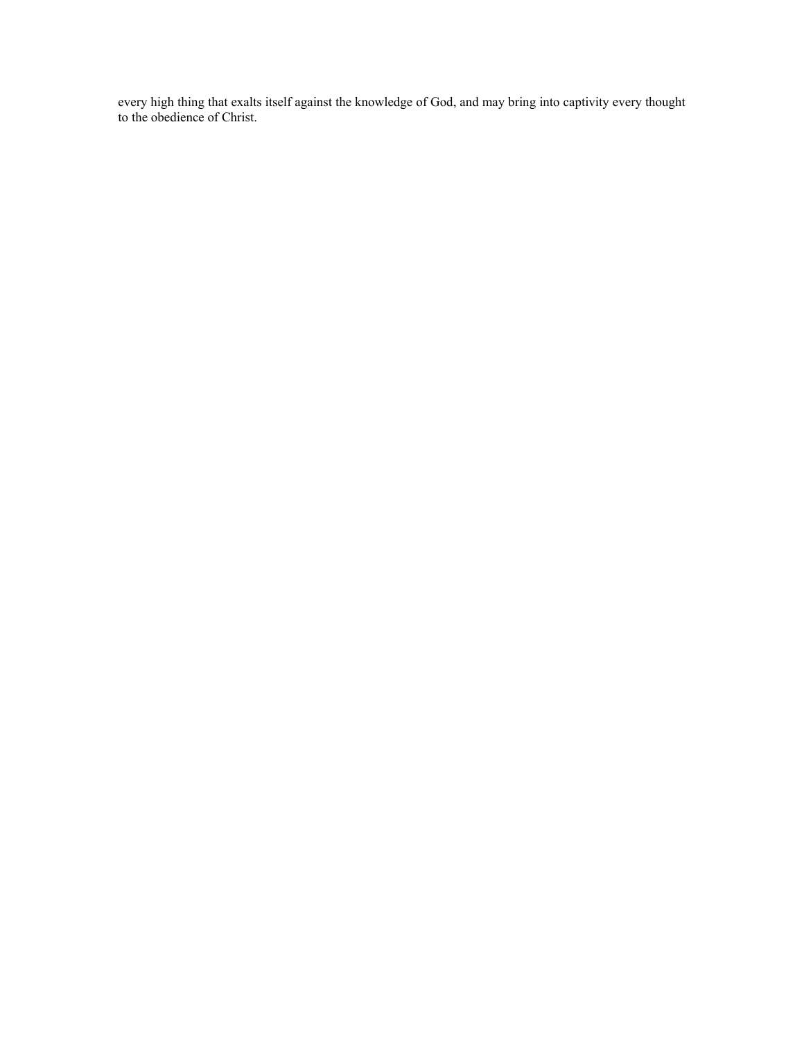every high thing that exalts itself against the knowledge of God, and may bring into captivity every thought to the obedience of Christ.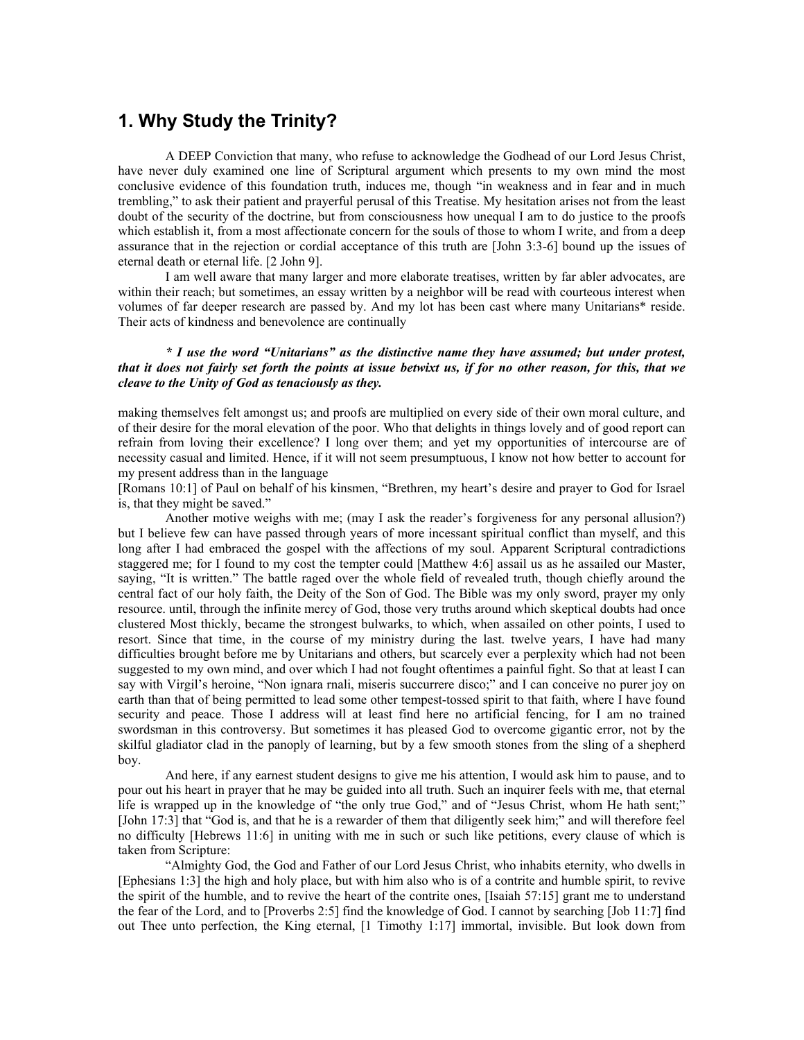# **1. Why Study the Trinity?**

A DEEP Conviction that many, who refuse to acknowledge the Godhead of our Lord Jesus Christ, have never duly examined one line of Scriptural argument which presents to my own mind the most conclusive evidence of this foundation truth, induces me, though "in weakness and in fear and in much trembling," to ask their patient and prayerful perusal of this Treatise. My hesitation arises not from the least doubt of the security of the doctrine, but from consciousness how unequal I am to do justice to the proofs which establish it, from a most affectionate concern for the souls of those to whom I write, and from a deep assurance that in the rejection or cordial acceptance of this truth are [John 3:3-6] bound up the issues of eternal death or eternal life. [2 John 9].

I am well aware that many larger and more elaborate treatises, written by far abler advocates, are within their reach; but sometimes, an essay written by a neighbor will be read with courteous interest when volumes of far deeper research are passed by. And my lot has been cast where many Unitarians\* reside. Their acts of kindness and benevolence are continually

#### *\* I use the word "Unitarians" as the distinctive name they have assumed; but under protest, that it does not fairly set forth the points at issue betwixt us, if for no other reason, for this, that we cleave to the Unity of God as tenaciously as they.*

making themselves felt amongst us; and proofs are multiplied on every side of their own moral culture, and of their desire for the moral elevation of the poor. Who that delights in things lovely and of good report can refrain from loving their excellence? I long over them; and yet my opportunities of intercourse are of necessity casual and limited. Hence, if it will not seem presumptuous, I know not how better to account for my present address than in the language

[Romans 10:1] of Paul on behalf of his kinsmen, "Brethren, my heart's desire and prayer to God for Israel is, that they might be saved."

Another motive weighs with me; (may I ask the reader's forgiveness for any personal allusion?) but I believe few can have passed through years of more incessant spiritual conflict than myself, and this long after I had embraced the gospel with the affections of my soul. Apparent Scriptural contradictions staggered me; for I found to my cost the tempter could [Matthew 4:6] assail us as he assailed our Master, saying, "It is written." The battle raged over the whole field of revealed truth, though chiefly around the central fact of our holy faith, the Deity of the Son of God. The Bible was my only sword, prayer my only resource. until, through the infinite mercy of God, those very truths around which skeptical doubts had once clustered Most thickly, became the strongest bulwarks, to which, when assailed on other points, I used to resort. Since that time, in the course of my ministry during the last. twelve years, I have had many difficulties brought before me by Unitarians and others, but scarcely ever a perplexity which had not been suggested to my own mind, and over which I had not fought oftentimes a painful fight. So that at least I can say with Virgil's heroine, "Non ignara rnali, miseris succurrere disco;" and I can conceive no purer joy on earth than that of being permitted to lead some other tempest-tossed spirit to that faith, where I have found security and peace. Those I address will at least find here no artificial fencing, for I am no trained swordsman in this controversy. But sometimes it has pleased God to overcome gigantic error, not by the skilful gladiator clad in the panoply of learning, but by a few smooth stones from the sling of a shepherd boy.

And here, if any earnest student designs to give me his attention, I would ask him to pause, and to pour out his heart in prayer that he may be guided into all truth. Such an inquirer feels with me, that eternal life is wrapped up in the knowledge of "the only true God," and of "Jesus Christ, whom He hath sent;" [John 17:3] that "God is, and that he is a rewarder of them that diligently seek him;" and will therefore feel no difficulty [Hebrews 11:6] in uniting with me in such or such like petitions, every clause of which is taken from Scripture:

"Almighty God, the God and Father of our Lord Jesus Christ, who inhabits eternity, who dwells in [Ephesians 1:3] the high and holy place, but with him also who is of a contrite and humble spirit, to revive the spirit of the humble, and to revive the heart of the contrite ones, [Isaiah 57:15] grant me to understand the fear of the Lord, and to [Proverbs 2:5] find the knowledge of God. I cannot by searching [Job 11:7] find out Thee unto perfection, the King eternal, [1 Timothy 1:17] immortal, invisible. But look down from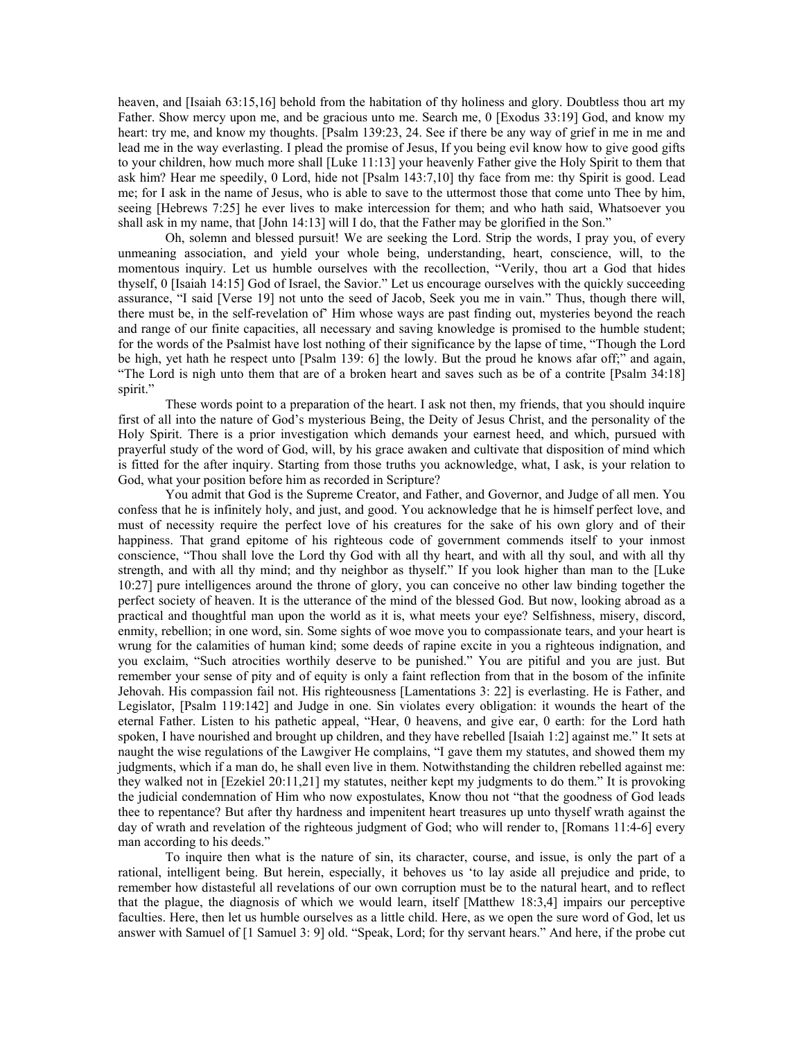heaven, and [Isaiah 63:15,16] behold from the habitation of thy holiness and glory. Doubtless thou art my Father. Show mercy upon me, and be gracious unto me. Search me, 0 [Exodus 33:19] God, and know my heart: try me, and know my thoughts. [Psalm 139:23, 24. See if there be any way of grief in me in me and lead me in the way everlasting. I plead the promise of Jesus, If you being evil know how to give good gifts to your children, how much more shall [Luke 11:13] your heavenly Father give the Holy Spirit to them that ask him? Hear me speedily, 0 Lord, hide not [Psalm 143:7,10] thy face from me: thy Spirit is good. Lead me; for I ask in the name of Jesus, who is able to save to the uttermost those that come unto Thee by him, seeing [Hebrews 7:25] he ever lives to make intercession for them; and who hath said, Whatsoever you shall ask in my name, that [John 14:13] will I do, that the Father may be glorified in the Son."

Oh, solemn and blessed pursuit! We are seeking the Lord. Strip the words, I pray you, of every unmeaning association, and yield your whole being, understanding, heart, conscience, will, to the momentous inquiry. Let us humble ourselves with the recollection, "Verily, thou art a God that hides thyself, 0 [Isaiah 14:15] God of Israel, the Savior." Let us encourage ourselves with the quickly succeeding assurance, "I said [Verse 19] not unto the seed of Jacob, Seek you me in vain." Thus, though there will, there must be, in the self-revelation of' Him whose ways are past finding out, mysteries beyond the reach and range of our finite capacities, all necessary and saving knowledge is promised to the humble student; for the words of the Psalmist have lost nothing of their significance by the lapse of time, "Though the Lord be high, yet hath he respect unto [Psalm 139: 6] the lowly. But the proud he knows afar off;" and again, "The Lord is nigh unto them that are of a broken heart and saves such as be of a contrite [Psalm 34:18] spirit."

These words point to a preparation of the heart. I ask not then, my friends, that you should inquire first of all into the nature of God's mysterious Being, the Deity of Jesus Christ, and the personality of the Holy Spirit. There is a prior investigation which demands your earnest heed, and which, pursued with prayerful study of the word of God, will, by his grace awaken and cultivate that disposition of mind which is fitted for the after inquiry. Starting from those truths you acknowledge, what, I ask, is your relation to God, what your position before him as recorded in Scripture?

You admit that God is the Supreme Creator, and Father, and Governor, and Judge of all men. You confess that he is infinitely holy, and just, and good. You acknowledge that he is himself perfect love, and must of necessity require the perfect love of his creatures for the sake of his own glory and of their happiness. That grand epitome of his righteous code of government commends itself to your inmost conscience, "Thou shall love the Lord thy God with all thy heart, and with all thy soul, and with all thy strength, and with all thy mind; and thy neighbor as thyself." If you look higher than man to the [Luke 10:27] pure intelligences around the throne of glory, you can conceive no other law binding together the perfect society of heaven. It is the utterance of the mind of the blessed God. But now, looking abroad as a practical and thoughtful man upon the world as it is, what meets your eye? Selfishness, misery, discord, enmity, rebellion; in one word, sin. Some sights of woe move you to compassionate tears, and your heart is wrung for the calamities of human kind; some deeds of rapine excite in you a righteous indignation, and you exclaim, "Such atrocities worthily deserve to be punished." You are pitiful and you are just. But remember your sense of pity and of equity is only a faint reflection from that in the bosom of the infinite Jehovah. His compassion fail not. His righteousness [Lamentations 3: 22] is everlasting. He is Father, and Legislator, [Psalm 119:142] and Judge in one. Sin violates every obligation: it wounds the heart of the eternal Father. Listen to his pathetic appeal, "Hear, 0 heavens, and give ear, 0 earth: for the Lord hath spoken, I have nourished and brought up children, and they have rebelled [Isaiah 1:2] against me." It sets at naught the wise regulations of the Lawgiver He complains, "I gave them my statutes, and showed them my judgments, which if a man do, he shall even live in them. Notwithstanding the children rebelled against me: they walked not in [Ezekiel 20:11,21] my statutes, neither kept my judgments to do them." It is provoking the judicial condemnation of Him who now expostulates, Know thou not "that the goodness of God leads thee to repentance? But after thy hardness and impenitent heart treasures up unto thyself wrath against the day of wrath and revelation of the righteous judgment of God; who will render to, [Romans 11:4-6] every man according to his deeds."

 To inquire then what is the nature of sin, its character, course, and issue, is only the part of a rational, intelligent being. But herein, especially, it behoves us 'to lay aside all prejudice and pride, to remember how distasteful all revelations of our own corruption must be to the natural heart, and to reflect that the plague, the diagnosis of which we would learn, itself [Matthew 18:3,4] impairs our perceptive faculties. Here, then let us humble ourselves as a little child. Here, as we open the sure word of God, let us answer with Samuel of [1 Samuel 3: 9] old. "Speak, Lord; for thy servant hears." And here, if the probe cut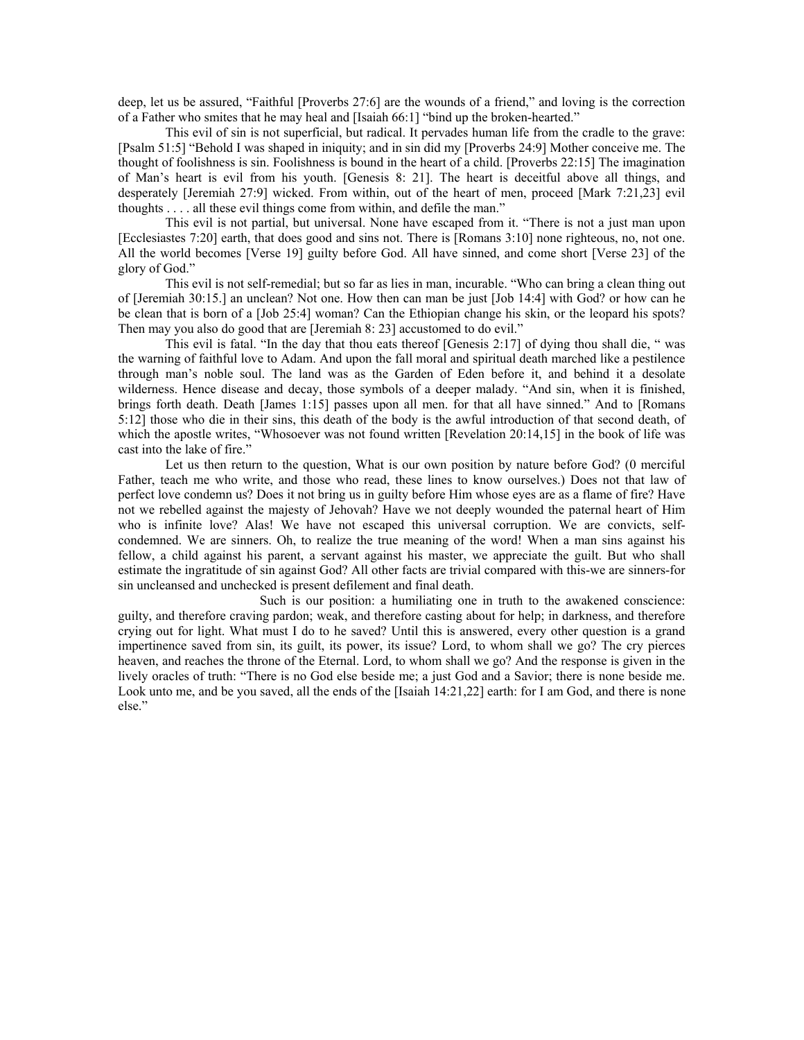deep, let us be assured, "Faithful [Proverbs 27:6] are the wounds of a friend," and loving is the correction of a Father who smites that he may heal and [Isaiah 66:1] "bind up the broken-hearted."

This evil of sin is not superficial, but radical. It pervades human life from the cradle to the grave: [Psalm 51:5] "Behold I was shaped in iniquity; and in sin did my [Proverbs 24:9] Mother conceive me. The thought of foolishness is sin. Foolishness is bound in the heart of a child. [Proverbs 22:15] The imagination of Man's heart is evil from his youth. [Genesis 8: 21]. The heart is deceitful above all things, and desperately [Jeremiah 27:9] wicked. From within, out of the heart of men, proceed [Mark 7:21,23] evil thoughts . . . . all these evil things come from within, and defile the man."

This evil is not partial, but universal. None have escaped from it. "There is not a just man upon [Ecclesiastes 7:20] earth, that does good and sins not. There is [Romans 3:10] none righteous, no, not one. All the world becomes [Verse 19] guilty before God. All have sinned, and come short [Verse 23] of the glory of God."

This evil is not self-remedial; but so far as lies in man, incurable. "Who can bring a clean thing out of [Jeremiah 30:15.] an unclean? Not one. How then can man be just [Job 14:4] with God? or how can he be clean that is born of a [Job 25:4] woman? Can the Ethiopian change his skin, or the leopard his spots? Then may you also do good that are [Jeremiah 8: 23] accustomed to do evil."

This evil is fatal. "In the day that thou eats thereof [Genesis 2:17] of dying thou shall die, " was the warning of faithful love to Adam. And upon the fall moral and spiritual death marched like a pestilence through man's noble soul. The land was as the Garden of Eden before it, and behind it a desolate wilderness. Hence disease and decay, those symbols of a deeper malady. "And sin, when it is finished, brings forth death. Death [James 1:15] passes upon all men. for that all have sinned." And to [Romans 5:12] those who die in their sins, this death of the body is the awful introduction of that second death, of which the apostle writes, "Whosoever was not found written [Revelation 20:14,15] in the book of life was cast into the lake of fire."

Let us then return to the question, What is our own position by nature before God? (0 merciful Father, teach me who write, and those who read, these lines to know ourselves.) Does not that law of perfect love condemn us? Does it not bring us in guilty before Him whose eyes are as a flame of fire? Have not we rebelled against the majesty of Jehovah? Have we not deeply wounded the paternal heart of Him who is infinite love? Alas! We have not escaped this universal corruption. We are convicts, selfcondemned. We are sinners. Oh, to realize the true meaning of the word! When a man sins against his fellow, a child against his parent, a servant against his master, we appreciate the guilt. But who shall estimate the ingratitude of sin against God? All other facts are trivial compared with this-we are sinners-for sin uncleansed and unchecked is present defilement and final death.

 Such is our position: a humiliating one in truth to the awakened conscience: guilty, and therefore craving pardon; weak, and therefore casting about for help; in darkness, and therefore crying out for light. What must I do to he saved? Until this is answered, every other question is a grand impertinence saved from sin, its guilt, its power, its issue? Lord, to whom shall we go? The cry pierces heaven, and reaches the throne of the Eternal. Lord, to whom shall we go? And the response is given in the lively oracles of truth: "There is no God else beside me; a just God and a Savior; there is none beside me. Look unto me, and be you saved, all the ends of the [Isaiah 14:21,22] earth: for I am God, and there is none else."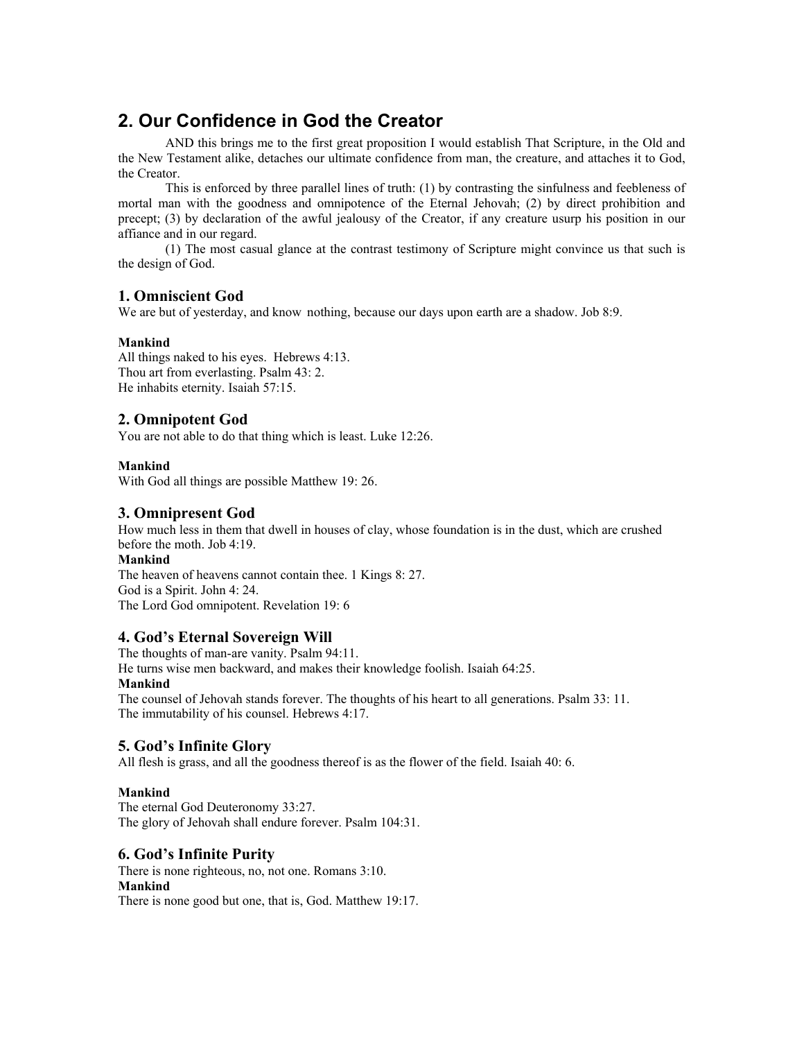# **2. Our Confidence in God the Creator**

 AND this brings me to the first great proposition I would establish That Scripture, in the Old and the New Testament alike, detaches our ultimate confidence from man, the creature, and attaches it to God, the Creator.

 This is enforced by three parallel lines of truth: (1) by contrasting the sinfulness and feebleness of mortal man with the goodness and omnipotence of the Eternal Jehovah; (2) by direct prohibition and precept; (3) by declaration of the awful jealousy of the Creator, if any creature usurp his position in our affiance and in our regard.

 (1) The most casual glance at the contrast testimony of Scripture might convince us that such is the design of God.

## **1. Omniscient God**

We are but of yesterday, and know nothing, because our days upon earth are a shadow. Job 8:9.

## **Mankind**

All things naked to his eyes. Hebrews 4:13. Thou art from everlasting. Psalm 43: 2. He inhabits eternity. Isaiah 57:15.

## **2. Omnipotent God**

You are not able to do that thing which is least. Luke 12:26.

### **Mankind**

With God all things are possible Matthew 19: 26.

## **3. Omnipresent God**

How much less in them that dwell in houses of clay, whose foundation is in the dust, which are crushed before the moth. Job 4:19.

## **Mankind**

The heaven of heavens cannot contain thee. 1 Kings 8: 27. God is a Spirit. John 4: 24. The Lord God omnipotent. Revelation 19: 6

## **4. God's Eternal Sovereign Will**

The thoughts of man-are vanity. Psalm 94:11. He turns wise men backward, and makes their knowledge foolish. Isaiah 64:25. **Mankind**  The counsel of Jehovah stands forever. The thoughts of his heart to all generations. Psalm 33: 11. The immutability of his counsel. Hebrews 4:17.

## **5. God's Infinite Glory**

All flesh is grass, and all the goodness thereof is as the flower of the field. Isaiah 40: 6.

#### **Mankind**

The eternal God Deuteronomy 33:27. The glory of Jehovah shall endure forever. Psalm 104:31.

## **6. God's Infinite Purity**

There is none righteous, no, not one. Romans 3:10. **Mankind**  There is none good but one, that is, God. Matthew 19:17.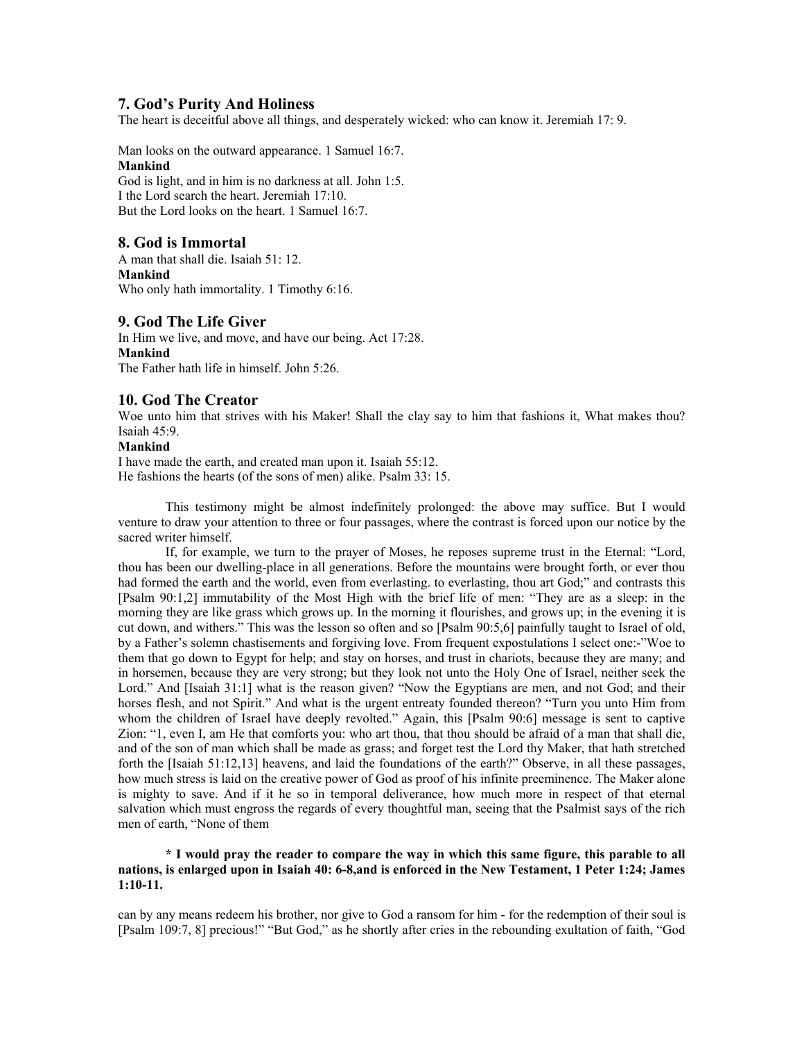#### **7. God's Purity And Holiness**

The heart is deceitful above all things, and desperately wicked: who can know it. Jeremiah 17: 9.

Man looks on the outward appearance. 1 Samuel 16:7. **Mankind**  God is light, and in him is no darkness at all. John 1:5. I the Lord search the heart. Jeremiah 17:10. But the Lord looks on the heart. 1 Samuel 16:7.

#### **8. God is Immortal**

A man that shall die. Isaiah 51: 12. **Mankind**  Who only hath immortality. 1 Timothy 6:16.

#### **9. God The Life Giver**

In Him we live, and move, and have our being. Act 17:28. **Mankind**  The Father hath life in himself. John 5:26.

#### **10. God The Creator**

Woe unto him that strives with his Maker! Shall the clay say to him that fashions it, What makes thou? Isaiah 45:9.

#### **Mankind**

I have made the earth, and created man upon it. Isaiah 55:12. He fashions the hearts (of the sons of men) alike. Psalm 33: 15.

This testimony might be almost indefinitely prolonged: the above may suffice. But I would venture to draw your attention to three or four passages, where the contrast is forced upon our notice by the sacred writer himself.

If, for example, we turn to the prayer of Moses, he reposes supreme trust in the Eternal: "Lord, thou has been our dwelling-place in all generations. Before the mountains were brought forth, or ever thou had formed the earth and the world, even from everlasting, to everlasting, thou art God;" and contrasts this [Psalm 90:1,2] immutability of the Most High with the brief life of men: "They are as a sleep: in the morning they are like grass which grows up. In the morning it flourishes, and grows up; in the evening it is cut down, and withers." This was the lesson so often and so [Psalm 90:5,6] painfully taught to Israel of old, by a Father's solemn chastisements and forgiving love. From frequent expostulations I select one:-"Woe to them that go down to Egypt for help; and stay on horses, and trust in chariots, because they are many; and in horsemen, because they are very strong; but they look not unto the Holy One of Israel, neither seek the Lord." And [Isaiah 31:1] what is the reason given? "Now the Egyptians are men, and not God; and their horses flesh, and not Spirit." And what is the urgent entreaty founded thereon? "Turn you unto Him from whom the children of Israel have deeply revolted." Again, this [Psalm 90:6] message is sent to captive Zion: "1, even I, am He that comforts you: who art thou, that thou should be afraid of a man that shall die, and of the son of man which shall be made as grass; and forget test the Lord thy Maker, that hath stretched forth the [Isaiah 51:12,13] heavens, and laid the foundations of the earth?" Observe, in all these passages, how much stress is laid on the creative power of God as proof of his infinite preeminence. The Maker alone is mighty to save. And if it he so in temporal deliverance, how much more in respect of that eternal salvation which must engross the regards of every thoughtful man, seeing that the Psalmist says of the rich men of earth, "None of them

#### **\* I would pray the reader to compare the way in which this same figure, this parable to all nations, is enlarged upon in Isaiah 40: 6-8,and is enforced in the New Testament, 1 Peter 1:24; James 1:10-11.**

can by any means redeem his brother, nor give to God a ransom for him - for the redemption of their soul is [Psalm 109:7, 8] precious!" "But God," as he shortly after cries in the rebounding exultation of faith, "God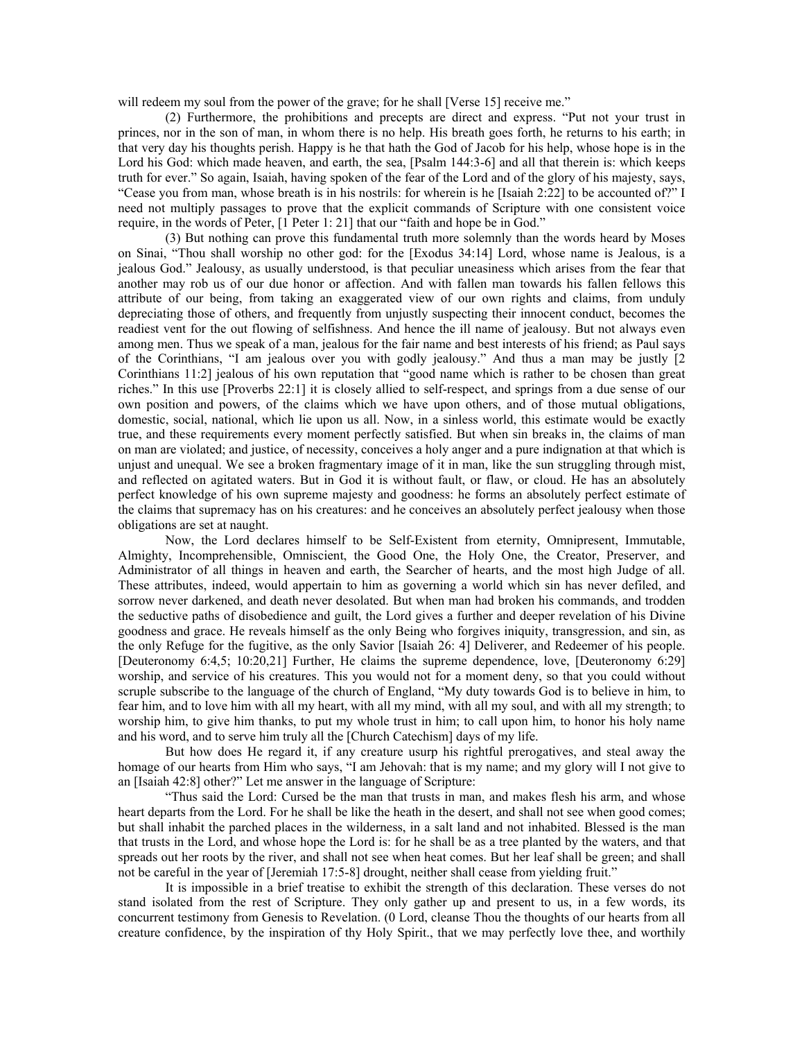will redeem my soul from the power of the grave; for he shall [Verse 15] receive me."

 (2) Furthermore, the prohibitions and precepts are direct and express. "Put not your trust in princes, nor in the son of man, in whom there is no help. His breath goes forth, he returns to his earth; in that very day his thoughts perish. Happy is he that hath the God of Jacob for his help, whose hope is in the Lord his God: which made heaven, and earth, the sea, [Psalm 144:3-6] and all that therein is: which keeps truth for ever." So again, Isaiah, having spoken of the fear of the Lord and of the glory of his majesty, says, "Cease you from man, whose breath is in his nostrils: for wherein is he [Isaiah 2:22] to be accounted of?" I need not multiply passages to prove that the explicit commands of Scripture with one consistent voice require, in the words of Peter, [1 Peter 1: 21] that our "faith and hope be in God."

 (3) But nothing can prove this fundamental truth more solemnly than the words heard by Moses on Sinai, "Thou shall worship no other god: for the [Exodus 34:14] Lord, whose name is Jealous, is a jealous God." Jealousy, as usually understood, is that peculiar uneasiness which arises from the fear that another may rob us of our due honor or affection. And with fallen man towards his fallen fellows this attribute of our being, from taking an exaggerated view of our own rights and claims, from unduly depreciating those of others, and frequently from unjustly suspecting their innocent conduct, becomes the readiest vent for the out flowing of selfishness. And hence the ill name of jealousy. But not always even among men. Thus we speak of a man, jealous for the fair name and best interests of his friend; as Paul says of the Corinthians, "I am jealous over you with godly jealousy." And thus a man may be justly [2 Corinthians 11:2] jealous of his own reputation that "good name which is rather to be chosen than great riches." In this use [Proverbs 22:1] it is closely allied to self-respect, and springs from a due sense of our own position and powers, of the claims which we have upon others, and of those mutual obligations, domestic, social, national, which lie upon us all. Now, in a sinless world, this estimate would be exactly true, and these requirements every moment perfectly satisfied. But when sin breaks in, the claims of man on man are violated; and justice, of necessity, conceives a holy anger and a pure indignation at that which is unjust and unequal. We see a broken fragmentary image of it in man, like the sun struggling through mist, and reflected on agitated waters. But in God it is without fault, or flaw, or cloud. He has an absolutely perfect knowledge of his own supreme majesty and goodness: he forms an absolutely perfect estimate of the claims that supremacy has on his creatures: and he conceives an absolutely perfect jealousy when those obligations are set at naught.

 Now, the Lord declares himself to be Self-Existent from eternity, Omnipresent, Immutable, Almighty, Incomprehensible, Omniscient, the Good One, the Holy One, the Creator, Preserver, and Administrator of all things in heaven and earth, the Searcher of hearts, and the most high Judge of all. These attributes, indeed, would appertain to him as governing a world which sin has never defiled, and sorrow never darkened, and death never desolated. But when man had broken his commands, and trodden the seductive paths of disobedience and guilt, the Lord gives a further and deeper revelation of his Divine goodness and grace. He reveals himself as the only Being who forgives iniquity, transgression, and sin, as the only Refuge for the fugitive, as the only Savior [Isaiah 26: 4] Deliverer, and Redeemer of his people. [Deuteronomy 6:4,5; 10:20,21] Further, He claims the supreme dependence, love, [Deuteronomy 6:29] worship, and service of his creatures. This you would not for a moment deny, so that you could without scruple subscribe to the language of the church of England, "My duty towards God is to believe in him, to fear him, and to love him with all my heart, with all my mind, with all my soul, and with all my strength; to worship him, to give him thanks, to put my whole trust in him; to call upon him, to honor his holy name and his word, and to serve him truly all the [Church Catechism] days of my life.

 But how does He regard it, if any creature usurp his rightful prerogatives, and steal away the homage of our hearts from Him who says, "I am Jehovah: that is my name; and my glory will I not give to an [Isaiah 42:8] other?" Let me answer in the language of Scripture:

"Thus said the Lord: Cursed be the man that trusts in man, and makes flesh his arm, and whose heart departs from the Lord. For he shall be like the heath in the desert, and shall not see when good comes; but shall inhabit the parched places in the wilderness, in a salt land and not inhabited. Blessed is the man that trusts in the Lord, and whose hope the Lord is: for he shall be as a tree planted by the waters, and that spreads out her roots by the river, and shall not see when heat comes. But her leaf shall be green; and shall not be careful in the year of [Jeremiah 17:5-8] drought, neither shall cease from yielding fruit."

 It is impossible in a brief treatise to exhibit the strength of this declaration. These verses do not stand isolated from the rest of Scripture. They only gather up and present to us, in a few words, its concurrent testimony from Genesis to Revelation. (0 Lord, cleanse Thou the thoughts of our hearts from all creature confidence, by the inspiration of thy Holy Spirit., that we may perfectly love thee, and worthily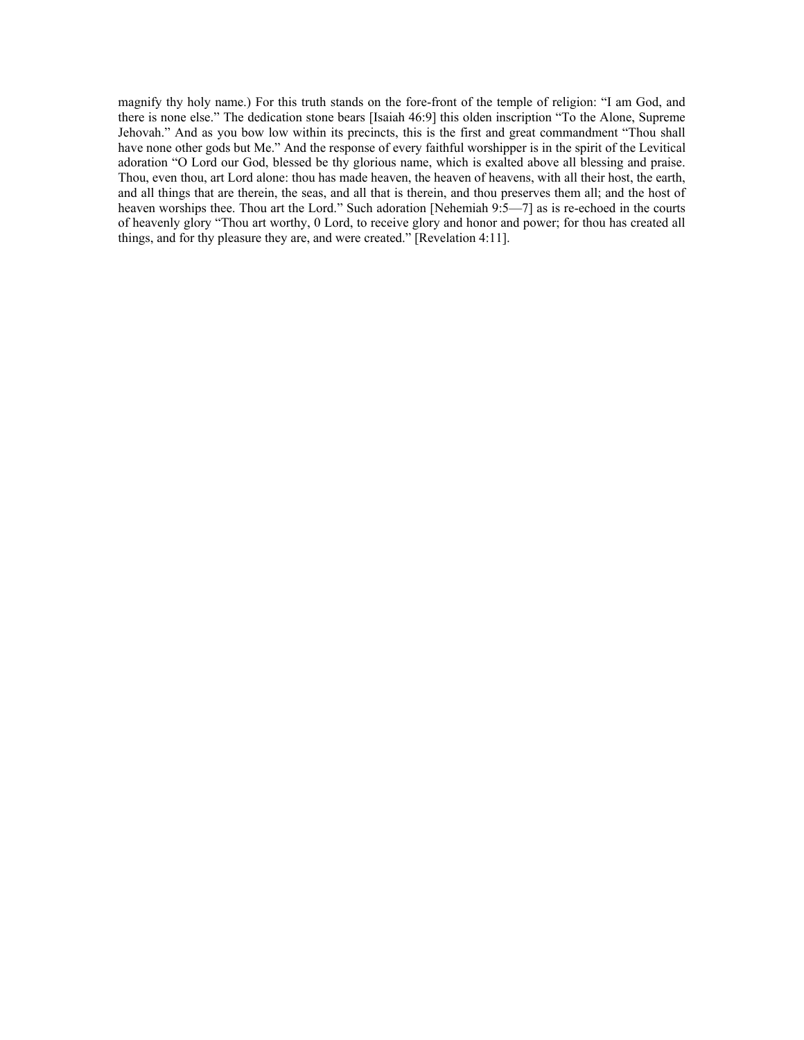magnify thy holy name.) For this truth stands on the fore-front of the temple of religion: "I am God, and there is none else." The dedication stone bears [Isaiah 46:9] this olden inscription "To the Alone, Supreme Jehovah." And as you bow low within its precincts, this is the first and great commandment "Thou shall have none other gods but Me." And the response of every faithful worshipper is in the spirit of the Levitical adoration "O Lord our God, blessed be thy glorious name, which is exalted above all blessing and praise. Thou, even thou, art Lord alone: thou has made heaven, the heaven of heavens, with all their host, the earth, and all things that are therein, the seas, and all that is therein, and thou preserves them all; and the host of heaven worships thee. Thou art the Lord." Such adoration [Nehemiah 9:5—7] as is re-echoed in the courts of heavenly glory "Thou art worthy, 0 Lord, to receive glory and honor and power; for thou has created all things, and for thy pleasure they are, and were created." [Revelation 4:11].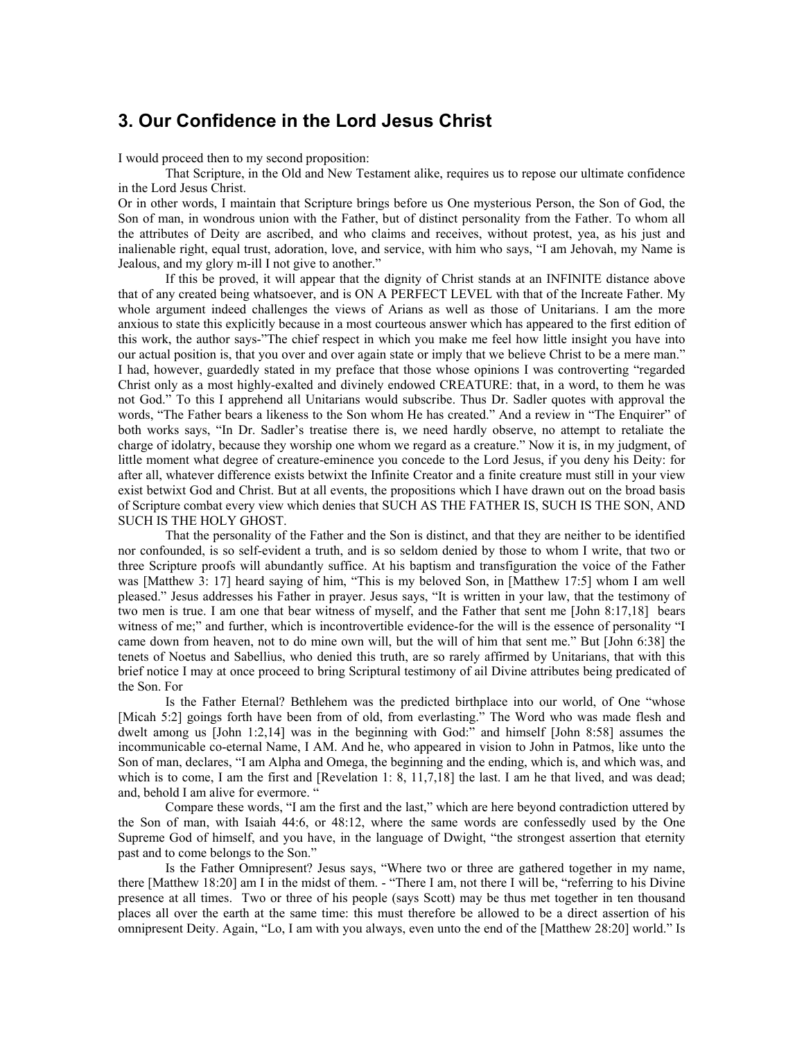# **3. Our Confidence in the Lord Jesus Christ**

I would proceed then to my second proposition:

 That Scripture, in the Old and New Testament alike, requires us to repose our ultimate confidence in the Lord Jesus Christ.

Or in other words, I maintain that Scripture brings before us One mysterious Person, the Son of God, the Son of man, in wondrous union with the Father, but of distinct personality from the Father. To whom all the attributes of Deity are ascribed, and who claims and receives, without protest, yea, as his just and inalienable right, equal trust, adoration, love, and service, with him who says, "I am Jehovah, my Name is Jealous, and my glory m-ill I not give to another."

If this be proved, it will appear that the dignity of Christ stands at an INFINITE distance above that of any created being whatsoever, and is ON A PERFECT LEVEL with that of the Increate Father. My whole argument indeed challenges the views of Arians as well as those of Unitarians. I am the more anxious to state this explicitly because in a most courteous answer which has appeared to the first edition of this work, the author says-"The chief respect in which you make me feel how little insight you have into our actual position is, that you over and over again state or imply that we believe Christ to be a mere man." I had, however, guardedly stated in my preface that those whose opinions I was controverting "regarded Christ only as a most highly-exalted and divinely endowed CREATURE: that, in a word, to them he was not God." To this I apprehend all Unitarians would subscribe. Thus Dr. Sadler quotes with approval the words, "The Father bears a likeness to the Son whom He has created." And a review in "The Enquirer" of both works says, "In Dr. Sadler's treatise there is, we need hardly observe, no attempt to retaliate the charge of idolatry, because they worship one whom we regard as a creature." Now it is, in my judgment, of little moment what degree of creature-eminence you concede to the Lord Jesus, if you deny his Deity: for after all, whatever difference exists betwixt the Infinite Creator and a finite creature must still in your view exist betwixt God and Christ. But at all events, the propositions which I have drawn out on the broad basis of Scripture combat every view which denies that SUCH AS THE FATHER IS, SUCH IS THE SON, AND SUCH IS THE HOLY GHOST.

 That the personality of the Father and the Son is distinct, and that they are neither to be identified nor confounded, is so self-evident a truth, and is so seldom denied by those to whom I write, that two or three Scripture proofs will abundantly suffice. At his baptism and transfiguration the voice of the Father was [Matthew 3: 17] heard saying of him, "This is my beloved Son, in [Matthew 17:5] whom I am well pleased." Jesus addresses his Father in prayer. Jesus says, "It is written in your law, that the testimony of two men is true. I am one that bear witness of myself, and the Father that sent me [John 8:17,18] bears witness of me;" and further, which is incontrovertible evidence-for the will is the essence of personality "I came down from heaven, not to do mine own will, but the will of him that sent me." But [John 6:38] the tenets of Noetus and Sabellius, who denied this truth, are so rarely affirmed by Unitarians, that with this brief notice I may at once proceed to bring Scriptural testimony of ail Divine attributes being predicated of the Son. For

 Is the Father Eternal? Bethlehem was the predicted birthplace into our world, of One "whose [Micah 5:2] goings forth have been from of old, from everlasting." The Word who was made flesh and dwelt among us [John 1:2,14] was in the beginning with God:" and himself [John 8:58] assumes the incommunicable co-eternal Name, I AM. And he, who appeared in vision to John in Patmos, like unto the Son of man, declares, "I am Alpha and Omega, the beginning and the ending, which is, and which was, and which is to come, I am the first and [Revelation 1: 8, 11,7,18] the last. I am he that lived, and was dead; and, behold I am alive for evermore.

 Compare these words, "I am the first and the last," which are here beyond contradiction uttered by the Son of man, with Isaiah 44:6, or 48:12, where the same words are confessedly used by the One Supreme God of himself, and you have, in the language of Dwight, "the strongest assertion that eternity past and to come belongs to the Son."

 Is the Father Omnipresent? Jesus says, "Where two or three are gathered together in my name, there [Matthew 18:20] am I in the midst of them. - "There I am, not there I will be, "referring to his Divine presence at all times. Two or three of his people (says Scott) may be thus met together in ten thousand places all over the earth at the same time: this must therefore be allowed to be a direct assertion of his omnipresent Deity. Again, "Lo, I am with you always, even unto the end of the [Matthew 28:20] world." Is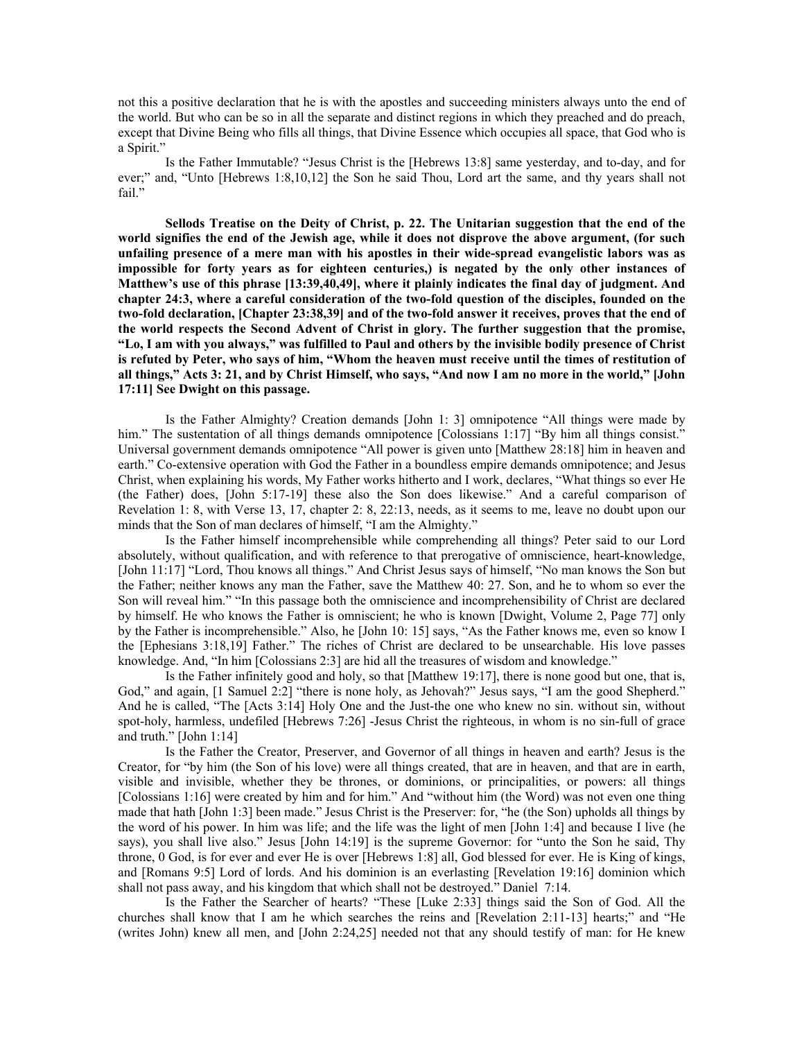not this a positive declaration that he is with the apostles and succeeding ministers always unto the end of the world. But who can be so in all the separate and distinct regions in which they preached and do preach, except that Divine Being who fills all things, that Divine Essence which occupies all space, that God who is a Spirit."

 Is the Father Immutable? "Jesus Christ is the [Hebrews 13:8] same yesterday, and to-day, and for ever;" and, "Unto [Hebrews 1:8,10,12] the Son he said Thou, Lord art the same, and thy years shall not fail."

**Sellods Treatise on the Deity of Christ, p. 22. The Unitarian suggestion that the end of the world signifies the end of the Jewish age, while it does not disprove the above argument, (for such unfailing presence of a mere man with his apostles in their wide-spread evangelistic labors was as impossible for forty years as for eighteen centuries,) is negated by the only other instances of Matthew's use of this phrase [13:39,40,49], where it plainly indicates the final day of judgment. And chapter 24:3, where a careful consideration of the two-fold question of the disciples, founded on the two-fold declaration, [Chapter 23:38,39] and of the two-fold answer it receives, proves that the end of the world respects the Second Advent of Christ in glory. The further suggestion that the promise, "Lo, I am with you always," was fulfilled to Paul and others by the invisible bodily presence of Christ is refuted by Peter, who says of him, "Whom the heaven must receive until the times of restitution of all things," Acts 3: 21, and by Christ Himself, who says, "And now I am no more in the world," [John 17:11] See Dwight on this passage.** 

 Is the Father Almighty? Creation demands [John 1: 3] omnipotence "All things were made by him." The sustentation of all things demands omnipotence [Colossians 1:17] "By him all things consist." Universal government demands omnipotence "All power is given unto [Matthew 28:18] him in heaven and earth." Co-extensive operation with God the Father in a boundless empire demands omnipotence; and Jesus Christ, when explaining his words, My Father works hitherto and I work, declares, "What things so ever He (the Father) does, [John 5:17-19] these also the Son does likewise." And a careful comparison of Revelation 1: 8, with Verse 13, 17, chapter 2: 8, 22:13, needs, as it seems to me, leave no doubt upon our minds that the Son of man declares of himself, "I am the Almighty."

Is the Father himself incomprehensible while comprehending all things? Peter said to our Lord absolutely, without qualification, and with reference to that prerogative of omniscience, heart-knowledge, [John 11:17] "Lord, Thou knows all things." And Christ Jesus says of himself, "No man knows the Son but the Father; neither knows any man the Father, save the Matthew 40: 27. Son, and he to whom so ever the Son will reveal him." "In this passage both the omniscience and incomprehensibility of Christ are declared by himself. He who knows the Father is omniscient; he who is known [Dwight, Volume 2, Page 77] only by the Father is incomprehensible." Also, he [John 10: 15] says, "As the Father knows me, even so know I the [Ephesians 3:18,19] Father." The riches of Christ are declared to be unsearchable. His love passes knowledge. And, "In him [Colossians 2:3] are hid all the treasures of wisdom and knowledge."

Is the Father infinitely good and holy, so that [Matthew 19:17], there is none good but one, that is, God," and again, [1 Samuel 2:2] "there is none holy, as Jehovah?" Jesus says, "I am the good Shepherd." And he is called, "The [Acts 3:14] Holy One and the Just-the one who knew no sin. without sin, without spot-holy, harmless, undefiled [Hebrews 7:26] -Jesus Christ the righteous, in whom is no sin-full of grace and truth." [John 1:14]

Is the Father the Creator, Preserver, and Governor of all things in heaven and earth? Jesus is the Creator, for "by him (the Son of his love) were all things created, that are in heaven, and that are in earth, visible and invisible, whether they be thrones, or dominions, or principalities, or powers: all things [Colossians 1:16] were created by him and for him." And "without him (the Word) was not even one thing made that hath [John 1:3] been made." Jesus Christ is the Preserver: for, "he (the Son) upholds all things by the word of his power. In him was life; and the life was the light of men [John 1:4] and because I live (he says), you shall live also." Jesus [John 14:19] is the supreme Governor: for "unto the Son he said, Thy throne, 0 God, is for ever and ever He is over [Hebrews 1:8] all, God blessed for ever. He is King of kings, and [Romans 9:5] Lord of lords. And his dominion is an everlasting [Revelation 19:16] dominion which shall not pass away, and his kingdom that which shall not be destroyed." Daniel 7:14.

Is the Father the Searcher of hearts? "These [Luke 2:33] things said the Son of God. All the churches shall know that I am he which searches the reins and [Revelation 2:11-13] hearts;" and "He (writes John) knew all men, and [John 2:24,25] needed not that any should testify of man: for He knew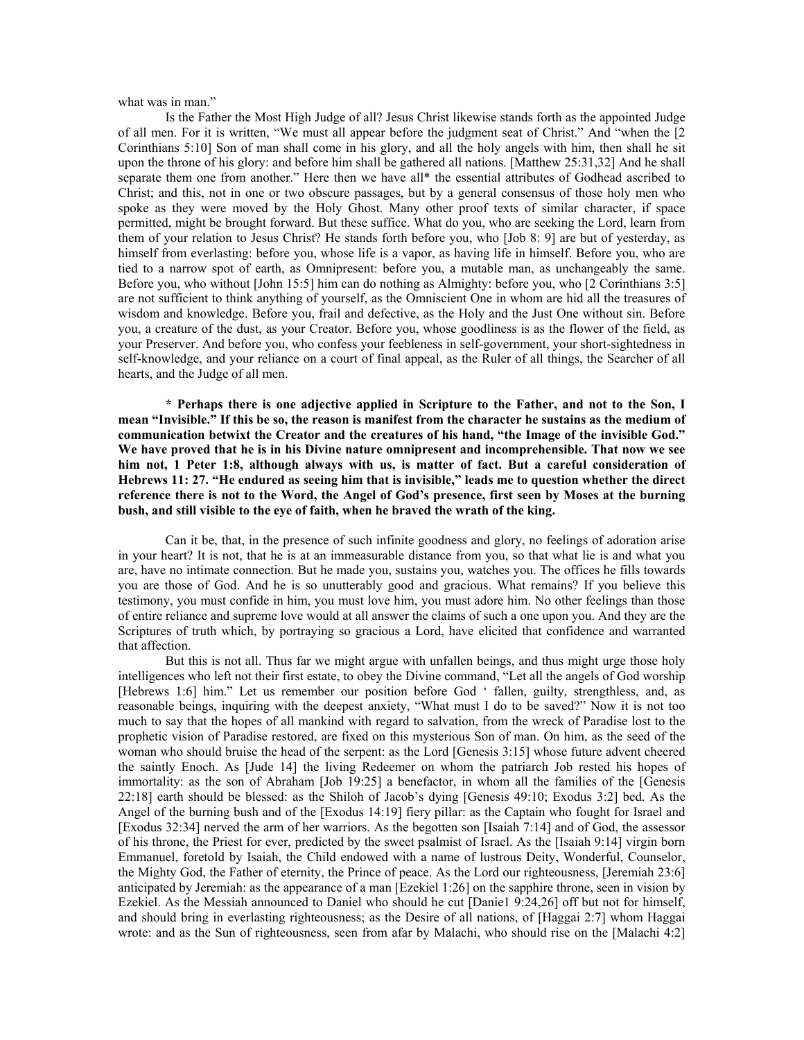what was in man."

 Is the Father the Most High Judge of all? Jesus Christ likewise stands forth as the appointed Judge of all men. For it is written, "We must all appear before the judgment seat of Christ." And "when the [2 Corinthians 5:10] Son of man shall come in his glory, and all the holy angels with him, then shall he sit upon the throne of his glory: and before him shall be gathered all nations. [Matthew 25:31,32] And he shall separate them one from another." Here then we have all\* the essential attributes of Godhead ascribed to Christ; and this, not in one or two obscure passages, but by a general consensus of those holy men who spoke as they were moved by the Holy Ghost. Many other proof texts of similar character, if space permitted, might be brought forward. But these suffice. What do you, who are seeking the Lord, learn from them of your relation to Jesus Christ? He stands forth before you, who [Job 8: 9] are but of yesterday, as himself from everlasting: before you, whose life is a vapor, as having life in himself. Before you, who are tied to a narrow spot of earth, as Omnipresent: before you, a mutable man, as unchangeably the same. Before you, who without [John 15:5] him can do nothing as Almighty: before you, who [2 Corinthians 3:5] are not sufficient to think anything of yourself, as the Omniscient One in whom are hid all the treasures of wisdom and knowledge. Before you, frail and defective, as the Holy and the Just One without sin. Before you, a creature of the dust, as your Creator. Before you, whose goodliness is as the flower of the field, as your Preserver. And before you, who confess your feebleness in self-government, your short-sightedness in self-knowledge, and your reliance on a court of final appeal, as the Ruler of all things, the Searcher of all hearts, and the Judge of all men.

 **\* Perhaps there is one adjective applied in Scripture to the Father, and not to the Son, I mean "Invisible." If this be so, the reason is manifest from the character he sustains as the medium of communication betwixt the Creator and the creatures of his hand, "the Image of the invisible God." We have proved that he is in his Divine nature omnipresent and incomprehensible. That now we see him not, 1 Peter 1:8, although always with us, is matter of fact. But a careful consideration of Hebrews 11: 27. "He endured as seeing him that is invisible," leads me to question whether the direct reference there is not to the Word, the Angel of God's presence, first seen by Moses at the burning bush, and still visible to the eye of faith, when he braved the wrath of the king.** 

Can it be, that, in the presence of such infinite goodness and glory, no feelings of adoration arise in your heart? It is not, that he is at an immeasurable distance from you, so that what lie is and what you are, have no intimate connection. But he made you, sustains you, watches you. The offices he fills towards you are those of God. And he is so unutterably good and gracious. What remains? If you believe this testimony, you must confide in him, you must love him, you must adore him. No other feelings than those of entire reliance and supreme love would at all answer the claims of such a one upon you. And they are the Scriptures of truth which, by portraying so gracious a Lord, have elicited that confidence and warranted that affection.

 But this is not all. Thus far we might argue with unfallen beings, and thus might urge those holy intelligences who left not their first estate, to obey the Divine command, "Let all the angels of God worship [Hebrews 1:6] him." Let us remember our position before God ' fallen, guilty, strengthless, and, as reasonable beings, inquiring with the deepest anxiety, "What must I do to be saved?" Now it is not too much to say that the hopes of all mankind with regard to salvation, from the wreck of Paradise lost to the prophetic vision of Paradise restored, are fixed on this mysterious Son of man. On him, as the seed of the woman who should bruise the head of the serpent: as the Lord [Genesis 3:15] whose future advent cheered the saintly Enoch. As [Jude 14] the living Redeemer on whom the patriarch Job rested his hopes of immortality: as the son of Abraham [Job 19:25] a benefactor, in whom all the families of the [Genesis 22:18] earth should be blessed: as the Shiloh of Jacob's dying [Genesis 49:10; Exodus 3:2] bed. As the Angel of the burning bush and of the [Exodus 14:19] fiery pillar: as the Captain who fought for Israel and [Exodus 32:34] nerved the arm of her warriors. As the begotten son [Isaiah 7:14] and of God, the assessor of his throne, the Priest for ever, predicted by the sweet psalmist of Israel. As the [Isaiah 9:14] virgin born Emmanuel, foretold by Isaiah, the Child endowed with a name of lustrous Deity, Wonderful, Counselor, the Mighty God, the Father of eternity, the Prince of peace. As the Lord our righteousness, [Jeremiah 23:6] anticipated by Jeremiah: as the appearance of a man [Ezekiel 1:26] on the sapphire throne, seen in vision by Ezekiel. As the Messiah announced to Daniel who should he cut [Danie1 9:24,26] off but not for himself, and should bring in everlasting righteousness; as the Desire of all nations, of [Haggai 2:7] whom Haggai wrote: and as the Sun of righteousness, seen from afar by Malachi, who should rise on the [Malachi 4:2]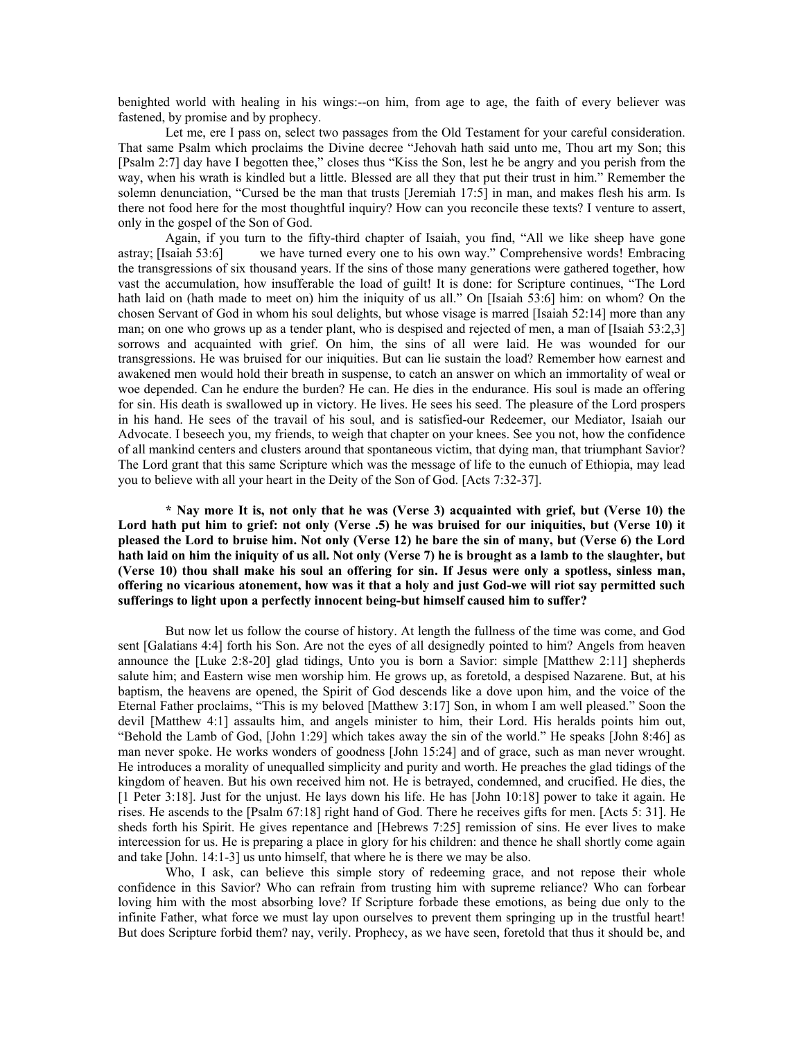benighted world with healing in his wings:--on him, from age to age, the faith of every believer was fastened, by promise and by prophecy.

 Let me, ere I pass on, select two passages from the Old Testament for your careful consideration. That same Psalm which proclaims the Divine decree "Jehovah hath said unto me, Thou art my Son; this [Psalm 2:7] day have I begotten thee," closes thus "Kiss the Son, lest he be angry and you perish from the way, when his wrath is kindled but a little. Blessed are all they that put their trust in him." Remember the solemn denunciation, "Cursed be the man that trusts [Jeremiah 17:5] in man, and makes flesh his arm. Is there not food here for the most thoughtful inquiry? How can you reconcile these texts? I venture to assert, only in the gospel of the Son of God.

 Again, if you turn to the fifty-third chapter of Isaiah, you find, "All we like sheep have gone astray; [Isaiah 53:6] we have turned every one to his own way." Comprehensive words! Embracing the transgressions of six thousand years. If the sins of those many generations were gathered together, how vast the accumulation, how insufferable the load of guilt! It is done: for Scripture continues, "The Lord hath laid on (hath made to meet on) him the iniquity of us all." On [Isaiah 53:6] him: on whom? On the chosen Servant of God in whom his soul delights, but whose visage is marred [Isaiah 52:14] more than any man; on one who grows up as a tender plant, who is despised and rejected of men, a man of [Isaiah 53:2,3] sorrows and acquainted with grief. On him, the sins of all were laid. He was wounded for our transgressions. He was bruised for our iniquities. But can lie sustain the load? Remember how earnest and awakened men would hold their breath in suspense, to catch an answer on which an immortality of weal or woe depended. Can he endure the burden? He can. He dies in the endurance. His soul is made an offering for sin. His death is swallowed up in victory. He lives. He sees his seed. The pleasure of the Lord prospers in his hand. He sees of the travail of his soul, and is satisfied-our Redeemer, our Mediator, Isaiah our Advocate. I beseech you, my friends, to weigh that chapter on your knees. See you not, how the confidence of all mankind centers and clusters around that spontaneous victim, that dying man, that triumphant Savior? The Lord grant that this same Scripture which was the message of life to the eunuch of Ethiopia, may lead you to believe with all your heart in the Deity of the Son of God. [Acts 7:32-37].

 **\* Nay more It is, not only that he was (Verse 3) acquainted with grief, but (Verse 10) the Lord hath put him to grief: not only (Verse .5) he was bruised for our iniquities, but (Verse 10) it pleased the Lord to bruise him. Not only (Verse 12) he bare the sin of many, but (Verse 6) the Lord hath laid on him the iniquity of us all. Not only (Verse 7) he is brought as a lamb to the slaughter, but (Verse 10) thou shall make his soul an offering for sin. If Jesus were only a spotless, sinless man, offering no vicarious atonement, how was it that a holy and just God-we will riot say permitted such sufferings to light upon a perfectly innocent being-but himself caused him to suffer?** 

 But now let us follow the course of history. At length the fullness of the time was come, and God sent [Galatians 4:4] forth his Son. Are not the eyes of all designedly pointed to him? Angels from heaven announce the [Luke 2:8-20] glad tidings, Unto you is born a Savior: simple [Matthew 2:11] shepherds salute him; and Eastern wise men worship him. He grows up, as foretold, a despised Nazarene. But, at his baptism, the heavens are opened, the Spirit of God descends like a dove upon him, and the voice of the Eternal Father proclaims, "This is my beloved [Matthew 3:17] Son, in whom I am well pleased." Soon the devil [Matthew 4:1] assaults him, and angels minister to him, their Lord. His heralds points him out, "Behold the Lamb of God, [John 1:29] which takes away the sin of the world." He speaks [John 8:46] as man never spoke. He works wonders of goodness [John 15:24] and of grace, such as man never wrought. He introduces a morality of unequalled simplicity and purity and worth. He preaches the glad tidings of the kingdom of heaven. But his own received him not. He is betrayed, condemned, and crucified. He dies, the [1 Peter 3:18]. Just for the unjust. He lays down his life. He has [John 10:18] power to take it again. He rises. He ascends to the [Psalm 67:18] right hand of God. There he receives gifts for men. [Acts 5: 31]. He sheds forth his Spirit. He gives repentance and [Hebrews 7:25] remission of sins. He ever lives to make intercession for us. He is preparing a place in glory for his children: and thence he shall shortly come again and take [John. 14:1-3] us unto himself, that where he is there we may be also.

Who, I ask, can believe this simple story of redeeming grace, and not repose their whole confidence in this Savior? Who can refrain from trusting him with supreme reliance? Who can forbear loving him with the most absorbing love? If Scripture forbade these emotions, as being due only to the infinite Father, what force we must lay upon ourselves to prevent them springing up in the trustful heart! But does Scripture forbid them? nay, verily. Prophecy, as we have seen, foretold that thus it should be, and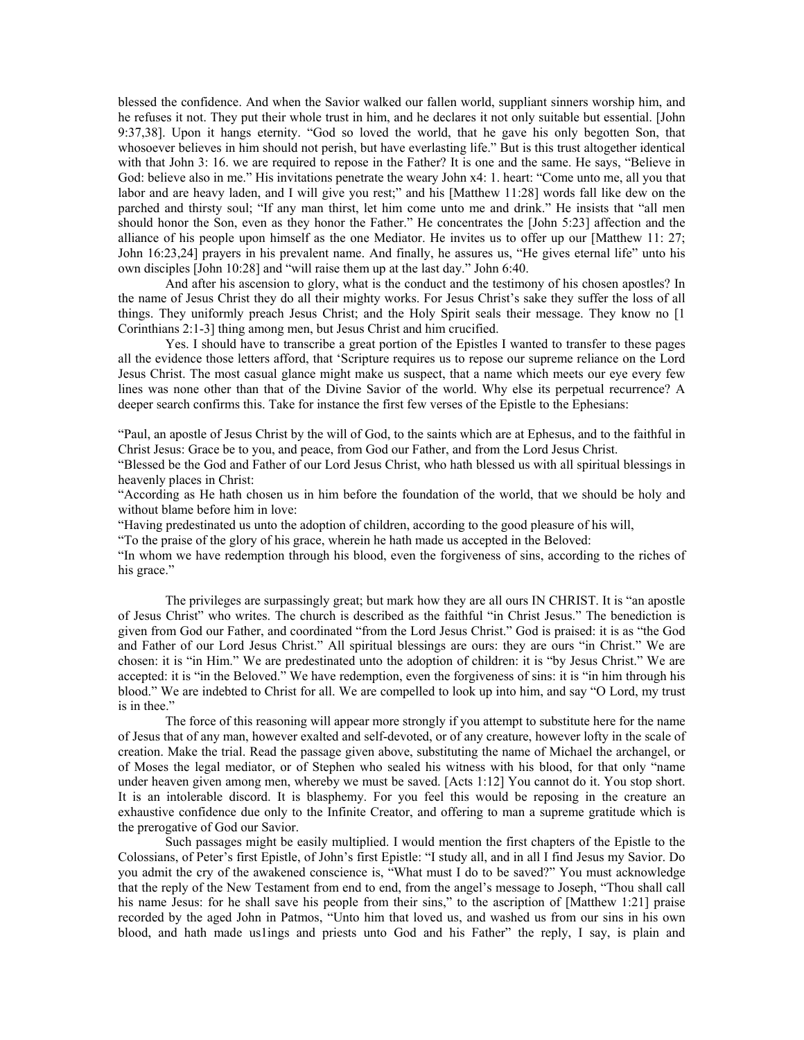blessed the confidence. And when the Savior walked our fallen world, suppliant sinners worship him, and he refuses it not. They put their whole trust in him, and he declares it not only suitable but essential. [John 9:37,38]. Upon it hangs eternity. "God so loved the world, that he gave his only begotten Son, that whosoever believes in him should not perish, but have everlasting life." But is this trust altogether identical with that John 3: 16. we are required to repose in the Father? It is one and the same. He says, "Believe in God: believe also in me." His invitations penetrate the weary John x4: 1. heart: "Come unto me, all you that labor and are heavy laden, and I will give you rest;" and his [Matthew 11:28] words fall like dew on the parched and thirsty soul; "If any man thirst, let him come unto me and drink." He insists that "all men should honor the Son, even as they honor the Father." He concentrates the [John 5:23] affection and the alliance of his people upon himself as the one Mediator. He invites us to offer up our [Matthew 11: 27; John 16:23,24] prayers in his prevalent name. And finally, he assures us, "He gives eternal life" unto his own disciples [John 10:28] and "will raise them up at the last day." John 6:40.

 And after his ascension to glory, what is the conduct and the testimony of his chosen apostles? In the name of Jesus Christ they do all their mighty works. For Jesus Christ's sake they suffer the loss of all things. They uniformly preach Jesus Christ; and the Holy Spirit seals their message. They know no [1 Corinthians 2:1-3] thing among men, but Jesus Christ and him crucified.

Yes. I should have to transcribe a great portion of the Epistles I wanted to transfer to these pages all the evidence those letters afford, that 'Scripture requires us to repose our supreme reliance on the Lord Jesus Christ. The most casual glance might make us suspect, that a name which meets our eye every few lines was none other than that of the Divine Savior of the world. Why else its perpetual recurrence? A deeper search confirms this. Take for instance the first few verses of the Epistle to the Ephesians:

"Paul, an apostle of Jesus Christ by the will of God, to the saints which are at Ephesus, and to the faithful in Christ Jesus: Grace be to you, and peace, from God our Father, and from the Lord Jesus Christ.

"Blessed be the God and Father of our Lord Jesus Christ, who hath blessed us with all spiritual blessings in heavenly places in Christ:

"According as He hath chosen us in him before the foundation of the world, that we should be holy and without blame before him in love:

"Having predestinated us unto the adoption of children, according to the good pleasure of his will,

"To the praise of the glory of his grace, wherein he hath made us accepted in the Beloved:

"In whom we have redemption through his blood, even the forgiveness of sins, according to the riches of his grace."

 The privileges are surpassingly great; but mark how they are all ours IN CHRIST. It is "an apostle of Jesus Christ" who writes. The church is described as the faithful "in Christ Jesus." The benediction is given from God our Father, and coordinated "from the Lord Jesus Christ." God is praised: it is as "the God and Father of our Lord Jesus Christ." All spiritual blessings are ours: they are ours "in Christ." We are chosen: it is "in Him." We are predestinated unto the adoption of children: it is "by Jesus Christ." We are accepted: it is "in the Beloved." We have redemption, even the forgiveness of sins: it is "in him through his blood." We are indebted to Christ for all. We are compelled to look up into him, and say "O Lord, my trust is in thee."

 The force of this reasoning will appear more strongly if you attempt to substitute here for the name of Jesus that of any man, however exalted and self-devoted, or of any creature, however lofty in the scale of creation. Make the trial. Read the passage given above, substituting the name of Michael the archangel, or of Moses the legal mediator, or of Stephen who sealed his witness with his blood, for that only "name under heaven given among men, whereby we must be saved. [Acts 1:12] You cannot do it. You stop short. It is an intolerable discord. It is blasphemy. For you feel this would be reposing in the creature an exhaustive confidence due only to the Infinite Creator, and offering to man a supreme gratitude which is the prerogative of God our Savior.

 Such passages might be easily multiplied. I would mention the first chapters of the Epistle to the Colossians, of Peter's first Epistle, of John's first Epistle: "I study all, and in all I find Jesus my Savior. Do you admit the cry of the awakened conscience is, "What must I do to be saved?" You must acknowledge that the reply of the New Testament from end to end, from the angel's message to Joseph, "Thou shall call his name Jesus: for he shall save his people from their sins," to the ascription of [Matthew 1:21] praise recorded by the aged John in Patmos, "Unto him that loved us, and washed us from our sins in his own blood, and hath made us1ings and priests unto God and his Father" the reply, I say, is plain and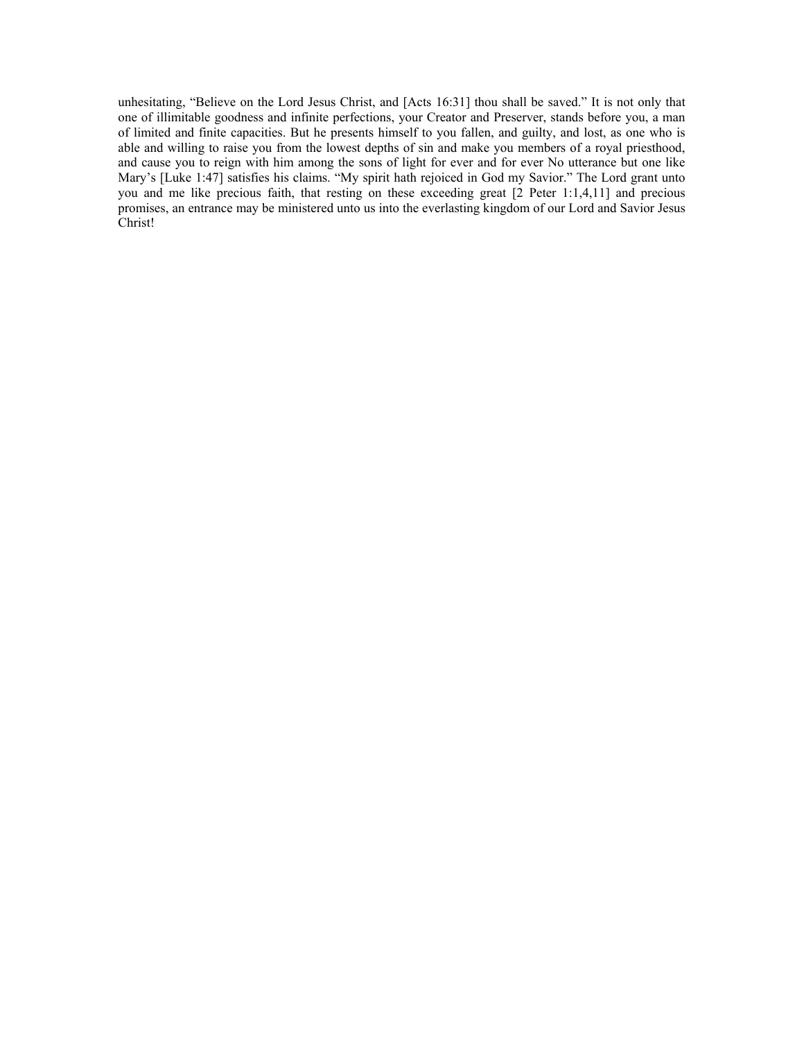unhesitating, "Believe on the Lord Jesus Christ, and [Acts 16:31] thou shall be saved." It is not only that one of illimitable goodness and infinite perfections, your Creator and Preserver, stands before you, a man of limited and finite capacities. But he presents himself to you fallen, and guilty, and lost, as one who is able and willing to raise you from the lowest depths of sin and make you members of a royal priesthood, and cause you to reign with him among the sons of light for ever and for ever No utterance but one like Mary's [Luke 1:47] satisfies his claims. "My spirit hath rejoiced in God my Savior." The Lord grant unto you and me like precious faith, that resting on these exceeding great [2 Peter 1:1,4,11] and precious promises, an entrance may be ministered unto us into the everlasting kingdom of our Lord and Savior Jesus Christ!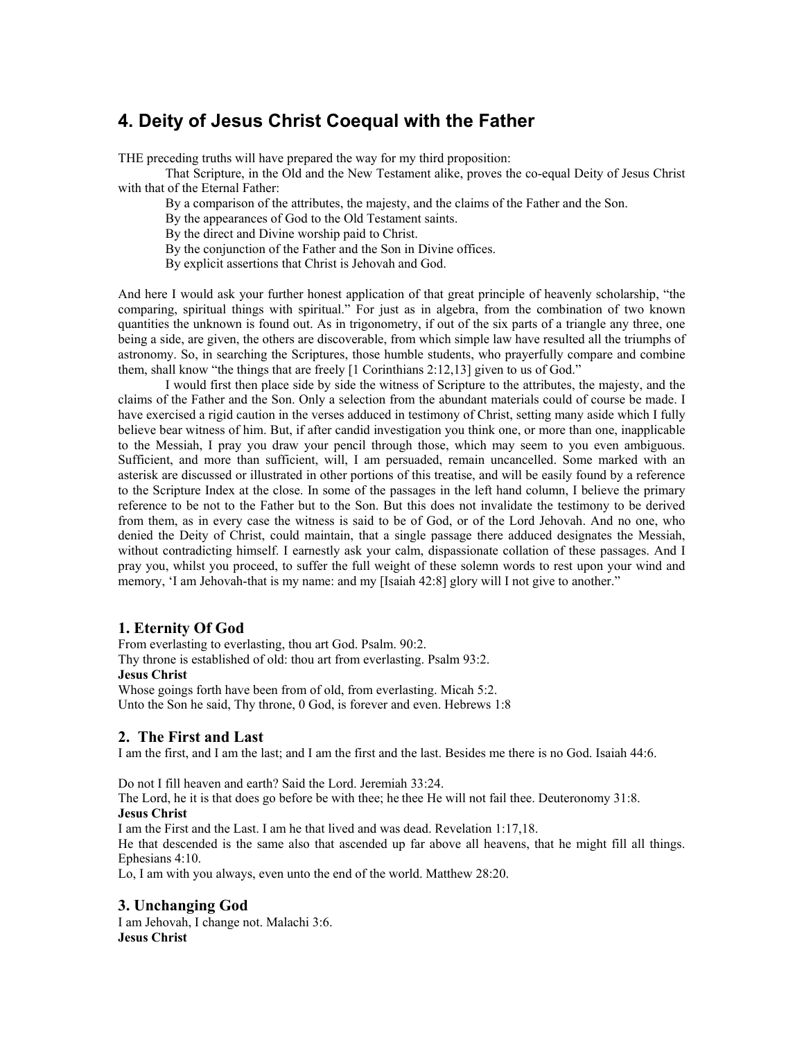# **4. Deity of Jesus Christ Coequal with the Father**

THE preceding truths will have prepared the way for my third proposition:

 That Scripture, in the Old and the New Testament alike, proves the co-equal Deity of Jesus Christ with that of the Eternal Father:

By a comparison of the attributes, the majesty, and the claims of the Father and the Son.

By the appearances of God to the Old Testament saints.

- By the direct and Divine worship paid to Christ.
- By the conjunction of the Father and the Son in Divine offices.
- By explicit assertions that Christ is Jehovah and God.

And here I would ask your further honest application of that great principle of heavenly scholarship, "the comparing, spiritual things with spiritual." For just as in algebra, from the combination of two known quantities the unknown is found out. As in trigonometry, if out of the six parts of a triangle any three, one being a side, are given, the others are discoverable, from which simple law have resulted all the triumphs of astronomy. So, in searching the Scriptures, those humble students, who prayerfully compare and combine them, shall know "the things that are freely [1 Corinthians 2:12,13] given to us of God."

I would first then place side by side the witness of Scripture to the attributes, the majesty, and the claims of the Father and the Son. Only a selection from the abundant materials could of course be made. I have exercised a rigid caution in the verses adduced in testimony of Christ, setting many aside which I fully believe bear witness of him. But, if after candid investigation you think one, or more than one, inapplicable to the Messiah, I pray you draw your pencil through those, which may seem to you even ambiguous. Sufficient, and more than sufficient, will, I am persuaded, remain uncancelled. Some marked with an asterisk are discussed or illustrated in other portions of this treatise, and will be easily found by a reference to the Scripture Index at the close. In some of the passages in the left hand column, I believe the primary reference to be not to the Father but to the Son. But this does not invalidate the testimony to be derived from them, as in every case the witness is said to be of God, or of the Lord Jehovah. And no one, who denied the Deity of Christ, could maintain, that a single passage there adduced designates the Messiah, without contradicting himself. I earnestly ask your calm, dispassionate collation of these passages. And I pray you, whilst you proceed, to suffer the full weight of these solemn words to rest upon your wind and memory, 'I am Jehovah-that is my name: and my [Isaiah 42:8] glory will I not give to another."

## **1. Eternity Of God**

From everlasting to everlasting, thou art God. Psalm. 90:2. Thy throne is established of old: thou art from everlasting. Psalm 93:2. **Jesus Christ**  Whose goings forth have been from of old, from everlasting. Micah 5:2.

Unto the Son he said, Thy throne, 0 God, is forever and even. Hebrews 1:8

## **2. The First and Last**

I am the first, and I am the last; and I am the first and the last. Besides me there is no God. Isaiah 44:6.

Do not I fill heaven and earth? Said the Lord. Jeremiah 33:24. The Lord, he it is that does go before be with thee; he thee He will not fail thee. Deuteronomy 31:8.

**Jesus Christ** 

I am the First and the Last. I am he that lived and was dead. Revelation 1:17,18.

He that descended is the same also that ascended up far above all heavens, that he might fill all things. Ephesians 4:10.

Lo, I am with you always, even unto the end of the world. Matthew 28:20.

## **3. Unchanging God**

I am Jehovah, I change not. Malachi 3:6. **Jesus Christ**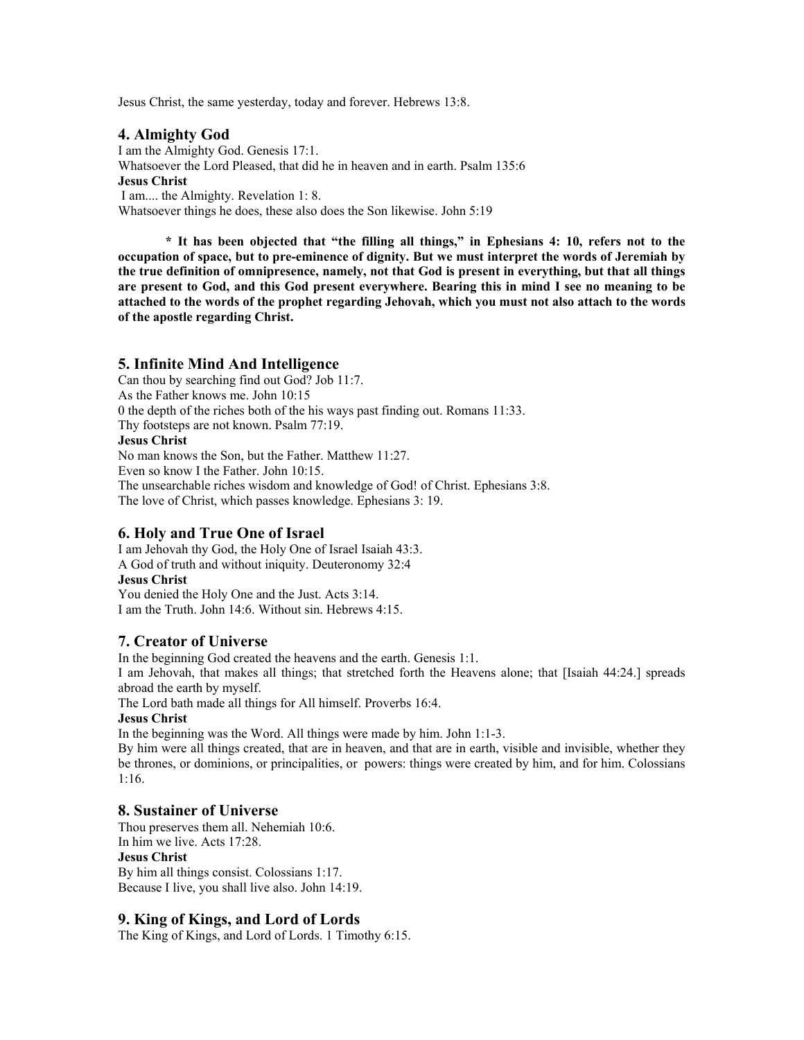Jesus Christ, the same yesterday, today and forever. Hebrews 13:8.

## **4. Almighty God**

I am the Almighty God. Genesis 17:1. Whatsoever the Lord Pleased, that did he in heaven and in earth. Psalm 135:6 **Jesus Christ**  I am.... the Almighty. Revelation 1: 8. Whatsoever things he does, these also does the Son likewise. John 5:19

**\* It has been objected that "the filling all things," in Ephesians 4: 10, refers not to the occupation of space, but to pre-eminence of dignity. But we must interpret the words of Jeremiah by the true definition of omnipresence, namely, not that God is present in everything, but that all things are present to God, and this God present everywhere. Bearing this in mind I see no meaning to be attached to the words of the prophet regarding Jehovah, which you must not also attach to the words of the apostle regarding Christ.** 

## **5. Infinite Mind And Intelligence**

Can thou by searching find out God? Job 11:7. As the Father knows me. John 10:15 0 the depth of the riches both of the his ways past finding out. Romans 11:33. Thy footsteps are not known. Psalm 77:19. **Jesus Christ**  No man knows the Son, but the Father. Matthew 11:27. Even so know I the Father. John 10:15. The unsearchable riches wisdom and knowledge of God! of Christ. Ephesians 3:8. The love of Christ, which passes knowledge. Ephesians 3: 19.

## **6. Holy and True One of Israel**

I am Jehovah thy God, the Holy One of Israel Isaiah 43:3. A God of truth and without iniquity. Deuteronomy 32:4 **Jesus Christ**  You denied the Holy One and the Just. Acts 3:14.

I am the Truth. John 14:6. Without sin. Hebrews 4:15.

## **7. Creator of Universe**

In the beginning God created the heavens and the earth. Genesis 1:1.

I am Jehovah, that makes all things; that stretched forth the Heavens alone; that [Isaiah 44:24.] spreads abroad the earth by myself.

The Lord bath made all things for All himself. Proverbs 16:4.

#### **Jesus Christ**

In the beginning was the Word. All things were made by him. John 1:1-3.

By him were all things created, that are in heaven, and that are in earth, visible and invisible, whether they be thrones, or dominions, or principalities, or powers: things were created by him, and for him. Colossians 1:16.

## **8. Sustainer of Universe**

Thou preserves them all. Nehemiah 10:6. In him we live. Acts 17:28. **Jesus Christ**  By him all things consist. Colossians 1:17. Because I live, you shall live also. John 14:19.

## **9. King of Kings, and Lord of Lords**

The King of Kings, and Lord of Lords. 1 Timothy 6:15.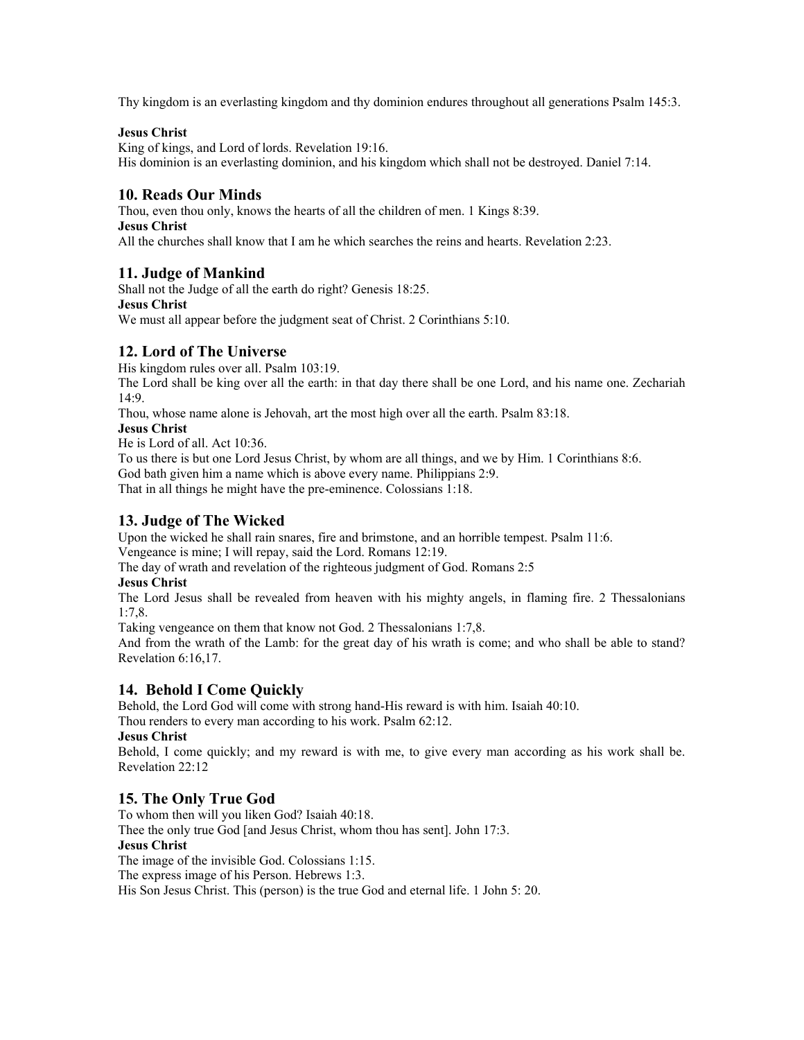Thy kingdom is an everlasting kingdom and thy dominion endures throughout all generations Psalm 145:3.

## **Jesus Christ**

King of kings, and Lord of lords. Revelation 19:16.

His dominion is an everlasting dominion, and his kingdom which shall not be destroyed. Daniel 7:14.

## **10. Reads Our Minds**

Thou, even thou only, knows the hearts of all the children of men. 1 Kings 8:39. **Jesus Christ** 

All the churches shall know that I am he which searches the reins and hearts. Revelation 2:23.

## **11. Judge of Mankind**

Shall not the Judge of all the earth do right? Genesis 18:25.

### **Jesus Christ**

We must all appear before the judgment seat of Christ. 2 Corinthians 5:10.

## **12. Lord of The Universe**

His kingdom rules over all. Psalm 103:19.

The Lord shall be king over all the earth: in that day there shall be one Lord, and his name one. Zechariah 14:9.

Thou, whose name alone is Jehovah, art the most high over all the earth. Psalm 83:18.

**Jesus Christ** 

He is Lord of all. Act 10:36.

To us there is but one Lord Jesus Christ, by whom are all things, and we by Him. 1 Corinthians 8:6. God bath given him a name which is above every name. Philippians 2:9.

That in all things he might have the pre-eminence. Colossians 1:18.

## **13. Judge of The Wicked**

Upon the wicked he shall rain snares, fire and brimstone, and an horrible tempest. Psalm 11:6. Vengeance is mine; I will repay, said the Lord. Romans 12:19.

The day of wrath and revelation of the righteous judgment of God. Romans 2:5

#### **Jesus Christ**

The Lord Jesus shall be revealed from heaven with his mighty angels, in flaming fire. 2 Thessalonians 1:7,8.

Taking vengeance on them that know not God. 2 Thessalonians 1:7,8.

And from the wrath of the Lamb: for the great day of his wrath is come; and who shall be able to stand? Revelation 6:16,17.

## **14. Behold I Come Quickly**

Behold, the Lord God will come with strong hand-His reward is with him. Isaiah 40:10. Thou renders to every man according to his work. Psalm 62:12.

# **Jesus Christ**

Behold, I come quickly; and my reward is with me, to give every man according as his work shall be. Revelation 22:12

## **15. The Only True God**

To whom then will you liken God? Isaiah 40:18. Thee the only true God [and Jesus Christ, whom thou has sent]. John 17:3. **Jesus Christ**  The image of the invisible God. Colossians 1:15. The express image of his Person. Hebrews 1:3. His Son Jesus Christ. This (person) is the true God and eternal life. 1 John 5: 20.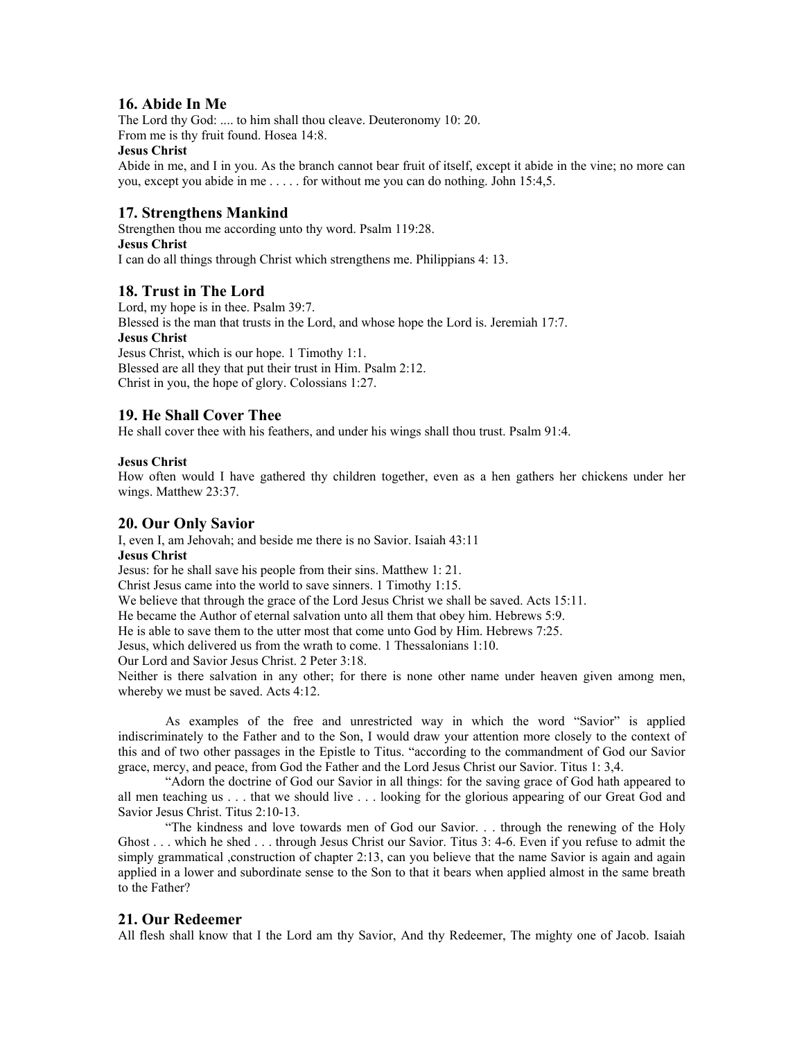## **16. Abide In Me**

The Lord thy God: .... to him shall thou cleave. Deuteronomy 10: 20. From me is thy fruit found. Hosea 14:8.

#### **Jesus Christ**

Abide in me, and I in you. As the branch cannot bear fruit of itself, except it abide in the vine; no more can you, except you abide in me . . . . . for without me you can do nothing. John 15:4,5.

#### **17. Strengthens Mankind**

Strengthen thou me according unto thy word. Psalm 119:28. **Jesus Christ**  I can do all things through Christ which strengthens me. Philippians 4: 13.

#### **18. Trust in The Lord**

Lord, my hope is in thee. Psalm 39:7. Blessed is the man that trusts in the Lord, and whose hope the Lord is. Jeremiah 17:7. **Jesus Christ**  Jesus Christ, which is our hope. 1 Timothy 1:1. Blessed are all they that put their trust in Him. Psalm 2:12. Christ in you, the hope of glory. Colossians 1:27.

#### **19. He Shall Cover Thee**

He shall cover thee with his feathers, and under his wings shall thou trust. Psalm 91:4.

#### **Jesus Christ**

How often would I have gathered thy children together, even as a hen gathers her chickens under her wings. Matthew 23:37.

#### **20. Our Only Savior**

I, even I, am Jehovah; and beside me there is no Savior. Isaiah 43:11 **Jesus Christ** 

Jesus: for he shall save his people from their sins. Matthew 1: 21.

Christ Jesus came into the world to save sinners. 1 Timothy 1:15.

We believe that through the grace of the Lord Jesus Christ we shall be saved. Acts 15:11.

He became the Author of eternal salvation unto all them that obey him. Hebrews 5:9.

He is able to save them to the utter most that come unto God by Him. Hebrews 7:25.

Jesus, which delivered us from the wrath to come. 1 Thessalonians 1:10.

Our Lord and Savior Jesus Christ. 2 Peter 3:18.

Neither is there salvation in any other; for there is none other name under heaven given among men, whereby we must be saved. Acts 4:12.

 As examples of the free and unrestricted way in which the word "Savior" is applied indiscriminately to the Father and to the Son, I would draw your attention more closely to the context of this and of two other passages in the Epistle to Titus. "according to the commandment of God our Savior grace, mercy, and peace, from God the Father and the Lord Jesus Christ our Savior. Titus 1: 3,4.

"Adorn the doctrine of God our Savior in all things: for the saving grace of God hath appeared to all men teaching us . . . that we should live . . . looking for the glorious appearing of our Great God and Savior Jesus Christ. Titus 2:10-13.

"The kindness and love towards men of God our Savior. . . through the renewing of the Holy Ghost . . . which he shed . . . through Jesus Christ our Savior. Titus 3: 4-6. Even if you refuse to admit the simply grammatical ,construction of chapter 2:13, can you believe that the name Savior is again and again applied in a lower and subordinate sense to the Son to that it bears when applied almost in the same breath to the Father?

#### **21. Our Redeemer**

All flesh shall know that I the Lord am thy Savior, And thy Redeemer, The mighty one of Jacob. Isaiah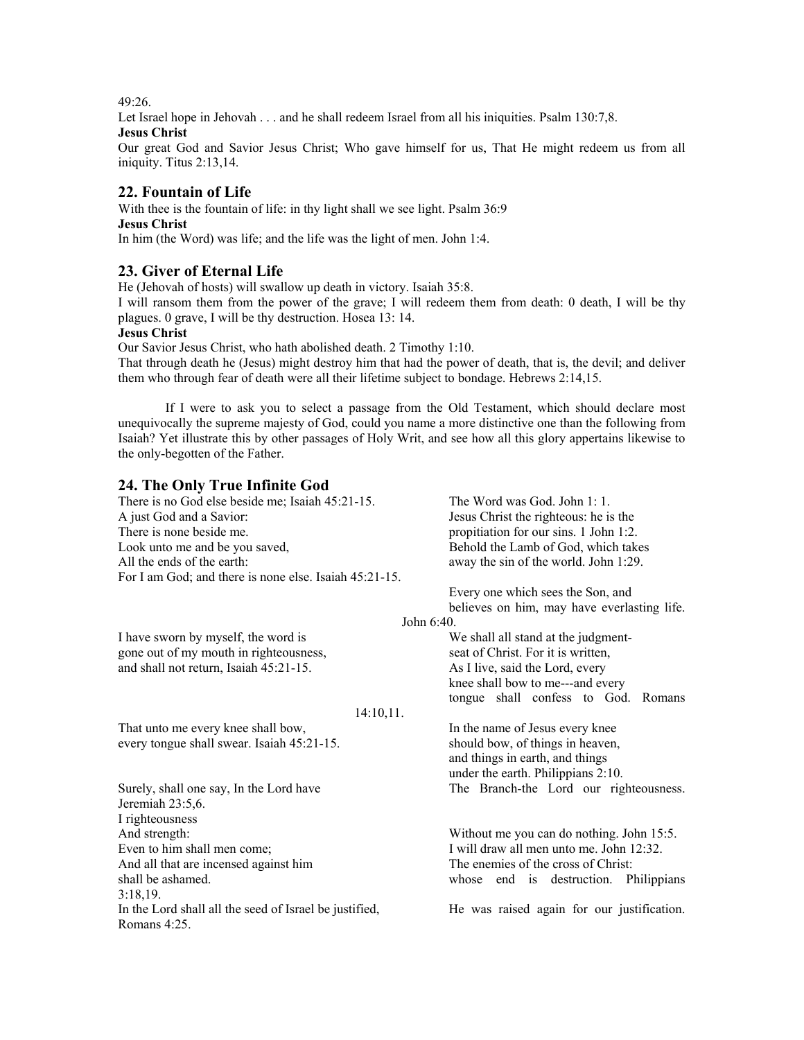49:26.

Let Israel hope in Jehovah . . . and he shall redeem Israel from all his iniquities. Psalm 130:7,8. **Jesus Christ** 

Our great God and Savior Jesus Christ; Who gave himself for us, That He might redeem us from all iniquity. Titus 2:13,14.

#### **22. Fountain of Life**

With thee is the fountain of life: in thy light shall we see light. Psalm 36:9 **Jesus Christ** 

In him (the Word) was life; and the life was the light of men. John 1:4.

### **23. Giver of Eternal Life**

He (Jehovah of hosts) will swallow up death in victory. Isaiah 35:8.

I will ransom them from the power of the grave; I will redeem them from death: 0 death, I will be thy plagues. 0 grave, I will be thy destruction. Hosea 13: 14.

#### **Jesus Christ**

Our Savior Jesus Christ, who hath abolished death. 2 Timothy 1:10.

That through death he (Jesus) might destroy him that had the power of death, that is, the devil; and deliver them who through fear of death were all their lifetime subject to bondage. Hebrews 2:14,15.

 If I were to ask you to select a passage from the Old Testament, which should declare most unequivocally the supreme majesty of God, could you name a more distinctive one than the following from Isaiah? Yet illustrate this by other passages of Holy Writ, and see how all this glory appertains likewise to the only-begotten of the Father.

### **24. The Only True Infinite God**

| There is no God else beside me; Isaiah 45:21-15.       | The Word was God. John 1: 1.                |
|--------------------------------------------------------|---------------------------------------------|
| A just God and a Savior:                               | Jesus Christ the righteous: he is the       |
| There is none beside me.                               | propitiation for our sins. 1 John 1:2.      |
| Look unto me and be you saved,                         | Behold the Lamb of God, which takes         |
| All the ends of the earth:                             | away the sin of the world. John 1:29.       |
| For I am God; and there is none else. Isaiah 45:21-15. |                                             |
|                                                        | Every one which sees the Son, and           |
|                                                        | believes on him, may have everlasting life. |
|                                                        | John 6:40.                                  |
| I have sworn by myself, the word is                    | We shall all stand at the judgment-         |
| gone out of my mouth in righteousness,                 | seat of Christ. For it is written,          |
| and shall not return, Isaiah 45:21-15.                 | As I live, said the Lord, every             |
|                                                        | knee shall bow to me---and every            |
|                                                        | tongue shall confess to God. Romans         |
| 14:10,11.                                              |                                             |
| That unto me every knee shall bow,                     | In the name of Jesus every knee             |
| every tongue shall swear. Isaiah 45:21-15.             | should bow, of things in heaven,            |
|                                                        | and things in earth, and things             |
|                                                        | under the earth. Philippians 2:10.          |
| Surely, shall one say, In the Lord have                | The Branch-the Lord our righteousness.      |
| Jeremiah 23:5,6.                                       |                                             |
| I righteousness                                        |                                             |
| And strength:                                          | Without me you can do nothing. John 15:5.   |
| Even to him shall men come;                            | I will draw all men unto me. John 12:32.    |
| And all that are incensed against him                  | The enemies of the cross of Christ:         |
| shall be ashamed.                                      | whose end is destruction. Philippians       |
| 3:18,19.                                               |                                             |
| In the Lord shall all the seed of Israel be justified, | He was raised again for our justification.  |
| Romans 4:25.                                           |                                             |
|                                                        |                                             |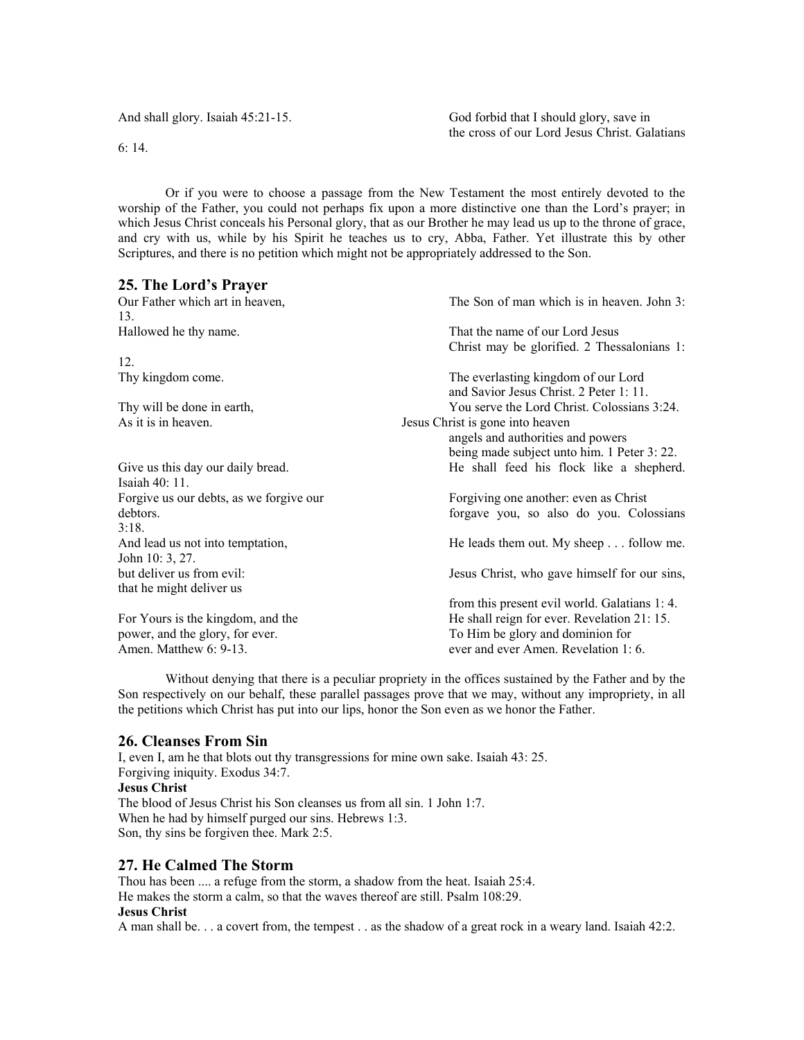And shall glory. Isaiah 45:21-15. God forbid that I should glory, save in the cross of our Lord Jesus Christ. Galatians

6: 14.

 Or if you were to choose a passage from the New Testament the most entirely devoted to the worship of the Father, you could not perhaps fix upon a more distinctive one than the Lord's prayer; in which Jesus Christ conceals his Personal glory, that as our Brother he may lead us up to the throne of grace, and cry with us, while by his Spirit he teaches us to cry, Abba, Father. Yet illustrate this by other Scriptures, and there is no petition which might not be appropriately addressed to the Son.

#### **25. The Lord's Prayer**  Our Father which art in heaven, The Son of man which is in heaven. John 3: 13. Hallowed he thy name. That the name of our Lord Jesus Christ may be glorified. 2 Thessalonians 1: 12. Thy kingdom come. The everlasting kingdom of our Lord and Savior Jesus Christ. 2 Peter 1: 11. Thy will be done in earth, The Vou serve the Lord Christ. Colossians 3:24. As it is in heaven. Jesus Christ is gone into heaven angels and authorities and powers being made subject unto him. 1 Peter 3: 22. Give us this day our daily bread. He shall feed his flock like a shepherd. Isaiah 40: 11. Forgive us our debts, as we forgive our Forgiving one another: even as Christ debtors. forgave you, so also do you. Colossians 3:18. And lead us not into temptation, He leads them out. My sheep . . . follow me. John 10: 3, 27. but deliver us from evil: Jesus Christ, who gave himself for our sins, that he might deliver us from this present evil world. Galatians 1: 4. For Yours is the kingdom, and the He shall reign for ever. Revelation 21: 15. power, and the glory, for ever.<br>
To Him be glory and dominion for<br>
ever and ever Amen. Revelation 1: ever and ever Amen. Revelation 1: 6.

 Without denying that there is a peculiar propriety in the offices sustained by the Father and by the Son respectively on our behalf, these parallel passages prove that we may, without any impropriety, in all the petitions which Christ has put into our lips, honor the Son even as we honor the Father.

#### **26. Cleanses From Sin**

I, even I, am he that blots out thy transgressions for mine own sake. Isaiah 43: 25. Forgiving iniquity. Exodus 34:7. **Jesus Christ**  The blood of Jesus Christ his Son cleanses us from all sin. 1 John 1:7. When he had by himself purged our sins. Hebrews 1:3. Son, thy sins be forgiven thee. Mark 2:5.

#### **27. He Calmed The Storm**

Thou has been .... a refuge from the storm, a shadow from the heat. Isaiah 25:4. He makes the storm a calm, so that the waves thereof are still. Psalm 108:29. **Jesus Christ**  A man shall be. . . a covert from, the tempest . . as the shadow of a great rock in a weary land. Isaiah 42:2.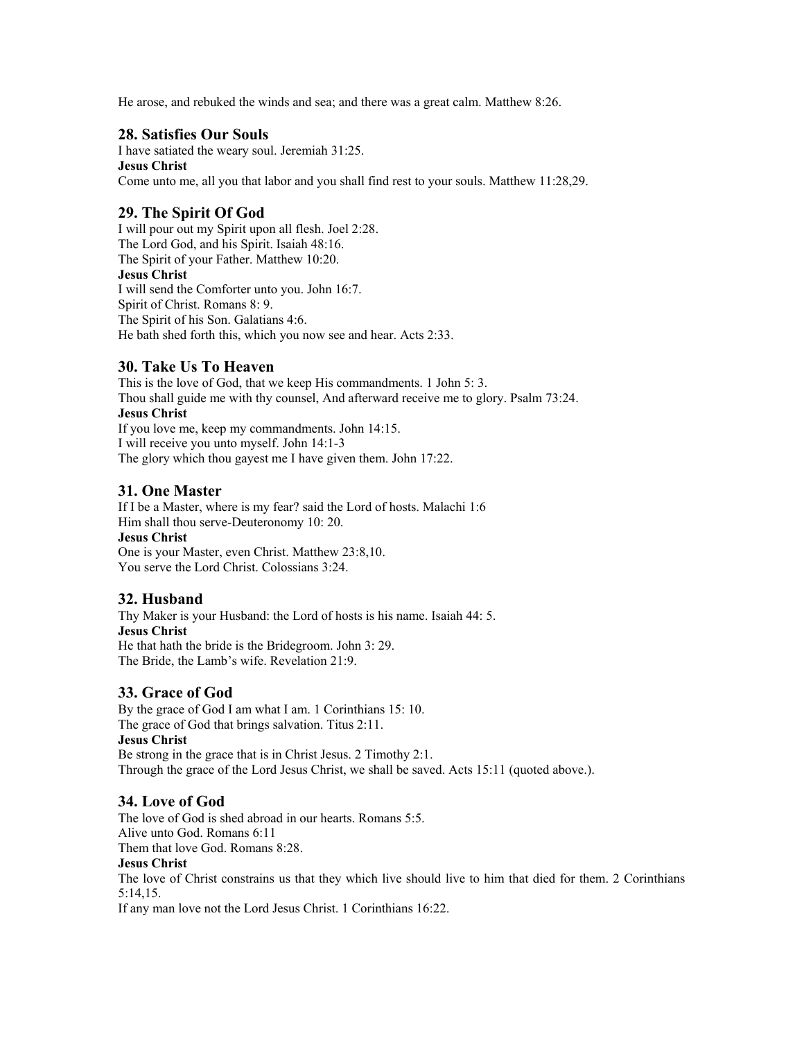He arose, and rebuked the winds and sea; and there was a great calm. Matthew 8:26.

### **28. Satisfies Our Souls**

I have satiated the weary soul. Jeremiah 31:25. **Jesus Christ**  Come unto me, all you that labor and you shall find rest to your souls. Matthew 11:28,29.

## **29. The Spirit Of God**

I will pour out my Spirit upon all flesh. Joel 2:28. The Lord God, and his Spirit. Isaiah 48:16. The Spirit of your Father. Matthew 10:20. **Jesus Christ**  I will send the Comforter unto you. John 16:7. Spirit of Christ. Romans 8: 9. The Spirit of his Son. Galatians 4:6. He bath shed forth this, which you now see and hear. Acts 2:33.

## **30. Take Us To Heaven**

This is the love of God, that we keep His commandments. 1 John 5: 3. Thou shall guide me with thy counsel, And afterward receive me to glory. Psalm 73:24. **Jesus Christ**  If you love me, keep my commandments. John 14:15. I will receive you unto myself. John 14:1-3 The glory which thou gayest me I have given them. John 17:22.

## **31. One Master**

If I be a Master, where is my fear? said the Lord of hosts. Malachi 1:6 Him shall thou serve-Deuteronomy 10: 20. **Jesus Christ**  One is your Master, even Christ. Matthew 23:8,10. You serve the Lord Christ. Colossians 3:24.

## **32. Husband**

Thy Maker is your Husband: the Lord of hosts is his name. Isaiah 44: 5. **Jesus Christ**  He that hath the bride is the Bridegroom. John 3: 29. The Bride, the Lamb's wife. Revelation 21:9.

## **33. Grace of God**

By the grace of God I am what I am. 1 Corinthians 15: 10. The grace of God that brings salvation. Titus 2:11. **Jesus Christ**  Be strong in the grace that is in Christ Jesus. 2 Timothy 2:1. Through the grace of the Lord Jesus Christ, we shall be saved. Acts 15:11 (quoted above.).

## **34. Love of God**

The love of God is shed abroad in our hearts. Romans 5:5. Alive unto God. Romans 6:11 Them that love God. Romans 8:28. **Jesus Christ**  The love of Christ constrains us that they which live should live to him that died for them. 2 Corinthians 5:14,15.

If any man love not the Lord Jesus Christ. 1 Corinthians 16:22.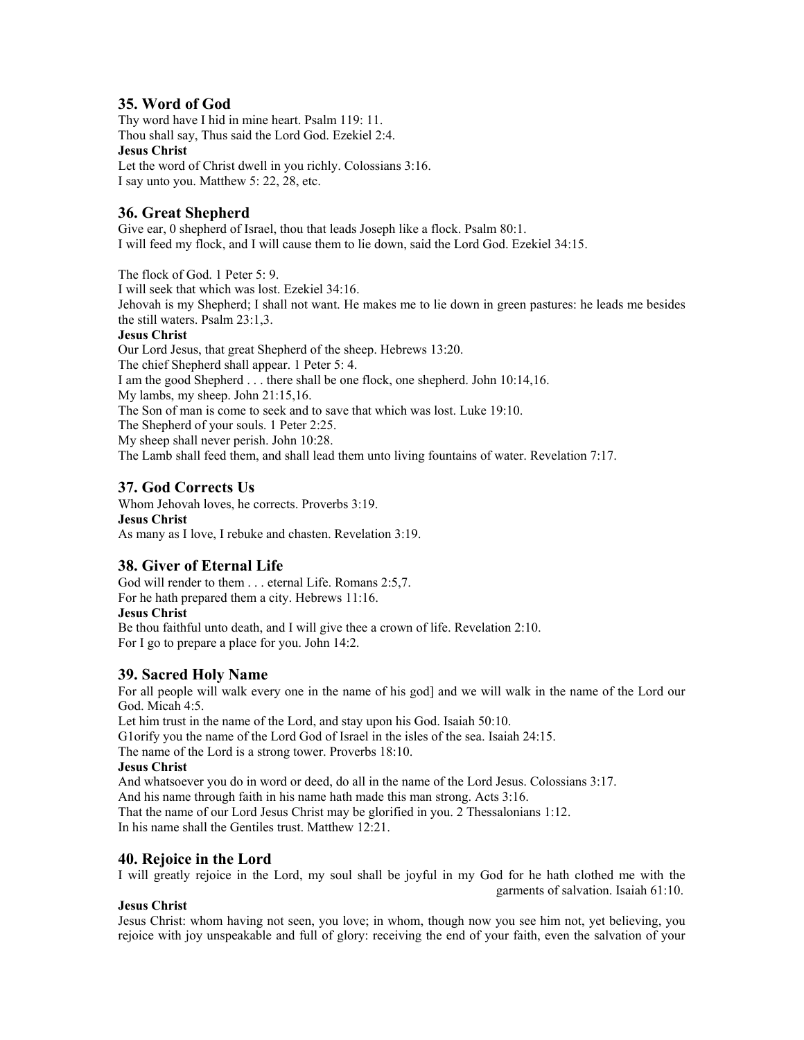## **35. Word of God**

Thy word have I hid in mine heart. Psalm 119: 11. Thou shall say, Thus said the Lord God. Ezekiel 2:4. **Jesus Christ**  Let the word of Christ dwell in you richly. Colossians 3:16.

I say unto you. Matthew 5: 22, 28, etc.

## **36. Great Shepherd**

Give ear, 0 shepherd of Israel, thou that leads Joseph like a flock. Psalm 80:1. I will feed my flock, and I will cause them to lie down, said the Lord God. Ezekiel 34:15.

The flock of God. 1 Peter 5: 9. I will seek that which was lost. Ezekiel 34:16. Jehovah is my Shepherd; I shall not want. He makes me to lie down in green pastures: he leads me besides the still waters. Psalm 23:1,3. **Jesus Christ**  Our Lord Jesus, that great Shepherd of the sheep. Hebrews 13:20. The chief Shepherd shall appear. 1 Peter 5: 4. I am the good Shepherd . . . there shall be one flock, one shepherd. John 10:14,16. My lambs, my sheep. John 21:15,16. The Son of man is come to seek and to save that which was lost. Luke 19:10.

The Shepherd of your souls. 1 Peter 2:25. My sheep shall never perish. John 10:28. The Lamb shall feed them, and shall lead them unto living fountains of water. Revelation 7:17.

## **37. God Corrects Us**

Whom Jehovah loves, he corrects. Proverbs 3:19. **Jesus Christ**  As many as I love, I rebuke and chasten. Revelation 3:19.

## **38. Giver of Eternal Life**

God will render to them . . . eternal Life. Romans 2:5,7. For he hath prepared them a city. Hebrews 11:16. **Jesus Christ**  Be thou faithful unto death, and I will give thee a crown of life. Revelation 2:10. For I go to prepare a place for you. John 14:2.

## **39. Sacred Holy Name**

For all people will walk every one in the name of his god] and we will walk in the name of the Lord our God. Micah 4:5.

Let him trust in the name of the Lord, and stay upon his God. Isaiah 50:10. G1orify you the name of the Lord God of Israel in the isles of the sea. Isaiah 24:15. The name of the Lord is a strong tower. Proverbs 18:10.

#### **Jesus Christ**

And whatsoever you do in word or deed, do all in the name of the Lord Jesus. Colossians 3:17. And his name through faith in his name hath made this man strong. Acts 3:16. That the name of our Lord Jesus Christ may be glorified in you. 2 Thessalonians 1:12. In his name shall the Gentiles trust. Matthew 12:21.

## **40. Rejoice in the Lord**

I will greatly rejoice in the Lord, my soul shall be joyful in my God for he hath clothed me with the garments of salvation. Isaiah 61:10.

#### **Jesus Christ**

Jesus Christ: whom having not seen, you love; in whom, though now you see him not, yet believing, you rejoice with joy unspeakable and full of glory: receiving the end of your faith, even the salvation of your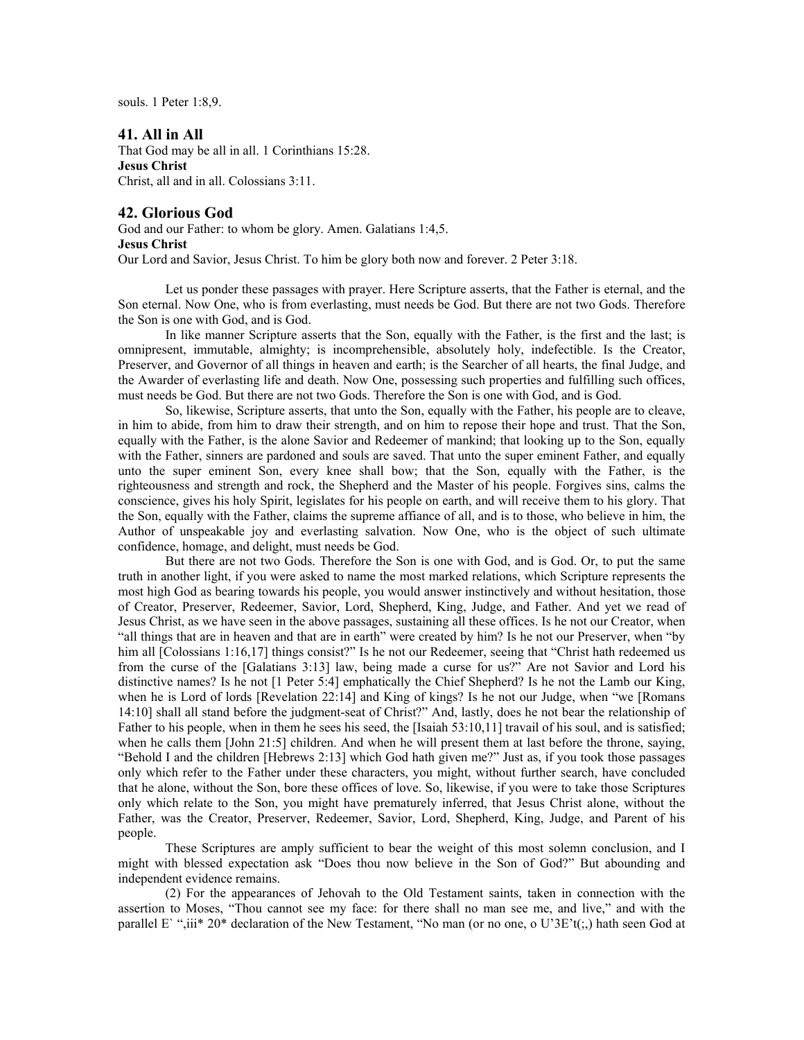souls. 1 Peter 1:8,9.

**41. All in All**  That God may be all in all. 1 Corinthians 15:28. **Jesus Christ**  Christ, all and in all. Colossians 3:11.

#### **42. Glorious God**

God and our Father: to whom be glory. Amen. Galatians 1:4,5. **Jesus Christ**  Our Lord and Savior, Jesus Christ. To him be glory both now and forever. 2 Peter 3:18.

 Let us ponder these passages with prayer. Here Scripture asserts, that the Father is eternal, and the Son eternal. Now One, who is from everlasting, must needs be God. But there are not two Gods. Therefore the Son is one with God, and is God.

 In like manner Scripture asserts that the Son, equally with the Father, is the first and the last; is omnipresent, immutable, almighty; is incomprehensible, absolutely holy, indefectible. Is the Creator, Preserver, and Governor of all things in heaven and earth; is the Searcher of all hearts, the final Judge, and the Awarder of everlasting life and death. Now One, possessing such properties and fulfilling such offices, must needs be God. But there are not two Gods. Therefore the Son is one with God, and is God.

 So, likewise, Scripture asserts, that unto the Son, equally with the Father, his people are to cleave, in him to abide, from him to draw their strength, and on him to repose their hope and trust. That the Son, equally with the Father, is the alone Savior and Redeemer of mankind; that looking up to the Son, equally with the Father, sinners are pardoned and souls are saved. That unto the super eminent Father, and equally unto the super eminent Son, every knee shall bow; that the Son, equally with the Father, is the righteousness and strength and rock, the Shepherd and the Master of his people. Forgives sins, calms the conscience, gives his holy Spirit, legislates for his people on earth, and will receive them to his glory. That the Son, equally with the Father, claims the supreme affiance of all, and is to those, who believe in him, the Author of unspeakable joy and everlasting salvation. Now One, who is the object of such ultimate confidence, homage, and delight, must needs be God.

But there are not two Gods. Therefore the Son is one with God, and is God. Or, to put the same truth in another light, if you were asked to name the most marked relations, which Scripture represents the most high God as bearing towards his people, you would answer instinctively and without hesitation, those of Creator, Preserver, Redeemer, Savior, Lord, Shepherd, King, Judge, and Father. And yet we read of Jesus Christ, as we have seen in the above passages, sustaining all these offices. Is he not our Creator, when "all things that are in heaven and that are in earth" were created by him? Is he not our Preserver, when "by him all [Colossians 1:16,17] things consist?" Is he not our Redeemer, seeing that "Christ hath redeemed us from the curse of the [Galatians 3:13] law, being made a curse for us?" Are not Savior and Lord his distinctive names? Is he not [1 Peter 5:4] emphatically the Chief Shepherd? Is he not the Lamb our King, when he is Lord of lords [Revelation 22:14] and King of kings? Is he not our Judge, when "we [Romans 14:10] shall all stand before the judgment-seat of Christ?" And, lastly, does he not bear the relationship of Father to his people, when in them he sees his seed, the [Isaiah 53:10,11] travail of his soul, and is satisfied; when he calls them [John 21:5] children. And when he will present them at last before the throne, saying, "Behold I and the children [Hebrews 2:13] which God hath given me?" Just as, if you took those passages only which refer to the Father under these characters, you might, without further search, have concluded that he alone, without the Son, bore these offices of love. So, likewise, if you were to take those Scriptures only which relate to the Son, you might have prematurely inferred, that Jesus Christ alone, without the Father, was the Creator, Preserver, Redeemer, Savior, Lord, Shepherd, King, Judge, and Parent of his people.

 These Scriptures are amply sufficient to bear the weight of this most solemn conclusion, and I might with blessed expectation ask "Does thou now believe in the Son of God?" But abounding and independent evidence remains.

 (2) For the appearances of Jehovah to the Old Testament saints, taken in connection with the assertion to Moses, "Thou cannot see my face: for there shall no man see me, and live," and with the parallel E` ",iii\* 20\* declaration of the New Testament, "No man (or no one, o U'3E't(;,) hath seen God at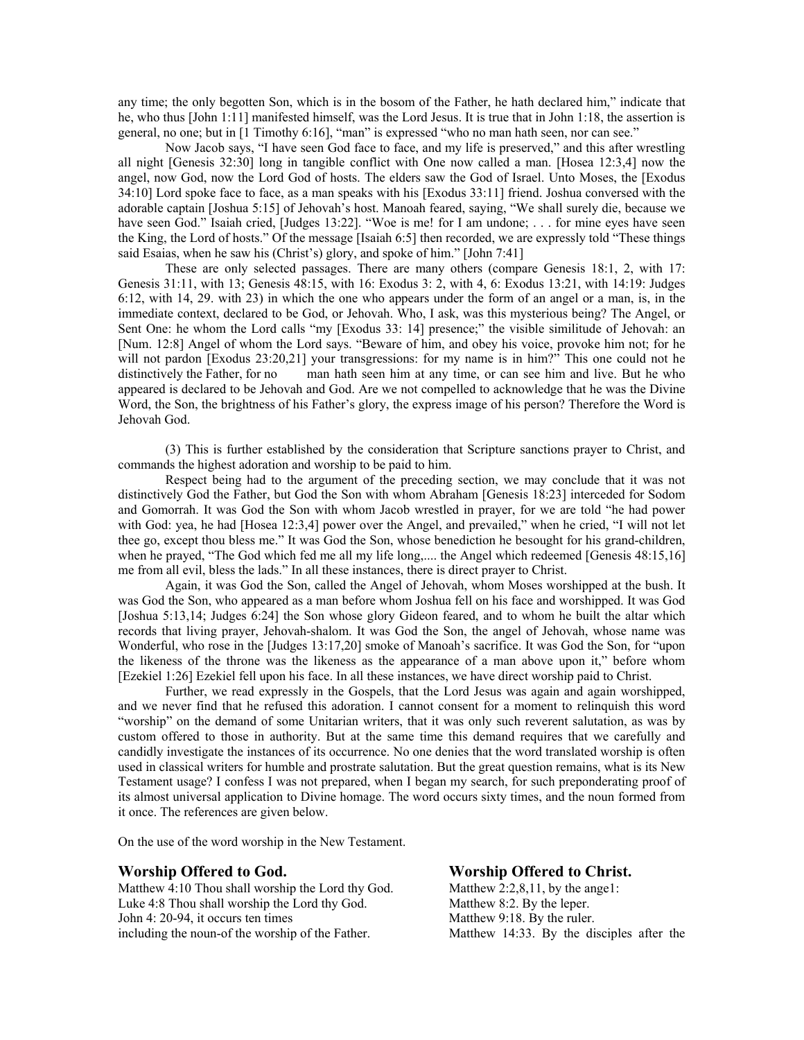any time; the only begotten Son, which is in the bosom of the Father, he hath declared him," indicate that he, who thus [John 1:11] manifested himself, was the Lord Jesus. It is true that in John 1:18, the assertion is general, no one; but in [1 Timothy 6:16], "man" is expressed "who no man hath seen, nor can see."

 Now Jacob says, "I have seen God face to face, and my life is preserved," and this after wrestling all night [Genesis 32:30] long in tangible conflict with One now called a man. [Hosea 12:3,4] now the angel, now God, now the Lord God of hosts. The elders saw the God of Israel. Unto Moses, the [Exodus 34:10] Lord spoke face to face, as a man speaks with his [Exodus 33:11] friend. Joshua conversed with the adorable captain [Joshua 5:15] of Jehovah's host. Manoah feared, saying, "We shall surely die, because we have seen God." Isaiah cried, [Judges 13:22]. "Woe is me! for I am undone; . . . for mine eyes have seen the King, the Lord of hosts." Of the message [Isaiah 6:5] then recorded, we are expressly told "These things said Esaias, when he saw his (Christ's) glory, and spoke of him." [John 7:41]

 These are only selected passages. There are many others (compare Genesis 18:1, 2, with 17: Genesis 31:11, with 13; Genesis 48:15, with 16: Exodus 3: 2, with 4, 6: Exodus 13:21, with 14:19: Judges 6:12, with 14, 29. with 23) in which the one who appears under the form of an angel or a man, is, in the immediate context, declared to be God, or Jehovah. Who, I ask, was this mysterious being? The Angel, or Sent One: he whom the Lord calls "my [Exodus 33: 14] presence;" the visible similitude of Jehovah: an [Num. 12:8] Angel of whom the Lord says. "Beware of him, and obey his voice, provoke him not; for he will not pardon [Exodus 23:20,21] your transgressions: for my name is in him?" This one could not he distinctively the Father, for no man hath seen him at any time, or can see him and live. But he who appeared is declared to be Jehovah and God. Are we not compelled to acknowledge that he was the Divine Word, the Son, the brightness of his Father's glory, the express image of his person? Therefore the Word is Jehovah God.

(3) This is further established by the consideration that Scripture sanctions prayer to Christ, and commands the highest adoration and worship to be paid to him.

 Respect being had to the argument of the preceding section, we may conclude that it was not distinctively God the Father, but God the Son with whom Abraham [Genesis 18:23] interceded for Sodom and Gomorrah. It was God the Son with whom Jacob wrestled in prayer, for we are told "he had power with God: yea, he had [Hosea 12:3,4] power over the Angel, and prevailed," when he cried, "I will not let thee go, except thou bless me." It was God the Son, whose benediction he besought for his grand-children, when he prayed, "The God which fed me all my life long,.... the Angel which redeemed [Genesis 48:15,16] me from all evil, bless the lads." In all these instances, there is direct prayer to Christ.

 Again, it was God the Son, called the Angel of Jehovah, whom Moses worshipped at the bush. It was God the Son, who appeared as a man before whom Joshua fell on his face and worshipped. It was God [Joshua 5:13,14; Judges 6:24] the Son whose glory Gideon feared, and to whom he built the altar which records that living prayer, Jehovah-shalom. It was God the Son, the angel of Jehovah, whose name was Wonderful, who rose in the [Judges 13:17,20] smoke of Manoah's sacrifice. It was God the Son, for "upon the likeness of the throne was the likeness as the appearance of a man above upon it," before whom [Ezekiel 1:26] Ezekiel fell upon his face. In all these instances, we have direct worship paid to Christ.

 Further, we read expressly in the Gospels, that the Lord Jesus was again and again worshipped, and we never find that he refused this adoration. I cannot consent for a moment to relinquish this word "worship" on the demand of some Unitarian writers, that it was only such reverent salutation, as was by custom offered to those in authority. But at the same time this demand requires that we carefully and candidly investigate the instances of its occurrence. No one denies that the word translated worship is often used in classical writers for humble and prostrate salutation. But the great question remains, what is its New Testament usage? I confess I was not prepared, when I began my search, for such preponderating proof of its almost universal application to Divine homage. The word occurs sixty times, and the noun formed from it once. The references are given below.

On the use of the word worship in the New Testament.

**Worship Offered to God. Worship Offered to Christ.** Matthew 4:10 Thou shall worship the Lord thy God. Matthew 2:2,8,11, by the ange1: Matthew  $\overline{4:10}$  Thou shall worship the Lord thy God. Luke 4:8 Thou shall worship the Lord thy God. Matthew 8:2. By the leper. John 4: 20-94, it occurs ten times Matthew 9:18. By the ruler. including the noun-of the worship of the Father. Matthew 14:33. By the disciples after the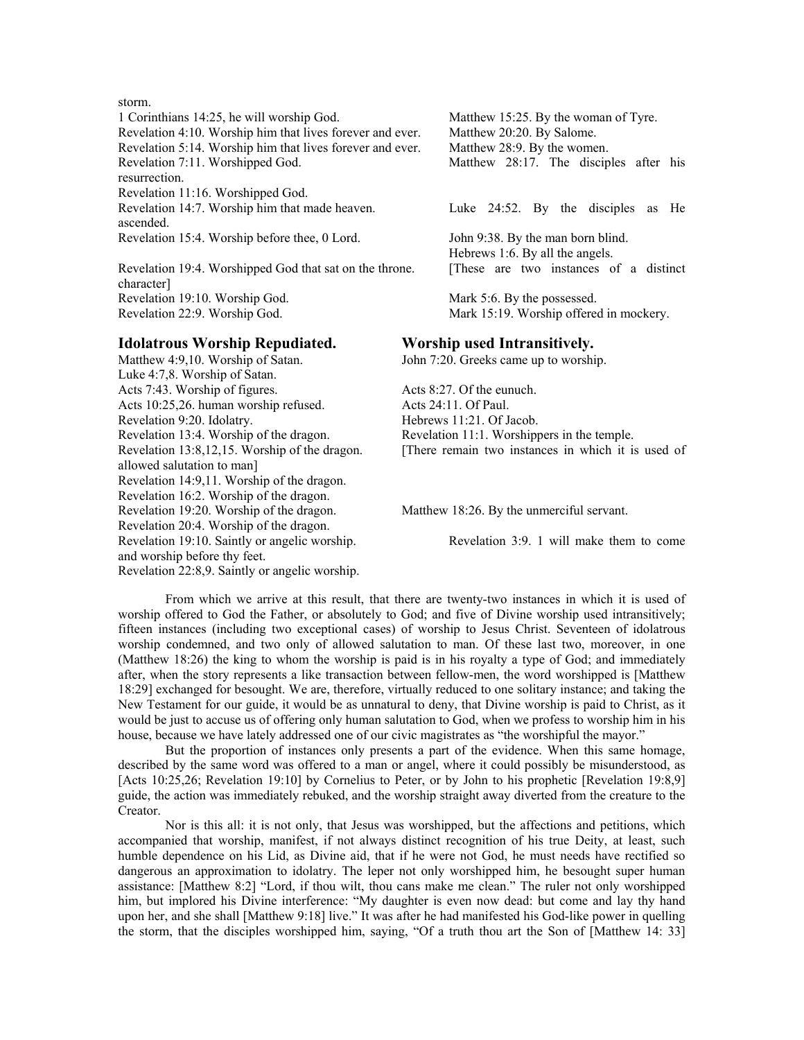storm.

1 Corinthians 14:25, he will worship God. Matthew 15:25. By the woman of Tyre. Revelation 4:10. Worship him that lives forever and ever. Matthew 20:20. By Salome. Revelation 5:14. Worship him that lives forever and ever. Matthew 28:9. By the women. Revelation 7:11. Worshipped God. Matthew 28:17. The disciples after his resurrection. Revelation 11:16. Worshipped God. Revelation 14:7. Worship him that made heaven. Luke 24:52. By the disciples as He ascended. Revelation 15:4. Worship before thee, 0 Lord. John 9:38. By the man born blind.

character] Revelation 19:10. Worship God. Mark 5:6. By the possessed. Revelation 22:9. Worship God. Mark 15:19. Worship offered in mockery.

#### **Idolatrous Worship Repudiated. Worship used Intransitively.**

Matthew 4:9,10. Worship of Satan. John 7:20. Greeks came up to worship. Luke 4:7,8. Worship of Satan. Acts 7:43. Worship of figures. Acts 8:27. Of the eunuch. Acts 10:25,26. human worship refused. Acts 24:11. Of Paul. Revelation 9:20. Idolatry. Hebrews 11:21. Of Jacob. Revelation 13:4. Worship of the dragon. Revelation 11:1. Worshippers in the temple. allowed salutation to man] Revelation 14:9,11. Worship of the dragon. Revelation 16:2. Worship of the dragon. Revelation 19:20. Worship of the dragon. Matthew 18:26. By the unmerciful servant. Revelation 20:4. Worship of the dragon. Revelation 19:10. Saintly or angelic worship. Revelation 3:9. 1 will make them to come and worship before thy feet. Revelation 22:8,9. Saintly or angelic worship.

 Hebrews 1:6. By all the angels. Revelation 19:4. Worshipped God that sat on the throne. [These are two instances of a distinct

Revelation 13:8,12,15. Worship of the dragon. [There remain two instances in which it is used of

From which we arrive at this result, that there are twenty-two instances in which it is used of worship offered to God the Father, or absolutely to God; and five of Divine worship used intransitively; fifteen instances (including two exceptional cases) of worship to Jesus Christ. Seventeen of idolatrous worship condemned, and two only of allowed salutation to man. Of these last two, moreover, in one (Matthew 18:26) the king to whom the worship is paid is in his royalty a type of God; and immediately after, when the story represents a like transaction between fellow-men, the word worshipped is [Matthew 18:29] exchanged for besought. We are, therefore, virtually reduced to one solitary instance; and taking the New Testament for our guide, it would be as unnatural to deny, that Divine worship is paid to Christ, as it would be just to accuse us of offering only human salutation to God, when we profess to worship him in his house, because we have lately addressed one of our civic magistrates as "the worshipful the mayor."

 But the proportion of instances only presents a part of the evidence. When this same homage, described by the same word was offered to a man or angel, where it could possibly be misunderstood, as [Acts 10:25,26; Revelation 19:10] by Cornelius to Peter, or by John to his prophetic [Revelation 19:8,9] guide, the action was immediately rebuked, and the worship straight away diverted from the creature to the Creator.

 Nor is this all: it is not only, that Jesus was worshipped, but the affections and petitions, which accompanied that worship, manifest, if not always distinct recognition of his true Deity, at least, such humble dependence on his Lid, as Divine aid, that if he were not God, he must needs have rectified so dangerous an approximation to idolatry. The leper not only worshipped him, he besought super human assistance: [Matthew 8:2] "Lord, if thou wilt, thou cans make me clean." The ruler not only worshipped him, but implored his Divine interference: "My daughter is even now dead: but come and lay thy hand upon her, and she shall [Matthew 9:18] live." It was after he had manifested his God-like power in quelling the storm, that the disciples worshipped him, saying, "Of a truth thou art the Son of [Matthew 14: 33]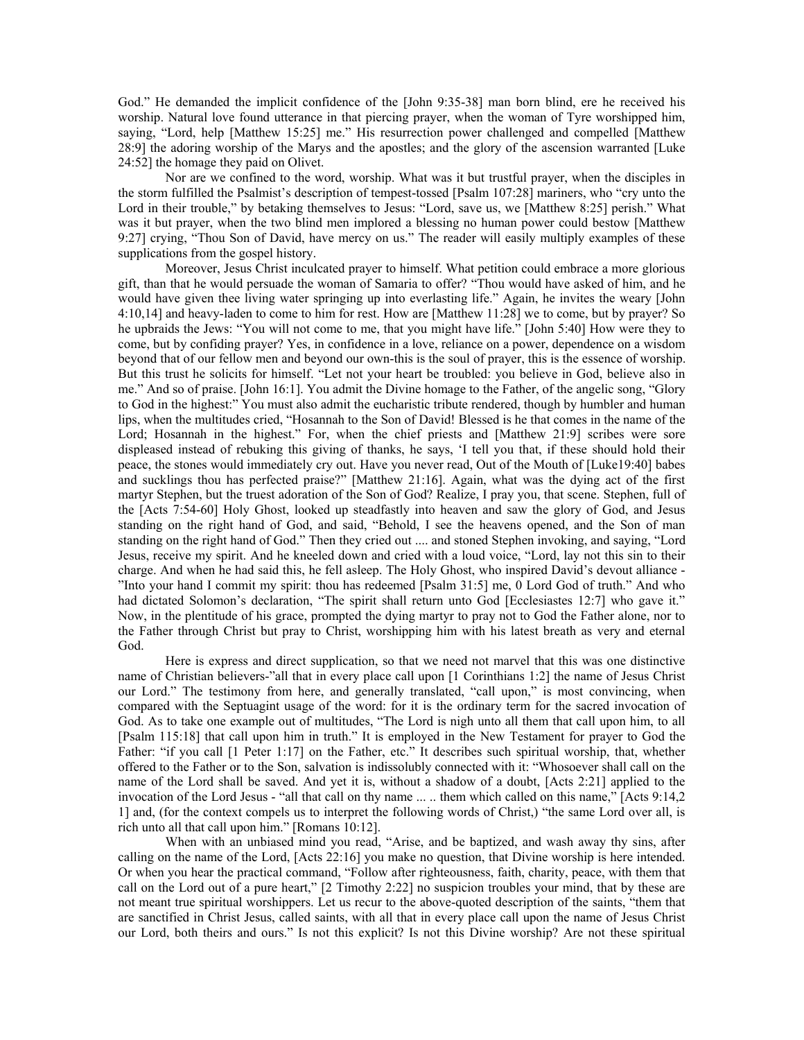God." He demanded the implicit confidence of the [John 9:35-38] man born blind, ere he received his worship. Natural love found utterance in that piercing prayer, when the woman of Tyre worshipped him, saying, "Lord, help [Matthew 15:25] me." His resurrection power challenged and compelled [Matthew 28:9] the adoring worship of the Marys and the apostles; and the glory of the ascension warranted [Luke 24:52] the homage they paid on Olivet.

Nor are we confined to the word, worship. What was it but trustful prayer, when the disciples in the storm fulfilled the Psalmist's description of tempest-tossed [Psalm 107:28] mariners, who "cry unto the Lord in their trouble," by betaking themselves to Jesus: "Lord, save us, we [Matthew 8:25] perish." What was it but prayer, when the two blind men implored a blessing no human power could bestow [Matthew 9:27] crying, "Thou Son of David, have mercy on us." The reader will easily multiply examples of these supplications from the gospel history.

 Moreover, Jesus Christ inculcated prayer to himself. What petition could embrace a more glorious gift, than that he would persuade the woman of Samaria to offer? "Thou would have asked of him, and he would have given thee living water springing up into everlasting life." Again, he invites the weary [John 4:10,14] and heavy-laden to come to him for rest. How are [Matthew 11:28] we to come, but by prayer? So he upbraids the Jews: "You will not come to me, that you might have life." [John 5:40] How were they to come, but by confiding prayer? Yes, in confidence in a love, reliance on a power, dependence on a wisdom beyond that of our fellow men and beyond our own-this is the soul of prayer, this is the essence of worship. But this trust he solicits for himself. "Let not your heart be troubled: you believe in God, believe also in me." And so of praise. [John 16:1]. You admit the Divine homage to the Father, of the angelic song, "Glory to God in the highest:" You must also admit the eucharistic tribute rendered, though by humbler and human lips, when the multitudes cried, "Hosannah to the Son of David! Blessed is he that comes in the name of the Lord; Hosannah in the highest." For, when the chief priests and [Matthew 21:9] scribes were sore displeased instead of rebuking this giving of thanks, he says, 'I tell you that, if these should hold their peace, the stones would immediately cry out. Have you never read, Out of the Mouth of [Luke19:40] babes and sucklings thou has perfected praise?" [Matthew 21:16]. Again, what was the dying act of the first martyr Stephen, but the truest adoration of the Son of God? Realize, I pray you, that scene. Stephen, full of the [Acts 7:54-60] Holy Ghost, looked up steadfastly into heaven and saw the glory of God, and Jesus standing on the right hand of God, and said, "Behold, I see the heavens opened, and the Son of man standing on the right hand of God." Then they cried out .... and stoned Stephen invoking, and saying, "Lord Jesus, receive my spirit. And he kneeled down and cried with a loud voice, "Lord, lay not this sin to their charge. And when he had said this, he fell asleep. The Holy Ghost, who inspired David's devout alliance - "Into your hand I commit my spirit: thou has redeemed [Psalm 31:5] me, 0 Lord God of truth." And who had dictated Solomon's declaration, "The spirit shall return unto God [Ecclesiastes 12:7] who gave it." Now, in the plentitude of his grace, prompted the dying martyr to pray not to God the Father alone, nor to the Father through Christ but pray to Christ, worshipping him with his latest breath as very and eternal God.

Here is express and direct supplication, so that we need not marvel that this was one distinctive name of Christian believers-"all that in every place call upon [1 Corinthians 1:2] the name of Jesus Christ our Lord." The testimony from here, and generally translated, "call upon," is most convincing, when compared with the Septuagint usage of the word: for it is the ordinary term for the sacred invocation of God. As to take one example out of multitudes, "The Lord is nigh unto all them that call upon him, to all [Psalm 115:18] that call upon him in truth." It is employed in the New Testament for prayer to God the Father: "if you call [1 Peter 1:17] on the Father, etc." It describes such spiritual worship, that, whether offered to the Father or to the Son, salvation is indissolubly connected with it: "Whosoever shall call on the name of the Lord shall be saved. And yet it is, without a shadow of a doubt, [Acts 2:21] applied to the invocation of the Lord Jesus - "all that call on thy name ... .. them which called on this name," [Acts 9:14,2 1] and, (for the context compels us to interpret the following words of Christ,) "the same Lord over all, is rich unto all that call upon him." [Romans 10:12].

 When with an unbiased mind you read, "Arise, and be baptized, and wash away thy sins, after calling on the name of the Lord, [Acts 22:16] you make no question, that Divine worship is here intended. Or when you hear the practical command, "Follow after righteousness, faith, charity, peace, with them that call on the Lord out of a pure heart," [2 Timothy 2:22] no suspicion troubles your mind, that by these are not meant true spiritual worshippers. Let us recur to the above-quoted description of the saints, "them that are sanctified in Christ Jesus, called saints, with all that in every place call upon the name of Jesus Christ our Lord, both theirs and ours." Is not this explicit? Is not this Divine worship? Are not these spiritual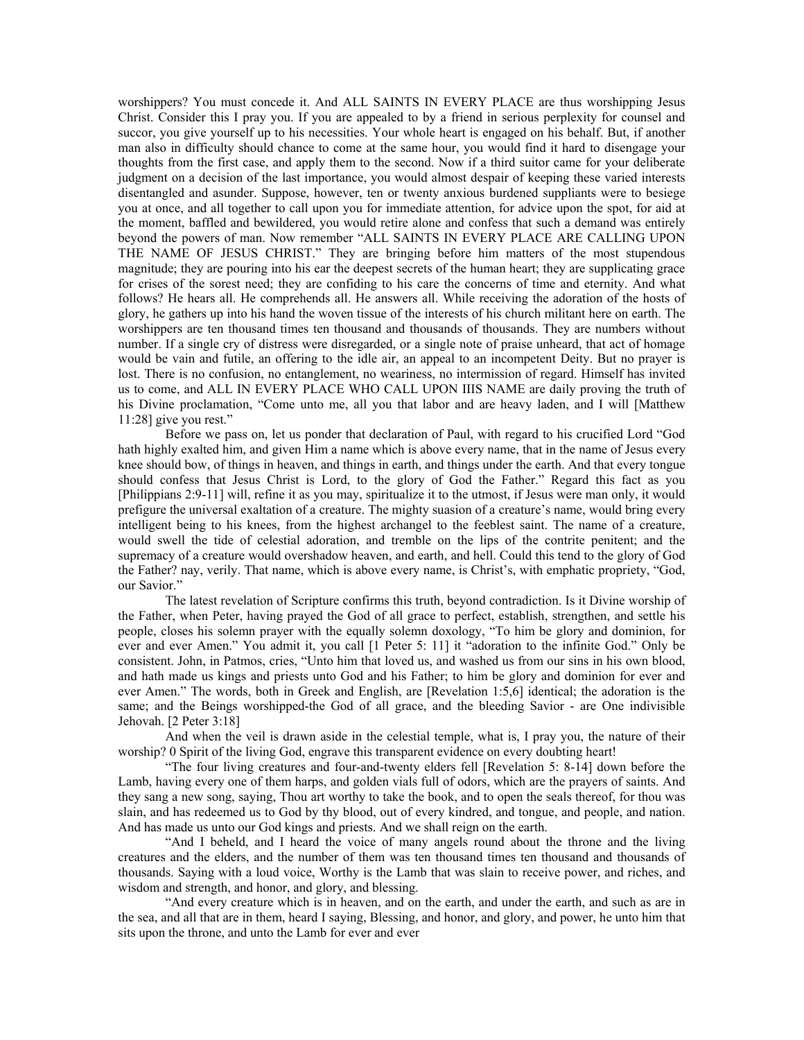worshippers? You must concede it. And ALL SAINTS IN EVERY PLACE are thus worshipping Jesus Christ. Consider this I pray you. If you are appealed to by a friend in serious perplexity for counsel and succor, you give yourself up to his necessities. Your whole heart is engaged on his behalf. But, if another man also in difficulty should chance to come at the same hour, you would find it hard to disengage your thoughts from the first case, and apply them to the second. Now if a third suitor came for your deliberate judgment on a decision of the last importance, you would almost despair of keeping these varied interests disentangled and asunder. Suppose, however, ten or twenty anxious burdened suppliants were to besiege you at once, and all together to call upon you for immediate attention, for advice upon the spot, for aid at the moment, baffled and bewildered, you would retire alone and confess that such a demand was entirely beyond the powers of man. Now remember "ALL SAINTS IN EVERY PLACE ARE CALLING UPON THE NAME OF JESUS CHRIST." They are bringing before him matters of the most stupendous magnitude; they are pouring into his ear the deepest secrets of the human heart; they are supplicating grace for crises of the sorest need; they are confiding to his care the concerns of time and eternity. And what follows? He hears all. He comprehends all. He answers all. While receiving the adoration of the hosts of glory, he gathers up into his hand the woven tissue of the interests of his church militant here on earth. The worshippers are ten thousand times ten thousand and thousands of thousands. They are numbers without number. If a single cry of distress were disregarded, or a single note of praise unheard, that act of homage would be vain and futile, an offering to the idle air, an appeal to an incompetent Deity. But no prayer is lost. There is no confusion, no entanglement, no weariness, no intermission of regard. Himself has invited us to come, and ALL IN EVERY PLACE WHO CALL UPON IIIS NAME are daily proving the truth of his Divine proclamation, "Come unto me, all you that labor and are heavy laden, and I will [Matthew 11:28] give you rest."

 Before we pass on, let us ponder that declaration of Paul, with regard to his crucified Lord "God hath highly exalted him, and given Him a name which is above every name, that in the name of Jesus every knee should bow, of things in heaven, and things in earth, and things under the earth. And that every tongue should confess that Jesus Christ is Lord, to the glory of God the Father." Regard this fact as you [Philippians 2:9-11] will, refine it as you may, spiritualize it to the utmost, if Jesus were man only, it would prefigure the universal exaltation of a creature. The mighty suasion of a creature's name, would bring every intelligent being to his knees, from the highest archangel to the feeblest saint. The name of a creature, would swell the tide of celestial adoration, and tremble on the lips of the contrite penitent; and the supremacy of a creature would overshadow heaven, and earth, and hell. Could this tend to the glory of God the Father? nay, verily. That name, which is above every name, is Christ's, with emphatic propriety, "God, our Savior."

 The latest revelation of Scripture confirms this truth, beyond contradiction. Is it Divine worship of the Father, when Peter, having prayed the God of all grace to perfect, establish, strengthen, and settle his people, closes his solemn prayer with the equally solemn doxology, "To him be glory and dominion, for ever and ever Amen." You admit it, you call [1 Peter 5: 11] it "adoration to the infinite God." Only be consistent. John, in Patmos, cries, "Unto him that loved us, and washed us from our sins in his own blood, and hath made us kings and priests unto God and his Father; to him be glory and dominion for ever and ever Amen." The words, both in Greek and English, are [Revelation 1:5,6] identical; the adoration is the same; and the Beings worshipped-the God of all grace, and the bleeding Savior - are One indivisible Jehovah. [2 Peter 3:18]

 And when the veil is drawn aside in the celestial temple, what is, I pray you, the nature of their worship? 0 Spirit of the living God, engrave this transparent evidence on every doubting heart!

"The four living creatures and four-and-twenty elders fell [Revelation 5: 8-14] down before the Lamb, having every one of them harps, and golden vials full of odors, which are the prayers of saints. And they sang a new song, saying, Thou art worthy to take the book, and to open the seals thereof, for thou was slain, and has redeemed us to God by thy blood, out of every kindred, and tongue, and people, and nation. And has made us unto our God kings and priests. And we shall reign on the earth.

 "And I beheld, and I heard the voice of many angels round about the throne and the living creatures and the elders, and the number of them was ten thousand times ten thousand and thousands of thousands. Saying with a loud voice, Worthy is the Lamb that was slain to receive power, and riches, and wisdom and strength, and honor, and glory, and blessing.

 "And every creature which is in heaven, and on the earth, and under the earth, and such as are in the sea, and all that are in them, heard I saying, Blessing, and honor, and glory, and power, he unto him that sits upon the throne, and unto the Lamb for ever and ever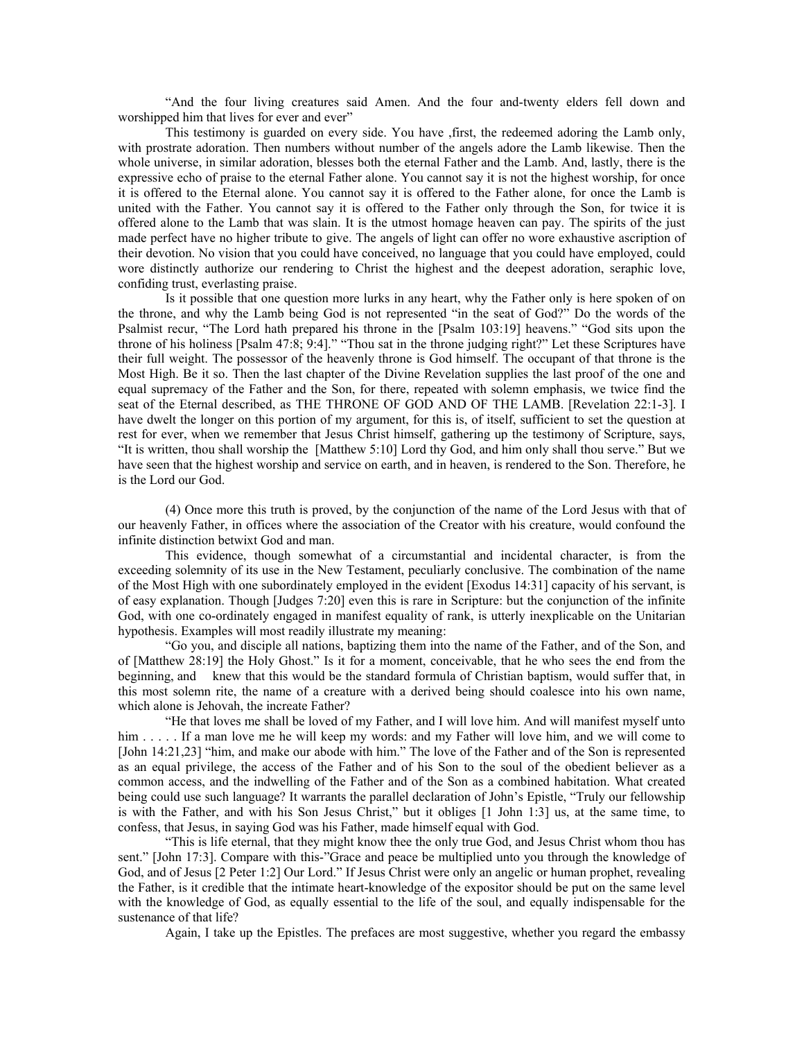"And the four living creatures said Amen. And the four and-twenty elders fell down and worshipped him that lives for ever and ever"

 This testimony is guarded on every side. You have ,first, the redeemed adoring the Lamb only, with prostrate adoration. Then numbers without number of the angels adore the Lamb likewise. Then the whole universe, in similar adoration, blesses both the eternal Father and the Lamb. And, lastly, there is the expressive echo of praise to the eternal Father alone. You cannot say it is not the highest worship, for once it is offered to the Eternal alone. You cannot say it is offered to the Father alone, for once the Lamb is united with the Father. You cannot say it is offered to the Father only through the Son, for twice it is offered alone to the Lamb that was slain. It is the utmost homage heaven can pay. The spirits of the just made perfect have no higher tribute to give. The angels of light can offer no wore exhaustive ascription of their devotion. No vision that you could have conceived, no language that you could have employed, could wore distinctly authorize our rendering to Christ the highest and the deepest adoration, seraphic love, confiding trust, everlasting praise.

 Is it possible that one question more lurks in any heart, why the Father only is here spoken of on the throne, and why the Lamb being God is not represented "in the seat of God?" Do the words of the Psalmist recur, "The Lord hath prepared his throne in the [Psalm 103:19] heavens." "God sits upon the throne of his holiness [Psalm 47:8; 9:4]." "Thou sat in the throne judging right?" Let these Scriptures have their full weight. The possessor of the heavenly throne is God himself. The occupant of that throne is the Most High. Be it so. Then the last chapter of the Divine Revelation supplies the last proof of the one and equal supremacy of the Father and the Son, for there, repeated with solemn emphasis, we twice find the seat of the Eternal described, as THE THRONE OF GOD AND OF THE LAMB. [Revelation 22:1-3]. I have dwelt the longer on this portion of my argument, for this is, of itself, sufficient to set the question at rest for ever, when we remember that Jesus Christ himself, gathering up the testimony of Scripture, says, "It is written, thou shall worship the [Matthew 5:10] Lord thy God, and him only shall thou serve." But we have seen that the highest worship and service on earth, and in heaven, is rendered to the Son. Therefore, he is the Lord our God.

 (4) Once more this truth is proved, by the conjunction of the name of the Lord Jesus with that of our heavenly Father, in offices where the association of the Creator with his creature, would confound the infinite distinction betwixt God and man.

 This evidence, though somewhat of a circumstantial and incidental character, is from the exceeding solemnity of its use in the New Testament, peculiarly conclusive. The combination of the name of the Most High with one subordinately employed in the evident [Exodus 14:31] capacity of his servant, is of easy explanation. Though [Judges 7:20] even this is rare in Scripture: but the conjunction of the infinite God, with one co-ordinately engaged in manifest equality of rank, is utterly inexplicable on the Unitarian hypothesis. Examples will most readily illustrate my meaning:

 "Go you, and disciple all nations, baptizing them into the name of the Father, and of the Son, and of [Matthew 28:19] the Holy Ghost." Is it for a moment, conceivable, that he who sees the end from the beginning, and knew that this would be the standard formula of Christian baptism, would suffer that, in this most solemn rite, the name of a creature with a derived being should coalesce into his own name, which alone is Jehovah, the increate Father?

 "He that loves me shall be loved of my Father, and I will love him. And will manifest myself unto him . . . . . If a man love me he will keep my words: and my Father will love him, and we will come to [John 14:21,23] "him, and make our abode with him." The love of the Father and of the Son is represented as an equal privilege, the access of the Father and of his Son to the soul of the obedient believer as a common access, and the indwelling of the Father and of the Son as a combined habitation. What created being could use such language? It warrants the parallel declaration of John's Epistle, "Truly our fellowship is with the Father, and with his Son Jesus Christ," but it obliges [1 John 1:3] us, at the same time, to confess, that Jesus, in saying God was his Father, made himself equal with God.

 "This is life eternal, that they might know thee the only true God, and Jesus Christ whom thou has sent." [John 17:3]. Compare with this-"Grace and peace be multiplied unto you through the knowledge of God, and of Jesus [2 Peter 1:2] Our Lord." If Jesus Christ were only an angelic or human prophet, revealing the Father, is it credible that the intimate heart-knowledge of the expositor should be put on the same level with the knowledge of God, as equally essential to the life of the soul, and equally indispensable for the sustenance of that life?

Again, I take up the Epistles. The prefaces are most suggestive, whether you regard the embassy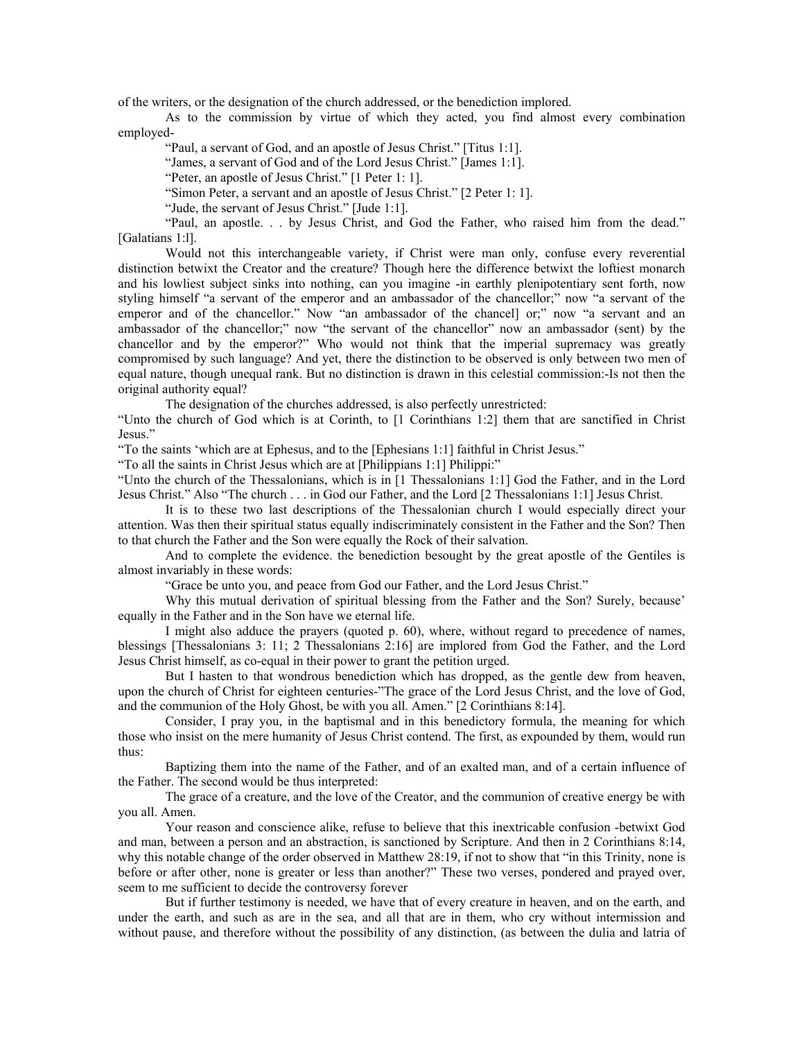of the writers, or the designation of the church addressed, or the benediction implored.

 As to the commission by virtue of which they acted, you find almost every combination employed-

"Paul, a servant of God, and an apostle of Jesus Christ." [Titus 1:1].

"James, a servant of God and of the Lord Jesus Christ." [James 1:1].

"Peter, an apostle of Jesus Christ." [1 Peter 1: 1].

"Simon Peter, a servant and an apostle of Jesus Christ." [2 Peter 1: 1].

"Jude, the servant of Jesus Christ." [Jude 1:1].

 "Paul, an apostle. . . by Jesus Christ, and God the Father, who raised him from the dead." [Galatians 1:l].

 Would not this interchangeable variety, if Christ were man only, confuse every reverential distinction betwixt the Creator and the creature? Though here the difference betwixt the loftiest monarch and his lowliest subject sinks into nothing, can you imagine -in earthly plenipotentiary sent forth, now styling himself "a servant of the emperor and an ambassador of the chancellor;" now "a servant of the emperor and of the chancellor." Now "an ambassador of the chancel] or;" now "a servant and an ambassador of the chancellor;" now "the servant of the chancellor" now an ambassador (sent) by the chancellor and by the emperor?" Who would not think that the imperial supremacy was greatly compromised by such language? And yet, there the distinction to be observed is only between two men of equal nature, though unequal rank. But no distinction is drawn in this celestial commission:-Is not then the original authority equal?

The designation of the churches addressed, is also perfectly unrestricted:

"Unto the church of God which is at Corinth, to [1 Corinthians 1:2] them that are sanctified in Christ Jesus."

"To the saints 'which are at Ephesus, and to the [Ephesians 1:1] faithful in Christ Jesus."

"To all the saints in Christ Jesus which are at [Philippians 1:1] Philippi:"

"Unto the church of the Thessalonians, which is in [1 Thessalonians 1:1] God the Father, and in the Lord Jesus Christ." Also "The church . . . in God our Father, and the Lord [2 Thessalonians 1:1] Jesus Christ.

 It is to these two last descriptions of the Thessalonian church I would especially direct your attention. Was then their spiritual status equally indiscriminately consistent in the Father and the Son? Then to that church the Father and the Son were equally the Rock of their salvation.

 And to complete the evidence. the benediction besought by the great apostle of the Gentiles is almost invariably in these words:

"Grace be unto you, and peace from God our Father, and the Lord Jesus Christ."

 Why this mutual derivation of spiritual blessing from the Father and the Son? Surely, because' equally in the Father and in the Son have we eternal life.

 I might also adduce the prayers (quoted p. 60), where, without regard to precedence of names, blessings [Thessalonians 3: 11; 2 Thessalonians 2:16] are implored from God the Father, and the Lord Jesus Christ himself, as co-equal in their power to grant the petition urged.

 But I hasten to that wondrous benediction which has dropped, as the gentle dew from heaven, upon the church of Christ for eighteen centuries-"The grace of the Lord Jesus Christ, and the love of God, and the communion of the Holy Ghost, be with you all. Amen." [2 Corinthians 8:14].

 Consider, I pray you, in the baptismal and in this benedictory formula, the meaning for which those who insist on the mere humanity of Jesus Christ contend. The first, as expounded by them, would run thus:

 Baptizing them into the name of the Father, and of an exalted man, and of a certain influence of the Father. The second would be thus interpreted:

 The grace of a creature, and the love of the Creator, and the communion of creative energy be with you all. Amen.

 Your reason and conscience alike, refuse to believe that this inextricable confusion -betwixt God and man, between a person and an abstraction, is sanctioned by Scripture. And then in 2 Corinthians 8:14, why this notable change of the order observed in Matthew 28:19, if not to show that "in this Trinity, none is before or after other, none is greater or less than another?" These two verses, pondered and prayed over, seem to me sufficient to decide the controversy forever

 But if further testimony is needed, we have that of every creature in heaven, and on the earth, and under the earth, and such as are in the sea, and all that are in them, who cry without intermission and without pause, and therefore without the possibility of any distinction, (as between the dulia and latria of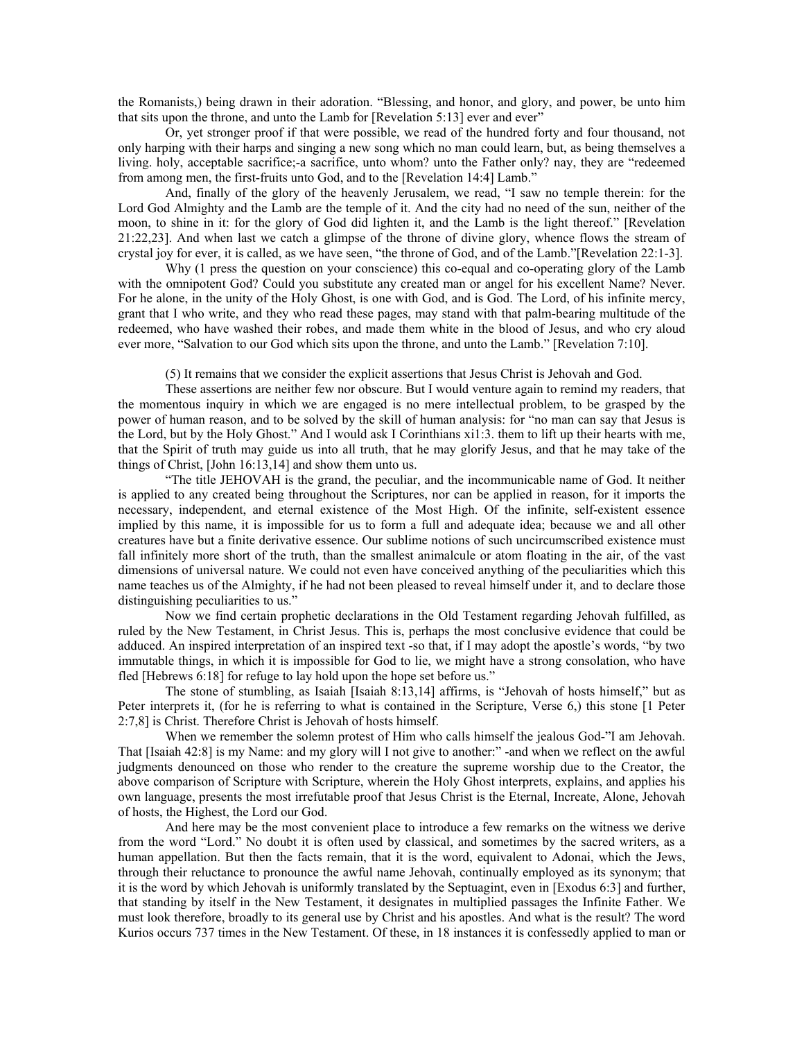the Romanists,) being drawn in their adoration. "Blessing, and honor, and glory, and power, be unto him that sits upon the throne, and unto the Lamb for [Revelation 5:13] ever and ever"

 Or, yet stronger proof if that were possible, we read of the hundred forty and four thousand, not only harping with their harps and singing a new song which no man could learn, but, as being themselves a living. holy, acceptable sacrifice;-a sacrifice, unto whom? unto the Father only? nay, they are "redeemed from among men, the first-fruits unto God, and to the [Revelation 14:4] Lamb."

And, finally of the glory of the heavenly Jerusalem, we read, "I saw no temple therein: for the Lord God Almighty and the Lamb are the temple of it. And the city had no need of the sun, neither of the moon, to shine in it: for the glory of God did lighten it, and the Lamb is the light thereof." [Revelation 21:22,23]. And when last we catch a glimpse of the throne of divine glory, whence flows the stream of crystal joy for ever, it is called, as we have seen, "the throne of God, and of the Lamb."[Revelation 22:1-3].

 Why (1 press the question on your conscience) this co-equal and co-operating glory of the Lamb with the omnipotent God? Could you substitute any created man or angel for his excellent Name? Never. For he alone, in the unity of the Holy Ghost, is one with God, and is God. The Lord, of his infinite mercy, grant that I who write, and they who read these pages, may stand with that palm-bearing multitude of the redeemed, who have washed their robes, and made them white in the blood of Jesus, and who cry aloud ever more, "Salvation to our God which sits upon the throne, and unto the Lamb." [Revelation 7:10].

(5) It remains that we consider the explicit assertions that Jesus Christ is Jehovah and God.

 These assertions are neither few nor obscure. But I would venture again to remind my readers, that the momentous inquiry in which we are engaged is no mere intellectual problem, to be grasped by the power of human reason, and to be solved by the skill of human analysis: for "no man can say that Jesus is the Lord, but by the Holy Ghost." And I would ask I Corinthians xi1:3. them to lift up their hearts with me, that the Spirit of truth may guide us into all truth, that he may glorify Jesus, and that he may take of the things of Christ, [John 16:13,14] and show them unto us.

 "The title JEHOVAH is the grand, the peculiar, and the incommunicable name of God. It neither is applied to any created being throughout the Scriptures, nor can be applied in reason, for it imports the necessary, independent, and eternal existence of the Most High. Of the infinite, self-existent essence implied by this name, it is impossible for us to form a full and adequate idea; because we and all other creatures have but a finite derivative essence. Our sublime notions of such uncircumscribed existence must fall infinitely more short of the truth, than the smallest animalcule or atom floating in the air, of the vast dimensions of universal nature. We could not even have conceived anything of the peculiarities which this name teaches us of the Almighty, if he had not been pleased to reveal himself under it, and to declare those distinguishing peculiarities to us."

 Now we find certain prophetic declarations in the Old Testament regarding Jehovah fulfilled, as ruled by the New Testament, in Christ Jesus. This is, perhaps the most conclusive evidence that could be adduced. An inspired interpretation of an inspired text -so that, if I may adopt the apostle's words, "by two immutable things, in which it is impossible for God to lie, we might have a strong consolation, who have fled [Hebrews 6:18] for refuge to lay hold upon the hope set before us."

 The stone of stumbling, as Isaiah [Isaiah 8:13,14] affirms, is "Jehovah of hosts himself," but as Peter interprets it, (for he is referring to what is contained in the Scripture, Verse 6,) this stone [1 Peter 2:7,8] is Christ. Therefore Christ is Jehovah of hosts himself.

 When we remember the solemn protest of Him who calls himself the jealous God-"I am Jehovah. That [Isaiah 42:8] is my Name: and my glory will I not give to another:" -and when we reflect on the awful judgments denounced on those who render to the creature the supreme worship due to the Creator, the above comparison of Scripture with Scripture, wherein the Holy Ghost interprets, explains, and applies his own language, presents the most irrefutable proof that Jesus Christ is the Eternal, Increate, Alone, Jehovah of hosts, the Highest, the Lord our God.

 And here may be the most convenient place to introduce a few remarks on the witness we derive from the word "Lord." No doubt it is often used by classical, and sometimes by the sacred writers, as a human appellation. But then the facts remain, that it is the word, equivalent to Adonai, which the Jews, through their reluctance to pronounce the awful name Jehovah, continually employed as its synonym; that it is the word by which Jehovah is uniformly translated by the Septuagint, even in [Exodus 6:3] and further, that standing by itself in the New Testament, it designates in multiplied passages the Infinite Father. We must look therefore, broadly to its general use by Christ and his apostles. And what is the result? The word Kurios occurs 737 times in the New Testament. Of these, in 18 instances it is confessedly applied to man or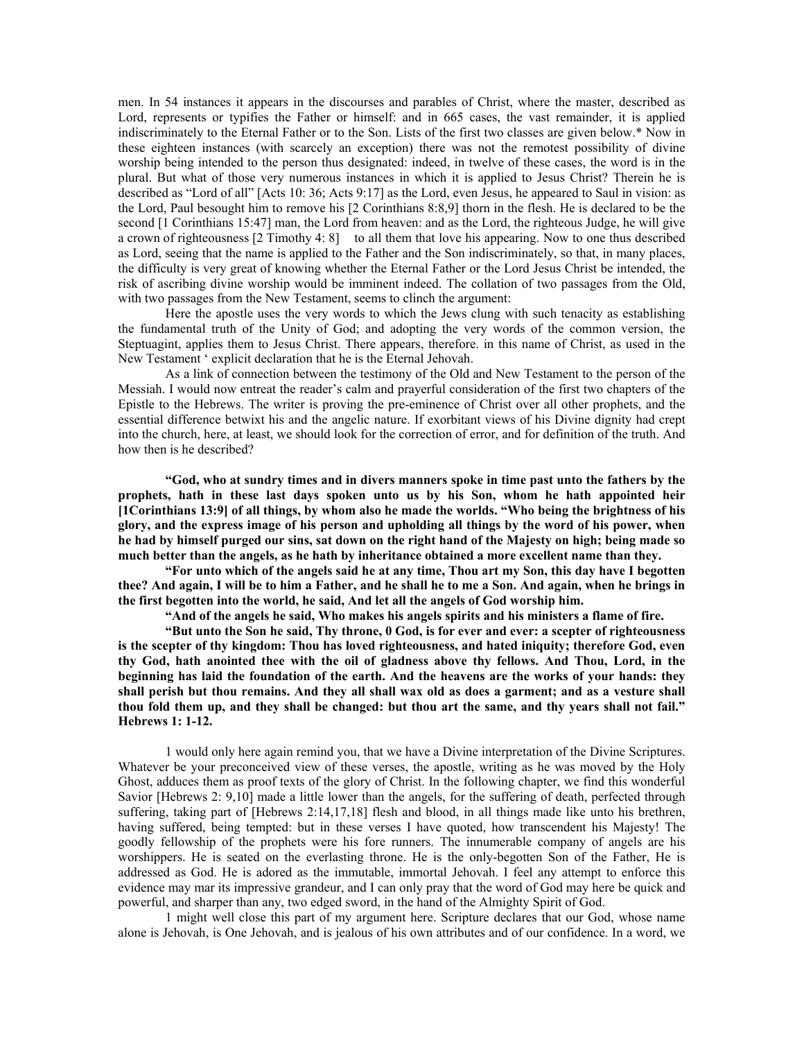men. In 54 instances it appears in the discourses and parables of Christ, where the master, described as Lord, represents or typifies the Father or himself: and in 665 cases, the vast remainder, it is applied indiscriminately to the Eternal Father or to the Son. Lists of the first two classes are given below.\* Now in these eighteen instances (with scarcely an exception) there was not the remotest possibility of divine worship being intended to the person thus designated: indeed, in twelve of these cases, the word is in the plural. But what of those very numerous instances in which it is applied to Jesus Christ? Therein he is described as "Lord of all" [Acts 10: 36; Acts 9:17] as the Lord, even Jesus, he appeared to Saul in vision: as the Lord, Paul besought him to remove his [2 Corinthians 8:8,9] thorn in the flesh. He is declared to be the second [1 Corinthians 15:47] man, the Lord from heaven: and as the Lord, the righteous Judge, he will give a crown of righteousness [2 Timothy 4: 8] to all them that love his appearing. Now to one thus described as Lord, seeing that the name is applied to the Father and the Son indiscriminately, so that, in many places, the difficulty is very great of knowing whether the Eternal Father or the Lord Jesus Christ be intended, the risk of ascribing divine worship would be imminent indeed. The collation of two passages from the Old, with two passages from the New Testament, seems to clinch the argument:

 Here the apostle uses the very words to which the Jews clung with such tenacity as establishing the fundamental truth of the Unity of God; and adopting the very words of the common version, the Steptuagint, applies them to Jesus Christ. There appears, therefore. in this name of Christ, as used in the New Testament ' explicit declaration that he is the Eternal Jehovah.

 As a link of connection between the testimony of the Old and New Testament to the person of the Messiah. I would now entreat the reader's calm and prayerful consideration of the first two chapters of the Epistle to the Hebrews. The writer is proving the pre-eminence of Christ over all other prophets, and the essential difference betwixt his and the angelic nature. If exorbitant views of his Divine dignity had crept into the church, here, at least, we should look for the correction of error, and for definition of the truth. And how then is he described?

**"God, who at sundry times and in divers manners spoke in time past unto the fathers by the prophets, hath in these last days spoken unto us by his Son, whom he hath appointed heir [1Corinthians 13:9] of all things, by whom also he made the worlds. "Who being the brightness of his glory, and the express image of his person and upholding all things by the word of his power, when he had by himself purged our sins, sat down on the right hand of the Majesty on high; being made so much better than the angels, as he hath by inheritance obtained a more excellent name than they.** 

 **"For unto which of the angels said he at any time, Thou art my Son, this day have I begotten thee? And again, I will be to him a Father, and he shall he to me a Son. And again, when he brings in the first begotten into the world, he said, And let all the angels of God worship him.** 

 **"And of the angels he said, Who makes his angels spirits and his ministers a flame of fire.** 

 **"But unto the Son he said, Thy throne, 0 God, is for ever and ever: a scepter of righteousness is the scepter of thy kingdom: Thou has loved righteousness, and hated iniquity; therefore God, even thy God, hath anointed thee with the oil of gladness above thy fellows. And Thou, Lord, in the beginning has laid the foundation of the earth. And the heavens are the works of your hands: they shall perish but thou remains. And they all shall wax old as does a garment; and as a vesture shall thou fold them up, and they shall be changed: but thou art the same, and thy years shall not fail." Hebrews 1: 1-12.** 

 1 would only here again remind you, that we have a Divine interpretation of the Divine Scriptures. Whatever be your preconceived view of these verses, the apostle, writing as he was moved by the Holy Ghost, adduces them as proof texts of the glory of Christ. In the following chapter, we find this wonderful Savior [Hebrews 2: 9,10] made a little lower than the angels, for the suffering of death, perfected through suffering, taking part of [Hebrews 2:14,17,18] flesh and blood, in all things made like unto his brethren, having suffered, being tempted: but in these verses I have quoted, how transcendent his Majesty! The goodly fellowship of the prophets were his fore runners. The innumerable company of angels are his worshippers. He is seated on the everlasting throne. He is the only-begotten Son of the Father, He is addressed as God. He is adored as the immutable, immortal Jehovah. I feel any attempt to enforce this evidence may mar its impressive grandeur, and I can only pray that the word of God may here be quick and powerful, and sharper than any, two edged sword, in the hand of the Almighty Spirit of God.

 1 might well close this part of my argument here. Scripture declares that our God, whose name alone is Jehovah, is One Jehovah, and is jealous of his own attributes and of our confidence. In a word, we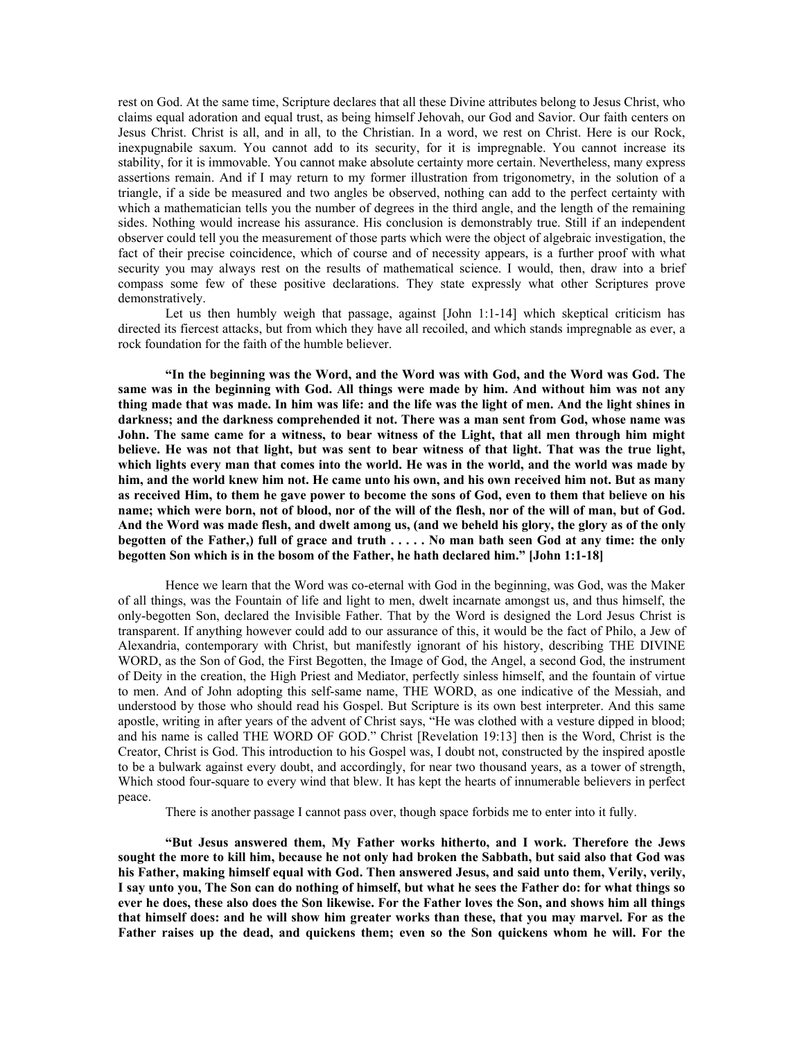rest on God. At the same time, Scripture declares that all these Divine attributes belong to Jesus Christ, who claims equal adoration and equal trust, as being himself Jehovah, our God and Savior. Our faith centers on Jesus Christ. Christ is all, and in all, to the Christian. In a word, we rest on Christ. Here is our Rock, inexpugnabile saxum. You cannot add to its security, for it is impregnable. You cannot increase its stability, for it is immovable. You cannot make absolute certainty more certain. Nevertheless, many express assertions remain. And if I may return to my former illustration from trigonometry, in the solution of a triangle, if a side be measured and two angles be observed, nothing can add to the perfect certainty with which a mathematician tells you the number of degrees in the third angle, and the length of the remaining sides. Nothing would increase his assurance. His conclusion is demonstrably true. Still if an independent observer could tell you the measurement of those parts which were the object of algebraic investigation, the fact of their precise coincidence, which of course and of necessity appears, is a further proof with what security you may always rest on the results of mathematical science. I would, then, draw into a brief compass some few of these positive declarations. They state expressly what other Scriptures prove demonstratively.

 Let us then humbly weigh that passage, against [John 1:1-14] which skeptical criticism has directed its fiercest attacks, but from which they have all recoiled, and which stands impregnable as ever, a rock foundation for the faith of the humble believer.

 **"In the beginning was the Word, and the Word was with God, and the Word was God. The same was in the beginning with God. All things were made by him. And without him was not any thing made that was made. In him was life: and the life was the light of men. And the light shines in darkness; and the darkness comprehended it not. There was a man sent from God, whose name was John. The same came for a witness, to bear witness of the Light, that all men through him might believe. He was not that light, but was sent to bear witness of that light. That was the true light, which lights every man that comes into the world. He was in the world, and the world was made by him, and the world knew him not. He came unto his own, and his own received him not. But as many as received Him, to them he gave power to become the sons of God, even to them that believe on his name; which were born, not of blood, nor of the will of the flesh, nor of the will of man, but of God. And the Word was made flesh, and dwelt among us, (and we beheld his glory, the glory as of the only begotten of the Father,) full of grace and truth . . . . . No man bath seen God at any time: the only begotten Son which is in the bosom of the Father, he hath declared him." [John 1:1-18]** 

 Hence we learn that the Word was co-eternal with God in the beginning, was God, was the Maker of all things, was the Fountain of life and light to men, dwelt incarnate amongst us, and thus himself, the only-begotten Son, declared the Invisible Father. That by the Word is designed the Lord Jesus Christ is transparent. If anything however could add to our assurance of this, it would be the fact of Philo, a Jew of Alexandria, contemporary with Christ, but manifestly ignorant of his history, describing THE DIVINE WORD, as the Son of God, the First Begotten, the Image of God, the Angel, a second God, the instrument of Deity in the creation, the High Priest and Mediator, perfectly sinless himself, and the fountain of virtue to men. And of John adopting this self-same name, THE WORD, as one indicative of the Messiah, and understood by those who should read his Gospel. But Scripture is its own best interpreter. And this same apostle, writing in after years of the advent of Christ says, "He was clothed with a vesture dipped in blood; and his name is called THE WORD OF GOD." Christ [Revelation 19:13] then is the Word, Christ is the Creator, Christ is God. This introduction to his Gospel was, I doubt not, constructed by the inspired apostle to be a bulwark against every doubt, and accordingly, for near two thousand years, as a tower of strength, Which stood four-square to every wind that blew. It has kept the hearts of innumerable believers in perfect peace.

There is another passage I cannot pass over, though space forbids me to enter into it fully.

 **"But Jesus answered them, My Father works hitherto, and I work. Therefore the Jews sought the more to kill him, because he not only had broken the Sabbath, but said also that God was his Father, making himself equal with God. Then answered Jesus, and said unto them, Verily, verily, I say unto you, The Son can do nothing of himself, but what he sees the Father do: for what things so ever he does, these also does the Son likewise. For the Father loves the Son, and shows him all things that himself does: and he will show him greater works than these, that you may marvel. For as the Father raises up the dead, and quickens them; even so the Son quickens whom he will. For the**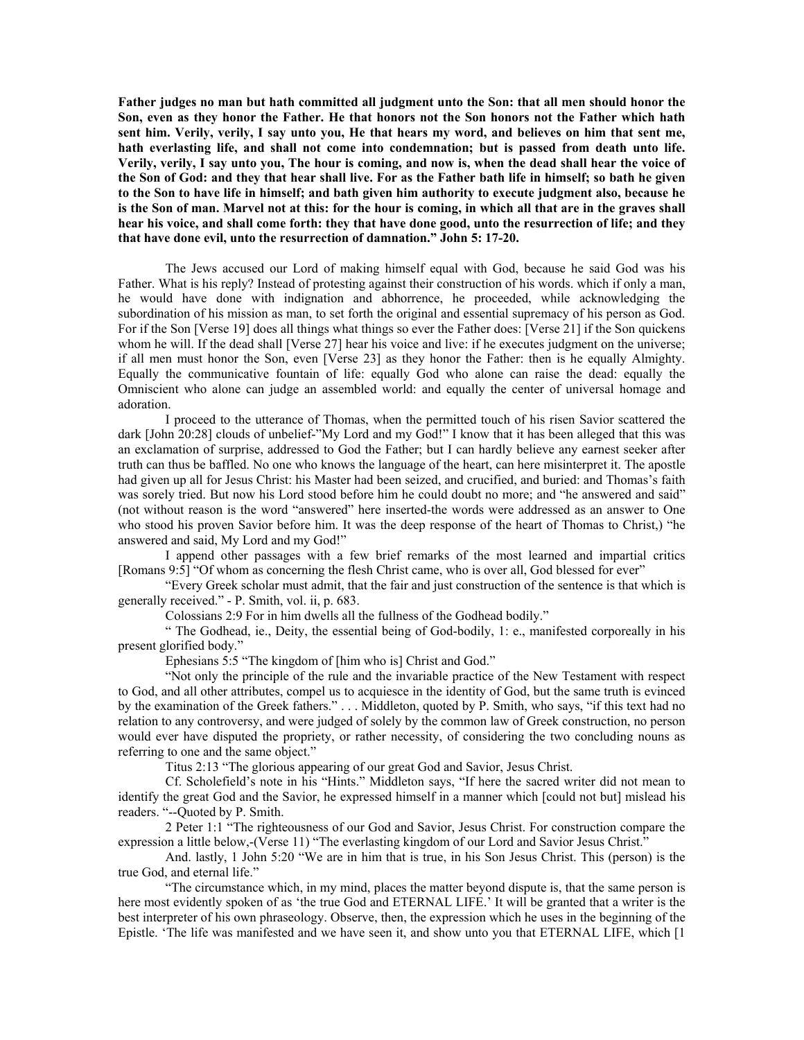**Father judges no man but hath committed all judgment unto the Son: that all men should honor the Son, even as they honor the Father. He that honors not the Son honors not the Father which hath sent him. Verily, verily, I say unto you, He that hears my word, and believes on him that sent me, hath everlasting life, and shall not come into condemnation; but is passed from death unto life. Verily, verily, I say unto you, The hour is coming, and now is, when the dead shall hear the voice of the Son of God: and they that hear shall live. For as the Father bath life in himself; so bath he given to the Son to have life in himself; and bath given him authority to execute judgment also, because he is the Son of man. Marvel not at this: for the hour is coming, in which all that are in the graves shall hear his voice, and shall come forth: they that have done good, unto the resurrection of life; and they that have done evil, unto the resurrection of damnation." John 5: 17-20.** 

 The Jews accused our Lord of making himself equal with God, because he said God was his Father. What is his reply? Instead of protesting against their construction of his words. which if only a man, he would have done with indignation and abhorrence, he proceeded, while acknowledging the subordination of his mission as man, to set forth the original and essential supremacy of his person as God. For if the Son [Verse 19] does all things what things so ever the Father does: [Verse 21] if the Son quickens whom he will. If the dead shall [Verse 27] hear his voice and live: if he executes judgment on the universe; if all men must honor the Son, even [Verse 23] as they honor the Father: then is he equally Almighty. Equally the communicative fountain of life: equally God who alone can raise the dead: equally the Omniscient who alone can judge an assembled world: and equally the center of universal homage and adoration.

 I proceed to the utterance of Thomas, when the permitted touch of his risen Savior scattered the dark [John 20:28] clouds of unbelief-"My Lord and my God!" I know that it has been alleged that this was an exclamation of surprise, addressed to God the Father; but I can hardly believe any earnest seeker after truth can thus be baffled. No one who knows the language of the heart, can here misinterpret it. The apostle had given up all for Jesus Christ: his Master had been seized, and crucified, and buried: and Thomas's faith was sorely tried. But now his Lord stood before him he could doubt no more; and "he answered and said" (not without reason is the word "answered" here inserted-the words were addressed as an answer to One who stood his proven Savior before him. It was the deep response of the heart of Thomas to Christ,) "he answered and said, My Lord and my God!"

 I append other passages with a few brief remarks of the most learned and impartial critics [Romans 9:5] "Of whom as concerning the flesh Christ came, who is over all, God blessed for ever"

 "Every Greek scholar must admit, that the fair and just construction of the sentence is that which is generally received." - P. Smith, vol. ii, p. 683.

Colossians 2:9 For in him dwells all the fullness of the Godhead bodily."

 " The Godhead, ie., Deity, the essential being of God-bodily, 1: e., manifested corporeally in his present glorified body."

Ephesians 5:5 "The kingdom of [him who is] Christ and God."

 "Not only the principle of the rule and the invariable practice of the New Testament with respect to God, and all other attributes, compel us to acquiesce in the identity of God, but the same truth is evinced by the examination of the Greek fathers." . . . Middleton, quoted by P. Smith, who says, "if this text had no relation to any controversy, and were judged of solely by the common law of Greek construction, no person would ever have disputed the propriety, or rather necessity, of considering the two concluding nouns as referring to one and the same object."

Titus 2:13 "The glorious appearing of our great God and Savior, Jesus Christ.

 Cf. Scholefield's note in his "Hints." Middleton says, "If here the sacred writer did not mean to identify the great God and the Savior, he expressed himself in a manner which [could not but] mislead his readers. "--Quoted by P. Smith.

 2 Peter 1:1 "The righteousness of our God and Savior, Jesus Christ. For construction compare the expression a little below,-(Verse 11) "The everlasting kingdom of our Lord and Savior Jesus Christ."

 And. lastly, 1 John 5:20 "We are in him that is true, in his Son Jesus Christ. This (person) is the true God, and eternal life."

 "The circumstance which, in my mind, places the matter beyond dispute is, that the same person is here most evidently spoken of as 'the true God and ETERNAL LIFE.' It will be granted that a writer is the best interpreter of his own phraseology. Observe, then, the expression which he uses in the beginning of the Epistle. 'The life was manifested and we have seen it, and show unto you that ETERNAL LIFE, which [1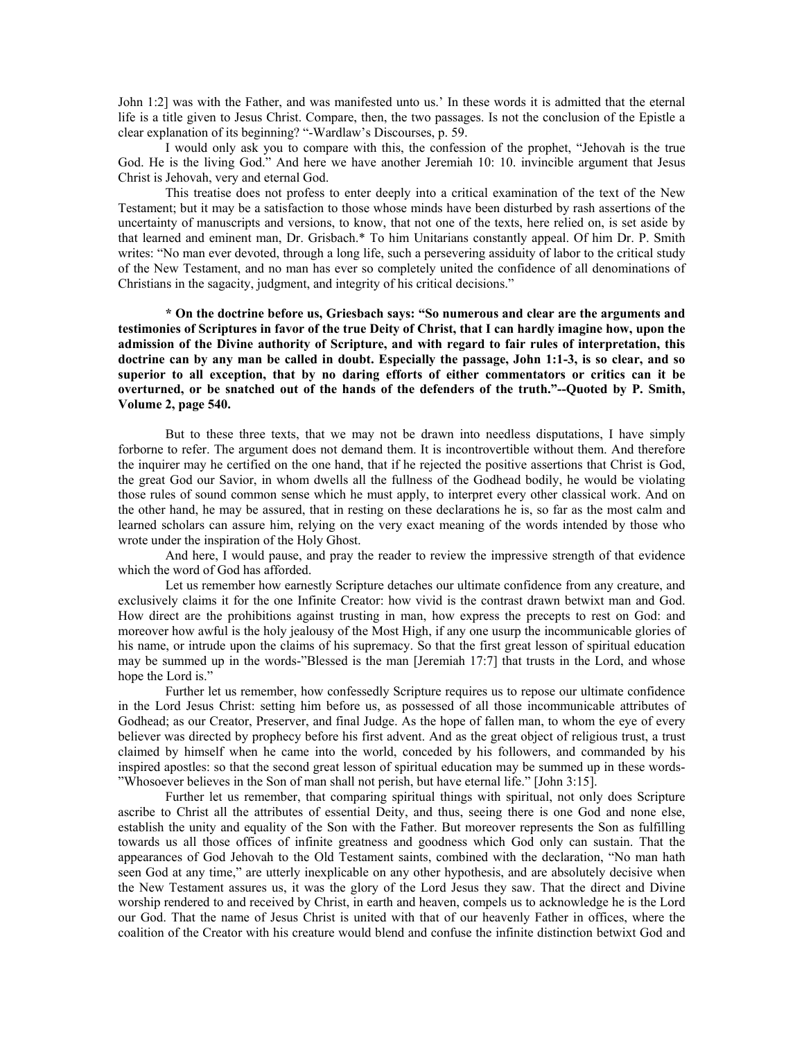John 1:2] was with the Father, and was manifested unto us.' In these words it is admitted that the eternal life is a title given to Jesus Christ. Compare, then, the two passages. Is not the conclusion of the Epistle a clear explanation of its beginning? "-Wardlaw's Discourses, p. 59.

 I would only ask you to compare with this, the confession of the prophet, "Jehovah is the true God. He is the living God." And here we have another Jeremiah 10: 10. invincible argument that Jesus Christ is Jehovah, very and eternal God.

 This treatise does not profess to enter deeply into a critical examination of the text of the New Testament; but it may be a satisfaction to those whose minds have been disturbed by rash assertions of the uncertainty of manuscripts and versions, to know, that not one of the texts, here relied on, is set aside by that learned and eminent man, Dr. Grisbach.\* To him Unitarians constantly appeal. Of him Dr. P. Smith writes: "No man ever devoted, through a long life, such a persevering assiduity of labor to the critical study of the New Testament, and no man has ever so completely united the confidence of all denominations of Christians in the sagacity, judgment, and integrity of his critical decisions."

 **\* On the doctrine before us, Griesbach says: "So numerous and clear are the arguments and testimonies of Scriptures in favor of the true Deity of Christ, that I can hardly imagine how, upon the admission of the Divine authority of Scripture, and with regard to fair rules of interpretation, this doctrine can by any man be called in doubt. Especially the passage, John 1:1-3, is so clear, and so superior to all exception, that by no daring efforts of either commentators or critics can it be overturned, or be snatched out of the hands of the defenders of the truth."--Quoted by P. Smith, Volume 2, page 540.** 

But to these three texts, that we may not be drawn into needless disputations, I have simply forborne to refer. The argument does not demand them. It is incontrovertible without them. And therefore the inquirer may he certified on the one hand, that if he rejected the positive assertions that Christ is God, the great God our Savior, in whom dwells all the fullness of the Godhead bodily, he would be violating those rules of sound common sense which he must apply, to interpret every other classical work. And on the other hand, he may be assured, that in resting on these declarations he is, so far as the most calm and learned scholars can assure him, relying on the very exact meaning of the words intended by those who wrote under the inspiration of the Holy Ghost.

 And here, I would pause, and pray the reader to review the impressive strength of that evidence which the word of God has afforded.

 Let us remember how earnestly Scripture detaches our ultimate confidence from any creature, and exclusively claims it for the one Infinite Creator: how vivid is the contrast drawn betwixt man and God. How direct are the prohibitions against trusting in man, how express the precepts to rest on God: and moreover how awful is the holy jealousy of the Most High, if any one usurp the incommunicable glories of his name, or intrude upon the claims of his supremacy. So that the first great lesson of spiritual education may be summed up in the words-"Blessed is the man [Jeremiah 17:7] that trusts in the Lord, and whose hope the Lord is."

 Further let us remember, how confessedly Scripture requires us to repose our ultimate confidence in the Lord Jesus Christ: setting him before us, as possessed of all those incommunicable attributes of Godhead; as our Creator, Preserver, and final Judge. As the hope of fallen man, to whom the eye of every believer was directed by prophecy before his first advent. And as the great object of religious trust, a trust claimed by himself when he came into the world, conceded by his followers, and commanded by his inspired apostles: so that the second great lesson of spiritual education may be summed up in these words- "Whosoever believes in the Son of man shall not perish, but have eternal life." [John 3:15].

 Further let us remember, that comparing spiritual things with spiritual, not only does Scripture ascribe to Christ all the attributes of essential Deity, and thus, seeing there is one God and none else, establish the unity and equality of the Son with the Father. But moreover represents the Son as fulfilling towards us all those offices of infinite greatness and goodness which God only can sustain. That the appearances of God Jehovah to the Old Testament saints, combined with the declaration, "No man hath seen God at any time," are utterly inexplicable on any other hypothesis, and are absolutely decisive when the New Testament assures us, it was the glory of the Lord Jesus they saw. That the direct and Divine worship rendered to and received by Christ, in earth and heaven, compels us to acknowledge he is the Lord our God. That the name of Jesus Christ is united with that of our heavenly Father in offices, where the coalition of the Creator with his creature would blend and confuse the infinite distinction betwixt God and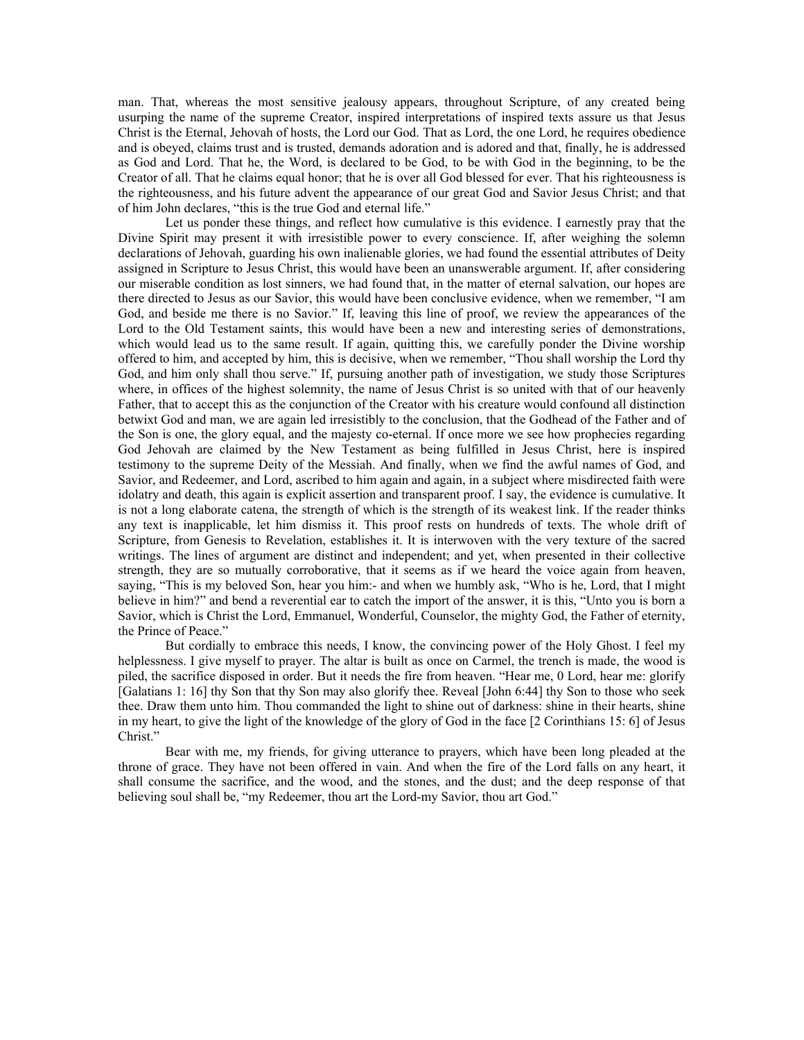man. That, whereas the most sensitive jealousy appears, throughout Scripture, of any created being usurping the name of the supreme Creator, inspired interpretations of inspired texts assure us that Jesus Christ is the Eternal, Jehovah of hosts, the Lord our God. That as Lord, the one Lord, he requires obedience and is obeyed, claims trust and is trusted, demands adoration and is adored and that, finally, he is addressed as God and Lord. That he, the Word, is declared to be God, to be with God in the beginning, to be the Creator of all. That he claims equal honor; that he is over all God blessed for ever. That his righteousness is the righteousness, and his future advent the appearance of our great God and Savior Jesus Christ; and that of him John declares, "this is the true God and eternal life."

 Let us ponder these things, and reflect how cumulative is this evidence. I earnestly pray that the Divine Spirit may present it with irresistible power to every conscience. If, after weighing the solemn declarations of Jehovah, guarding his own inalienable glories, we had found the essential attributes of Deity assigned in Scripture to Jesus Christ, this would have been an unanswerable argument. If, after considering our miserable condition as lost sinners, we had found that, in the matter of eternal salvation, our hopes are there directed to Jesus as our Savior, this would have been conclusive evidence, when we remember, "I am God, and beside me there is no Savior." If, leaving this line of proof, we review the appearances of the Lord to the Old Testament saints, this would have been a new and interesting series of demonstrations, which would lead us to the same result. If again, quitting this, we carefully ponder the Divine worship offered to him, and accepted by him, this is decisive, when we remember, "Thou shall worship the Lord thy God, and him only shall thou serve." If, pursuing another path of investigation, we study those Scriptures where, in offices of the highest solemnity, the name of Jesus Christ is so united with that of our heavenly Father, that to accept this as the conjunction of the Creator with his creature would confound all distinction betwixt God and man, we are again led irresistibly to the conclusion, that the Godhead of the Father and of the Son is one, the glory equal, and the majesty co-eternal. If once more we see how prophecies regarding God Jehovah are claimed by the New Testament as being fulfilled in Jesus Christ, here is inspired testimony to the supreme Deity of the Messiah. And finally, when we find the awful names of God, and Savior, and Redeemer, and Lord, ascribed to him again and again, in a subject where misdirected faith were idolatry and death, this again is explicit assertion and transparent proof. I say, the evidence is cumulative. It is not a long elaborate catena, the strength of which is the strength of its weakest link. If the reader thinks any text is inapplicable, let him dismiss it. This proof rests on hundreds of texts. The whole drift of Scripture, from Genesis to Revelation, establishes it. It is interwoven with the very texture of the sacred writings. The lines of argument are distinct and independent; and yet, when presented in their collective strength, they are so mutually corroborative, that it seems as if we heard the voice again from heaven, saying, "This is my beloved Son, hear you him:- and when we humbly ask, "Who is he, Lord, that I might believe in him?" and bend a reverential ear to catch the import of the answer, it is this, "Unto you is born a Savior, which is Christ the Lord, Emmanuel, Wonderful, Counselor, the mighty God, the Father of eternity, the Prince of Peace."

 But cordially to embrace this needs, I know, the convincing power of the Holy Ghost. I feel my helplessness. I give myself to prayer. The altar is built as once on Carmel, the trench is made, the wood is piled, the sacrifice disposed in order. But it needs the fire from heaven. "Hear me, 0 Lord, hear me: glorify [Galatians 1: 16] thy Son that thy Son may also glorify thee. Reveal [John 6:44] thy Son to those who seek thee. Draw them unto him. Thou commanded the light to shine out of darkness: shine in their hearts, shine in my heart, to give the light of the knowledge of the glory of God in the face [2 Corinthians 15: 6] of Jesus Christ."

 Bear with me, my friends, for giving utterance to prayers, which have been long pleaded at the throne of grace. They have not been offered in vain. And when the fire of the Lord falls on any heart, it shall consume the sacrifice, and the wood, and the stones, and the dust; and the deep response of that believing soul shall be, "my Redeemer, thou art the Lord-my Savior, thou art God."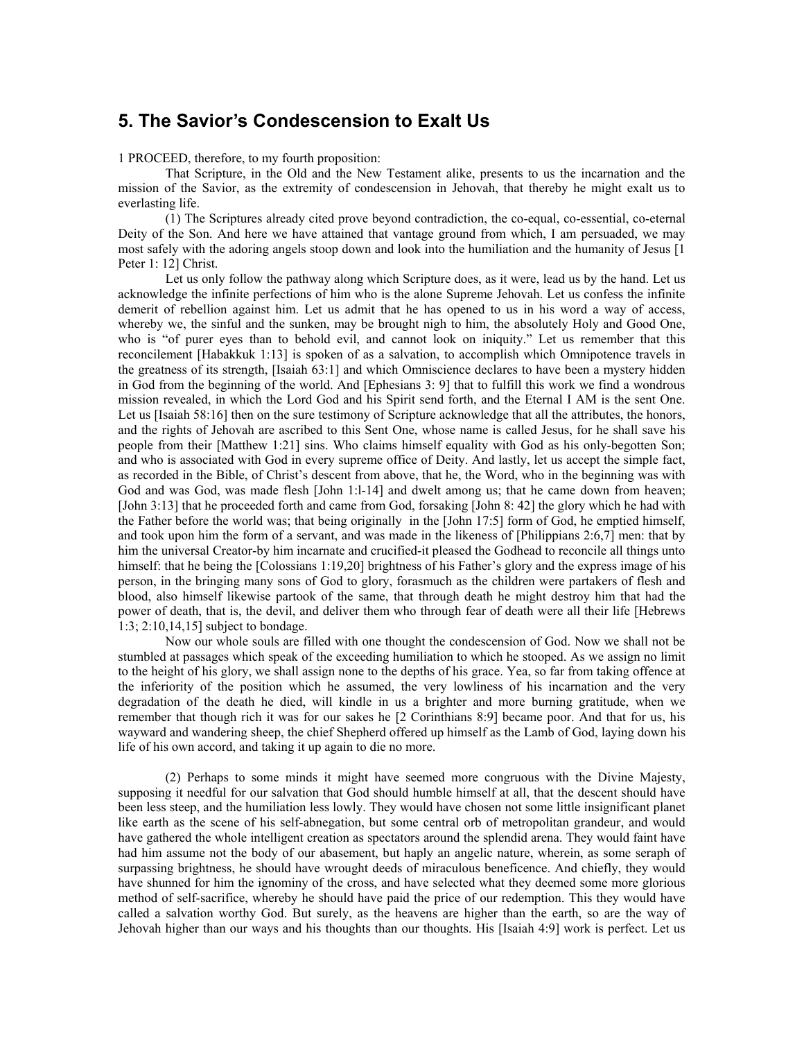## **5. The Savior's Condescension to Exalt Us**

1 PROCEED, therefore, to my fourth proposition:

 That Scripture, in the Old and the New Testament alike, presents to us the incarnation and the mission of the Savior, as the extremity of condescension in Jehovah, that thereby he might exalt us to everlasting life.

 (1) The Scriptures already cited prove beyond contradiction, the co-equal, co-essential, co-eternal Deity of the Son. And here we have attained that vantage ground from which, I am persuaded, we may most safely with the adoring angels stoop down and look into the humiliation and the humanity of Jesus [1 Peter 1: 12] Christ.

 Let us only follow the pathway along which Scripture does, as it were, lead us by the hand. Let us acknowledge the infinite perfections of him who is the alone Supreme Jehovah. Let us confess the infinite demerit of rebellion against him. Let us admit that he has opened to us in his word a way of access, whereby we, the sinful and the sunken, may be brought nigh to him, the absolutely Holy and Good One, who is "of purer eyes than to behold evil, and cannot look on iniquity." Let us remember that this reconcilement [Habakkuk 1:13] is spoken of as a salvation, to accomplish which Omnipotence travels in the greatness of its strength, [Isaiah 63:1] and which Omniscience declares to have been a mystery hidden in God from the beginning of the world. And [Ephesians 3: 9] that to fulfill this work we find a wondrous mission revealed, in which the Lord God and his Spirit send forth, and the Eternal I AM is the sent One. Let us [Isaiah 58:16] then on the sure testimony of Scripture acknowledge that all the attributes, the honors, and the rights of Jehovah are ascribed to this Sent One, whose name is called Jesus, for he shall save his people from their [Matthew 1:21] sins. Who claims himself equality with God as his only-begotten Son; and who is associated with God in every supreme office of Deity. And lastly, let us accept the simple fact, as recorded in the Bible, of Christ's descent from above, that he, the Word, who in the beginning was with God and was God, was made flesh [John 1:1-14] and dwelt among us; that he came down from heaven; [John 3:13] that he proceeded forth and came from God, forsaking [John 8: 42] the glory which he had with the Father before the world was; that being originally in the [John 17:5] form of God, he emptied himself, and took upon him the form of a servant, and was made in the likeness of [Philippians 2:6,7] men: that by him the universal Creator-by him incarnate and crucified-it pleased the Godhead to reconcile all things unto himself: that he being the [Colossians 1:19,20] brightness of his Father's glory and the express image of his person, in the bringing many sons of God to glory, forasmuch as the children were partakers of flesh and blood, also himself likewise partook of the same, that through death he might destroy him that had the power of death, that is, the devil, and deliver them who through fear of death were all their life [Hebrews 1:3; 2:10,14,15] subject to bondage.

Now our whole souls are filled with one thought the condescension of God. Now we shall not be stumbled at passages which speak of the exceeding humiliation to which he stooped. As we assign no limit to the height of his glory, we shall assign none to the depths of his grace. Yea, so far from taking offence at the inferiority of the position which he assumed, the very lowliness of his incarnation and the very degradation of the death he died, will kindle in us a brighter and more burning gratitude, when we remember that though rich it was for our sakes he [2 Corinthians 8:9] became poor. And that for us, his wayward and wandering sheep, the chief Shepherd offered up himself as the Lamb of God, laying down his life of his own accord, and taking it up again to die no more.

(2) Perhaps to some minds it might have seemed more congruous with the Divine Majesty, supposing it needful for our salvation that God should humble himself at all, that the descent should have been less steep, and the humiliation less lowly. They would have chosen not some little insignificant planet like earth as the scene of his self-abnegation, but some central orb of metropolitan grandeur, and would have gathered the whole intelligent creation as spectators around the splendid arena. They would faint have had him assume not the body of our abasement, but haply an angelic nature, wherein, as some seraph of surpassing brightness, he should have wrought deeds of miraculous beneficence. And chiefly, they would have shunned for him the ignominy of the cross, and have selected what they deemed some more glorious method of self-sacrifice, whereby he should have paid the price of our redemption. This they would have called a salvation worthy God. But surely, as the heavens are higher than the earth, so are the way of Jehovah higher than our ways and his thoughts than our thoughts. His [Isaiah 4:9] work is perfect. Let us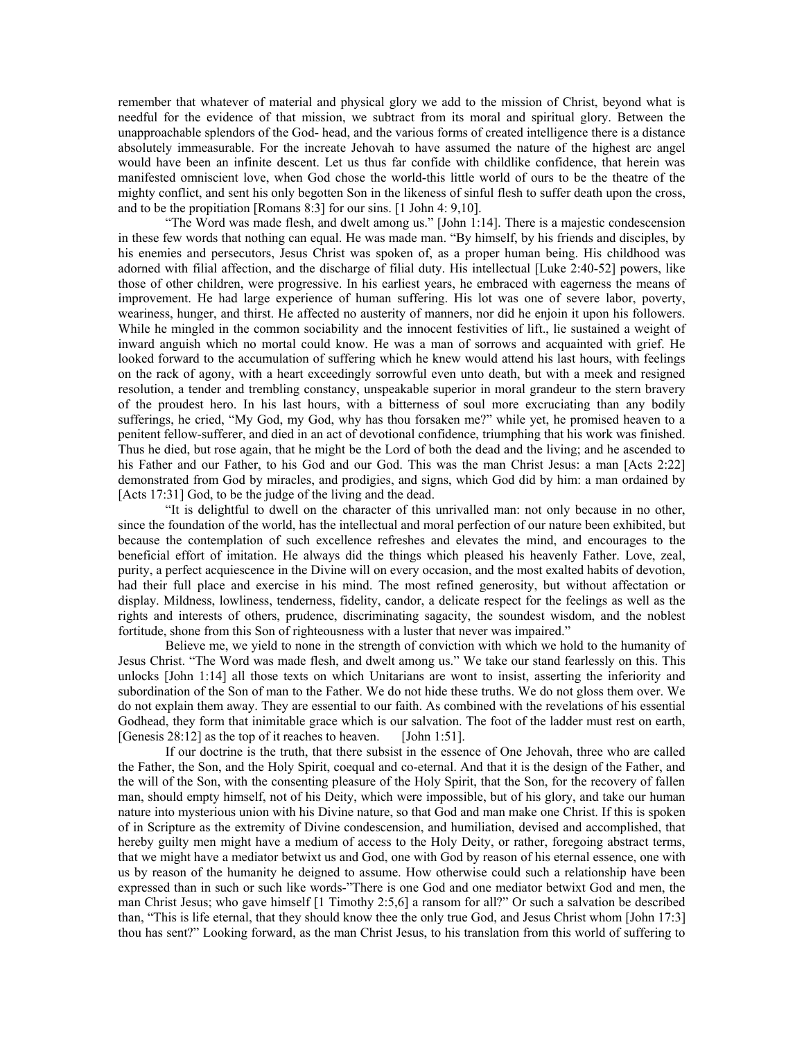remember that whatever of material and physical glory we add to the mission of Christ, beyond what is needful for the evidence of that mission, we subtract from its moral and spiritual glory. Between the unapproachable splendors of the God- head, and the various forms of created intelligence there is a distance absolutely immeasurable. For the increate Jehovah to have assumed the nature of the highest arc angel would have been an infinite descent. Let us thus far confide with childlike confidence, that herein was manifested omniscient love, when God chose the world-this little world of ours to be the theatre of the mighty conflict, and sent his only begotten Son in the likeness of sinful flesh to suffer death upon the cross, and to be the propitiation [Romans 8:3] for our sins. [1 John 4: 9,10].

 "The Word was made flesh, and dwelt among us." [John 1:14]. There is a majestic condescension in these few words that nothing can equal. He was made man. "By himself, by his friends and disciples, by his enemies and persecutors, Jesus Christ was spoken of, as a proper human being. His childhood was adorned with filial affection, and the discharge of filial duty. His intellectual [Luke 2:40-52] powers, like those of other children, were progressive. In his earliest years, he embraced with eagerness the means of improvement. He had large experience of human suffering. His lot was one of severe labor, poverty, weariness, hunger, and thirst. He affected no austerity of manners, nor did he enjoin it upon his followers. While he mingled in the common sociability and the innocent festivities of lift., lie sustained a weight of inward anguish which no mortal could know. He was a man of sorrows and acquainted with grief. He looked forward to the accumulation of suffering which he knew would attend his last hours, with feelings on the rack of agony, with a heart exceedingly sorrowful even unto death, but with a meek and resigned resolution, a tender and trembling constancy, unspeakable superior in moral grandeur to the stern bravery of the proudest hero. In his last hours, with a bitterness of soul more excruciating than any bodily sufferings, he cried, "My God, my God, why has thou forsaken me?" while yet, he promised heaven to a penitent fellow-sufferer, and died in an act of devotional confidence, triumphing that his work was finished. Thus he died, but rose again, that he might be the Lord of both the dead and the living; and he ascended to his Father and our Father, to his God and our God. This was the man Christ Jesus: a man [Acts 2:22] demonstrated from God by miracles, and prodigies, and signs, which God did by him: a man ordained by [Acts 17:31] God, to be the judge of the living and the dead.

"It is delightful to dwell on the character of this unrivalled man: not only because in no other, since the foundation of the world, has the intellectual and moral perfection of our nature been exhibited, but because the contemplation of such excellence refreshes and elevates the mind, and encourages to the beneficial effort of imitation. He always did the things which pleased his heavenly Father. Love, zeal, purity, a perfect acquiescence in the Divine will on every occasion, and the most exalted habits of devotion, had their full place and exercise in his mind. The most refined generosity, but without affectation or display. Mildness, lowliness, tenderness, fidelity, candor, a delicate respect for the feelings as well as the rights and interests of others, prudence, discriminating sagacity, the soundest wisdom, and the noblest fortitude, shone from this Son of righteousness with a luster that never was impaired."

Believe me, we yield to none in the strength of conviction with which we hold to the humanity of Jesus Christ. "The Word was made flesh, and dwelt among us." We take our stand fearlessly on this. This unlocks [John 1:14] all those texts on which Unitarians are wont to insist, asserting the inferiority and subordination of the Son of man to the Father. We do not hide these truths. We do not gloss them over. We do not explain them away. They are essential to our faith. As combined with the revelations of his essential Godhead, they form that inimitable grace which is our salvation. The foot of the ladder must rest on earth, [Genesis 28:12] as the top of it reaches to heaven. [John 1:51].

If our doctrine is the truth, that there subsist in the essence of One Jehovah, three who are called the Father, the Son, and the Holy Spirit, coequal and co-eternal. And that it is the design of the Father, and the will of the Son, with the consenting pleasure of the Holy Spirit, that the Son, for the recovery of fallen man, should empty himself, not of his Deity, which were impossible, but of his glory, and take our human nature into mysterious union with his Divine nature, so that God and man make one Christ. If this is spoken of in Scripture as the extremity of Divine condescension, and humiliation, devised and accomplished, that hereby guilty men might have a medium of access to the Holy Deity, or rather, foregoing abstract terms, that we might have a mediator betwixt us and God, one with God by reason of his eternal essence, one with us by reason of the humanity he deigned to assume. How otherwise could such a relationship have been expressed than in such or such like words-"There is one God and one mediator betwixt God and men, the man Christ Jesus; who gave himself [1 Timothy 2:5,6] a ransom for all?" Or such a salvation be described than, "This is life eternal, that they should know thee the only true God, and Jesus Christ whom [John 17:3] thou has sent?" Looking forward, as the man Christ Jesus, to his translation from this world of suffering to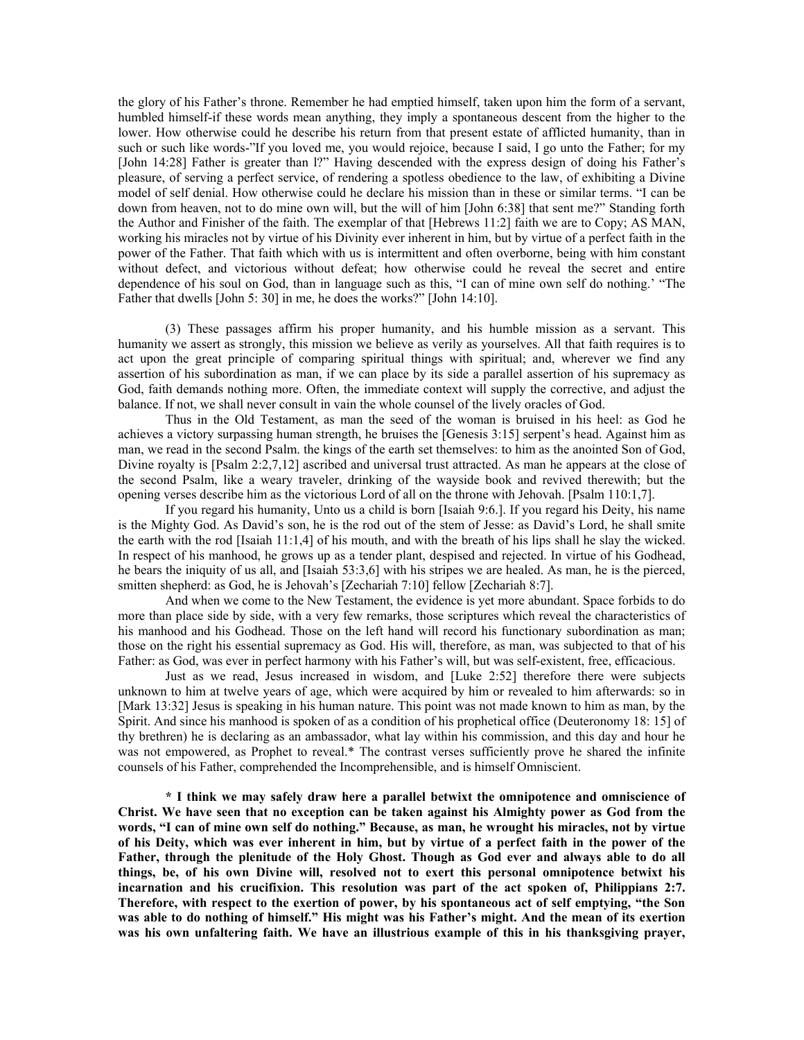the glory of his Father's throne. Remember he had emptied himself, taken upon him the form of a servant, humbled himself-if these words mean anything, they imply a spontaneous descent from the higher to the lower. How otherwise could he describe his return from that present estate of afflicted humanity, than in such or such like words-"If you loved me, you would rejoice, because I said, I go unto the Father; for my [John 14:28] Father is greater than l?" Having descended with the express design of doing his Father's pleasure, of serving a perfect service, of rendering a spotless obedience to the law, of exhibiting a Divine model of self denial. How otherwise could he declare his mission than in these or similar terms. "I can be down from heaven, not to do mine own will, but the will of him [John 6:38] that sent me?" Standing forth the Author and Finisher of the faith. The exemplar of that [Hebrews 11:2] faith we are to Copy; AS MAN, working his miracles not by virtue of his Divinity ever inherent in him, but by virtue of a perfect faith in the power of the Father. That faith which with us is intermittent and often overborne, being with him constant without defect, and victorious without defeat; how otherwise could he reveal the secret and entire dependence of his soul on God, than in language such as this, "I can of mine own self do nothing.' "The Father that dwells [John 5: 30] in me, he does the works?" [John 14:10].

 (3) These passages affirm his proper humanity, and his humble mission as a servant. This humanity we assert as strongly, this mission we believe as verily as yourselves. All that faith requires is to act upon the great principle of comparing spiritual things with spiritual; and, wherever we find any assertion of his subordination as man, if we can place by its side a parallel assertion of his supremacy as God, faith demands nothing more. Often, the immediate context will supply the corrective, and adjust the balance. If not, we shall never consult in vain the whole counsel of the lively oracles of God.

 Thus in the Old Testament, as man the seed of the woman is bruised in his heel: as God he achieves a victory surpassing human strength, he bruises the [Genesis 3:15] serpent's head. Against him as man, we read in the second Psalm. the kings of the earth set themselves: to him as the anointed Son of God, Divine royalty is [Psalm 2:2,7,12] ascribed and universal trust attracted. As man he appears at the close of the second Psalm, like a weary traveler, drinking of the wayside book and revived therewith; but the opening verses describe him as the victorious Lord of all on the throne with Jehovah. [Psalm 110:1,7].

 If you regard his humanity, Unto us a child is born [Isaiah 9:6.]. If you regard his Deity, his name is the Mighty God. As David's son, he is the rod out of the stem of Jesse: as David's Lord, he shall smite the earth with the rod [Isaiah 11:1,4] of his mouth, and with the breath of his lips shall he slay the wicked. In respect of his manhood, he grows up as a tender plant, despised and rejected. In virtue of his Godhead, he bears the iniquity of us all, and [Isaiah 53:3,6] with his stripes we are healed. As man, he is the pierced, smitten shepherd: as God, he is Jehovah's [Zechariah 7:10] fellow [Zechariah 8:7].

 And when we come to the New Testament, the evidence is yet more abundant. Space forbids to do more than place side by side, with a very few remarks, those scriptures which reveal the characteristics of his manhood and his Godhead. Those on the left hand will record his functionary subordination as man; those on the right his essential supremacy as God. His will, therefore, as man, was subjected to that of his Father: as God, was ever in perfect harmony with his Father's will, but was self-existent, free, efficacious.

 Just as we read, Jesus increased in wisdom, and [Luke 2:52] therefore there were subjects unknown to him at twelve years of age, which were acquired by him or revealed to him afterwards: so in [Mark 13:32] Jesus is speaking in his human nature. This point was not made known to him as man, by the Spirit. And since his manhood is spoken of as a condition of his prophetical office (Deuteronomy 18: 15] of thy brethren) he is declaring as an ambassador, what lay within his commission, and this day and hour he was not empowered, as Prophet to reveal.\* The contrast verses sufficiently prove he shared the infinite counsels of his Father, comprehended the Incomprehensible, and is himself Omniscient.

 **\* I think we may safely draw here a parallel betwixt the omnipotence and omniscience of Christ. We have seen that no exception can be taken against his Almighty power as God from the words, "I can of mine own self do nothing." Because, as man, he wrought his miracles, not by virtue of his Deity, which was ever inherent in him, but by virtue of a perfect faith in the power of the Father, through the plenitude of the Holy Ghost. Though as God ever and always able to do all things, be, of his own Divine will, resolved not to exert this personal omnipotence betwixt his incarnation and his crucifixion. This resolution was part of the act spoken of, Philippians 2:7. Therefore, with respect to the exertion of power, by his spontaneous act of self emptying, "the Son was able to do nothing of himself." His might was his Father's might. And the mean of its exertion was his own unfaltering faith. We have an illustrious example of this in his thanksgiving prayer,**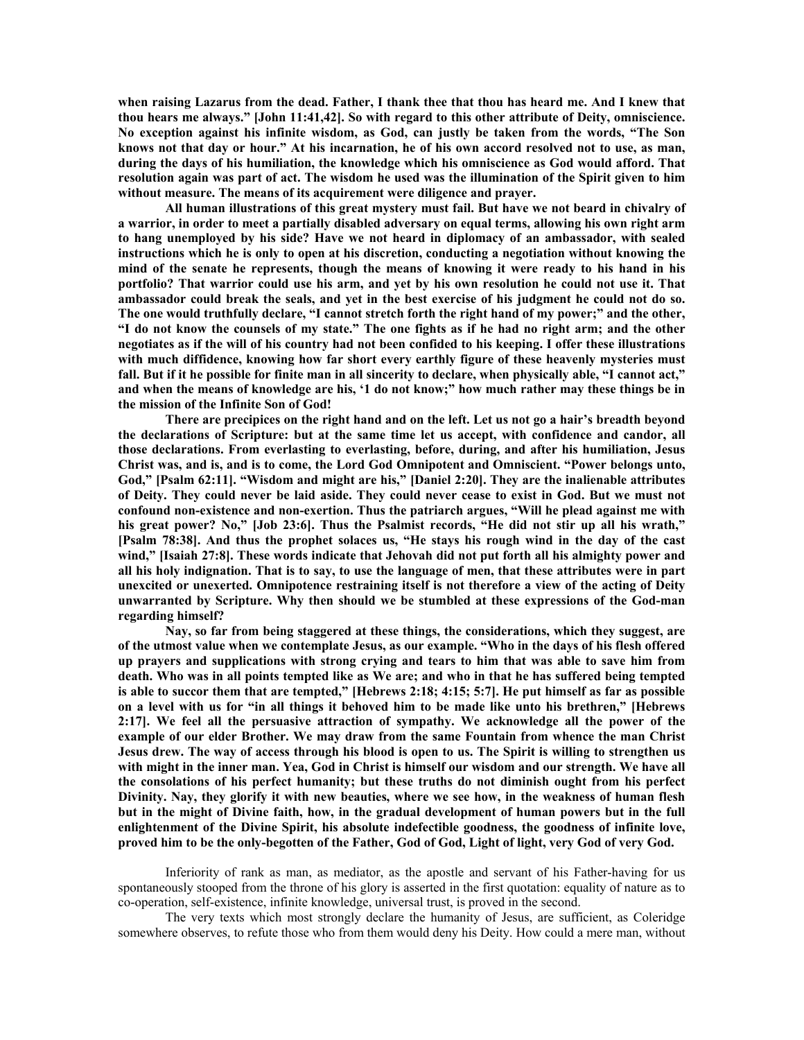**when raising Lazarus from the dead. Father, I thank thee that thou has heard me. And I knew that thou hears me always." [John 11:41,42]. So with regard to this other attribute of Deity, omniscience. No exception against his infinite wisdom, as God, can justly be taken from the words, "The Son knows not that day or hour." At his incarnation, he of his own accord resolved not to use, as man, during the days of his humiliation, the knowledge which his omniscience as God would afford. That resolution again was part of act. The wisdom he used was the illumination of the Spirit given to him without measure. The means of its acquirement were diligence and prayer.** 

 **All human illustrations of this great mystery must fail. But have we not beard in chivalry of a warrior, in order to meet a partially disabled adversary on equal terms, allowing his own right arm to hang unemployed by his side? Have we not heard in diplomacy of an ambassador, with sealed instructions which he is only to open at his discretion, conducting a negotiation without knowing the mind of the senate he represents, though the means of knowing it were ready to his hand in his portfolio? That warrior could use his arm, and yet by his own resolution he could not use it. That ambassador could break the seals, and yet in the best exercise of his judgment he could not do so. The one would truthfully declare, "I cannot stretch forth the right hand of my power;" and the other, "I do not know the counsels of my state." The one fights as if he had no right arm; and the other negotiates as if the will of his country had not been confided to his keeping. I offer these illustrations with much diffidence, knowing how far short every earthly figure of these heavenly mysteries must fall. But if it he possible for finite man in all sincerity to declare, when physically able, "I cannot act," and when the means of knowledge are his, '1 do not know;" how much rather may these things be in the mission of the Infinite Son of God!** 

 **There are precipices on the right hand and on the left. Let us not go a hair's breadth beyond the declarations of Scripture: but at the same time let us accept, with confidence and candor, all those declarations. From everlasting to everlasting, before, during, and after his humiliation, Jesus Christ was, and is, and is to come, the Lord God Omnipotent and Omniscient. "Power belongs unto, God," [Psalm 62:11]. "Wisdom and might are his," [Daniel 2:20]. They are the inalienable attributes of Deity. They could never be laid aside. They could never cease to exist in God. But we must not confound non-existence and non-exertion. Thus the patriarch argues, "Will he plead against me with his great power? No," [Job 23:6]. Thus the Psalmist records, "He did not stir up all his wrath," [Psalm 78:38]. And thus the prophet solaces us, "He stays his rough wind in the day of the cast wind," [Isaiah 27:8]. These words indicate that Jehovah did not put forth all his almighty power and all his holy indignation. That is to say, to use the language of men, that these attributes were in part unexcited or unexerted. Omnipotence restraining itself is not therefore a view of the acting of Deity unwarranted by Scripture. Why then should we be stumbled at these expressions of the God-man regarding himself?** 

 **Nay, so far from being staggered at these things, the considerations, which they suggest, are of the utmost value when we contemplate Jesus, as our example. "Who in the days of his flesh offered up prayers and supplications with strong crying and tears to him that was able to save him from death. Who was in all points tempted like as We are; and who in that he has suffered being tempted is able to succor them that are tempted," [Hebrews 2:18; 4:15; 5:7]. He put himself as far as possible on a level with us for "in all things it behoved him to be made like unto his brethren," [Hebrews 2:17]. We feel all the persuasive attraction of sympathy. We acknowledge all the power of the example of our elder Brother. We may draw from the same Fountain from whence the man Christ Jesus drew. The way of access through his blood is open to us. The Spirit is willing to strengthen us with might in the inner man. Yea, God in Christ is himself our wisdom and our strength. We have all the consolations of his perfect humanity; but these truths do not diminish ought from his perfect Divinity. Nay, they glorify it with new beauties, where we see how, in the weakness of human flesh but in the might of Divine faith, how, in the gradual development of human powers but in the full enlightenment of the Divine Spirit, his absolute indefectible goodness, the goodness of infinite love, proved him to be the only-begotten of the Father, God of God, Light of light, very God of very God.** 

 Inferiority of rank as man, as mediator, as the apostle and servant of his Father-having for us spontaneously stooped from the throne of his glory is asserted in the first quotation: equality of nature as to co-operation, self-existence, infinite knowledge, universal trust, is proved in the second.

 The very texts which most strongly declare the humanity of Jesus, are sufficient, as Coleridge somewhere observes, to refute those who from them would deny his Deity. How could a mere man, without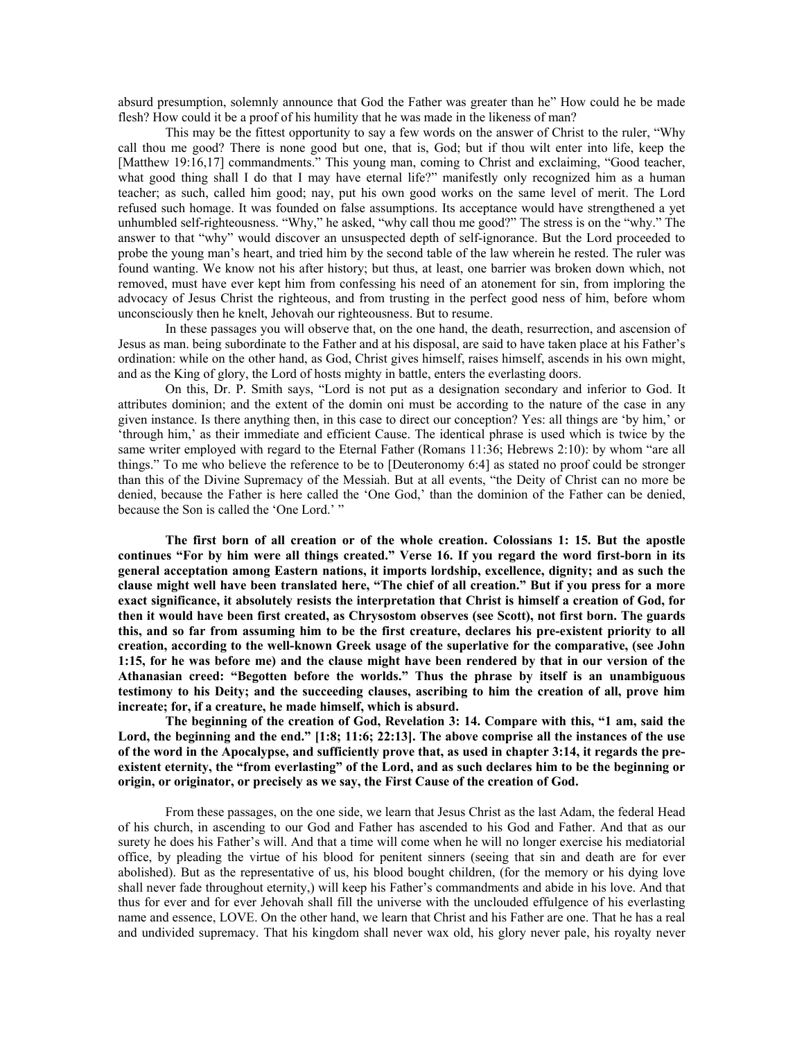absurd presumption, solemnly announce that God the Father was greater than he" How could he be made flesh? How could it be a proof of his humility that he was made in the likeness of man?

 This may be the fittest opportunity to say a few words on the answer of Christ to the ruler, "Why call thou me good? There is none good but one, that is, God; but if thou wilt enter into life, keep the [Matthew 19:16,17] commandments." This young man, coming to Christ and exclaiming, "Good teacher, what good thing shall I do that I may have eternal life?" manifestly only recognized him as a human teacher; as such, called him good; nay, put his own good works on the same level of merit. The Lord refused such homage. It was founded on false assumptions. Its acceptance would have strengthened a yet unhumbled self-righteousness. "Why," he asked, "why call thou me good?" The stress is on the "why." The answer to that "why" would discover an unsuspected depth of self-ignorance. But the Lord proceeded to probe the young man's heart, and tried him by the second table of the law wherein he rested. The ruler was found wanting. We know not his after history; but thus, at least, one barrier was broken down which, not removed, must have ever kept him from confessing his need of an atonement for sin, from imploring the advocacy of Jesus Christ the righteous, and from trusting in the perfect good ness of him, before whom unconsciously then he knelt, Jehovah our righteousness. But to resume.

In these passages you will observe that, on the one hand, the death, resurrection, and ascension of Jesus as man. being subordinate to the Father and at his disposal, are said to have taken place at his Father's ordination: while on the other hand, as God, Christ gives himself, raises himself, ascends in his own might, and as the King of glory, the Lord of hosts mighty in battle, enters the everlasting doors.

 On this, Dr. P. Smith says, "Lord is not put as a designation secondary and inferior to God. It attributes dominion; and the extent of the domin oni must be according to the nature of the case in any given instance. Is there anything then, in this case to direct our conception? Yes: all things are 'by him,' or 'through him,' as their immediate and efficient Cause. The identical phrase is used which is twice by the same writer employed with regard to the Eternal Father (Romans 11:36; Hebrews 2:10): by whom "are all things." To me who believe the reference to be to [Deuteronomy 6:4] as stated no proof could be stronger than this of the Divine Supremacy of the Messiah. But at all events, "the Deity of Christ can no more be denied, because the Father is here called the 'One God,' than the dominion of the Father can be denied, because the Son is called the 'One Lord.' "

 **The first born of all creation or of the whole creation. Colossians 1: 15. But the apostle continues "For by him were all things created." Verse 16. If you regard the word first-born in its general acceptation among Eastern nations, it imports lordship, excellence, dignity; and as such the clause might well have been translated here, "The chief of all creation." But if you press for a more exact significance, it absolutely resists the interpretation that Christ is himself a creation of God, for then it would have been first created, as Chrysostom observes (see Scott), not first born. The guards this, and so far from assuming him to be the first creature, declares his pre-existent priority to all creation, according to the well-known Greek usage of the superlative for the comparative, (see John 1:15, for he was before me) and the clause might have been rendered by that in our version of the Athanasian creed: "Begotten before the worlds." Thus the phrase by itself is an unambiguous testimony to his Deity; and the succeeding clauses, ascribing to him the creation of all, prove him increate; for, if a creature, he made himself, which is absurd.** 

 **The beginning of the creation of God, Revelation 3: 14. Compare with this, "1 am, said the Lord, the beginning and the end." [1:8; 11:6; 22:13]. The above comprise all the instances of the use of the word in the Apocalypse, and sufficiently prove that, as used in chapter 3:14, it regards the preexistent eternity, the "from everlasting" of the Lord, and as such declares him to be the beginning or origin, or originator, or precisely as we say, the First Cause of the creation of God.** 

 From these passages, on the one side, we learn that Jesus Christ as the last Adam, the federal Head of his church, in ascending to our God and Father has ascended to his God and Father. And that as our surety he does his Father's will. And that a time will come when he will no longer exercise his mediatorial office, by pleading the virtue of his blood for penitent sinners (seeing that sin and death are for ever abolished). But as the representative of us, his blood bought children, (for the memory or his dying love shall never fade throughout eternity,) will keep his Father's commandments and abide in his love. And that thus for ever and for ever Jehovah shall fill the universe with the unclouded effulgence of his everlasting name and essence, LOVE. On the other hand, we learn that Christ and his Father are one. That he has a real and undivided supremacy. That his kingdom shall never wax old, his glory never pale, his royalty never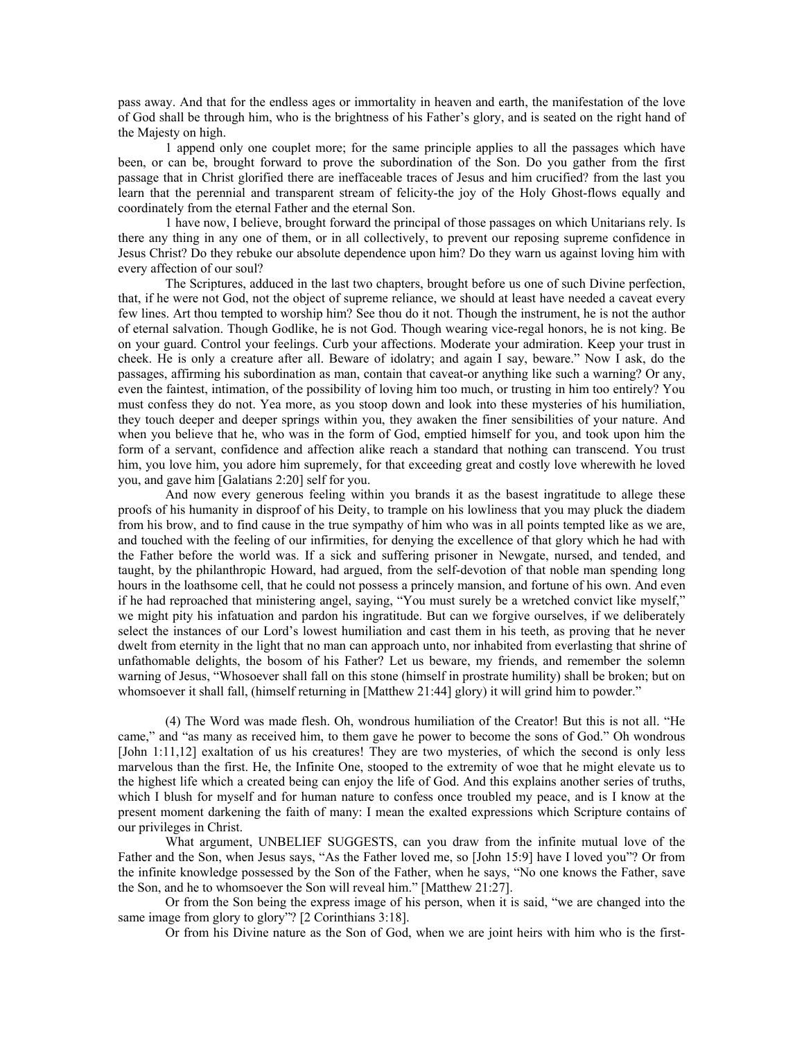pass away. And that for the endless ages or immortality in heaven and earth, the manifestation of the love of God shall be through him, who is the brightness of his Father's glory, and is seated on the right hand of the Majesty on high.

 1 append only one couplet more; for the same principle applies to all the passages which have been, or can be, brought forward to prove the subordination of the Son. Do you gather from the first passage that in Christ glorified there are ineffaceable traces of Jesus and him crucified? from the last you learn that the perennial and transparent stream of felicity-the joy of the Holy Ghost-flows equally and coordinately from the eternal Father and the eternal Son.

 1 have now, I believe, brought forward the principal of those passages on which Unitarians rely. Is there any thing in any one of them, or in all collectively, to prevent our reposing supreme confidence in Jesus Christ? Do they rebuke our absolute dependence upon him? Do they warn us against loving him with every affection of our soul?

 The Scriptures, adduced in the last two chapters, brought before us one of such Divine perfection, that, if he were not God, not the object of supreme reliance, we should at least have needed a caveat every few lines. Art thou tempted to worship him? See thou do it not. Though the instrument, he is not the author of eternal salvation. Though Godlike, he is not God. Though wearing vice-regal honors, he is not king. Be on your guard. Control your feelings. Curb your affections. Moderate your admiration. Keep your trust in cheek. He is only a creature after all. Beware of idolatry; and again I say, beware." Now I ask, do the passages, affirming his subordination as man, contain that caveat-or anything like such a warning? Or any, even the faintest, intimation, of the possibility of loving him too much, or trusting in him too entirely? You must confess they do not. Yea more, as you stoop down and look into these mysteries of his humiliation, they touch deeper and deeper springs within you, they awaken the finer sensibilities of your nature. And when you believe that he, who was in the form of God, emptied himself for you, and took upon him the form of a servant, confidence and affection alike reach a standard that nothing can transcend. You trust him, you love him, you adore him supremely, for that exceeding great and costly love wherewith he loved you, and gave him [Galatians 2:20] self for you.

 And now every generous feeling within you brands it as the basest ingratitude to allege these proofs of his humanity in disproof of his Deity, to trample on his lowliness that you may pluck the diadem from his brow, and to find cause in the true sympathy of him who was in all points tempted like as we are, and touched with the feeling of our infirmities, for denying the excellence of that glory which he had with the Father before the world was. If a sick and suffering prisoner in Newgate, nursed, and tended, and taught, by the philanthropic Howard, had argued, from the self-devotion of that noble man spending long hours in the loathsome cell, that he could not possess a princely mansion, and fortune of his own. And even if he had reproached that ministering angel, saying, "You must surely be a wretched convict like myself," we might pity his infatuation and pardon his ingratitude. But can we forgive ourselves, if we deliberately select the instances of our Lord's lowest humiliation and cast them in his teeth, as proving that he never dwelt from eternity in the light that no man can approach unto, nor inhabited from everlasting that shrine of unfathomable delights, the bosom of his Father? Let us beware, my friends, and remember the solemn warning of Jesus, "Whosoever shall fall on this stone (himself in prostrate humility) shall be broken; but on whomsoever it shall fall, (himself returning in [Matthew 21:44] glory) it will grind him to powder."

 (4) The Word was made flesh. Oh, wondrous humiliation of the Creator! But this is not all. "He came," and "as many as received him, to them gave he power to become the sons of God." Oh wondrous [John 1:11,12] exaltation of us his creatures! They are two mysteries, of which the second is only less marvelous than the first. He, the Infinite One, stooped to the extremity of woe that he might elevate us to the highest life which a created being can enjoy the life of God. And this explains another series of truths, which I blush for myself and for human nature to confess once troubled my peace, and is I know at the present moment darkening the faith of many: I mean the exalted expressions which Scripture contains of our privileges in Christ.

 What argument, UNBELIEF SUGGESTS, can you draw from the infinite mutual love of the Father and the Son, when Jesus says, "As the Father loved me, so [John 15:9] have I loved you"? Or from the infinite knowledge possessed by the Son of the Father, when he says, "No one knows the Father, save the Son, and he to whomsoever the Son will reveal him." [Matthew 21:27].

Or from the Son being the express image of his person, when it is said, "we are changed into the same image from glory to glory"? [2 Corinthians 3:18].

Or from his Divine nature as the Son of God, when we are joint heirs with him who is the first-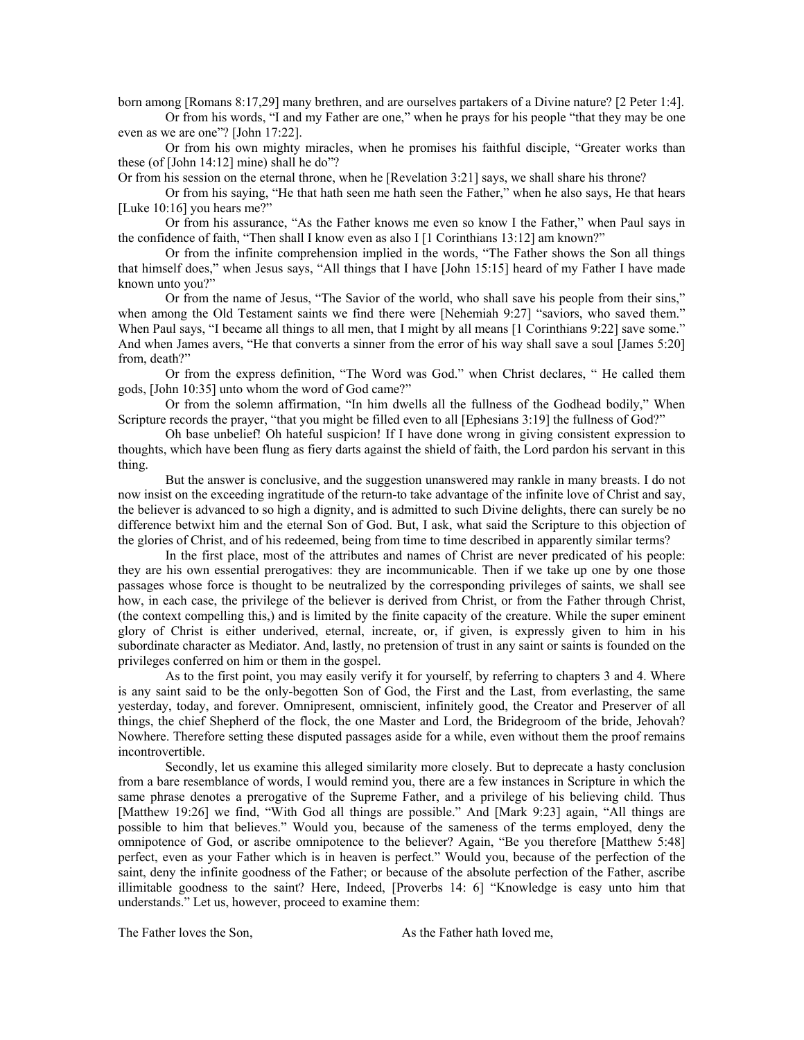born among [Romans 8:17,29] many brethren, and are ourselves partakers of a Divine nature? [2 Peter 1:4].

 Or from his words, "I and my Father are one," when he prays for his people "that they may be one even as we are one"? [John 17:22].

Or from his own mighty miracles, when he promises his faithful disciple, "Greater works than these (of [John 14:12] mine) shall he do"?

Or from his session on the eternal throne, when he [Revelation 3:21] says, we shall share his throne?

 Or from his saying, "He that hath seen me hath seen the Father," when he also says, He that hears [Luke 10:16] you hears me?"

 Or from his assurance, "As the Father knows me even so know I the Father," when Paul says in the confidence of faith, "Then shall I know even as also I [1 Corinthians 13:12] am known?"

 Or from the infinite comprehension implied in the words, "The Father shows the Son all things that himself does," when Jesus says, "All things that I have [John 15:15] heard of my Father I have made known unto you?"

 Or from the name of Jesus, "The Savior of the world, who shall save his people from their sins," when among the Old Testament saints we find there were [Nehemiah 9:27] "saviors, who saved them." When Paul says, "I became all things to all men, that I might by all means [1 Corinthians 9:22] save some." And when James avers, "He that converts a sinner from the error of his way shall save a soul [James 5:20] from, death?"

 Or from the express definition, "The Word was God." when Christ declares, " He called them gods, [John 10:35] unto whom the word of God came?"

 Or from the solemn affirmation, "In him dwells all the fullness of the Godhead bodily," When Scripture records the prayer, "that you might be filled even to all [Ephesians 3:19] the fullness of God?"

 Oh base unbelief! Oh hateful suspicion! If I have done wrong in giving consistent expression to thoughts, which have been flung as fiery darts against the shield of faith, the Lord pardon his servant in this thing.

But the answer is conclusive, and the suggestion unanswered may rankle in many breasts. I do not now insist on the exceeding ingratitude of the return-to take advantage of the infinite love of Christ and say, the believer is advanced to so high a dignity, and is admitted to such Divine delights, there can surely be no difference betwixt him and the eternal Son of God. But, I ask, what said the Scripture to this objection of the glories of Christ, and of his redeemed, being from time to time described in apparently similar terms?

 In the first place, most of the attributes and names of Christ are never predicated of his people: they are his own essential prerogatives: they are incommunicable. Then if we take up one by one those passages whose force is thought to be neutralized by the corresponding privileges of saints, we shall see how, in each case, the privilege of the believer is derived from Christ, or from the Father through Christ, (the context compelling this,) and is limited by the finite capacity of the creature. While the super eminent glory of Christ is either underived, eternal, increate, or, if given, is expressly given to him in his subordinate character as Mediator. And, lastly, no pretension of trust in any saint or saints is founded on the privileges conferred on him or them in the gospel.

 As to the first point, you may easily verify it for yourself, by referring to chapters 3 and 4. Where is any saint said to be the only-begotten Son of God, the First and the Last, from everlasting, the same yesterday, today, and forever. Omnipresent, omniscient, infinitely good, the Creator and Preserver of all things, the chief Shepherd of the flock, the one Master and Lord, the Bridegroom of the bride, Jehovah? Nowhere. Therefore setting these disputed passages aside for a while, even without them the proof remains incontrovertible.

 Secondly, let us examine this alleged similarity more closely. But to deprecate a hasty conclusion from a bare resemblance of words, I would remind you, there are a few instances in Scripture in which the same phrase denotes a prerogative of the Supreme Father, and a privilege of his believing child. Thus [Matthew 19:26] we find, "With God all things are possible." And [Mark 9:23] again, "All things are possible to him that believes." Would you, because of the sameness of the terms employed, deny the omnipotence of God, or ascribe omnipotence to the believer? Again, "Be you therefore [Matthew 5:48] perfect, even as your Father which is in heaven is perfect." Would you, because of the perfection of the saint, deny the infinite goodness of the Father; or because of the absolute perfection of the Father, ascribe illimitable goodness to the saint? Here, Indeed, [Proverbs 14: 6] "Knowledge is easy unto him that understands." Let us, however, proceed to examine them:

The Father loves the Son, As the Father hath loved me,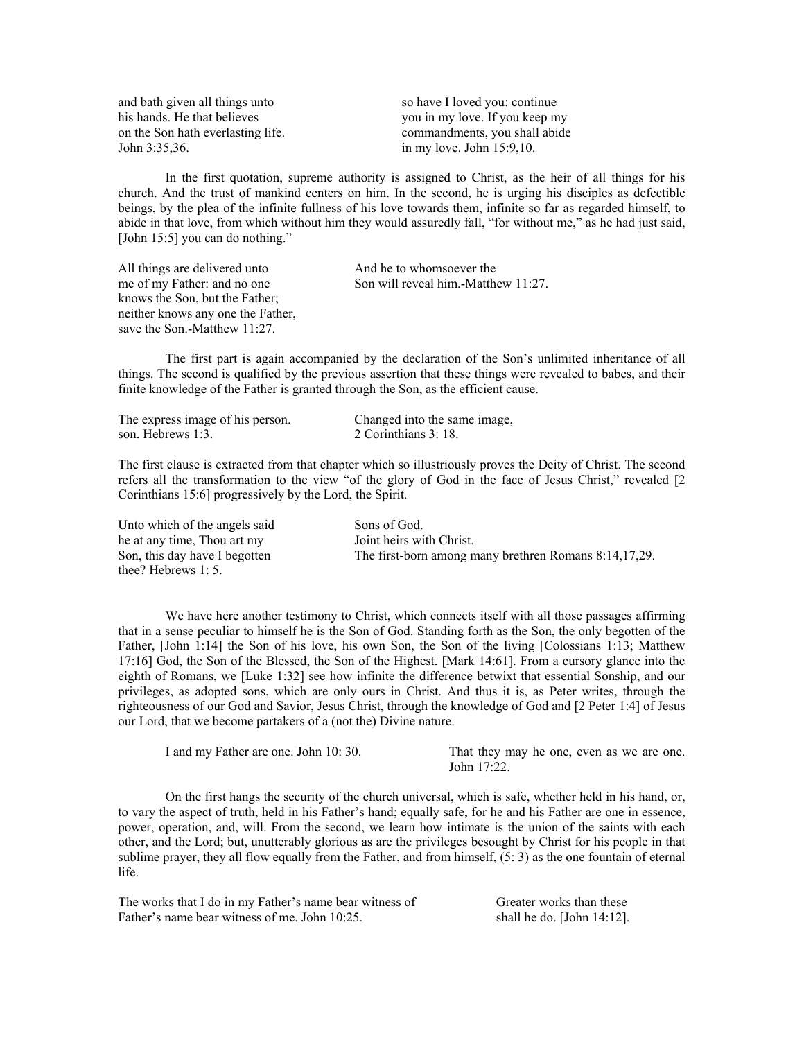and bath given all things unto so have I loved you: continue John 3:35,36. in my love. John 15:9,10.

his hands. He that believes you in my love. If you keep my on the Son hath everlasting life. commandments, you shall abide

In the first quotation, supreme authority is assigned to Christ, as the heir of all things for his church. And the trust of mankind centers on him. In the second, he is urging his disciples as defectible beings, by the plea of the infinite fullness of his love towards them, infinite so far as regarded himself, to abide in that love, from which without him they would assuredly fall, "for without me," as he had just said, [John 15:5] you can do nothing."

All things are delivered unto And he to whomsoever the me of my Father: and no one Son will reveal him.-Matthew 11:27. knows the Son, but the Father; neither knows any one the Father, save the Son.-Matthew 11:27.

The first part is again accompanied by the declaration of the Son's unlimited inheritance of all things. The second is qualified by the previous assertion that these things were revealed to babes, and their finite knowledge of the Father is granted through the Son, as the efficient cause.

| The express image of his person. | Changed into the same image, |
|----------------------------------|------------------------------|
| son. Hebrews 1:3.                | 2 Corinthians 3: 18.         |

The first clause is extracted from that chapter which so illustriously proves the Deity of Christ. The second refers all the transformation to the view "of the glory of God in the face of Jesus Christ," revealed [2 Corinthians 15:6] progressively by the Lord, the Spirit.

Unto which of the angels said Sons of God. he at any time, Thou art my Joint heirs with Christ. Son, this day have I begotten The first-born among many brethren Romans 8:14,17,29. thee? Hebrews 1: 5.

We have here another testimony to Christ, which connects itself with all those passages affirming that in a sense peculiar to himself he is the Son of God. Standing forth as the Son, the only begotten of the Father, [John 1:14] the Son of his love, his own Son, the Son of the living [Colossians 1:13; Matthew 17:16] God, the Son of the Blessed, the Son of the Highest. [Mark 14:61]. From a cursory glance into the eighth of Romans, we [Luke 1:32] see how infinite the difference betwixt that essential Sonship, and our privileges, as adopted sons, which are only ours in Christ. And thus it is, as Peter writes, through the righteousness of our God and Savior, Jesus Christ, through the knowledge of God and [2 Peter 1:4] of Jesus our Lord, that we become partakers of a (not the) Divine nature.

| I and my Father are one. John 10: 30. | That they may he one, even as we are one. |
|---------------------------------------|-------------------------------------------|
|                                       | John 17:22.                               |

On the first hangs the security of the church universal, which is safe, whether held in his hand, or, to vary the aspect of truth, held in his Father's hand; equally safe, for he and his Father are one in essence, power, operation, and, will. From the second, we learn how intimate is the union of the saints with each other, and the Lord; but, unutterably glorious as are the privileges besought by Christ for his people in that sublime prayer, they all flow equally from the Father, and from himself, (5: 3) as the one fountain of eternal life.

The works that I do in my Father's name bear witness of Greater works than these Father's name bear witness of me. John 10:25. shall he do. [John 14:12].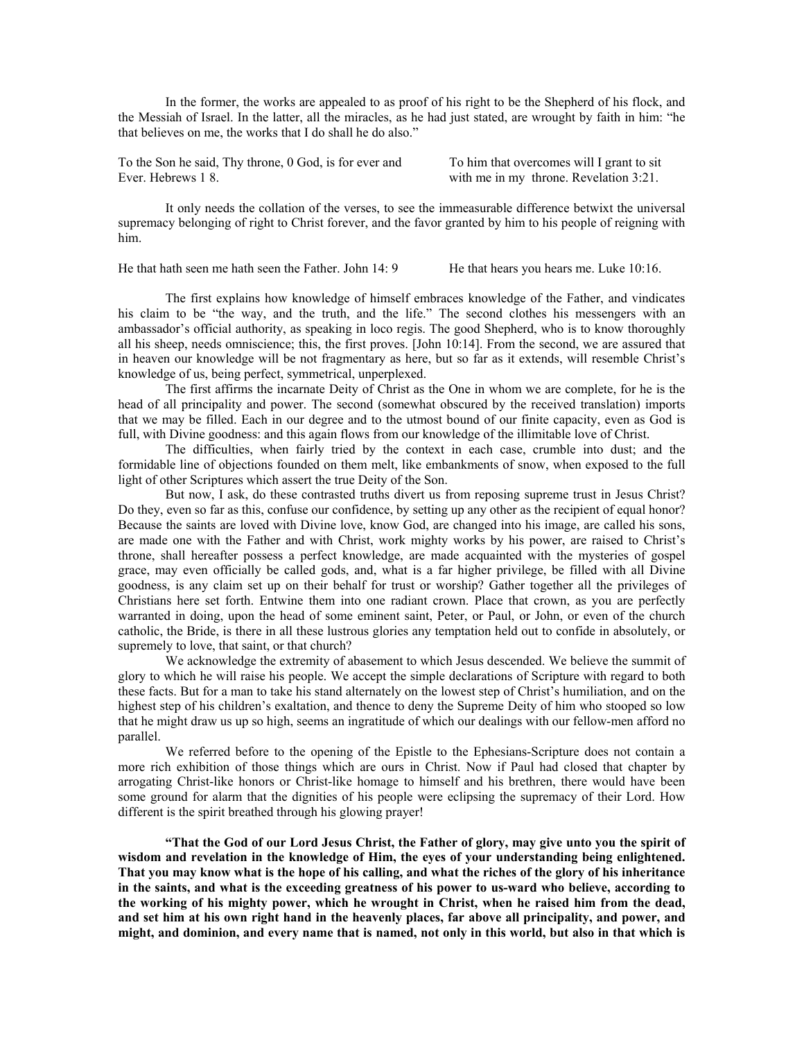In the former, the works are appealed to as proof of his right to be the Shepherd of his flock, and the Messiah of Israel. In the latter, all the miracles, as he had just stated, are wrought by faith in him: "he that believes on me, the works that I do shall he do also."

To the Son he said, Thy throne, 0 God, is for ever and To him that overcomes will I grant to sit Ever. Hebrews 1 8. with me in my throne. Revelation 3:21.

It only needs the collation of the verses, to see the immeasurable difference betwixt the universal supremacy belonging of right to Christ forever, and the favor granted by him to his people of reigning with him.

He that hath seen me hath seen the Father. John 14: 9 He that hears you hears me. Luke 10:16.

The first explains how knowledge of himself embraces knowledge of the Father, and vindicates his claim to be "the way, and the truth, and the life." The second clothes his messengers with an ambassador's official authority, as speaking in loco regis. The good Shepherd, who is to know thoroughly all his sheep, needs omniscience; this, the first proves. [John 10:14]. From the second, we are assured that in heaven our knowledge will be not fragmentary as here, but so far as it extends, will resemble Christ's knowledge of us, being perfect, symmetrical, unperplexed.

 The first affirms the incarnate Deity of Christ as the One in whom we are complete, for he is the head of all principality and power. The second (somewhat obscured by the received translation) imports that we may be filled. Each in our degree and to the utmost bound of our finite capacity, even as God is full, with Divine goodness: and this again flows from our knowledge of the illimitable love of Christ.

The difficulties, when fairly tried by the context in each case, crumble into dust; and the formidable line of objections founded on them melt, like embankments of snow, when exposed to the full light of other Scriptures which assert the true Deity of the Son.

But now, I ask, do these contrasted truths divert us from reposing supreme trust in Jesus Christ? Do they, even so far as this, confuse our confidence, by setting up any other as the recipient of equal honor? Because the saints are loved with Divine love, know God, are changed into his image, are called his sons, are made one with the Father and with Christ, work mighty works by his power, are raised to Christ's throne, shall hereafter possess a perfect knowledge, are made acquainted with the mysteries of gospel grace, may even officially be called gods, and, what is a far higher privilege, be filled with all Divine goodness, is any claim set up on their behalf for trust or worship? Gather together all the privileges of Christians here set forth. Entwine them into one radiant crown. Place that crown, as you are perfectly warranted in doing, upon the head of some eminent saint, Peter, or Paul, or John, or even of the church catholic, the Bride, is there in all these lustrous glories any temptation held out to confide in absolutely, or supremely to love, that saint, or that church?

We acknowledge the extremity of abasement to which Jesus descended. We believe the summit of glory to which he will raise his people. We accept the simple declarations of Scripture with regard to both these facts. But for a man to take his stand alternately on the lowest step of Christ's humiliation, and on the highest step of his children's exaltation, and thence to deny the Supreme Deity of him who stooped so low that he might draw us up so high, seems an ingratitude of which our dealings with our fellow-men afford no parallel.

We referred before to the opening of the Epistle to the Ephesians-Scripture does not contain a more rich exhibition of those things which are ours in Christ. Now if Paul had closed that chapter by arrogating Christ-like honors or Christ-like homage to himself and his brethren, there would have been some ground for alarm that the dignities of his people were eclipsing the supremacy of their Lord. How different is the spirit breathed through his glowing prayer!

**"That the God of our Lord Jesus Christ, the Father of glory, may give unto you the spirit of wisdom and revelation in the knowledge of Him, the eyes of your understanding being enlightened. That you may know what is the hope of his calling, and what the riches of the glory of his inheritance in the saints, and what is the exceeding greatness of his power to us-ward who believe, according to the working of his mighty power, which he wrought in Christ, when he raised him from the dead, and set him at his own right hand in the heavenly places, far above all principality, and power, and might, and dominion, and every name that is named, not only in this world, but also in that which is**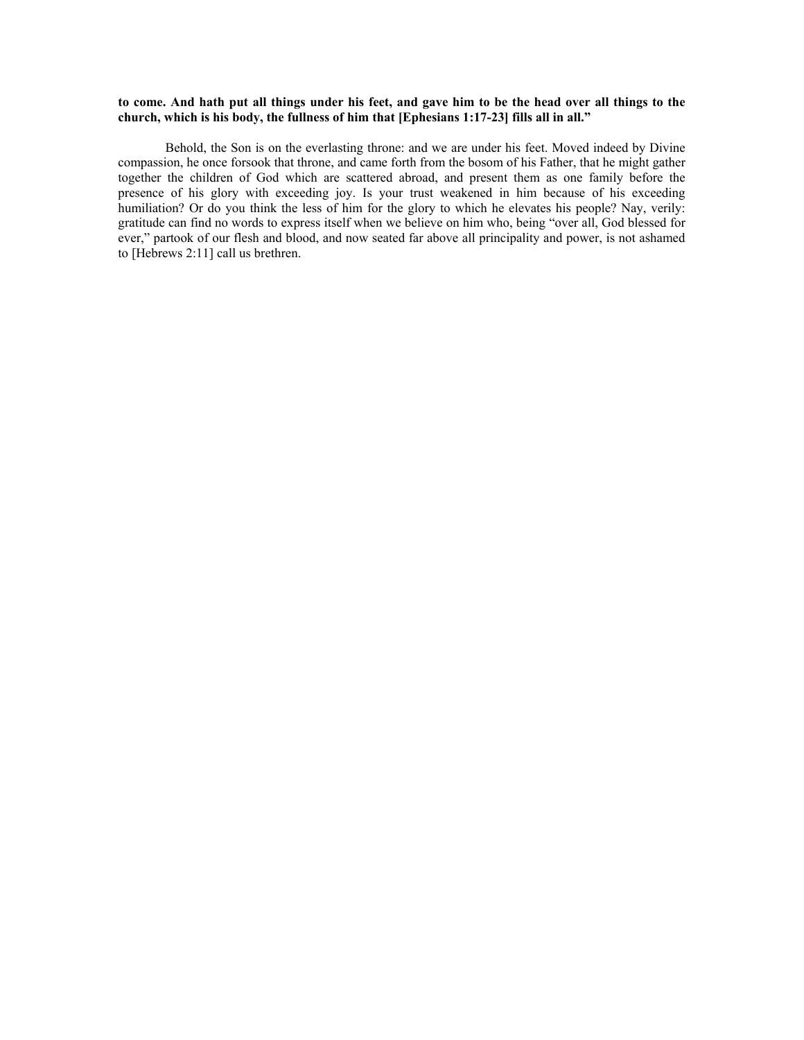#### **to come. And hath put all things under his feet, and gave him to be the head over all things to the church, which is his body, the fullness of him that [Ephesians 1:17-23] fills all in all."**

Behold, the Son is on the everlasting throne: and we are under his feet. Moved indeed by Divine compassion, he once forsook that throne, and came forth from the bosom of his Father, that he might gather together the children of God which are scattered abroad, and present them as one family before the presence of his glory with exceeding joy. Is your trust weakened in him because of his exceeding humiliation? Or do you think the less of him for the glory to which he elevates his people? Nay, verily: gratitude can find no words to express itself when we believe on him who, being "over all, God blessed for ever," partook of our flesh and blood, and now seated far above all principality and power, is not ashamed to [Hebrews 2:11] call us brethren.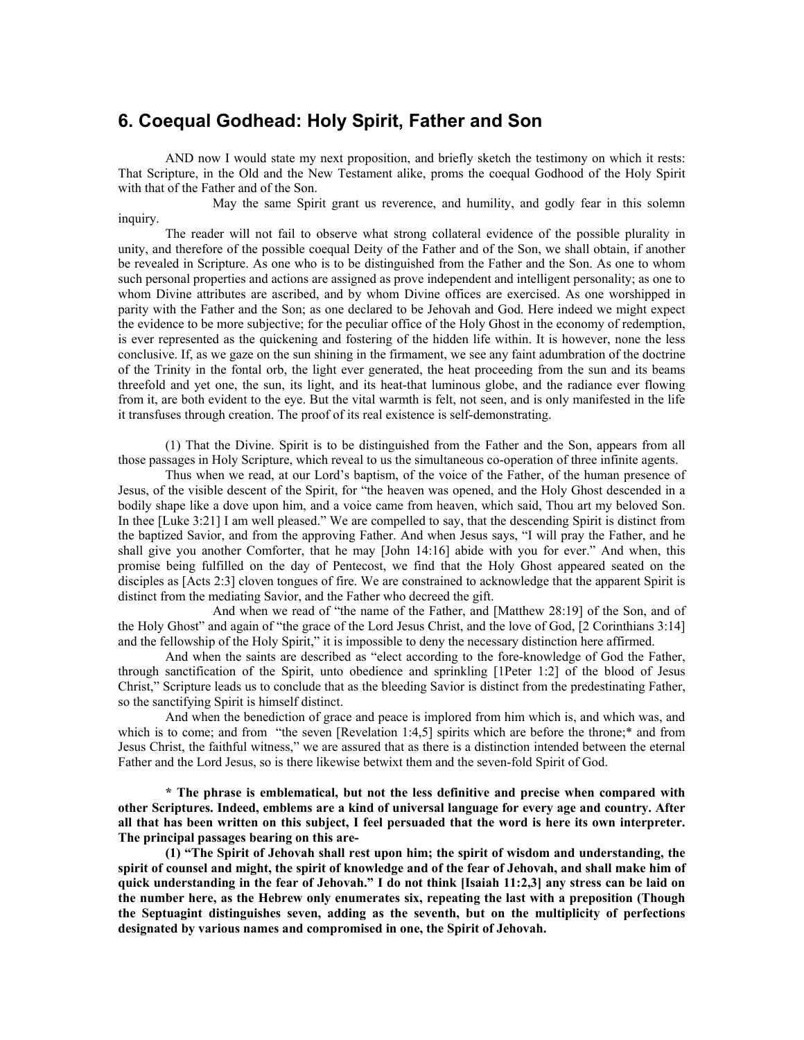# **6. Coequal Godhead: Holy Spirit, Father and Son**

AND now I would state my next proposition, and briefly sketch the testimony on which it rests: That Scripture, in the Old and the New Testament alike, proms the coequal Godhood of the Holy Spirit with that of the Father and of the Son.

 May the same Spirit grant us reverence, and humility, and godly fear in this solemn inquiry.

 The reader will not fail to observe what strong collateral evidence of the possible plurality in unity, and therefore of the possible coequal Deity of the Father and of the Son, we shall obtain, if another be revealed in Scripture. As one who is to be distinguished from the Father and the Son. As one to whom such personal properties and actions are assigned as prove independent and intelligent personality; as one to whom Divine attributes are ascribed, and by whom Divine offices are exercised. As one worshipped in parity with the Father and the Son; as one declared to be Jehovah and God. Here indeed we might expect the evidence to be more subjective; for the peculiar office of the Holy Ghost in the economy of redemption, is ever represented as the quickening and fostering of the hidden life within. It is however, none the less conclusive. If, as we gaze on the sun shining in the firmament, we see any faint adumbration of the doctrine of the Trinity in the fontal orb, the light ever generated, the heat proceeding from the sun and its beams threefold and yet one, the sun, its light, and its heat-that luminous globe, and the radiance ever flowing from it, are both evident to the eye. But the vital warmth is felt, not seen, and is only manifested in the life it transfuses through creation. The proof of its real existence is self-demonstrating.

 (1) That the Divine. Spirit is to be distinguished from the Father and the Son, appears from all those passages in Holy Scripture, which reveal to us the simultaneous co-operation of three infinite agents.

Thus when we read, at our Lord's baptism, of the voice of the Father, of the human presence of Jesus, of the visible descent of the Spirit, for "the heaven was opened, and the Holy Ghost descended in a bodily shape like a dove upon him, and a voice came from heaven, which said, Thou art my beloved Son. In thee [Luke 3:21] I am well pleased." We are compelled to say, that the descending Spirit is distinct from the baptized Savior, and from the approving Father. And when Jesus says, "I will pray the Father, and he shall give you another Comforter, that he may [John 14:16] abide with you for ever." And when, this promise being fulfilled on the day of Pentecost, we find that the Holy Ghost appeared seated on the disciples as [Acts 2:3] cloven tongues of fire. We are constrained to acknowledge that the apparent Spirit is distinct from the mediating Savior, and the Father who decreed the gift.

 And when we read of "the name of the Father, and [Matthew 28:19] of the Son, and of the Holy Ghost" and again of "the grace of the Lord Jesus Christ, and the love of God, [2 Corinthians 3:14] and the fellowship of the Holy Spirit," it is impossible to deny the necessary distinction here affirmed.

And when the saints are described as "elect according to the fore-knowledge of God the Father, through sanctification of the Spirit, unto obedience and sprinkling [1Peter 1:2] of the blood of Jesus Christ," Scripture leads us to conclude that as the bleeding Savior is distinct from the predestinating Father, so the sanctifying Spirit is himself distinct.

And when the benediction of grace and peace is implored from him which is, and which was, and which is to come; and from "the seven [Revelation 1:4,5] spirits which are before the throne;\* and from Jesus Christ, the faithful witness," we are assured that as there is a distinction intended between the eternal Father and the Lord Jesus, so is there likewise betwixt them and the seven-fold Spirit of God.

**\* The phrase is emblematical, but not the less definitive and precise when compared with other Scriptures. Indeed, emblems are a kind of universal language for every age and country. After all that has been written on this subject, I feel persuaded that the word is here its own interpreter. The principal passages bearing on this are-** 

 **(1) "The Spirit of Jehovah shall rest upon him; the spirit of wisdom and understanding, the spirit of counsel and might, the spirit of knowledge and of the fear of Jehovah, and shall make him of quick understanding in the fear of Jehovah." I do not think [Isaiah 11:2,3] any stress can be laid on the number here, as the Hebrew only enumerates six, repeating the last with a preposition (Though the Septuagint distinguishes seven, adding as the seventh, but on the multiplicity of perfections designated by various names and compromised in one, the Spirit of Jehovah.**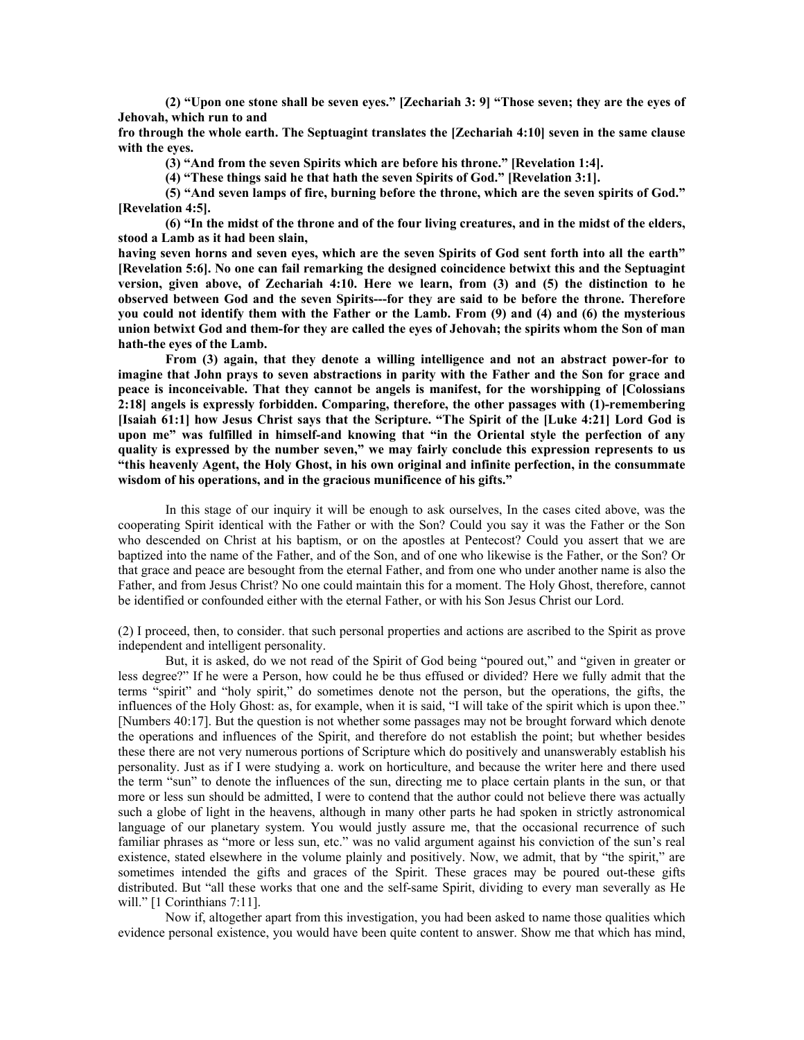**(2) "Upon one stone shall be seven eyes." [Zechariah 3: 9] "Those seven; they are the eyes of Jehovah, which run to and** 

**fro through the whole earth. The Septuagint translates the [Zechariah 4:10] seven in the same clause with the eyes.** 

 **(3) "And from the seven Spirits which are before his throne." [Revelation 1:4].** 

 **(4) "These things said he that hath the seven Spirits of God." [Revelation 3:1].** 

 **(5) "And seven lamps of fire, burning before the throne, which are the seven spirits of God." [Revelation 4:5].** 

 **(6) "In the midst of the throne and of the four living creatures, and in the midst of the elders, stood a Lamb as it had been slain,** 

**having seven horns and seven eyes, which are the seven Spirits of God sent forth into all the earth" [Revelation 5:6]. No one can fail remarking the designed coincidence betwixt this and the Septuagint version, given above, of Zechariah 4:10. Here we learn, from (3) and (5) the distinction to he observed between God and the seven Spirits---for they are said to be before the throne. Therefore you could not identify them with the Father or the Lamb. From (9) and (4) and (6) the mysterious union betwixt God and them-for they are called the eyes of Jehovah; the spirits whom the Son of man hath-the eyes of the Lamb.** 

 **From (3) again, that they denote a willing intelligence and not an abstract power-for to imagine that John prays to seven abstractions in parity with the Father and the Son for grace and peace is inconceivable. That they cannot be angels is manifest, for the worshipping of [Colossians 2:18] angels is expressly forbidden. Comparing, therefore, the other passages with (1)-remembering [Isaiah 61:1] how Jesus Christ says that the Scripture. "The Spirit of the [Luke 4:21] Lord God is upon me" was fulfilled in himself-and knowing that "in the Oriental style the perfection of any quality is expressed by the number seven," we may fairly conclude this expression represents to us "this heavenly Agent, the Holy Ghost, in his own original and infinite perfection, in the consummate wisdom of his operations, and in the gracious munificence of his gifts."** 

In this stage of our inquiry it will be enough to ask ourselves, In the cases cited above, was the cooperating Spirit identical with the Father or with the Son? Could you say it was the Father or the Son who descended on Christ at his baptism, or on the apostles at Pentecost? Could you assert that we are baptized into the name of the Father, and of the Son, and of one who likewise is the Father, or the Son? Or that grace and peace are besought from the eternal Father, and from one who under another name is also the Father, and from Jesus Christ? No one could maintain this for a moment. The Holy Ghost, therefore, cannot be identified or confounded either with the eternal Father, or with his Son Jesus Christ our Lord.

(2) I proceed, then, to consider. that such personal properties and actions are ascribed to the Spirit as prove independent and intelligent personality.

But, it is asked, do we not read of the Spirit of God being "poured out," and "given in greater or less degree?" If he were a Person, how could he be thus effused or divided? Here we fully admit that the terms "spirit" and "holy spirit," do sometimes denote not the person, but the operations, the gifts, the influences of the Holy Ghost: as, for example, when it is said, "I will take of the spirit which is upon thee." [Numbers 40:17]. But the question is not whether some passages may not be brought forward which denote the operations and influences of the Spirit, and therefore do not establish the point; but whether besides these there are not very numerous portions of Scripture which do positively and unanswerably establish his personality. Just as if I were studying a. work on horticulture, and because the writer here and there used the term "sun" to denote the influences of the sun, directing me to place certain plants in the sun, or that more or less sun should be admitted, I were to contend that the author could not believe there was actually such a globe of light in the heavens, although in many other parts he had spoken in strictly astronomical language of our planetary system. You would justly assure me, that the occasional recurrence of such familiar phrases as "more or less sun, etc." was no valid argument against his conviction of the sun's real existence, stated elsewhere in the volume plainly and positively. Now, we admit, that by "the spirit," are sometimes intended the gifts and graces of the Spirit. These graces may be poured out-these gifts distributed. But "all these works that one and the self-same Spirit, dividing to every man severally as He will." [1 Corinthians 7:11].

 Now if, altogether apart from this investigation, you had been asked to name those qualities which evidence personal existence, you would have been quite content to answer. Show me that which has mind,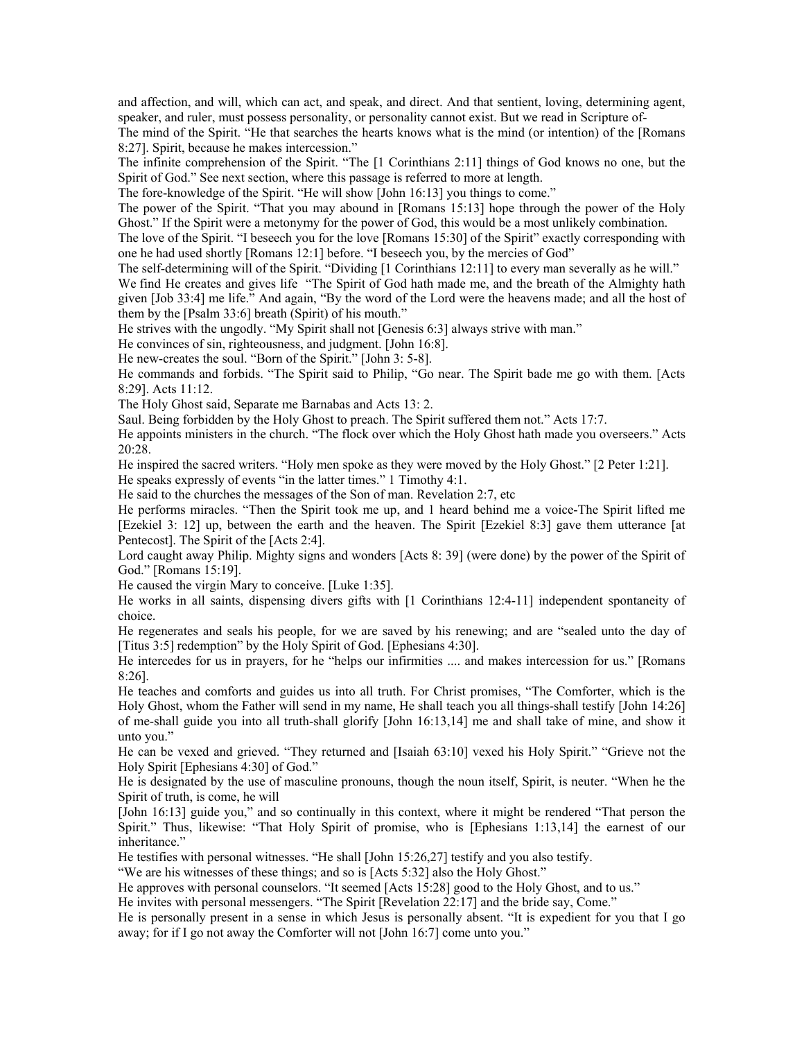and affection, and will, which can act, and speak, and direct. And that sentient, loving, determining agent, speaker, and ruler, must possess personality, or personality cannot exist. But we read in Scripture of-

The mind of the Spirit. "He that searches the hearts knows what is the mind (or intention) of the [Romans 8:27]. Spirit, because he makes intercession."

The infinite comprehension of the Spirit. "The [1 Corinthians 2:11] things of God knows no one, but the Spirit of God." See next section, where this passage is referred to more at length.

The fore-knowledge of the Spirit. "He will show [John 16:13] you things to come."

The power of the Spirit. "That you may abound in [Romans 15:13] hope through the power of the Holy Ghost." If the Spirit were a metonymy for the power of God, this would be a most unlikely combination.

The love of the Spirit. "I beseech you for the love [Romans 15:30] of the Spirit" exactly corresponding with one he had used shortly [Romans 12:1] before. "I beseech you, by the mercies of God"

The self-determining will of the Spirit. "Dividing [1 Corinthians 12:11] to every man severally as he will." We find He creates and gives life "The Spirit of God hath made me, and the breath of the Almighty hath given [Job 33:4] me life." And again, "By the word of the Lord were the heavens made; and all the host of them by the [Psalm 33:6] breath (Spirit) of his mouth."

He strives with the ungodly. "My Spirit shall not [Genesis 6:3] always strive with man."

He convinces of sin, righteousness, and judgment. [John 16:8].

He new-creates the soul. "Born of the Spirit." [John 3: 5-8].

He commands and forbids. "The Spirit said to Philip, "Go near. The Spirit bade me go with them. [Acts 8:29]. Acts 11:12.

The Holy Ghost said, Separate me Barnabas and Acts 13: 2.

Saul. Being forbidden by the Holy Ghost to preach. The Spirit suffered them not." Acts 17:7.

He appoints ministers in the church. "The flock over which the Holy Ghost hath made you overseers." Acts 20:28.

He inspired the sacred writers. "Holy men spoke as they were moved by the Holy Ghost." [2 Peter 1:21].

He speaks expressly of events "in the latter times." 1 Timothy 4:1.

He said to the churches the messages of the Son of man. Revelation 2:7, etc

He performs miracles. "Then the Spirit took me up, and 1 heard behind me a voice-The Spirit lifted me [Ezekiel 3: 12] up, between the earth and the heaven. The Spirit [Ezekiel 8:3] gave them utterance [at Pentecost]. The Spirit of the [Acts 2:4].

Lord caught away Philip. Mighty signs and wonders [Acts 8: 39] (were done) by the power of the Spirit of God." [Romans 15:19].

He caused the virgin Mary to conceive. [Luke 1:35].

He works in all saints, dispensing divers gifts with [1 Corinthians 12:4-11] independent spontaneity of choice.

He regenerates and seals his people, for we are saved by his renewing; and are "sealed unto the day of [Titus 3:5] redemption" by the Holy Spirit of God. [Ephesians 4:30].

He intercedes for us in prayers, for he "helps our infirmities .... and makes intercession for us." [Romans 8:26].

He teaches and comforts and guides us into all truth. For Christ promises, "The Comforter, which is the Holy Ghost, whom the Father will send in my name, He shall teach you all things-shall testify [John 14:26] of me-shall guide you into all truth-shall glorify [John 16:13,14] me and shall take of mine, and show it unto you."

He can be vexed and grieved. "They returned and [Isaiah 63:10] vexed his Holy Spirit." "Grieve not the Holy Spirit [Ephesians 4:30] of God."

He is designated by the use of masculine pronouns, though the noun itself, Spirit, is neuter. "When he the Spirit of truth, is come, he will

[John 16:13] guide you," and so continually in this context, where it might be rendered "That person the Spirit." Thus, likewise: "That Holy Spirit of promise, who is [Ephesians 1:13,14] the earnest of our inheritance."

He testifies with personal witnesses. "He shall [John 15:26,27] testify and you also testify.

"We are his witnesses of these things; and so is [Acts 5:32] also the Holy Ghost."

He approves with personal counselors. "It seemed [Acts 15:28] good to the Holy Ghost, and to us."

He invites with personal messengers. "The Spirit [Revelation 22:17] and the bride say, Come."

He is personally present in a sense in which Jesus is personally absent. "It is expedient for you that I go away; for if I go not away the Comforter will not [John 16:7] come unto you."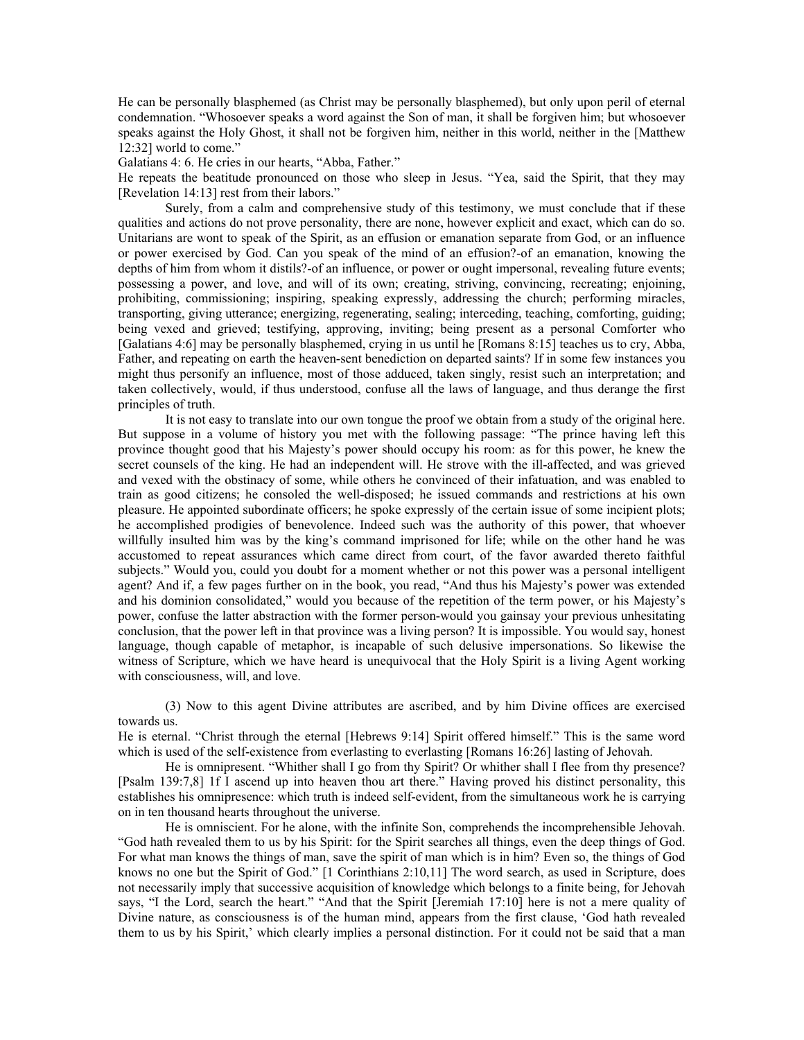He can be personally blasphemed (as Christ may be personally blasphemed), but only upon peril of eternal condemnation. "Whosoever speaks a word against the Son of man, it shall be forgiven him; but whosoever speaks against the Holy Ghost, it shall not be forgiven him, neither in this world, neither in the [Matthew 12:32] world to come."

Galatians 4: 6. He cries in our hearts, "Abba, Father."

He repeats the beatitude pronounced on those who sleep in Jesus. "Yea, said the Spirit, that they may [Revelation 14:13] rest from their labors."

Surely, from a calm and comprehensive study of this testimony, we must conclude that if these qualities and actions do not prove personality, there are none, however explicit and exact, which can do so. Unitarians are wont to speak of the Spirit, as an effusion or emanation separate from God, or an influence or power exercised by God. Can you speak of the mind of an effusion?-of an emanation, knowing the depths of him from whom it distils?-of an influence, or power or ought impersonal, revealing future events; possessing a power, and love, and will of its own; creating, striving, convincing, recreating; enjoining, prohibiting, commissioning; inspiring, speaking expressly, addressing the church; performing miracles, transporting, giving utterance; energizing, regenerating, sealing; interceding, teaching, comforting, guiding; being vexed and grieved; testifying, approving, inviting; being present as a personal Comforter who [Galatians 4:6] may be personally blasphemed, crying in us until he [Romans 8:15] teaches us to cry, Abba, Father, and repeating on earth the heaven-sent benediction on departed saints? If in some few instances you might thus personify an influence, most of those adduced, taken singly, resist such an interpretation; and taken collectively, would, if thus understood, confuse all the laws of language, and thus derange the first principles of truth.

 It is not easy to translate into our own tongue the proof we obtain from a study of the original here. But suppose in a volume of history you met with the following passage: "The prince having left this province thought good that his Majesty's power should occupy his room: as for this power, he knew the secret counsels of the king. He had an independent will. He strove with the ill-affected, and was grieved and vexed with the obstinacy of some, while others he convinced of their infatuation, and was enabled to train as good citizens; he consoled the well-disposed; he issued commands and restrictions at his own pleasure. He appointed subordinate officers; he spoke expressly of the certain issue of some incipient plots; he accomplished prodigies of benevolence. Indeed such was the authority of this power, that whoever willfully insulted him was by the king's command imprisoned for life; while on the other hand he was accustomed to repeat assurances which came direct from court, of the favor awarded thereto faithful subjects." Would you, could you doubt for a moment whether or not this power was a personal intelligent agent? And if, a few pages further on in the book, you read, "And thus his Majesty's power was extended and his dominion consolidated," would you because of the repetition of the term power, or his Majesty's power, confuse the latter abstraction with the former person-would you gainsay your previous unhesitating conclusion, that the power left in that province was a living person? It is impossible. You would say, honest language, though capable of metaphor, is incapable of such delusive impersonations. So likewise the witness of Scripture, which we have heard is unequivocal that the Holy Spirit is a living Agent working with consciousness, will, and love.

 (3) Now to this agent Divine attributes are ascribed, and by him Divine offices are exercised towards us.

He is eternal. "Christ through the eternal [Hebrews 9:14] Spirit offered himself." This is the same word which is used of the self-existence from everlasting to everlasting [Romans 16:26] lasting of Jehovah.

 He is omnipresent. "Whither shall I go from thy Spirit? Or whither shall I flee from thy presence? [Psalm 139:7,8] 1f I ascend up into heaven thou art there." Having proved his distinct personality, this establishes his omnipresence: which truth is indeed self-evident, from the simultaneous work he is carrying on in ten thousand hearts throughout the universe.

 He is omniscient. For he alone, with the infinite Son, comprehends the incomprehensible Jehovah. "God hath revealed them to us by his Spirit: for the Spirit searches all things, even the deep things of God. For what man knows the things of man, save the spirit of man which is in him? Even so, the things of God knows no one but the Spirit of God." [1 Corinthians 2:10,11] The word search, as used in Scripture, does not necessarily imply that successive acquisition of knowledge which belongs to a finite being, for Jehovah says, "I the Lord, search the heart." "And that the Spirit [Jeremiah 17:10] here is not a mere quality of Divine nature, as consciousness is of the human mind, appears from the first clause, 'God hath revealed them to us by his Spirit,' which clearly implies a personal distinction. For it could not be said that a man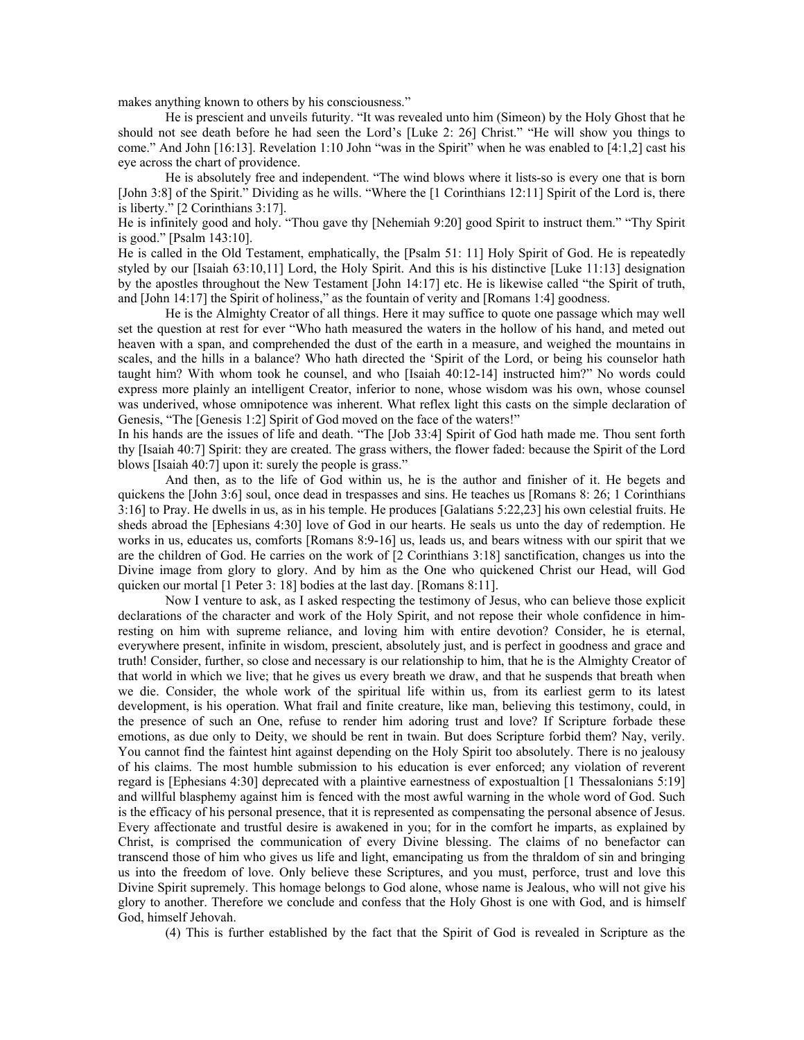makes anything known to others by his consciousness."

 He is prescient and unveils futurity. "It was revealed unto him (Simeon) by the Holy Ghost that he should not see death before he had seen the Lord's [Luke 2: 26] Christ." "He will show you things to come." And John  $[16:13]$ . Revelation 1:10 John "was in the Spirit" when he was enabled to  $[4:1,2]$  cast his eye across the chart of providence.

He is absolutely free and independent. "The wind blows where it lists-so is every one that is born [John 3:8] of the Spirit." Dividing as he wills. "Where the [1 Corinthians 12:11] Spirit of the Lord is, there is liberty." [2 Corinthians 3:17].

He is infinitely good and holy. "Thou gave thy [Nehemiah 9:20] good Spirit to instruct them." "Thy Spirit is good." [Psalm 143:10].

He is called in the Old Testament, emphatically, the [Psalm 51: 11] Holy Spirit of God. He is repeatedly styled by our [Isaiah 63:10,11] Lord, the Holy Spirit. And this is his distinctive [Luke 11:13] designation by the apostles throughout the New Testament [John 14:17] etc. He is likewise called "the Spirit of truth, and [John 14:17] the Spirit of holiness," as the fountain of verity and [Romans 1:4] goodness.

 He is the Almighty Creator of all things. Here it may suffice to quote one passage which may well set the question at rest for ever "Who hath measured the waters in the hollow of his hand, and meted out heaven with a span, and comprehended the dust of the earth in a measure, and weighed the mountains in scales, and the hills in a balance? Who hath directed the 'Spirit of the Lord, or being his counselor hath taught him? With whom took he counsel, and who [Isaiah 40:12-14] instructed him?" No words could express more plainly an intelligent Creator, inferior to none, whose wisdom was his own, whose counsel was underived, whose omnipotence was inherent. What reflex light this casts on the simple declaration of Genesis, "The [Genesis 1:2] Spirit of God moved on the face of the waters!"

In his hands are the issues of life and death. "The [Job 33:4] Spirit of God hath made me. Thou sent forth thy [Isaiah 40:7] Spirit: they are created. The grass withers, the flower faded: because the Spirit of the Lord blows [Isaiah 40:7] upon it: surely the people is grass."

 And then, as to the life of God within us, he is the author and finisher of it. He begets and quickens the [John 3:6] soul, once dead in trespasses and sins. He teaches us [Romans 8: 26; 1 Corinthians 3:16] to Pray. He dwells in us, as in his temple. He produces [Galatians 5:22,23] his own celestial fruits. He sheds abroad the [Ephesians 4:30] love of God in our hearts. He seals us unto the day of redemption. He works in us, educates us, comforts [Romans 8:9-16] us, leads us, and bears witness with our spirit that we are the children of God. He carries on the work of [2 Corinthians 3:18] sanctification, changes us into the Divine image from glory to glory. And by him as the One who quickened Christ our Head, will God quicken our mortal [1 Peter 3: 18] bodies at the last day. [Romans 8:11].

 Now I venture to ask, as I asked respecting the testimony of Jesus, who can believe those explicit declarations of the character and work of the Holy Spirit, and not repose their whole confidence in himresting on him with supreme reliance, and loving him with entire devotion? Consider, he is eternal, everywhere present, infinite in wisdom, prescient, absolutely just, and is perfect in goodness and grace and truth! Consider, further, so close and necessary is our relationship to him, that he is the Almighty Creator of that world in which we live; that he gives us every breath we draw, and that he suspends that breath when we die. Consider, the whole work of the spiritual life within us, from its earliest germ to its latest development, is his operation. What frail and finite creature, like man, believing this testimony, could, in the presence of such an One, refuse to render him adoring trust and love? If Scripture forbade these emotions, as due only to Deity, we should be rent in twain. But does Scripture forbid them? Nay, verily. You cannot find the faintest hint against depending on the Holy Spirit too absolutely. There is no jealousy of his claims. The most humble submission to his education is ever enforced; any violation of reverent regard is [Ephesians 4:30] deprecated with a plaintive earnestness of expostualtion [1 Thessalonians 5:19] and willful blasphemy against him is fenced with the most awful warning in the whole word of God. Such is the efficacy of his personal presence, that it is represented as compensating the personal absence of Jesus. Every affectionate and trustful desire is awakened in you; for in the comfort he imparts, as explained by Christ, is comprised the communication of every Divine blessing. The claims of no benefactor can transcend those of him who gives us life and light, emancipating us from the thraldom of sin and bringing us into the freedom of love. Only believe these Scriptures, and you must, perforce, trust and love this Divine Spirit supremely. This homage belongs to God alone, whose name is Jealous, who will not give his glory to another. Therefore we conclude and confess that the Holy Ghost is one with God, and is himself God, himself Jehovah.

(4) This is further established by the fact that the Spirit of God is revealed in Scripture as the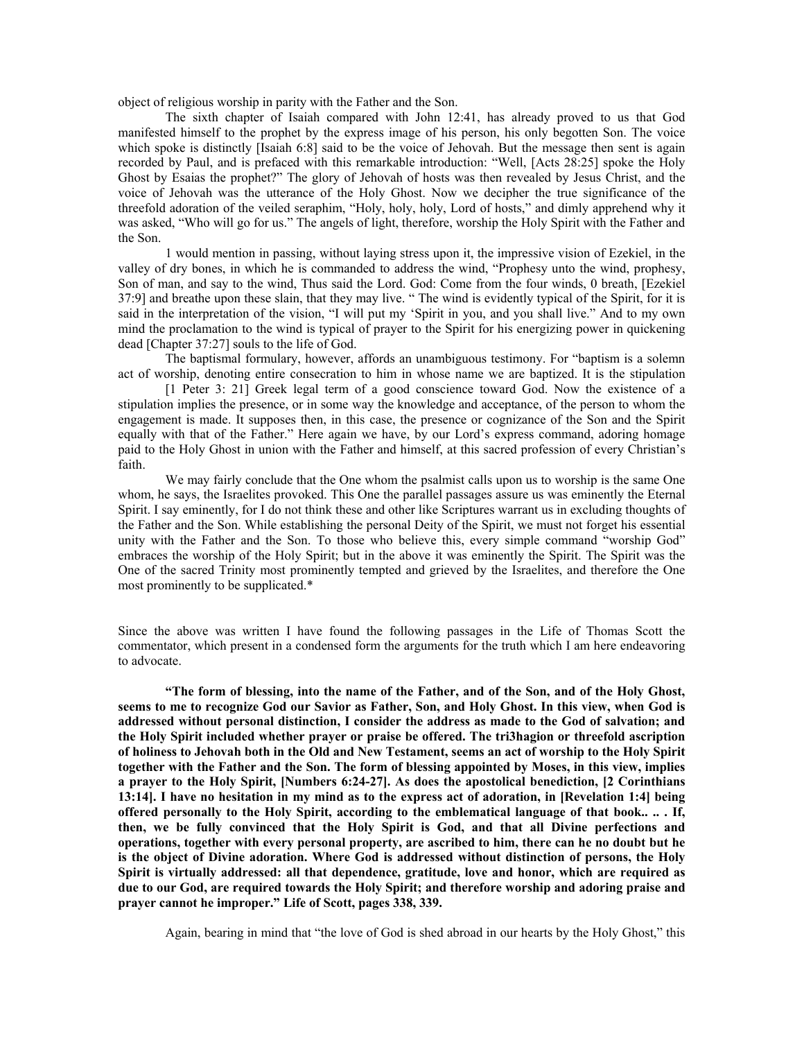object of religious worship in parity with the Father and the Son.

 The sixth chapter of Isaiah compared with John 12:41, has already proved to us that God manifested himself to the prophet by the express image of his person, his only begotten Son. The voice which spoke is distinctly [Isaiah 6:8] said to be the voice of Jehovah. But the message then sent is again recorded by Paul, and is prefaced with this remarkable introduction: "Well, [Acts 28:25] spoke the Holy Ghost by Esaias the prophet?" The glory of Jehovah of hosts was then revealed by Jesus Christ, and the voice of Jehovah was the utterance of the Holy Ghost. Now we decipher the true significance of the threefold adoration of the veiled seraphim, "Holy, holy, holy, Lord of hosts," and dimly apprehend why it was asked, "Who will go for us." The angels of light, therefore, worship the Holy Spirit with the Father and the Son.

 1 would mention in passing, without laying stress upon it, the impressive vision of Ezekiel, in the valley of dry bones, in which he is commanded to address the wind, "Prophesy unto the wind, prophesy, Son of man, and say to the wind, Thus said the Lord. God: Come from the four winds, 0 breath, [Ezekiel 37:9] and breathe upon these slain, that they may live. " The wind is evidently typical of the Spirit, for it is said in the interpretation of the vision, "I will put my 'Spirit in you, and you shall live." And to my own mind the proclamation to the wind is typical of prayer to the Spirit for his energizing power in quickening dead [Chapter 37:27] souls to the life of God.

 The baptismal formulary, however, affords an unambiguous testimony. For "baptism is a solemn act of worship, denoting entire consecration to him in whose name we are baptized. It is the stipulation

[1 Peter 3: 21] Greek legal term of a good conscience toward God. Now the existence of a stipulation implies the presence, or in some way the knowledge and acceptance, of the person to whom the engagement is made. It supposes then, in this case, the presence or cognizance of the Son and the Spirit equally with that of the Father." Here again we have, by our Lord's express command, adoring homage paid to the Holy Ghost in union with the Father and himself, at this sacred profession of every Christian's faith.

We may fairly conclude that the One whom the psalmist calls upon us to worship is the same One whom, he says, the Israelites provoked. This One the parallel passages assure us was eminently the Eternal Spirit. I say eminently, for I do not think these and other like Scriptures warrant us in excluding thoughts of the Father and the Son. While establishing the personal Deity of the Spirit, we must not forget his essential unity with the Father and the Son. To those who believe this, every simple command "worship God" embraces the worship of the Holy Spirit; but in the above it was eminently the Spirit. The Spirit was the One of the sacred Trinity most prominently tempted and grieved by the Israelites, and therefore the One most prominently to be supplicated.\*

Since the above was written I have found the following passages in the Life of Thomas Scott the commentator, which present in a condensed form the arguments for the truth which I am here endeavoring to advocate.

**"The form of blessing, into the name of the Father, and of the Son, and of the Holy Ghost, seems to me to recognize God our Savior as Father, Son, and Holy Ghost. In this view, when God is addressed without personal distinction, I consider the address as made to the God of salvation; and the Holy Spirit included whether prayer or praise be offered. The tri3hagion or threefold ascription of holiness to Jehovah both in the Old and New Testament, seems an act of worship to the Holy Spirit together with the Father and the Son. The form of blessing appointed by Moses, in this view, implies a prayer to the Holy Spirit, [Numbers 6:24-27]. As does the apostolical benediction, [2 Corinthians 13:14]. I have no hesitation in my mind as to the express act of adoration, in [Revelation 1:4] being offered personally to the Holy Spirit, according to the emblematical language of that book.. .. . If, then, we be fully convinced that the Holy Spirit is God, and that all Divine perfections and operations, together with every personal property, are ascribed to him, there can he no doubt but he is the object of Divine adoration. Where God is addressed without distinction of persons, the Holy Spirit is virtually addressed: all that dependence, gratitude, love and honor, which are required as due to our God, are required towards the Holy Spirit; and therefore worship and adoring praise and prayer cannot he improper." Life of Scott, pages 338, 339.** 

Again, bearing in mind that "the love of God is shed abroad in our hearts by the Holy Ghost," this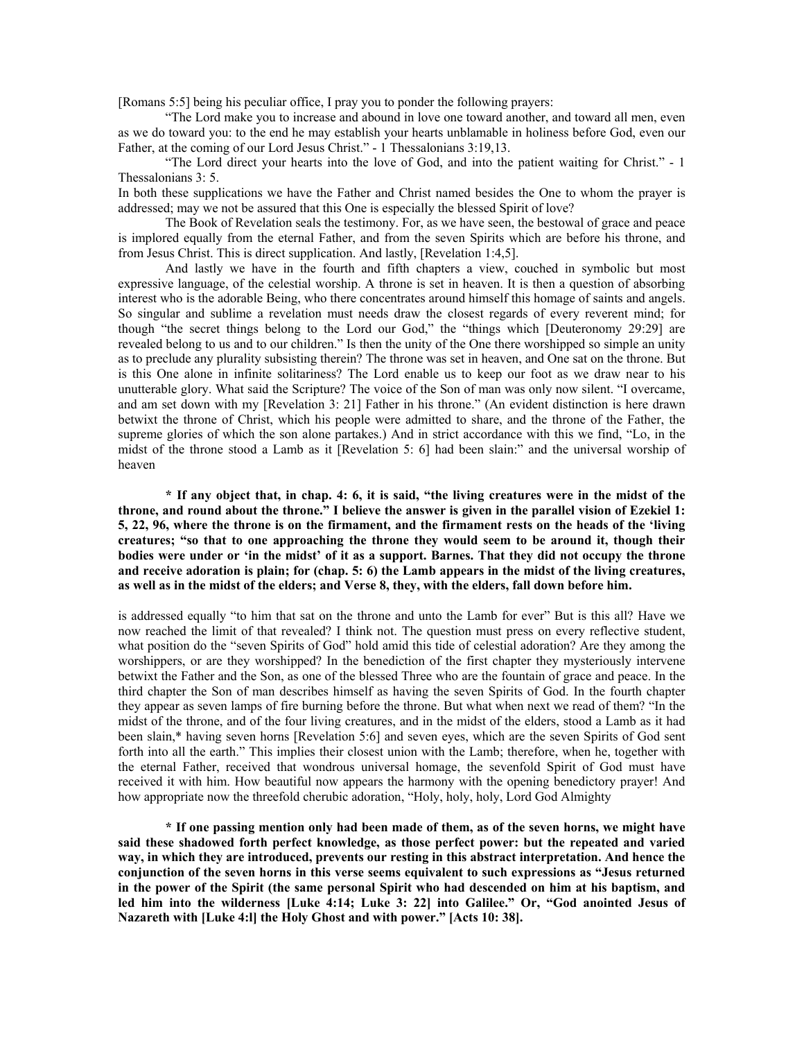[Romans 5:5] being his peculiar office, I pray you to ponder the following prayers:

"The Lord make you to increase and abound in love one toward another, and toward all men, even as we do toward you: to the end he may establish your hearts unblamable in holiness before God, even our Father, at the coming of our Lord Jesus Christ." - 1 Thessalonians 3:19,13.

"The Lord direct your hearts into the love of God, and into the patient waiting for Christ." - 1 Thessalonians 3: 5.

In both these supplications we have the Father and Christ named besides the One to whom the prayer is addressed; may we not be assured that this One is especially the blessed Spirit of love?

The Book of Revelation seals the testimony. For, as we have seen, the bestowal of grace and peace is implored equally from the eternal Father, and from the seven Spirits which are before his throne, and from Jesus Christ. This is direct supplication. And lastly, [Revelation 1:4,5].

And lastly we have in the fourth and fifth chapters a view, couched in symbolic but most expressive language, of the celestial worship. A throne is set in heaven. It is then a question of absorbing interest who is the adorable Being, who there concentrates around himself this homage of saints and angels. So singular and sublime a revelation must needs draw the closest regards of every reverent mind; for though "the secret things belong to the Lord our God," the "things which [Deuteronomy 29:29] are revealed belong to us and to our children." Is then the unity of the One there worshipped so simple an unity as to preclude any plurality subsisting therein? The throne was set in heaven, and One sat on the throne. But is this One alone in infinite solitariness? The Lord enable us to keep our foot as we draw near to his unutterable glory. What said the Scripture? The voice of the Son of man was only now silent. "I overcame, and am set down with my [Revelation 3: 21] Father in his throne." (An evident distinction is here drawn betwixt the throne of Christ, which his people were admitted to share, and the throne of the Father, the supreme glories of which the son alone partakes.) And in strict accordance with this we find, "Lo, in the midst of the throne stood a Lamb as it [Revelation 5: 6] had been slain:" and the universal worship of heaven

 **\* If any object that, in chap. 4: 6, it is said, "the living creatures were in the midst of the throne, and round about the throne." I believe the answer is given in the parallel vision of Ezekiel 1: 5, 22, 96, where the throne is on the firmament, and the firmament rests on the heads of the 'living creatures; "so that to one approaching the throne they would seem to be around it, though their bodies were under or 'in the midst' of it as a support. Barnes. That they did not occupy the throne and receive adoration is plain; for (chap. 5: 6) the Lamb appears in the midst of the living creatures, as well as in the midst of the elders; and Verse 8, they, with the elders, fall down before him.** 

is addressed equally "to him that sat on the throne and unto the Lamb for ever" But is this all? Have we now reached the limit of that revealed? I think not. The question must press on every reflective student, what position do the "seven Spirits of God" hold amid this tide of celestial adoration? Are they among the worshippers, or are they worshipped? In the benediction of the first chapter they mysteriously intervene betwixt the Father and the Son, as one of the blessed Three who are the fountain of grace and peace. In the third chapter the Son of man describes himself as having the seven Spirits of God. In the fourth chapter they appear as seven lamps of fire burning before the throne. But what when next we read of them? "In the midst of the throne, and of the four living creatures, and in the midst of the elders, stood a Lamb as it had been slain,\* having seven horns [Revelation 5:6] and seven eyes, which are the seven Spirits of God sent forth into all the earth." This implies their closest union with the Lamb; therefore, when he, together with the eternal Father, received that wondrous universal homage, the sevenfold Spirit of God must have received it with him. How beautiful now appears the harmony with the opening benedictory prayer! And how appropriate now the threefold cherubic adoration, "Holy, holy, holy, Lord God Almighty

 **\* If one passing mention only had been made of them, as of the seven horns, we might have said these shadowed forth perfect knowledge, as those perfect power: but the repeated and varied way, in which they are introduced, prevents our resting in this abstract interpretation. And hence the conjunction of the seven horns in this verse seems equivalent to such expressions as "Jesus returned in the power of the Spirit (the same personal Spirit who had descended on him at his baptism, and led him into the wilderness [Luke 4:14; Luke 3: 22] into Galilee." Or, "God anointed Jesus of Nazareth with [Luke 4:l] the Holy Ghost and with power." [Acts 10: 38].**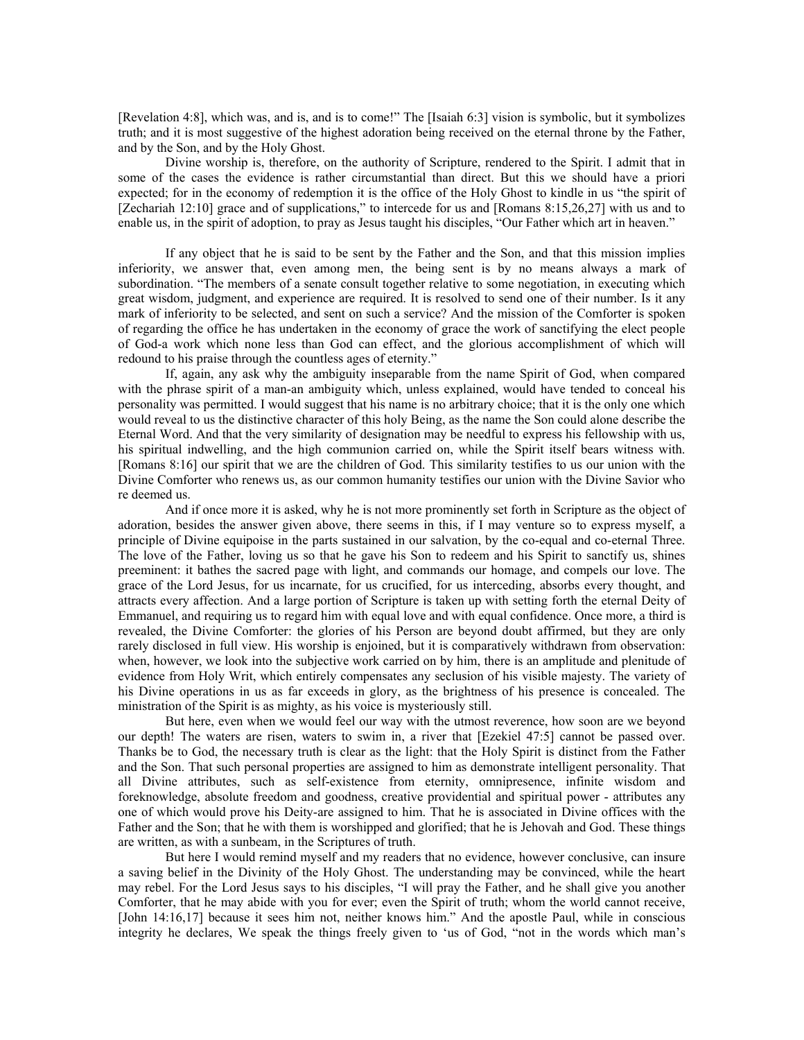[Revelation 4:8], which was, and is, and is to come!" The [Isaiah 6:3] vision is symbolic, but it symbolizes truth; and it is most suggestive of the highest adoration being received on the eternal throne by the Father, and by the Son, and by the Holy Ghost.

 Divine worship is, therefore, on the authority of Scripture, rendered to the Spirit. I admit that in some of the cases the evidence is rather circumstantial than direct. But this we should have a priori expected; for in the economy of redemption it is the office of the Holy Ghost to kindle in us "the spirit of [Zechariah 12:10] grace and of supplications," to intercede for us and [Romans 8:15,26,27] with us and to enable us, in the spirit of adoption, to pray as Jesus taught his disciples, "Our Father which art in heaven."

 If any object that he is said to be sent by the Father and the Son, and that this mission implies inferiority, we answer that, even among men, the being sent is by no means always a mark of subordination. "The members of a senate consult together relative to some negotiation, in executing which great wisdom, judgment, and experience are required. It is resolved to send one of their number. Is it any mark of inferiority to be selected, and sent on such a service? And the mission of the Comforter is spoken of regarding the office he has undertaken in the economy of grace the work of sanctifying the elect people of God-a work which none less than God can effect, and the glorious accomplishment of which will redound to his praise through the countless ages of eternity."

If, again, any ask why the ambiguity inseparable from the name Spirit of God, when compared with the phrase spirit of a man-an ambiguity which, unless explained, would have tended to conceal his personality was permitted. I would suggest that his name is no arbitrary choice; that it is the only one which would reveal to us the distinctive character of this holy Being, as the name the Son could alone describe the Eternal Word. And that the very similarity of designation may be needful to express his fellowship with us, his spiritual indwelling, and the high communion carried on, while the Spirit itself bears witness with. [Romans 8:16] our spirit that we are the children of God. This similarity testifies to us our union with the Divine Comforter who renews us, as our common humanity testifies our union with the Divine Savior who re deemed us.

 And if once more it is asked, why he is not more prominently set forth in Scripture as the object of adoration, besides the answer given above, there seems in this, if I may venture so to express myself, a principle of Divine equipoise in the parts sustained in our salvation, by the co-equal and co-eternal Three. The love of the Father, loving us so that he gave his Son to redeem and his Spirit to sanctify us, shines preeminent: it bathes the sacred page with light, and commands our homage, and compels our love. The grace of the Lord Jesus, for us incarnate, for us crucified, for us interceding, absorbs every thought, and attracts every affection. And a large portion of Scripture is taken up with setting forth the eternal Deity of Emmanuel, and requiring us to regard him with equal love and with equal confidence. Once more, a third is revealed, the Divine Comforter: the glories of his Person are beyond doubt affirmed, but they are only rarely disclosed in full view. His worship is enjoined, but it is comparatively withdrawn from observation: when, however, we look into the subjective work carried on by him, there is an amplitude and plenitude of evidence from Holy Writ, which entirely compensates any seclusion of his visible majesty. The variety of his Divine operations in us as far exceeds in glory, as the brightness of his presence is concealed. The ministration of the Spirit is as mighty, as his voice is mysteriously still.

 But here, even when we would feel our way with the utmost reverence, how soon are we beyond our depth! The waters are risen, waters to swim in, a river that [Ezekiel 47:5] cannot be passed over. Thanks be to God, the necessary truth is clear as the light: that the Holy Spirit is distinct from the Father and the Son. That such personal properties are assigned to him as demonstrate intelligent personality. That all Divine attributes, such as self-existence from eternity, omnipresence, infinite wisdom and foreknowledge, absolute freedom and goodness, creative providential and spiritual power - attributes any one of which would prove his Deity-are assigned to him. That he is associated in Divine offices with the Father and the Son; that he with them is worshipped and glorified; that he is Jehovah and God. These things are written, as with a sunbeam, in the Scriptures of truth.

 But here I would remind myself and my readers that no evidence, however conclusive, can insure a saving belief in the Divinity of the Holy Ghost. The understanding may be convinced, while the heart may rebel. For the Lord Jesus says to his disciples, "I will pray the Father, and he shall give you another Comforter, that he may abide with you for ever; even the Spirit of truth; whom the world cannot receive, [John 14:16,17] because it sees him not, neither knows him." And the apostle Paul, while in conscious integrity he declares, We speak the things freely given to 'us of God, "not in the words which man's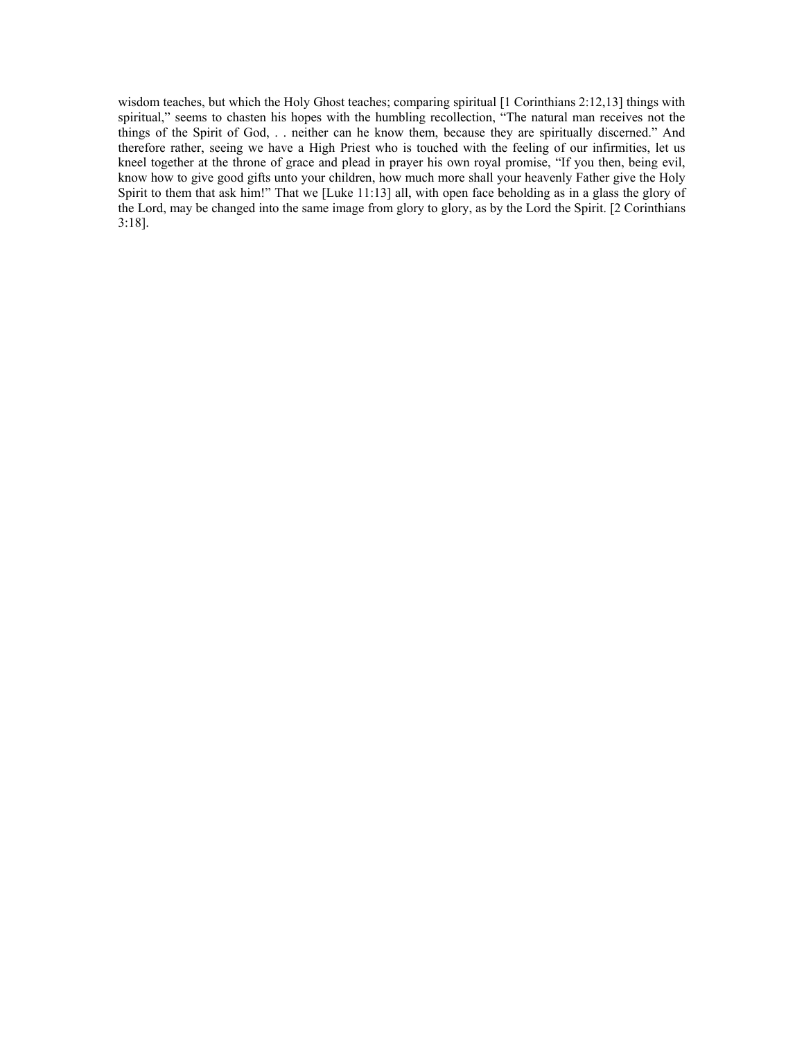wisdom teaches, but which the Holy Ghost teaches; comparing spiritual [1 Corinthians 2:12,13] things with spiritual," seems to chasten his hopes with the humbling recollection, "The natural man receives not the things of the Spirit of God, . . neither can he know them, because they are spiritually discerned." And therefore rather, seeing we have a High Priest who is touched with the feeling of our infirmities, let us kneel together at the throne of grace and plead in prayer his own royal promise, "If you then, being evil, know how to give good gifts unto your children, how much more shall your heavenly Father give the Holy Spirit to them that ask him!" That we [Luke 11:13] all, with open face beholding as in a glass the glory of the Lord, may be changed into the same image from glory to glory, as by the Lord the Spirit. [2 Corinthians 3:18].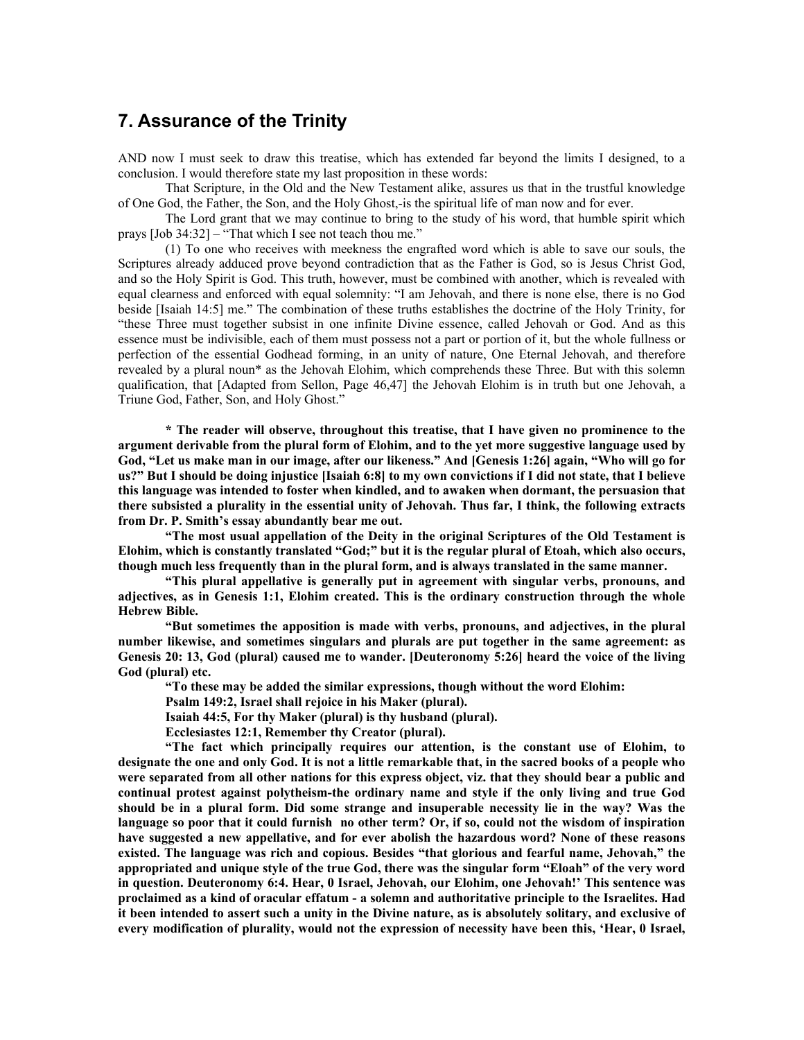# **7. Assurance of the Trinity**

AND now I must seek to draw this treatise, which has extended far beyond the limits I designed, to a conclusion. I would therefore state my last proposition in these words:

 That Scripture, in the Old and the New Testament alike, assures us that in the trustful knowledge of One God, the Father, the Son, and the Holy Ghost,-is the spiritual life of man now and for ever.

 The Lord grant that we may continue to bring to the study of his word, that humble spirit which prays [Job 34:32] – "That which I see not teach thou me."

 (1) To one who receives with meekness the engrafted word which is able to save our souls, the Scriptures already adduced prove beyond contradiction that as the Father is God, so is Jesus Christ God, and so the Holy Spirit is God. This truth, however, must be combined with another, which is revealed with equal clearness and enforced with equal solemnity: "I am Jehovah, and there is none else, there is no God beside [Isaiah 14:5] me." The combination of these truths establishes the doctrine of the Holy Trinity, for "these Three must together subsist in one infinite Divine essence, called Jehovah or God. And as this essence must be indivisible, each of them must possess not a part or portion of it, but the whole fullness or perfection of the essential Godhead forming, in an unity of nature, One Eternal Jehovah, and therefore revealed by a plural noun\* as the Jehovah Elohim, which comprehends these Three. But with this solemn qualification, that [Adapted from Sellon, Page 46,47] the Jehovah Elohim is in truth but one Jehovah, a Triune God, Father, Son, and Holy Ghost."

 **\* The reader will observe, throughout this treatise, that I have given no prominence to the argument derivable from the plural form of Elohim, and to the yet more suggestive language used by God, "Let us make man in our image, after our likeness." And [Genesis 1:26] again, "Who will go for us?" But I should be doing injustice [Isaiah 6:8] to my own convictions if I did not state, that I believe this language was intended to foster when kindled, and to awaken when dormant, the persuasion that there subsisted a plurality in the essential unity of Jehovah. Thus far, I think, the following extracts from Dr. P. Smith's essay abundantly bear me out.** 

 **"The most usual appellation of the Deity in the original Scriptures of the Old Testament is Elohim, which is constantly translated "God;" but it is the regular plural of Etoah, which also occurs, though much less frequently than in the plural form, and is always translated in the same manner.** 

 **"This plural appellative is generally put in agreement with singular verbs, pronouns, and adjectives, as in Genesis 1:1, Elohim created. This is the ordinary construction through the whole Hebrew Bible.** 

 **"But sometimes the apposition is made with verbs, pronouns, and adjectives, in the plural number likewise, and sometimes singulars and plurals are put together in the same agreement: as Genesis 20: 13, God (plural) caused me to wander. [Deuteronomy 5:26] heard the voice of the living God (plural) etc.** 

 **"To these may be added the similar expressions, though without the word Elohim:** 

 **Psalm 149:2, Israel shall rejoice in his Maker (plural).** 

**Isaiah 44:5, For thy Maker (plural) is thy husband (plural).** 

**Ecclesiastes 12:1, Remember thy Creator (plural).** 

 **"The fact which principally requires our attention, is the constant use of Elohim, to designate the one and only God. It is not a little remarkable that, in the sacred books of a people who were separated from all other nations for this express object, viz. that they should bear a public and continual protest against polytheism-the ordinary name and style if the only living and true God should be in a plural form. Did some strange and insuperable necessity lie in the way? Was the language so poor that it could furnish no other term? Or, if so, could not the wisdom of inspiration have suggested a new appellative, and for ever abolish the hazardous word? None of these reasons existed. The language was rich and copious. Besides "that glorious and fearful name, Jehovah," the appropriated and unique style of the true God, there was the singular form "Eloah" of the very word in question. Deuteronomy 6:4. Hear, 0 Israel, Jehovah, our Elohim, one Jehovah!' This sentence was proclaimed as a kind of oracular effatum - a solemn and authoritative principle to the Israelites. Had it been intended to assert such a unity in the Divine nature, as is absolutely solitary, and exclusive of every modification of plurality, would not the expression of necessity have been this, 'Hear, 0 Israel,**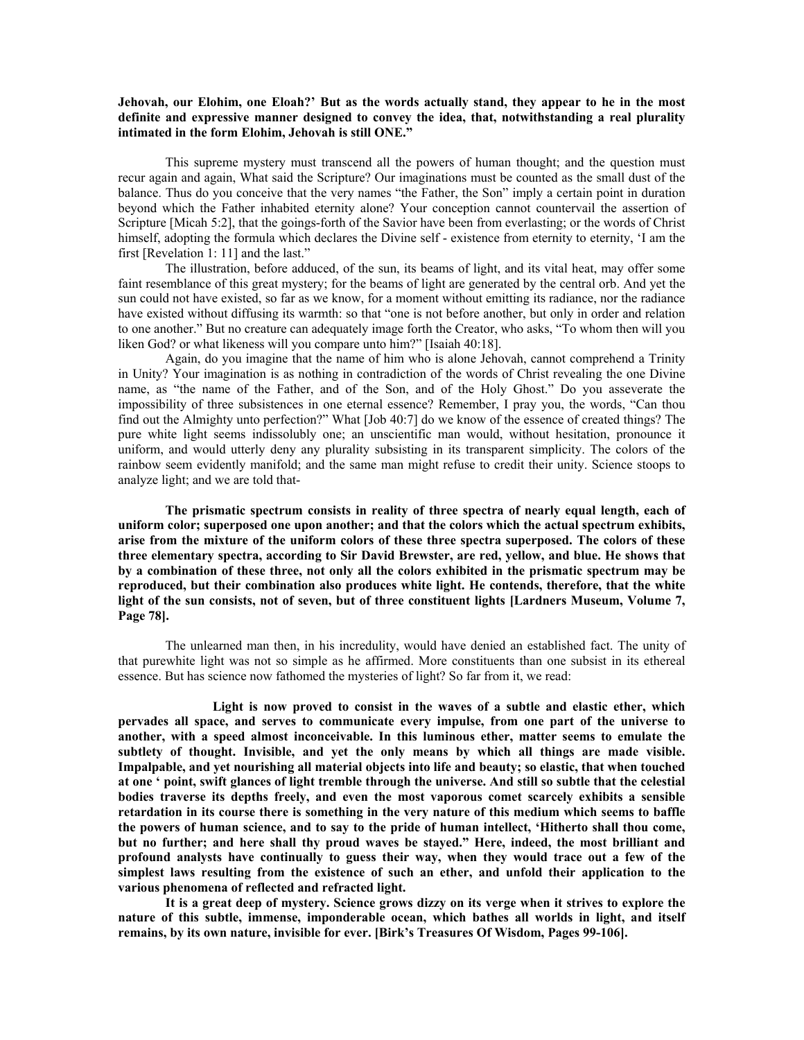#### **Jehovah, our Elohim, one Eloah?' But as the words actually stand, they appear to he in the most definite and expressive manner designed to convey the idea, that, notwithstanding a real plurality intimated in the form Elohim, Jehovah is still ONE."**

 This supreme mystery must transcend all the powers of human thought; and the question must recur again and again, What said the Scripture? Our imaginations must be counted as the small dust of the balance. Thus do you conceive that the very names "the Father, the Son" imply a certain point in duration beyond which the Father inhabited eternity alone? Your conception cannot countervail the assertion of Scripture [Micah 5:2], that the goings-forth of the Savior have been from everlasting; or the words of Christ himself, adopting the formula which declares the Divine self - existence from eternity to eternity, 'I am the first [Revelation 1: 11] and the last."

 The illustration, before adduced, of the sun, its beams of light, and its vital heat, may offer some faint resemblance of this great mystery; for the beams of light are generated by the central orb. And yet the sun could not have existed, so far as we know, for a moment without emitting its radiance, nor the radiance have existed without diffusing its warmth: so that "one is not before another, but only in order and relation to one another." But no creature can adequately image forth the Creator, who asks, "To whom then will you liken God? or what likeness will you compare unto him?" [Isaiah 40:18].

 Again, do you imagine that the name of him who is alone Jehovah, cannot comprehend a Trinity in Unity? Your imagination is as nothing in contradiction of the words of Christ revealing the one Divine name, as "the name of the Father, and of the Son, and of the Holy Ghost." Do you asseverate the impossibility of three subsistences in one eternal essence? Remember, I pray you, the words, "Can thou find out the Almighty unto perfection?" What [Job 40:7] do we know of the essence of created things? The pure white light seems indissolubly one; an unscientific man would, without hesitation, pronounce it uniform, and would utterly deny any plurality subsisting in its transparent simplicity. The colors of the rainbow seem evidently manifold; and the same man might refuse to credit their unity. Science stoops to analyze light; and we are told that-

 **The prismatic spectrum consists in reality of three spectra of nearly equal length, each of uniform color; superposed one upon another; and that the colors which the actual spectrum exhibits, arise from the mixture of the uniform colors of these three spectra superposed. The colors of these three elementary spectra, according to Sir David Brewster, are red, yellow, and blue. He shows that by a combination of these three, not only all the colors exhibited in the prismatic spectrum may be reproduced, but their combination also produces white light. He contends, therefore, that the white light of the sun consists, not of seven, but of three constituent lights [Lardners Museum, Volume 7, Page 78].** 

 The unlearned man then, in his incredulity, would have denied an established fact. The unity of that purewhite light was not so simple as he affirmed. More constituents than one subsist in its ethereal essence. But has science now fathomed the mysteries of light? So far from it, we read:

 **Light is now proved to consist in the waves of a subtle and elastic ether, which pervades all space, and serves to communicate every impulse, from one part of the universe to another, with a speed almost inconceivable. In this luminous ether, matter seems to emulate the subtlety of thought. Invisible, and yet the only means by which all things are made visible. Impalpable, and yet nourishing all material objects into life and beauty; so elastic, that when touched at one ' point, swift glances of light tremble through the universe. And still so subtle that the celestial bodies traverse its depths freely, and even the most vaporous comet scarcely exhibits a sensible retardation in its course there is something in the very nature of this medium which seems to baffle the powers of human science, and to say to the pride of human intellect, 'Hitherto shall thou come, but no further; and here shall thy proud waves be stayed." Here, indeed, the most brilliant and profound analysts have continually to guess their way, when they would trace out a few of the simplest laws resulting from the existence of such an ether, and unfold their application to the various phenomena of reflected and refracted light.** 

 **It is a great deep of mystery. Science grows dizzy on its verge when it strives to explore the nature of this subtle, immense, imponderable ocean, which bathes all worlds in light, and itself remains, by its own nature, invisible for ever. [Birk's Treasures Of Wisdom, Pages 99-106].**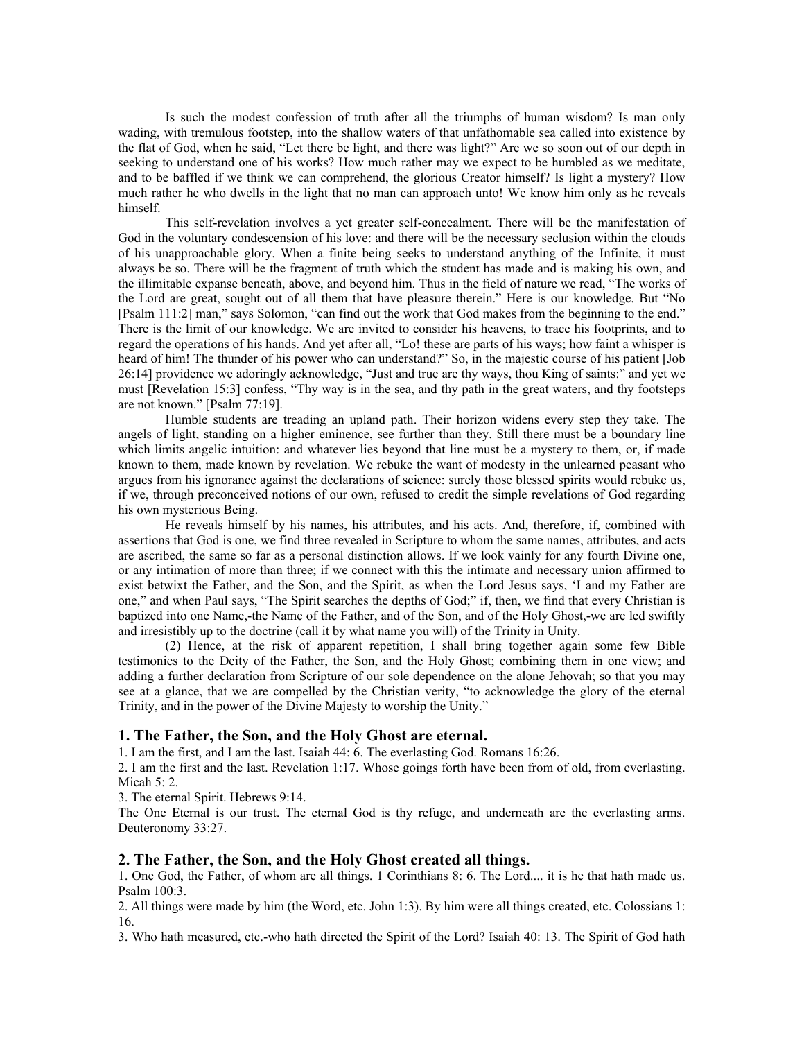Is such the modest confession of truth after all the triumphs of human wisdom? Is man only wading, with tremulous footstep, into the shallow waters of that unfathomable sea called into existence by the flat of God, when he said, "Let there be light, and there was light?" Are we so soon out of our depth in seeking to understand one of his works? How much rather may we expect to be humbled as we meditate, and to be baffled if we think we can comprehend, the glorious Creator himself? Is light a mystery? How much rather he who dwells in the light that no man can approach unto! We know him only as he reveals himself.

 This self-revelation involves a yet greater self-concealment. There will be the manifestation of God in the voluntary condescension of his love: and there will be the necessary seclusion within the clouds of his unapproachable glory. When a finite being seeks to understand anything of the Infinite, it must always be so. There will be the fragment of truth which the student has made and is making his own, and the illimitable expanse beneath, above, and beyond him. Thus in the field of nature we read, "The works of the Lord are great, sought out of all them that have pleasure therein." Here is our knowledge. But "No [Psalm 111:2] man," says Solomon, "can find out the work that God makes from the beginning to the end." There is the limit of our knowledge. We are invited to consider his heavens, to trace his footprints, and to regard the operations of his hands. And yet after all, "Lo! these are parts of his ways; how faint a whisper is heard of him! The thunder of his power who can understand?" So, in the majestic course of his patient [Job 26:14] providence we adoringly acknowledge, "Just and true are thy ways, thou King of saints:" and yet we must [Revelation 15:3] confess, "Thy way is in the sea, and thy path in the great waters, and thy footsteps are not known." [Psalm 77:19].

 Humble students are treading an upland path. Their horizon widens every step they take. The angels of light, standing on a higher eminence, see further than they. Still there must be a boundary line which limits angelic intuition: and whatever lies beyond that line must be a mystery to them, or, if made known to them, made known by revelation. We rebuke the want of modesty in the unlearned peasant who argues from his ignorance against the declarations of science: surely those blessed spirits would rebuke us, if we, through preconceived notions of our own, refused to credit the simple revelations of God regarding his own mysterious Being.

 He reveals himself by his names, his attributes, and his acts. And, therefore, if, combined with assertions that God is one, we find three revealed in Scripture to whom the same names, attributes, and acts are ascribed, the same so far as a personal distinction allows. If we look vainly for any fourth Divine one, or any intimation of more than three; if we connect with this the intimate and necessary union affirmed to exist betwixt the Father, and the Son, and the Spirit, as when the Lord Jesus says, 'I and my Father are one," and when Paul says, "The Spirit searches the depths of God;" if, then, we find that every Christian is baptized into one Name,-the Name of the Father, and of the Son, and of the Holy Ghost,-we are led swiftly and irresistibly up to the doctrine (call it by what name you will) of the Trinity in Unity.

 (2) Hence, at the risk of apparent repetition, I shall bring together again some few Bible testimonies to the Deity of the Father, the Son, and the Holy Ghost; combining them in one view; and adding a further declaration from Scripture of our sole dependence on the alone Jehovah; so that you may see at a glance, that we are compelled by the Christian verity, "to acknowledge the glory of the eternal Trinity, and in the power of the Divine Majesty to worship the Unity."

#### **1. The Father, the Son, and the Holy Ghost are eternal.**

1. I am the first, and I am the last. Isaiah 44: 6. The everlasting God. Romans 16:26.

2. I am the first and the last. Revelation 1:17. Whose goings forth have been from of old, from everlasting. Micah 5: 2.

3. The eternal Spirit. Hebrews 9:14.

The One Eternal is our trust. The eternal God is thy refuge, and underneath are the everlasting arms. Deuteronomy 33:27.

#### **2. The Father, the Son, and the Holy Ghost created all things.**

1. One God, the Father, of whom are all things. 1 Corinthians 8: 6. The Lord.... it is he that hath made us. Psalm 100:3.

2. All things were made by him (the Word, etc. John 1:3). By him were all things created, etc. Colossians 1: 16.

3. Who hath measured, etc.-who hath directed the Spirit of the Lord? Isaiah 40: 13. The Spirit of God hath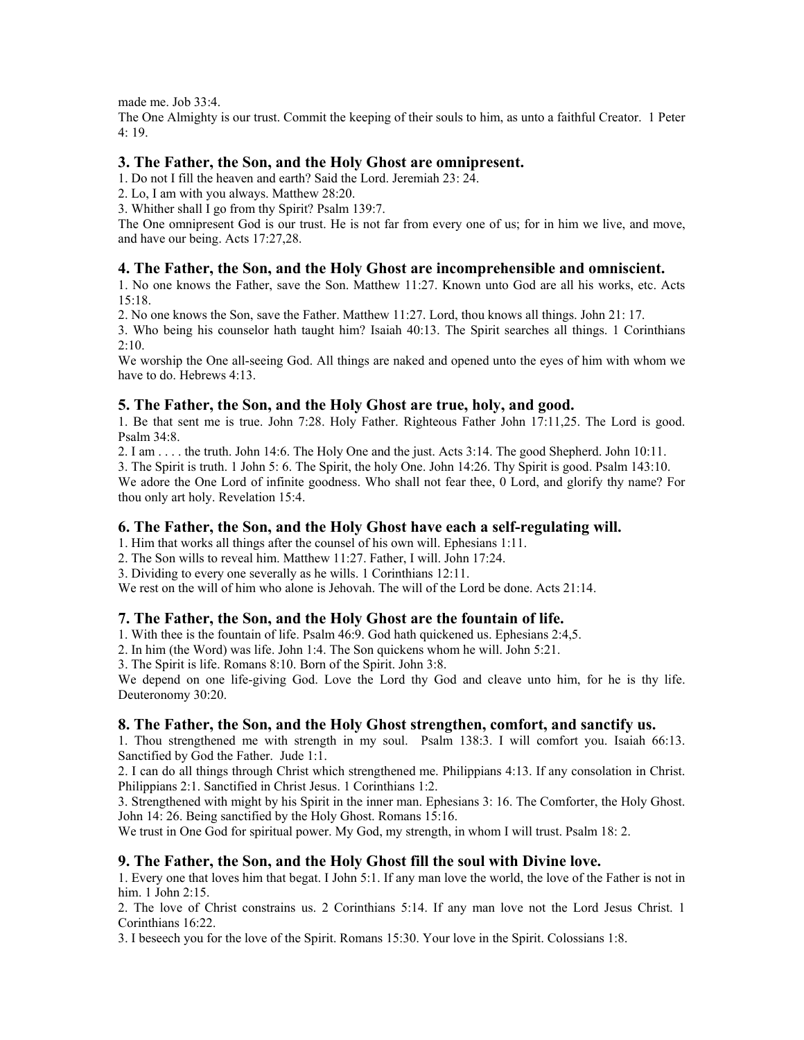made me. Job 33:4.

The One Almighty is our trust. Commit the keeping of their souls to him, as unto a faithful Creator. 1 Peter 4: 19.

### **3. The Father, the Son, and the Holy Ghost are omnipresent.**

1. Do not I fill the heaven and earth? Said the Lord. Jeremiah 23: 24.

2. Lo, I am with you always. Matthew 28:20.

3. Whither shall I go from thy Spirit? Psalm 139:7.

The One omnipresent God is our trust. He is not far from every one of us; for in him we live, and move, and have our being. Acts 17:27,28.

### **4. The Father, the Son, and the Holy Ghost are incomprehensible and omniscient.**

1. No one knows the Father, save the Son. Matthew 11:27. Known unto God are all his works, etc. Acts 15:18.

2. No one knows the Son, save the Father. Matthew 11:27. Lord, thou knows all things. John 21: 17.

3. Who being his counselor hath taught him? Isaiah 40:13. The Spirit searches all things. 1 Corinthians  $2:10.$ 

We worship the One all-seeing God. All things are naked and opened unto the eyes of him with whom we have to do. Hebrews 4:13.

#### **5. The Father, the Son, and the Holy Ghost are true, holy, and good.**

1. Be that sent me is true. John 7:28. Holy Father. Righteous Father John 17:11,25. The Lord is good. Psalm 34:8.

2. I am . . . . the truth. John 14:6. The Holy One and the just. Acts 3:14. The good Shepherd. John 10:11.

3. The Spirit is truth. 1 John 5: 6. The Spirit, the holy One. John 14:26. Thy Spirit is good. Psalm 143:10. We adore the One Lord of infinite goodness. Who shall not fear thee, 0 Lord, and glorify thy name? For thou only art holy. Revelation 15:4.

### **6. The Father, the Son, and the Holy Ghost have each a self-regulating will.**

1. Him that works all things after the counsel of his own will. Ephesians 1:11.

2. The Son wills to reveal him. Matthew 11:27. Father, I will. John 17:24.

3. Dividing to every one severally as he wills. 1 Corinthians 12:11.

We rest on the will of him who alone is Jehovah. The will of the Lord be done. Acts 21:14.

### **7. The Father, the Son, and the Holy Ghost are the fountain of life.**

1. With thee is the fountain of life. Psalm 46:9. God hath quickened us. Ephesians 2:4,5.

2. In him (the Word) was life. John 1:4. The Son quickens whom he will. John 5:21.

3. The Spirit is life. Romans 8:10. Born of the Spirit. John 3:8.

We depend on one life-giving God. Love the Lord thy God and cleave unto him, for he is thy life. Deuteronomy 30:20.

#### **8. The Father, the Son, and the Holy Ghost strengthen, comfort, and sanctify us.**

1. Thou strengthened me with strength in my soul. Psalm 138:3. I will comfort you. Isaiah 66:13. Sanctified by God the Father. Jude 1:1.

2. I can do all things through Christ which strengthened me. Philippians 4:13. If any consolation in Christ. Philippians 2:1. Sanctified in Christ Jesus. 1 Corinthians 1:2.

3. Strengthened with might by his Spirit in the inner man. Ephesians 3: 16. The Comforter, the Holy Ghost. John 14: 26. Being sanctified by the Holy Ghost. Romans 15:16.

We trust in One God for spiritual power. My God, my strength, in whom I will trust. Psalm 18: 2.

### **9. The Father, the Son, and the Holy Ghost fill the soul with Divine love.**

1. Every one that loves him that begat. I John 5:1. If any man love the world, the love of the Father is not in him. 1 John 2:15.

2. The love of Christ constrains us. 2 Corinthians 5:14. If any man love not the Lord Jesus Christ. 1 Corinthians 16:22.

3. I beseech you for the love of the Spirit. Romans 15:30. Your love in the Spirit. Colossians 1:8.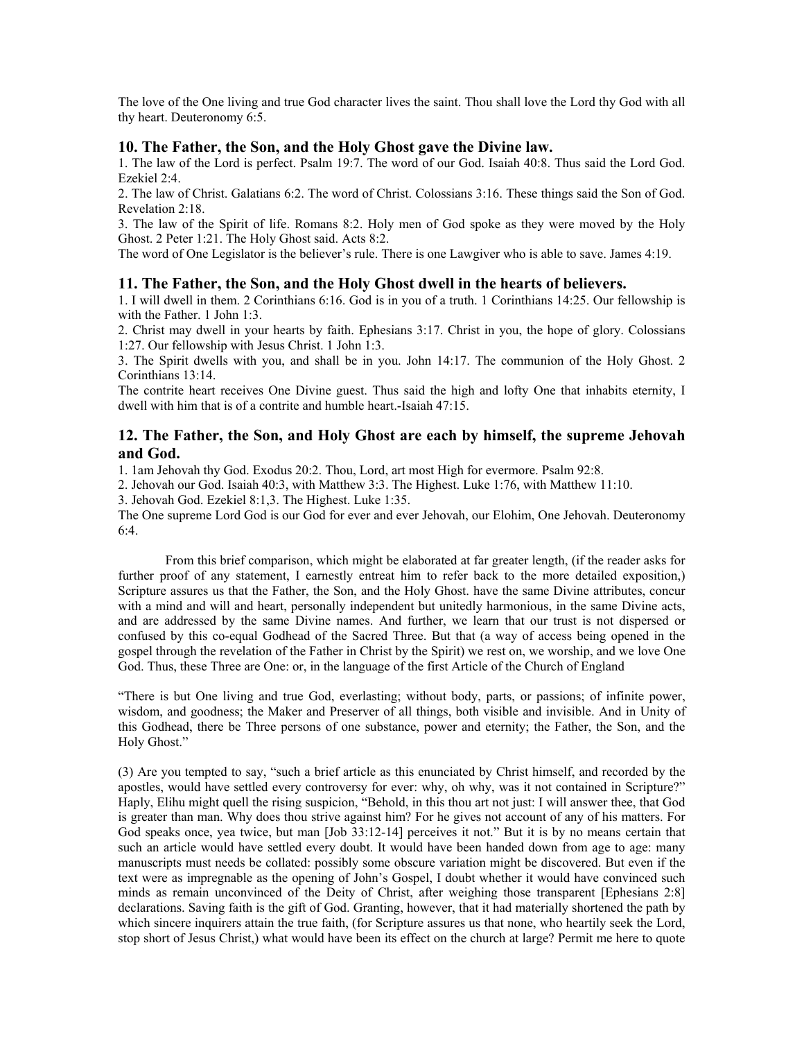The love of the One living and true God character lives the saint. Thou shall love the Lord thy God with all thy heart. Deuteronomy 6:5.

#### **10. The Father, the Son, and the Holy Ghost gave the Divine law.**

1. The law of the Lord is perfect. Psalm 19:7. The word of our God. Isaiah 40:8. Thus said the Lord God. Ezekiel 2:4.

2. The law of Christ. Galatians 6:2. The word of Christ. Colossians 3:16. These things said the Son of God. Revelation 2:18.

3. The law of the Spirit of life. Romans 8:2. Holy men of God spoke as they were moved by the Holy Ghost. 2 Peter 1:21. The Holy Ghost said. Acts 8:2.

The word of One Legislator is the believer's rule. There is one Lawgiver who is able to save. James 4:19.

#### **11. The Father, the Son, and the Holy Ghost dwell in the hearts of believers.**

1. I will dwell in them. 2 Corinthians 6:16. God is in you of a truth. 1 Corinthians 14:25. Our fellowship is with the Father. 1 John 1:3.

2. Christ may dwell in your hearts by faith. Ephesians 3:17. Christ in you, the hope of glory. Colossians 1:27. Our fellowship with Jesus Christ. 1 John 1:3.

3. The Spirit dwells with you, and shall be in you. John 14:17. The communion of the Holy Ghost. 2 Corinthians 13:14.

The contrite heart receives One Divine guest. Thus said the high and lofty One that inhabits eternity, I dwell with him that is of a contrite and humble heart.-Isaiah 47:15.

### **12. The Father, the Son, and Holy Ghost are each by himself, the supreme Jehovah and God.**

1. 1am Jehovah thy God. Exodus 20:2. Thou, Lord, art most High for evermore. Psalm 92:8.

2. Jehovah our God. Isaiah 40:3, with Matthew 3:3. The Highest. Luke 1:76, with Matthew 11:10.

3. Jehovah God. Ezekiel 8:1,3. The Highest. Luke 1:35.

The One supreme Lord God is our God for ever and ever Jehovah, our Elohim, One Jehovah. Deuteronomy 6:4.

 From this brief comparison, which might be elaborated at far greater length, (if the reader asks for further proof of any statement, I earnestly entreat him to refer back to the more detailed exposition,) Scripture assures us that the Father, the Son, and the Holy Ghost. have the same Divine attributes, concur with a mind and will and heart, personally independent but unitedly harmonious, in the same Divine acts, and are addressed by the same Divine names. And further, we learn that our trust is not dispersed or confused by this co-equal Godhead of the Sacred Three. But that (a way of access being opened in the gospel through the revelation of the Father in Christ by the Spirit) we rest on, we worship, and we love One God. Thus, these Three are One: or, in the language of the first Article of the Church of England

"There is but One living and true God, everlasting; without body, parts, or passions; of infinite power, wisdom, and goodness; the Maker and Preserver of all things, both visible and invisible. And in Unity of this Godhead, there be Three persons of one substance, power and eternity; the Father, the Son, and the Holy Ghost."

(3) Are you tempted to say, "such a brief article as this enunciated by Christ himself, and recorded by the apostles, would have settled every controversy for ever: why, oh why, was it not contained in Scripture?" Haply, Elihu might quell the rising suspicion, "Behold, in this thou art not just: I will answer thee, that God is greater than man. Why does thou strive against him? For he gives not account of any of his matters. For God speaks once, yea twice, but man [Job 33:12-14] perceives it not." But it is by no means certain that such an article would have settled every doubt. It would have been handed down from age to age: many manuscripts must needs be collated: possibly some obscure variation might be discovered. But even if the text were as impregnable as the opening of John's Gospel, I doubt whether it would have convinced such minds as remain unconvinced of the Deity of Christ, after weighing those transparent [Ephesians 2:8] declarations. Saving faith is the gift of God. Granting, however, that it had materially shortened the path by which sincere inquirers attain the true faith, (for Scripture assures us that none, who heartily seek the Lord, stop short of Jesus Christ,) what would have been its effect on the church at large? Permit me here to quote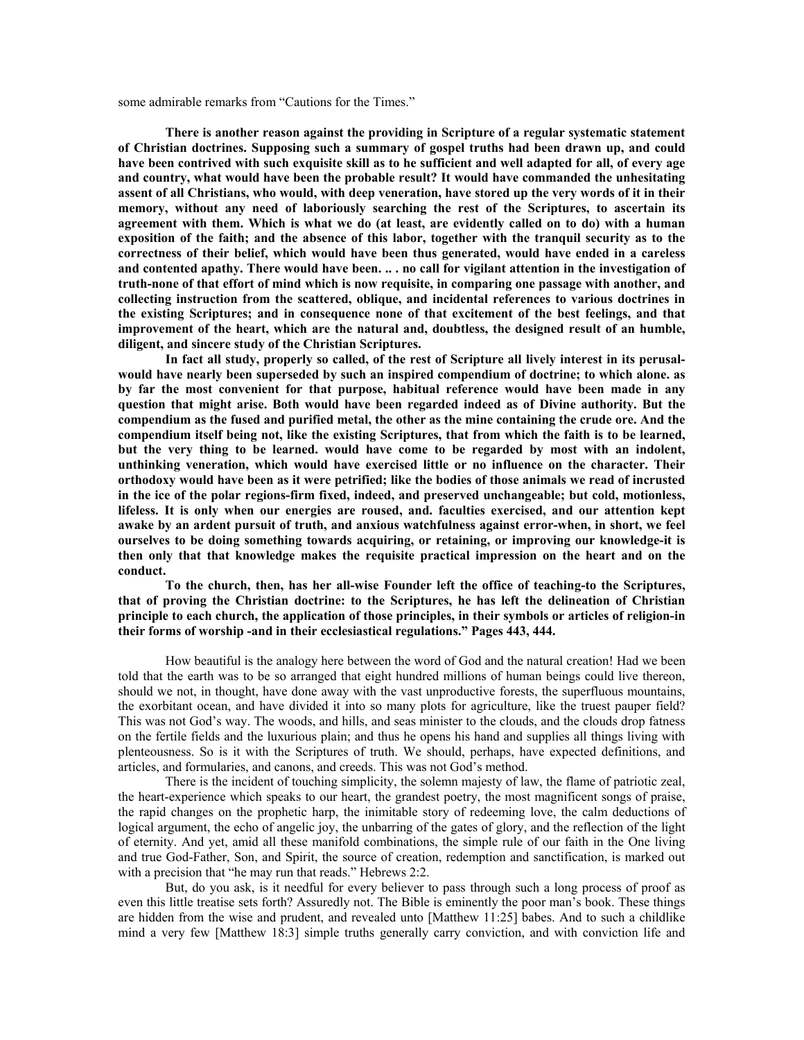some admirable remarks from "Cautions for the Times."

**There is another reason against the providing in Scripture of a regular systematic statement of Christian doctrines. Supposing such a summary of gospel truths had been drawn up, and could have been contrived with such exquisite skill as to he sufficient and well adapted for all, of every age and country, what would have been the probable result? It would have commanded the unhesitating assent of all Christians, who would, with deep veneration, have stored up the very words of it in their memory, without any need of laboriously searching the rest of the Scriptures, to ascertain its agreement with them. Which is what we do (at least, are evidently called on to do) with a human exposition of the faith; and the absence of this labor, together with the tranquil security as to the correctness of their belief, which would have been thus generated, would have ended in a careless and contented apathy. There would have been. .. . no call for vigilant attention in the investigation of truth-none of that effort of mind which is now requisite, in comparing one passage with another, and collecting instruction from the scattered, oblique, and incidental references to various doctrines in the existing Scriptures; and in consequence none of that excitement of the best feelings, and that improvement of the heart, which are the natural and, doubtless, the designed result of an humble, diligent, and sincere study of the Christian Scriptures.** 

**In fact all study, properly so called, of the rest of Scripture all lively interest in its perusalwould have nearly been superseded by such an inspired compendium of doctrine; to which alone. as by far the most convenient for that purpose, habitual reference would have been made in any question that might arise. Both would have been regarded indeed as of Divine authority. But the compendium as the fused and purified metal, the other as the mine containing the crude ore. And the compendium itself being not, like the existing Scriptures, that from which the faith is to be learned, but the very thing to be learned. would have come to be regarded by most with an indolent, unthinking veneration, which would have exercised little or no influence on the character. Their orthodoxy would have been as it were petrified; like the bodies of those animals we read of incrusted in the ice of the polar regions-firm fixed, indeed, and preserved unchangeable; but cold, motionless, lifeless. It is only when our energies are roused, and. faculties exercised, and our attention kept awake by an ardent pursuit of truth, and anxious watchfulness against error-when, in short, we feel ourselves to be doing something towards acquiring, or retaining, or improving our knowledge-it is then only that that knowledge makes the requisite practical impression on the heart and on the conduct.** 

 **To the church, then, has her all-wise Founder left the office of teaching-to the Scriptures, that of proving the Christian doctrine: to the Scriptures, he has left the delineation of Christian principle to each church, the application of those principles, in their symbols or articles of religion-in their forms of worship -and in their ecclesiastical regulations." Pages 443, 444.** 

 How beautiful is the analogy here between the word of God and the natural creation! Had we been told that the earth was to be so arranged that eight hundred millions of human beings could live thereon, should we not, in thought, have done away with the vast unproductive forests, the superfluous mountains, the exorbitant ocean, and have divided it into so many plots for agriculture, like the truest pauper field? This was not God's way. The woods, and hills, and seas minister to the clouds, and the clouds drop fatness on the fertile fields and the luxurious plain; and thus he opens his hand and supplies all things living with plenteousness. So is it with the Scriptures of truth. We should, perhaps, have expected definitions, and articles, and formularies, and canons, and creeds. This was not God's method.

 There is the incident of touching simplicity, the solemn majesty of law, the flame of patriotic zeal, the heart-experience which speaks to our heart, the grandest poetry, the most magnificent songs of praise, the rapid changes on the prophetic harp, the inimitable story of redeeming love, the calm deductions of logical argument, the echo of angelic joy, the unbarring of the gates of glory, and the reflection of the light of eternity. And yet, amid all these manifold combinations, the simple rule of our faith in the One living and true God-Father, Son, and Spirit, the source of creation, redemption and sanctification, is marked out with a precision that "he may run that reads." Hebrews 2:2.

 But, do you ask, is it needful for every believer to pass through such a long process of proof as even this little treatise sets forth? Assuredly not. The Bible is eminently the poor man's book. These things are hidden from the wise and prudent, and revealed unto [Matthew 11:25] babes. And to such a childlike mind a very few [Matthew 18:3] simple truths generally carry conviction, and with conviction life and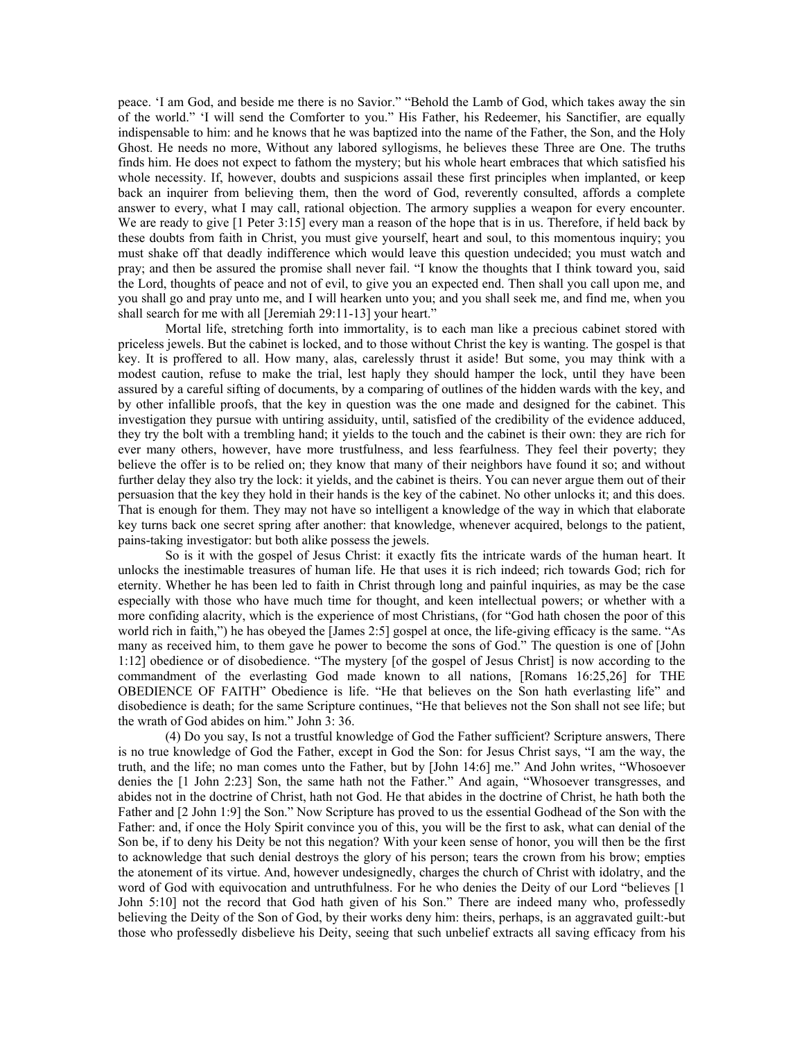peace. 'I am God, and beside me there is no Savior." "Behold the Lamb of God, which takes away the sin of the world." 'I will send the Comforter to you." His Father, his Redeemer, his Sanctifier, are equally indispensable to him: and he knows that he was baptized into the name of the Father, the Son, and the Holy Ghost. He needs no more, Without any labored syllogisms, he believes these Three are One. The truths finds him. He does not expect to fathom the mystery; but his whole heart embraces that which satisfied his whole necessity. If, however, doubts and suspicions assail these first principles when implanted, or keep back an inquirer from believing them, then the word of God, reverently consulted, affords a complete answer to every, what I may call, rational objection. The armory supplies a weapon for every encounter. We are ready to give [1 Peter 3:15] every man a reason of the hope that is in us. Therefore, if held back by these doubts from faith in Christ, you must give yourself, heart and soul, to this momentous inquiry; you must shake off that deadly indifference which would leave this question undecided; you must watch and pray; and then be assured the promise shall never fail. "I know the thoughts that I think toward you, said the Lord, thoughts of peace and not of evil, to give you an expected end. Then shall you call upon me, and you shall go and pray unto me, and I will hearken unto you; and you shall seek me, and find me, when you shall search for me with all [Jeremiah 29:11-13] your heart."

 Mortal life, stretching forth into immortality, is to each man like a precious cabinet stored with priceless jewels. But the cabinet is locked, and to those without Christ the key is wanting. The gospel is that key. It is proffered to all. How many, alas, carelessly thrust it aside! But some, you may think with a modest caution, refuse to make the trial, lest haply they should hamper the lock, until they have been assured by a careful sifting of documents, by a comparing of outlines of the hidden wards with the key, and by other infallible proofs, that the key in question was the one made and designed for the cabinet. This investigation they pursue with untiring assiduity, until, satisfied of the credibility of the evidence adduced, they try the bolt with a trembling hand; it yields to the touch and the cabinet is their own: they are rich for ever many others, however, have more trustfulness, and less fearfulness. They feel their poverty; they believe the offer is to be relied on; they know that many of their neighbors have found it so; and without further delay they also try the lock: it yields, and the cabinet is theirs. You can never argue them out of their persuasion that the key they hold in their hands is the key of the cabinet. No other unlocks it; and this does. That is enough for them. They may not have so intelligent a knowledge of the way in which that elaborate key turns back one secret spring after another: that knowledge, whenever acquired, belongs to the patient, pains-taking investigator: but both alike possess the jewels.

 So is it with the gospel of Jesus Christ: it exactly fits the intricate wards of the human heart. It unlocks the inestimable treasures of human life. He that uses it is rich indeed; rich towards God; rich for eternity. Whether he has been led to faith in Christ through long and painful inquiries, as may be the case especially with those who have much time for thought, and keen intellectual powers; or whether with a more confiding alacrity, which is the experience of most Christians, (for "God hath chosen the poor of this world rich in faith,") he has obeyed the [James 2:5] gospel at once, the life-giving efficacy is the same. "As many as received him, to them gave he power to become the sons of God." The question is one of [John 1:12] obedience or of disobedience. "The mystery [of the gospel of Jesus Christ] is now according to the commandment of the everlasting God made known to all nations, [Romans 16:25,26] for THE OBEDIENCE OF FAITH" Obedience is life. "He that believes on the Son hath everlasting life" and disobedience is death; for the same Scripture continues, "He that believes not the Son shall not see life; but the wrath of God abides on him." John 3: 36.

 (4) Do you say, Is not a trustful knowledge of God the Father sufficient? Scripture answers, There is no true knowledge of God the Father, except in God the Son: for Jesus Christ says, "I am the way, the truth, and the life; no man comes unto the Father, but by [John 14:6] me." And John writes, "Whosoever denies the [1 John 2:23] Son, the same hath not the Father." And again, "Whosoever transgresses, and abides not in the doctrine of Christ, hath not God. He that abides in the doctrine of Christ, he hath both the Father and [2 John 1:9] the Son." Now Scripture has proved to us the essential Godhead of the Son with the Father: and, if once the Holy Spirit convince you of this, you will be the first to ask, what can denial of the Son be, if to deny his Deity be not this negation? With your keen sense of honor, you will then be the first to acknowledge that such denial destroys the glory of his person; tears the crown from his brow; empties the atonement of its virtue. And, however undesignedly, charges the church of Christ with idolatry, and the word of God with equivocation and untruthfulness. For he who denies the Deity of our Lord "believes [1 John 5:10] not the record that God hath given of his Son." There are indeed many who, professedly believing the Deity of the Son of God, by their works deny him: theirs, perhaps, is an aggravated guilt:-but those who professedly disbelieve his Deity, seeing that such unbelief extracts all saving efficacy from his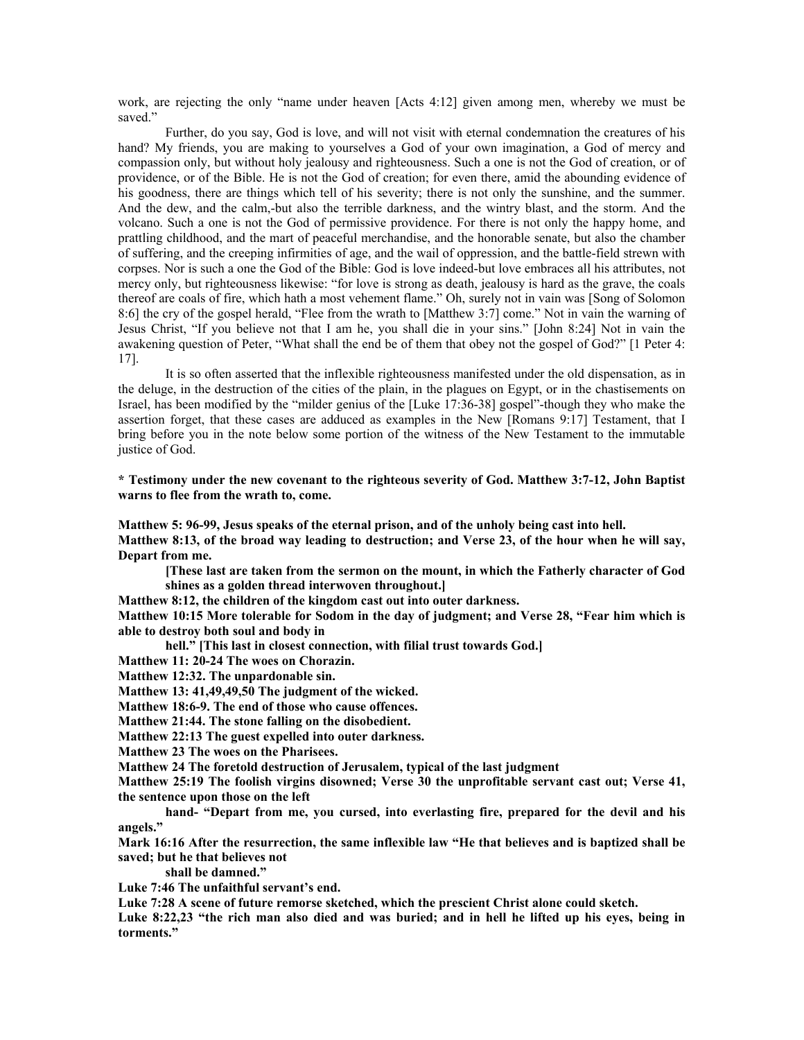work, are rejecting the only "name under heaven [Acts 4:12] given among men, whereby we must be saved."

 Further, do you say, God is love, and will not visit with eternal condemnation the creatures of his hand? My friends, you are making to yourselves a God of your own imagination, a God of mercy and compassion only, but without holy jealousy and righteousness. Such a one is not the God of creation, or of providence, or of the Bible. He is not the God of creation; for even there, amid the abounding evidence of his goodness, there are things which tell of his severity; there is not only the sunshine, and the summer. And the dew, and the calm,-but also the terrible darkness, and the wintry blast, and the storm. And the volcano. Such a one is not the God of permissive providence. For there is not only the happy home, and prattling childhood, and the mart of peaceful merchandise, and the honorable senate, but also the chamber of suffering, and the creeping infirmities of age, and the wail of oppression, and the battle-field strewn with corpses. Nor is such a one the God of the Bible: God is love indeed-but love embraces all his attributes, not mercy only, but righteousness likewise: "for love is strong as death, jealousy is hard as the grave, the coals thereof are coals of fire, which hath a most vehement flame." Oh, surely not in vain was [Song of Solomon 8:6] the cry of the gospel herald, "Flee from the wrath to [Matthew 3:7] come." Not in vain the warning of Jesus Christ, "If you believe not that I am he, you shall die in your sins." [John 8:24] Not in vain the awakening question of Peter, "What shall the end be of them that obey not the gospel of God?" [1 Peter 4: 17].

 It is so often asserted that the inflexible righteousness manifested under the old dispensation, as in the deluge, in the destruction of the cities of the plain, in the plagues on Egypt, or in the chastisements on Israel, has been modified by the "milder genius of the [Luke 17:36-38] gospel"-though they who make the assertion forget, that these cases are adduced as examples in the New [Romans 9:17] Testament, that I bring before you in the note below some portion of the witness of the New Testament to the immutable justice of God.

#### **\* Testimony under the new covenant to the righteous severity of God. Matthew 3:7-12, John Baptist warns to flee from the wrath to, come.**

**Matthew 5: 96-99, Jesus speaks of the eternal prison, and of the unholy being cast into hell. Matthew 8:13, of the broad way leading to destruction; and Verse 23, of the hour when he will say, Depart from me.** 

**[These last are taken from the sermon on the mount, in which the Fatherly character of God shines as a golden thread interwoven throughout.]** 

**Matthew 8:12, the children of the kingdom cast out into outer darkness.** 

**Matthew 10:15 More tolerable for Sodom in the day of judgment; and Verse 28, "Fear him which is able to destroy both soul and body in** 

**hell." [This last in closest connection, with filial trust towards God.]** 

**Matthew 11: 20-24 The woes on Chorazin.** 

**Matthew 12:32. The unpardonable sin.** 

**Matthew 13: 41,49,49,50 The judgment of the wicked.** 

**Matthew 18:6-9. The end of those who cause offences.** 

**Matthew 21:44. The stone falling on the disobedient.** 

**Matthew 22:13 The guest expelled into outer darkness.** 

**Matthew 23 The woes on the Pharisees.** 

**Matthew 24 The foretold destruction of Jerusalem, typical of the last judgment** 

**Matthew 25:19 The foolish virgins disowned; Verse 30 the unprofitable servant cast out; Verse 41, the sentence upon those on the left** 

**hand- "Depart from me, you cursed, into everlasting fire, prepared for the devil and his angels."** 

**Mark 16:16 After the resurrection, the same inflexible law "He that believes and is baptized shall be saved; but he that believes not** 

**shall be damned."** 

**Luke 7:46 The unfaithful servant's end.** 

**Luke 7:28 A scene of future remorse sketched, which the prescient Christ alone could sketch.** 

Luke 8:22,23 "the rich man also died and was buried; and in hell he lifted up his eyes, being in **torments."**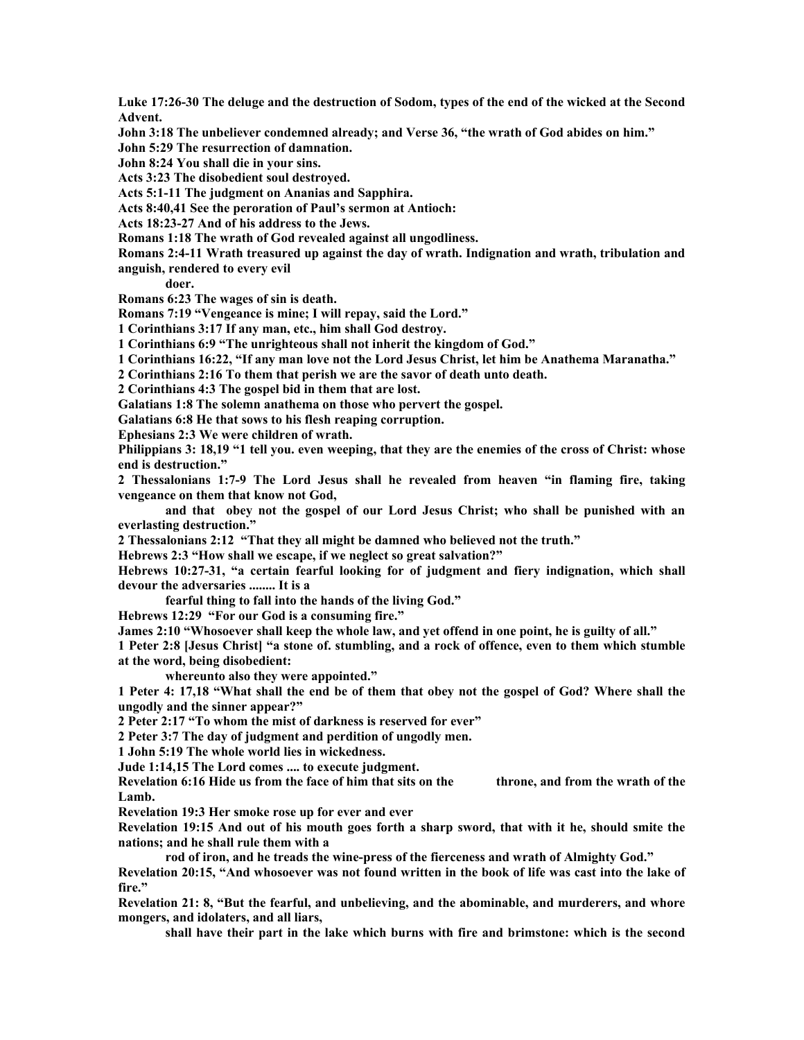**Luke 17:26-30 The deluge and the destruction of Sodom, types of the end of the wicked at the Second Advent.** 

**John 3:18 The unbeliever condemned already; and Verse 36, "the wrath of God abides on him."** 

**John 5:29 The resurrection of damnation.** 

**John 8:24 You shall die in your sins.** 

**Acts 3:23 The disobedient soul destroyed.** 

**Acts 5:1-11 The judgment on Ananias and Sapphira.** 

**Acts 8:40,41 See the peroration of Paul's sermon at Antioch:** 

**Acts 18:23-27 And of his address to the Jews.** 

**Romans 1:18 The wrath of God revealed against all ungodliness.** 

**Romans 2:4-11 Wrath treasured up against the day of wrath. Indignation and wrath, tribulation and anguish, rendered to every evil** 

**doer.** 

**Romans 6:23 The wages of sin is death.** 

**Romans 7:19 "Vengeance is mine; I will repay, said the Lord."** 

**1 Corinthians 3:17 If any man, etc., him shall God destroy.** 

**1 Corinthians 6:9 "The unrighteous shall not inherit the kingdom of God."** 

**1 Corinthians 16:22, "If any man love not the Lord Jesus Christ, let him be Anathema Maranatha."** 

**2 Corinthians 2:16 To them that perish we are the savor of death unto death.** 

**2 Corinthians 4:3 The gospel bid in them that are lost.** 

**Galatians 1:8 The solemn anathema on those who pervert the gospel.** 

**Galatians 6:8 He that sows to his flesh reaping corruption.** 

**Ephesians 2:3 We were children of wrath.** 

**Philippians 3: 18,19 "1 tell you. even weeping, that they are the enemies of the cross of Christ: whose end is destruction."** 

**2 Thessalonians 1:7-9 The Lord Jesus shall he revealed from heaven "in flaming fire, taking vengeance on them that know not God,** 

**and that obey not the gospel of our Lord Jesus Christ; who shall be punished with an everlasting destruction."** 

**2 Thessalonians 2:12 "That they all might be damned who believed not the truth."** 

**Hebrews 2:3 "How shall we escape, if we neglect so great salvation?"** 

**Hebrews 10:27-31, "a certain fearful looking for of judgment and fiery indignation, which shall devour the adversaries ........ It is a** 

**fearful thing to fall into the hands of the living God."** 

**Hebrews 12:29 "For our God is a consuming fire."** 

**James 2:10 "Whosoever shall keep the whole law, and yet offend in one point, he is guilty of all."** 

**1 Peter 2:8 [Jesus Christ] "a stone of. stumbling, and a rock of offence, even to them which stumble at the word, being disobedient:** 

**whereunto also they were appointed."** 

**1 Peter 4: 17,18 "What shall the end be of them that obey not the gospel of God? Where shall the ungodly and the sinner appear?"** 

**2 Peter 2:17 "To whom the mist of darkness is reserved for ever"** 

**2 Peter 3:7 The day of judgment and perdition of ungodly men.** 

**1 John 5:19 The whole world lies in wickedness.** 

**Jude 1:14,15 The Lord comes .... to execute judgment.** 

**Revelation 6:16 Hide us from the face of him that sits on the throne, and from the wrath of the Lamb.** 

**Revelation 19:3 Her smoke rose up for ever and ever** 

**Revelation 19:15 And out of his mouth goes forth a sharp sword, that with it he, should smite the nations; and he shall rule them with a** 

**rod of iron, and he treads the wine-press of the fierceness and wrath of Almighty God."** 

**Revelation 20:15, "And whosoever was not found written in the book of life was cast into the lake of fire."** 

**Revelation 21: 8, "But the fearful, and unbelieving, and the abominable, and murderers, and whore mongers, and idolaters, and all liars,** 

**shall have their part in the lake which burns with fire and brimstone: which is the second**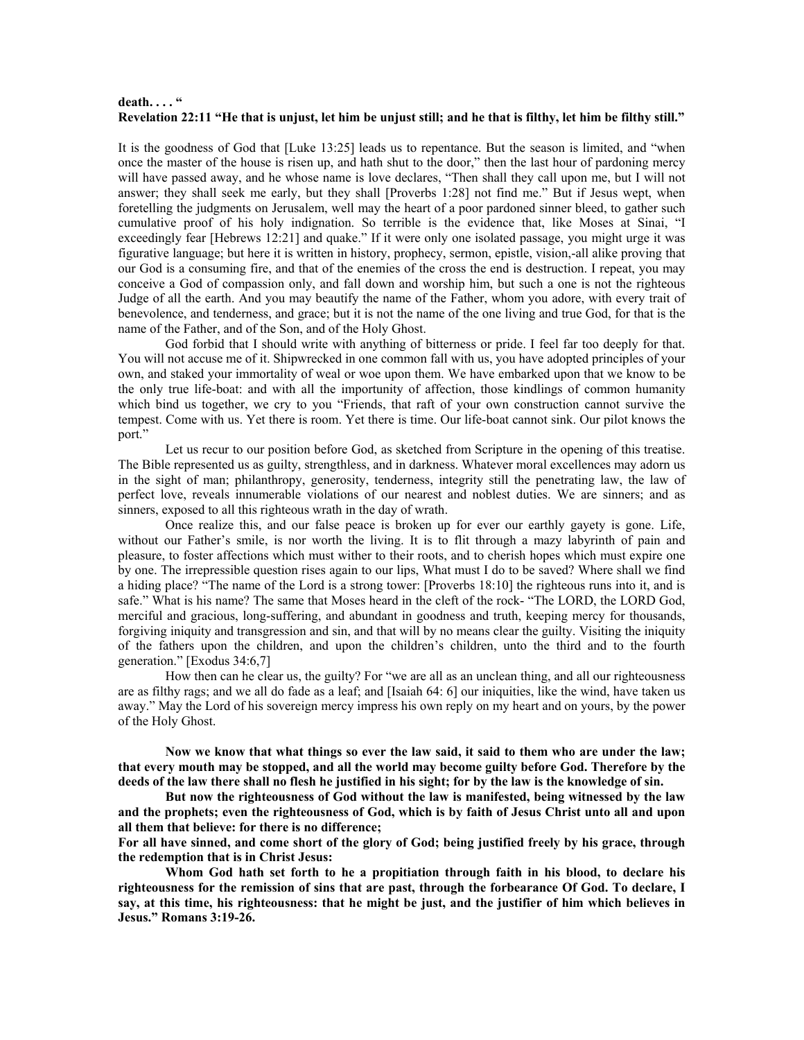#### **death. . . . " Revelation 22:11 "He that is unjust, let him be unjust still; and he that is filthy, let him be filthy still."**

It is the goodness of God that [Luke 13:25] leads us to repentance. But the season is limited, and "when once the master of the house is risen up, and hath shut to the door," then the last hour of pardoning mercy will have passed away, and he whose name is love declares, "Then shall they call upon me, but I will not answer; they shall seek me early, but they shall [Proverbs 1:28] not find me." But if Jesus wept, when foretelling the judgments on Jerusalem, well may the heart of a poor pardoned sinner bleed, to gather such cumulative proof of his holy indignation. So terrible is the evidence that, like Moses at Sinai, "I exceedingly fear [Hebrews 12:21] and quake." If it were only one isolated passage, you might urge it was figurative language; but here it is written in history, prophecy, sermon, epistle, vision,-all alike proving that our God is a consuming fire, and that of the enemies of the cross the end is destruction. I repeat, you may conceive a God of compassion only, and fall down and worship him, but such a one is not the righteous Judge of all the earth. And you may beautify the name of the Father, whom you adore, with every trait of benevolence, and tenderness, and grace; but it is not the name of the one living and true God, for that is the name of the Father, and of the Son, and of the Holy Ghost.

 God forbid that I should write with anything of bitterness or pride. I feel far too deeply for that. You will not accuse me of it. Shipwrecked in one common fall with us, you have adopted principles of your own, and staked your immortality of weal or woe upon them. We have embarked upon that we know to be the only true life-boat: and with all the importunity of affection, those kindlings of common humanity which bind us together, we cry to you "Friends, that raft of your own construction cannot survive the tempest. Come with us. Yet there is room. Yet there is time. Our life-boat cannot sink. Our pilot knows the port."

 Let us recur to our position before God, as sketched from Scripture in the opening of this treatise. The Bible represented us as guilty, strengthless, and in darkness. Whatever moral excellences may adorn us in the sight of man; philanthropy, generosity, tenderness, integrity still the penetrating law, the law of perfect love, reveals innumerable violations of our nearest and noblest duties. We are sinners; and as sinners, exposed to all this righteous wrath in the day of wrath.

Once realize this, and our false peace is broken up for ever our earthly gayety is gone. Life, without our Father's smile, is nor worth the living. It is to flit through a mazy labyrinth of pain and pleasure, to foster affections which must wither to their roots, and to cherish hopes which must expire one by one. The irrepressible question rises again to our lips, What must I do to be saved? Where shall we find a hiding place? "The name of the Lord is a strong tower: [Proverbs 18:10] the righteous runs into it, and is safe." What is his name? The same that Moses heard in the cleft of the rock- "The LORD, the LORD God, merciful and gracious, long-suffering, and abundant in goodness and truth, keeping mercy for thousands, forgiving iniquity and transgression and sin, and that will by no means clear the guilty. Visiting the iniquity of the fathers upon the children, and upon the children's children, unto the third and to the fourth generation." [Exodus 34:6,7]

 How then can he clear us, the guilty? For "we are all as an unclean thing, and all our righteousness are as filthy rags; and we all do fade as a leaf; and [Isaiah 64: 6] our iniquities, like the wind, have taken us away." May the Lord of his sovereign mercy impress his own reply on my heart and on yours, by the power of the Holy Ghost.

 **Now we know that what things so ever the law said, it said to them who are under the law; that every mouth may be stopped, and all the world may become guilty before God. Therefore by the deeds of the law there shall no flesh he justified in his sight; for by the law is the knowledge of sin.** 

 **But now the righteousness of God without the law is manifested, being witnessed by the law and the prophets; even the righteousness of God, which is by faith of Jesus Christ unto all and upon all them that believe: for there is no difference;** 

**For all have sinned, and come short of the glory of God; being justified freely by his grace, through the redemption that is in Christ Jesus:** 

 **Whom God hath set forth to he a propitiation through faith in his blood, to declare his righteousness for the remission of sins that are past, through the forbearance Of God. To declare, I say, at this time, his righteousness: that he might be just, and the justifier of him which believes in Jesus." Romans 3:19-26.**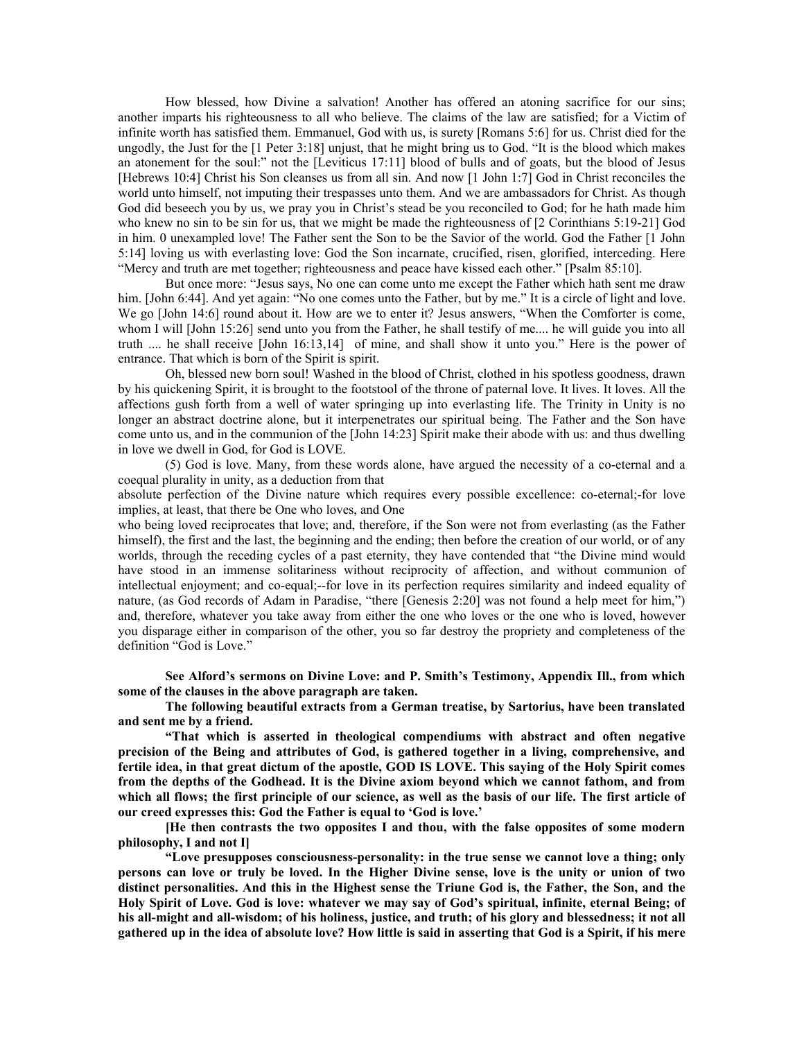How blessed, how Divine a salvation! Another has offered an atoning sacrifice for our sins; another imparts his righteousness to all who believe. The claims of the law are satisfied; for a Victim of infinite worth has satisfied them. Emmanuel, God with us, is surety [Romans 5:6] for us. Christ died for the ungodly, the Just for the [1 Peter 3:18] unjust, that he might bring us to God. "It is the blood which makes an atonement for the soul:" not the [Leviticus 17:11] blood of bulls and of goats, but the blood of Jesus [Hebrews 10:4] Christ his Son cleanses us from all sin. And now [1 John 1:7] God in Christ reconciles the world unto himself, not imputing their trespasses unto them. And we are ambassadors for Christ. As though God did beseech you by us, we pray you in Christ's stead be you reconciled to God; for he hath made him who knew no sin to be sin for us, that we might be made the righteousness of [2 Corinthians 5:19-21] God in him. 0 unexampled love! The Father sent the Son to be the Savior of the world. God the Father [1 John 5:14] loving us with everlasting love: God the Son incarnate, crucified, risen, glorified, interceding. Here "Mercy and truth are met together; righteousness and peace have kissed each other." [Psalm 85:10].

 But once more: "Jesus says, No one can come unto me except the Father which hath sent me draw him. [John 6:44]. And yet again: "No one comes unto the Father, but by me." It is a circle of light and love. We go [John 14:6] round about it. How are we to enter it? Jesus answers, "When the Comforter is come, whom I will [John 15:26] send unto you from the Father, he shall testify of me.... he will guide you into all truth .... he shall receive [John 16:13,14] of mine, and shall show it unto you." Here is the power of entrance. That which is born of the Spirit is spirit.

 Oh, blessed new born soul! Washed in the blood of Christ, clothed in his spotless goodness, drawn by his quickening Spirit, it is brought to the footstool of the throne of paternal love. It lives. It loves. All the affections gush forth from a well of water springing up into everlasting life. The Trinity in Unity is no longer an abstract doctrine alone, but it interpenetrates our spiritual being. The Father and the Son have come unto us, and in the communion of the [John 14:23] Spirit make their abode with us: and thus dwelling in love we dwell in God, for God is LOVE.

 (5) God is love. Many, from these words alone, have argued the necessity of a co-eternal and a coequal plurality in unity, as a deduction from that

absolute perfection of the Divine nature which requires every possible excellence: co-eternal;-for love implies, at least, that there be One who loves, and One

who being loved reciprocates that love; and, therefore, if the Son were not from everlasting (as the Father himself), the first and the last, the beginning and the ending; then before the creation of our world, or of any worlds, through the receding cycles of a past eternity, they have contended that "the Divine mind would have stood in an immense solitariness without reciprocity of affection, and without communion of intellectual enjoyment; and co-equal;--for love in its perfection requires similarity and indeed equality of nature, (as God records of Adam in Paradise, "there [Genesis 2:20] was not found a help meet for him,") and, therefore, whatever you take away from either the one who loves or the one who is loved, however you disparage either in comparison of the other, you so far destroy the propriety and completeness of the definition "God is Love."

 **See Alford's sermons on Divine Love: and P. Smith's Testimony, Appendix Ill., from which some of the clauses in the above paragraph are taken.** 

 **The following beautiful extracts from a German treatise, by Sartorius, have been translated and sent me by a friend.** 

 **"That which is asserted in theological compendiums with abstract and often negative precision of the Being and attributes of God, is gathered together in a living, comprehensive, and fertile idea, in that great dictum of the apostle, GOD IS LOVE. This saying of the Holy Spirit comes from the depths of the Godhead. It is the Divine axiom beyond which we cannot fathom, and from which all flows; the first principle of our science, as well as the basis of our life. The first article of our creed expresses this: God the Father is equal to 'God is love.'** 

 **[He then contrasts the two opposites I and thou, with the false opposites of some modern philosophy, I and not I]** 

 **"Love presupposes consciousness-personality: in the true sense we cannot love a thing; only persons can love or truly be loved. In the Higher Divine sense, love is the unity or union of two distinct personalities. And this in the Highest sense the Triune God is, the Father, the Son, and the Holy Spirit of Love. God is love: whatever we may say of God's spiritual, infinite, eternal Being; of his all-might and all-wisdom; of his holiness, justice, and truth; of his glory and blessedness; it not all gathered up in the idea of absolute love? How little is said in asserting that God is a Spirit, if his mere**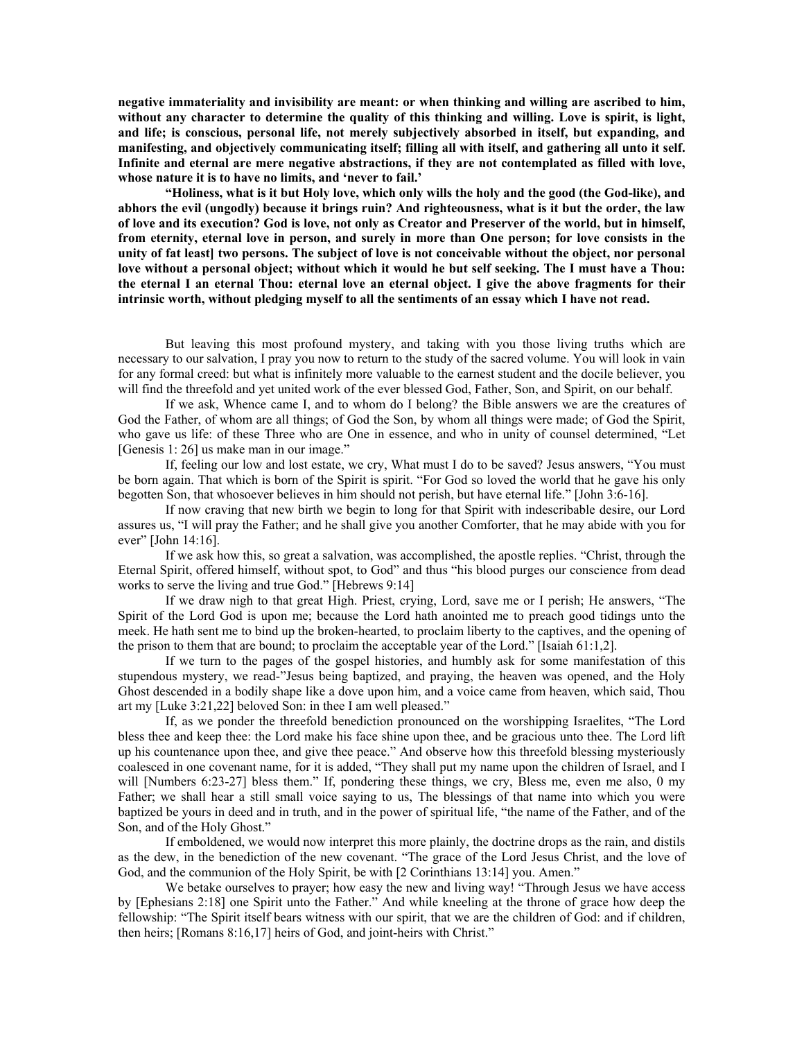**negative immateriality and invisibility are meant: or when thinking and willing are ascribed to him, without any character to determine the quality of this thinking and willing. Love is spirit, is light, and life; is conscious, personal life, not merely subjectively absorbed in itself, but expanding, and manifesting, and objectively communicating itself; filling all with itself, and gathering all unto it self. Infinite and eternal are mere negative abstractions, if they are not contemplated as filled with love, whose nature it is to have no limits, and 'never to fail.'** 

 **"Holiness, what is it but Holy love, which only wills the holy and the good (the God-like), and abhors the evil (ungodly) because it brings ruin? And righteousness, what is it but the order, the law of love and its execution? God is love, not only as Creator and Preserver of the world, but in himself, from eternity, eternal love in person, and surely in more than One person; for love consists in the unity of fat least] two persons. The subject of love is not conceivable without the object, nor personal love without a personal object; without which it would he but self seeking. The I must have a Thou: the eternal I an eternal Thou: eternal love an eternal object. I give the above fragments for their intrinsic worth, without pledging myself to all the sentiments of an essay which I have not read.** 

 But leaving this most profound mystery, and taking with you those living truths which are necessary to our salvation, I pray you now to return to the study of the sacred volume. You will look in vain for any formal creed: but what is infinitely more valuable to the earnest student and the docile believer, you will find the threefold and yet united work of the ever blessed God, Father, Son, and Spirit, on our behalf.

 If we ask, Whence came I, and to whom do I belong? the Bible answers we are the creatures of God the Father, of whom are all things; of God the Son, by whom all things were made; of God the Spirit, who gave us life: of these Three who are One in essence, and who in unity of counsel determined, "Let [Genesis 1: 26] us make man in our image."

 If, feeling our low and lost estate, we cry, What must I do to be saved? Jesus answers, "You must be born again. That which is born of the Spirit is spirit. "For God so loved the world that he gave his only begotten Son, that whosoever believes in him should not perish, but have eternal life." [John 3:6-16].

 If now craving that new birth we begin to long for that Spirit with indescribable desire, our Lord assures us, "I will pray the Father; and he shall give you another Comforter, that he may abide with you for ever" [John 14:16].

 If we ask how this, so great a salvation, was accomplished, the apostle replies. "Christ, through the Eternal Spirit, offered himself, without spot, to God" and thus "his blood purges our conscience from dead works to serve the living and true God." [Hebrews 9:14]

 If we draw nigh to that great High. Priest, crying, Lord, save me or I perish; He answers, "The Spirit of the Lord God is upon me; because the Lord hath anointed me to preach good tidings unto the meek. He hath sent me to bind up the broken-hearted, to proclaim liberty to the captives, and the opening of the prison to them that are bound; to proclaim the acceptable year of the Lord." [Isaiah 61:1,2].

 If we turn to the pages of the gospel histories, and humbly ask for some manifestation of this stupendous mystery, we read-"Jesus being baptized, and praying, the heaven was opened, and the Holy Ghost descended in a bodily shape like a dove upon him, and a voice came from heaven, which said, Thou art my [Luke 3:21,22] beloved Son: in thee I am well pleased."

 If, as we ponder the threefold benediction pronounced on the worshipping Israelites, "The Lord bless thee and keep thee: the Lord make his face shine upon thee, and be gracious unto thee. The Lord lift up his countenance upon thee, and give thee peace." And observe how this threefold blessing mysteriously coalesced in one covenant name, for it is added, "They shall put my name upon the children of Israel, and I will [Numbers 6:23-27] bless them." If, pondering these things, we cry, Bless me, even me also, 0 my Father; we shall hear a still small voice saying to us, The blessings of that name into which you were baptized be yours in deed and in truth, and in the power of spiritual life, "the name of the Father, and of the Son, and of the Holy Ghost."

 If emboldened, we would now interpret this more plainly, the doctrine drops as the rain, and distils as the dew, in the benediction of the new covenant. "The grace of the Lord Jesus Christ, and the love of God, and the communion of the Holy Spirit, be with [2 Corinthians 13:14] you. Amen."

 We betake ourselves to prayer; how easy the new and living way! "Through Jesus we have access by [Ephesians 2:18] one Spirit unto the Father." And while kneeling at the throne of grace how deep the fellowship: "The Spirit itself bears witness with our spirit, that we are the children of God: and if children, then heirs; [Romans 8:16,17] heirs of God, and joint-heirs with Christ."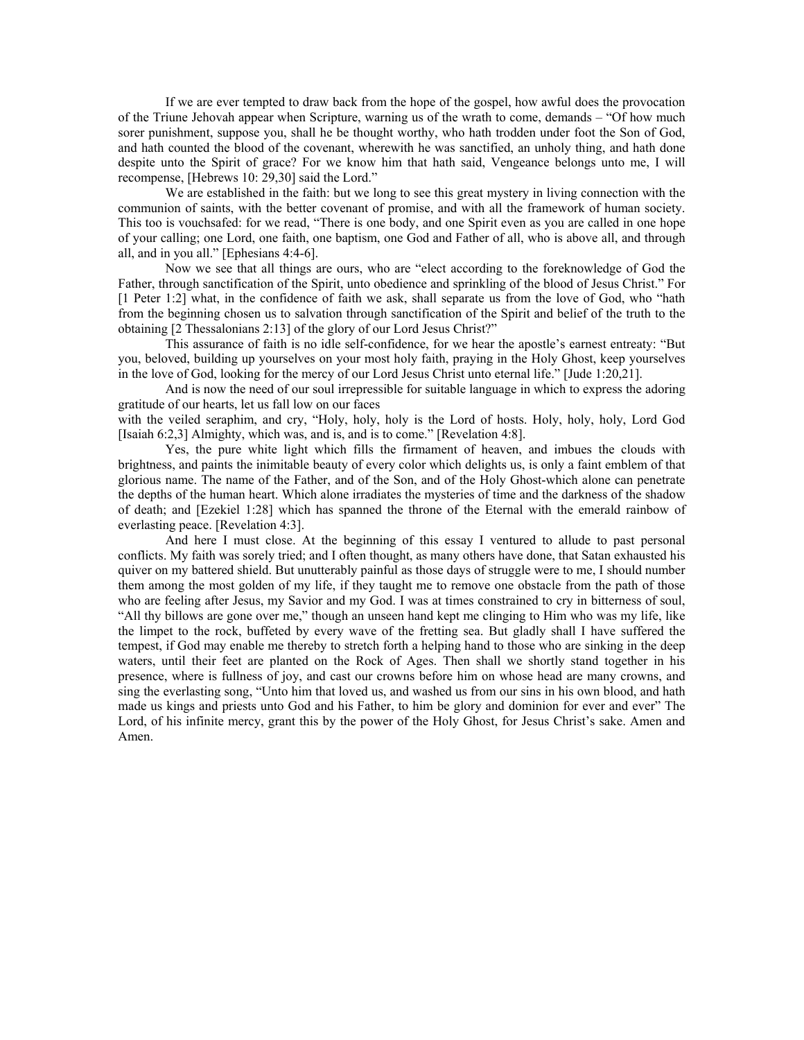If we are ever tempted to draw back from the hope of the gospel, how awful does the provocation of the Triune Jehovah appear when Scripture, warning us of the wrath to come, demands – "Of how much sorer punishment, suppose you, shall he be thought worthy, who hath trodden under foot the Son of God, and hath counted the blood of the covenant, wherewith he was sanctified, an unholy thing, and hath done despite unto the Spirit of grace? For we know him that hath said, Vengeance belongs unto me, I will recompense, [Hebrews 10: 29,30] said the Lord."

 We are established in the faith: but we long to see this great mystery in living connection with the communion of saints, with the better covenant of promise, and with all the framework of human society. This too is vouchsafed: for we read, "There is one body, and one Spirit even as you are called in one hope of your calling; one Lord, one faith, one baptism, one God and Father of all, who is above all, and through all, and in you all." [Ephesians 4:4-6].

 Now we see that all things are ours, who are "elect according to the foreknowledge of God the Father, through sanctification of the Spirit, unto obedience and sprinkling of the blood of Jesus Christ." For [1 Peter 1:2] what, in the confidence of faith we ask, shall separate us from the love of God, who "hath from the beginning chosen us to salvation through sanctification of the Spirit and belief of the truth to the obtaining [2 Thessalonians 2:13] of the glory of our Lord Jesus Christ?"

 This assurance of faith is no idle self-confidence, for we hear the apostle's earnest entreaty: "But you, beloved, building up yourselves on your most holy faith, praying in the Holy Ghost, keep yourselves in the love of God, looking for the mercy of our Lord Jesus Christ unto eternal life." [Jude 1:20,21].

 And is now the need of our soul irrepressible for suitable language in which to express the adoring gratitude of our hearts, let us fall low on our faces

with the veiled seraphim, and cry, "Holy, holy, holy is the Lord of hosts. Holy, holy, holy, Lord God [Isaiah 6:2,3] Almighty, which was, and is, and is to come." [Revelation 4:8].

 Yes, the pure white light which fills the firmament of heaven, and imbues the clouds with brightness, and paints the inimitable beauty of every color which delights us, is only a faint emblem of that glorious name. The name of the Father, and of the Son, and of the Holy Ghost-which alone can penetrate the depths of the human heart. Which alone irradiates the mysteries of time and the darkness of the shadow of death; and [Ezekiel 1:28] which has spanned the throne of the Eternal with the emerald rainbow of everlasting peace. [Revelation 4:3].

And here I must close. At the beginning of this essay I ventured to allude to past personal conflicts. My faith was sorely tried; and I often thought, as many others have done, that Satan exhausted his quiver on my battered shield. But unutterably painful as those days of struggle were to me, I should number them among the most golden of my life, if they taught me to remove one obstacle from the path of those who are feeling after Jesus, my Savior and my God. I was at times constrained to cry in bitterness of soul, "All thy billows are gone over me," though an unseen hand kept me clinging to Him who was my life, like the limpet to the rock, buffeted by every wave of the fretting sea. But gladly shall I have suffered the tempest, if God may enable me thereby to stretch forth a helping hand to those who are sinking in the deep waters, until their feet are planted on the Rock of Ages. Then shall we shortly stand together in his presence, where is fullness of joy, and cast our crowns before him on whose head are many crowns, and sing the everlasting song, "Unto him that loved us, and washed us from our sins in his own blood, and hath made us kings and priests unto God and his Father, to him be glory and dominion for ever and ever" The Lord, of his infinite mercy, grant this by the power of the Holy Ghost, for Jesus Christ's sake. Amen and Amen.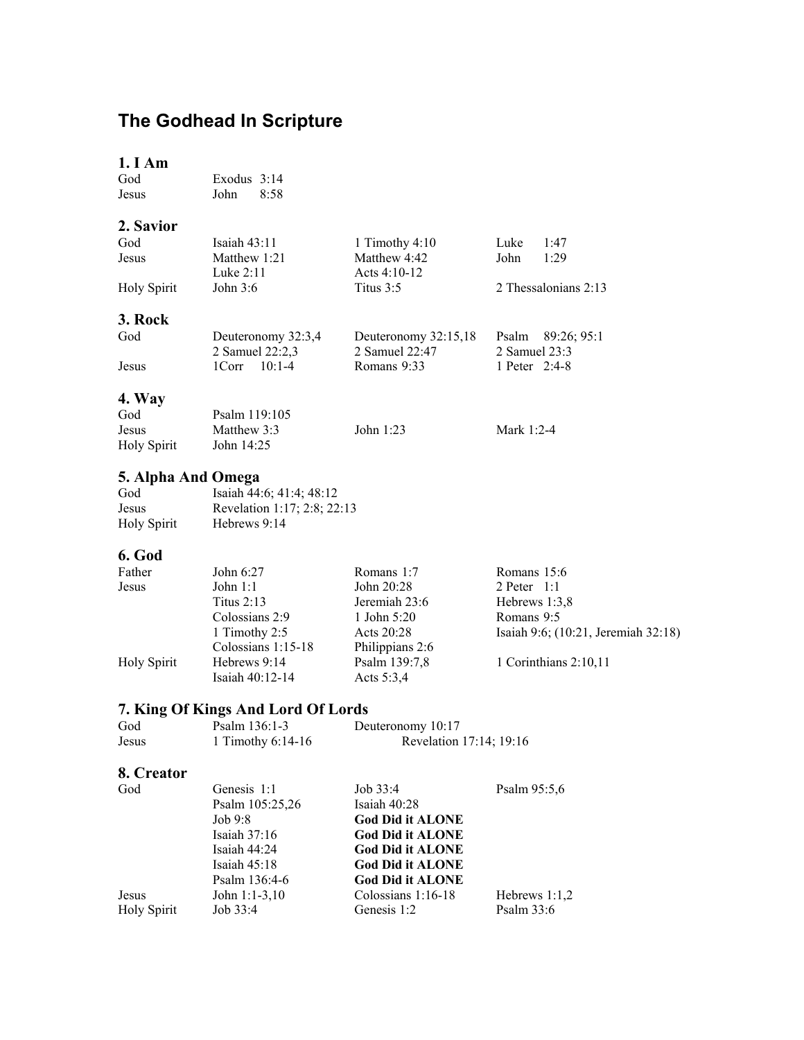# **The Godhead In Scripture**

# **1. I Am**

| God   | Exodus $3:14$ |      |
|-------|---------------|------|
| Jesus | John          | 8:58 |

### **2. Savior**

| God                | Isaiah $43:11$ | 1 Timothy $4:10$ | Luke<br>1.47         |
|--------------------|----------------|------------------|----------------------|
| Jesus              | Matthew $1:21$ | Matthew 4:42     | 1.29<br>John.        |
|                    | Luke $2:11$    | Acts $4:10-12$   |                      |
| <b>Holy Spirit</b> | John 3:6       | Titus $3:5$      | 2 Thessalonians 2:13 |

# **3. Rock**

| God   | Deuteronomy 32:3,4 | Deuteronomy 32:15,18 | Psalm 89:26: 95:1 |
|-------|--------------------|----------------------|-------------------|
|       | 2 Samuel 22:2.3    | 2 Samuel 22:47       | 2 Samuel $23:3$   |
| Jesus | $1$ Corr $10:1-4$  | Romans 9:33          | 1 Peter $2:4-8$   |

# **4. Way**

| God                | Psalm 119:105 |             |              |
|--------------------|---------------|-------------|--------------|
| Jesus              | Matthew 3:3   | John $1:23$ | Mark $1:2-4$ |
| <b>Holy Spirit</b> | John 14:25    |             |              |

# **5. Alpha And Omega**

| God                | Isaiah 44:6; 41:4; 48:12    |
|--------------------|-----------------------------|
| Jesus              | Revelation 1:17; 2:8; 22:13 |
| <b>Holy Spirit</b> | Hebrews 9:14                |

#### **6. God**

| Father             | John 6:27          | Romans 1:7      | Romans $15:6$                       |
|--------------------|--------------------|-----------------|-------------------------------------|
| Jesus              | John $1:1$         | John $20:28$    | 2 Peter $1:1$                       |
|                    | Titus $2:13$       | Jeremiah 23:6   | Hebrews $1:3,8$                     |
|                    | Colossians 2:9     | 1 John $5:20$   | Romans 9:5                          |
|                    | 1 Timothy $2:5$    | Acts $20:28$    | Isaiah 9:6; (10:21, Jeremiah 32:18) |
|                    | Colossians 1:15-18 | Philippians 2:6 |                                     |
| <b>Holy Spirit</b> | Hebrews 9:14       | Psalm 139:7,8   | 1 Corinthians $2:10,11$             |
|                    | Isaiah $40:12-14$  | Acts $5:3.4$    |                                     |

# **7. King Of Kings And Lord Of Lords**

| God   | Psalm $136:1-3$   | Deuteronomy 10:17       |
|-------|-------------------|-------------------------|
| Jesus | 1 Timothy 6:14-16 | Revelation 17:14; 19:16 |

### **8. Creator**

| God         | Genesis 1:1     | Job $33:4$              | Psalm 95:5,6    |
|-------------|-----------------|-------------------------|-----------------|
|             | Psalm 105:25,26 | Isaiah $40:28$          |                 |
|             | Job $9:8$       | <b>God Did it ALONE</b> |                 |
|             | Isaiah $37:16$  | <b>God Did it ALONE</b> |                 |
|             | Isaiah 44:24    | <b>God Did it ALONE</b> |                 |
|             | Isaiah $45:18$  | <b>God Did it ALONE</b> |                 |
|             | Psalm 136:4-6   | <b>God Did it ALONE</b> |                 |
| Jesus       | John $1:1-3,10$ | Colossians $1:16-18$    | Hebrews $1:1,2$ |
| Holy Spirit | Job $33:4$      | Genesis 1:2             | Psalm 33:6      |
|             |                 |                         |                 |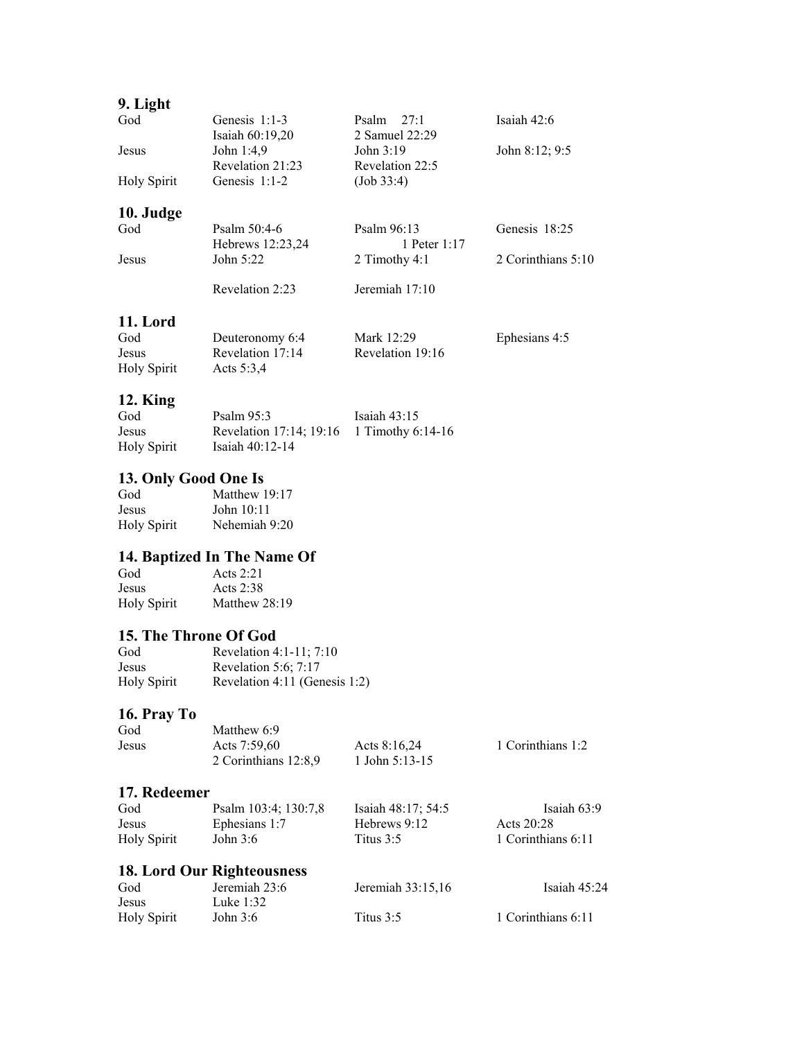| 9. Light<br>God                                            | Genesis 1:1-3                                                                    | Psalm<br>27:1                       | Isaiah 42:6                 |
|------------------------------------------------------------|----------------------------------------------------------------------------------|-------------------------------------|-----------------------------|
| Jesus                                                      | Isaiah 60:19,20<br>John 1:4,9                                                    | 2 Samuel 22:29<br>John 3:19         | John 8:12; 9:5              |
| <b>Holy Spirit</b>                                         | Revelation 21:23<br>Genesis 1:1-2                                                | Revelation 22:5<br>(Job 33:4)       |                             |
| 10. Judge                                                  |                                                                                  |                                     |                             |
| God                                                        | Psalm 50:4-6                                                                     | Psalm 96:13<br>1 Peter 1:17         | Genesis 18:25               |
| Jesus                                                      | Hebrews 12:23,24<br>John 5:22                                                    | 2 Timothy 4:1                       | 2 Corinthians 5:10          |
|                                                            | Revelation 2:23                                                                  | Jeremiah 17:10                      |                             |
| 11. Lord<br>God<br>Jesus<br><b>Holy Spirit</b>             | Deuteronomy 6:4<br>Revelation 17:14<br>Acts 5:3,4                                | Mark 12:29<br>Revelation 19:16      | Ephesians 4:5               |
| 12. King<br>God<br>Jesus<br><b>Holy Spirit</b>             | Psalm $95:3$<br>Revelation 17:14; 19:16<br>Isaiah 40:12-14                       | Isaiah $43:15$<br>1 Timothy 6:14-16 |                             |
| 13. Only Good One Is<br>God<br>Jesus<br><b>Holy Spirit</b> | Matthew 19:17<br>John 10:11<br>Nehemiah 9:20                                     |                                     |                             |
|                                                            | 14. Baptized In The Name Of                                                      |                                     |                             |
| God                                                        | Acts 2:21                                                                        |                                     |                             |
| Jesus<br><b>Holy Spirit</b>                                | Acts 2:38<br>Matthew 28:19                                                       |                                     |                             |
| 15. The Throne Of God<br>God<br>Jesus<br>Holy Spirit       | Revelation 4:1-11; 7:10<br>Revelation 5:6; 7:17<br>Revelation 4:11 (Genesis 1:2) |                                     |                             |
| 16. Pray To                                                |                                                                                  |                                     |                             |
| God<br>Jesus                                               | Matthew 6:9<br>Acts 7:59,60<br>2 Corinthians 12:8,9                              | Acts $8:16,24$<br>1 John 5:13-15    | 1 Corinthians 1:2           |
| 17. Redeemer                                               |                                                                                  |                                     |                             |
| God<br>Jesus                                               | Psalm 103:4; 130:7,8<br>Ephesians 1:7                                            | Isaiah 48:17; 54:5<br>Hebrews 9:12  | Isaiah $63:9$<br>Acts 20:28 |
| <b>Holy Spirit</b>                                         | John $3:6$                                                                       | Titus 3:5                           | 1 Corinthians 6:11          |
|                                                            | <b>18. Lord Our Righteousness</b>                                                |                                     |                             |
| God<br>Jesus                                               | Jeremiah 23:6<br>Luke 1:32                                                       | Jeremiah 33:15,16                   | Isaiah $45:24$              |
| Holy Spirit                                                | John $3:6$                                                                       | Titus 3:5                           | 1 Corinthians 6:11          |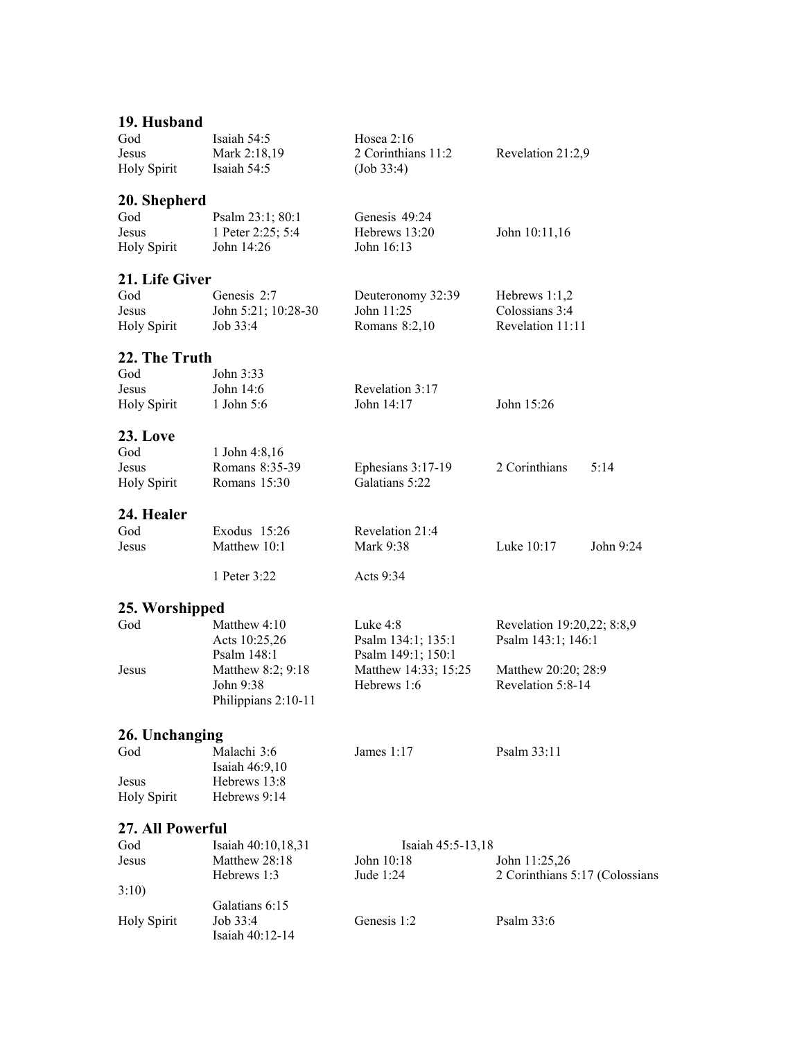| 19. Husband        |                     |                      |                                |
|--------------------|---------------------|----------------------|--------------------------------|
| God                | Isaiah 54:5         | Hosea $2:16$         |                                |
| Jesus              | Mark 2:18,19        | 2 Corinthians 11:2   | Revelation 21:2,9              |
| Holy Spirit        | Isaiah 54:5         | (Job 33:4)           |                                |
|                    |                     |                      |                                |
| 20. Shepherd       |                     |                      |                                |
| God                | Psalm 23:1; 80:1    | Genesis 49:24        |                                |
| Jesus              | 1 Peter 2:25; 5:4   | Hebrews 13:20        | John 10:11,16                  |
| Holy Spirit        | John 14:26          | John 16:13           |                                |
| 21. Life Giver     |                     |                      |                                |
| God                | Genesis 2:7         | Deuteronomy 32:39    | Hebrews $1:1,2$                |
| Jesus              | John 5:21; 10:28-30 | John 11:25           | Colossians 3:4                 |
| <b>Holy Spirit</b> | Job 33:4            | Romans 8:2,10        | Revelation 11:11               |
|                    |                     |                      |                                |
| 22. The Truth      |                     |                      |                                |
| God                | John 3:33           |                      |                                |
| Jesus              | John 14:6           | Revelation 3:17      |                                |
| Holy Spirit        | 1 John $5:6$        | John 14:17           | John 15:26                     |
|                    |                     |                      |                                |
| 23. Love           |                     |                      |                                |
| God                | 1 John 4:8,16       |                      |                                |
| Jesus              | Romans 8:35-39      | Ephesians 3:17-19    | 2 Corinthians<br>5:14          |
| Holy Spirit        | Romans 15:30        | Galatians 5:22       |                                |
| 24. Healer         |                     |                      |                                |
| God                | Exodus $15:26$      | Revelation 21:4      |                                |
| Jesus              | Matthew 10:1        | Mark 9:38            | Luke 10:17<br>John 9:24        |
|                    |                     |                      |                                |
|                    | 1 Peter 3:22        | Acts 9:34            |                                |
|                    |                     |                      |                                |
| 25. Worshipped     |                     |                      |                                |
| God                | Matthew 4:10        | Luke 4:8             | Revelation 19:20,22; 8:8,9     |
|                    | Acts 10:25,26       | Psalm 134:1; 135:1   | Psalm 143:1; 146:1             |
|                    | Psalm 148:1         | Psalm 149:1; 150:1   |                                |
| Jesus              | Matthew 8:2; 9:18   | Matthew 14:33; 15:25 | Matthew 20:20; 28:9            |
|                    | John 9:38           | Hebrews 1:6          | Revelation 5:8-14              |
|                    | Philippians 2:10-11 |                      |                                |
| 26. Unchanging     |                     |                      |                                |
| God                | Malachi 3:6         | James 1:17           | Psalm 33:11                    |
|                    | Isaiah 46:9,10      |                      |                                |
| Jesus              | Hebrews 13:8        |                      |                                |
| Holy Spirit        | Hebrews 9:14        |                      |                                |
|                    |                     |                      |                                |
| 27. All Powerful   |                     |                      |                                |
| God                | Isaiah 40:10,18,31  | Isaiah 45:5-13,18    |                                |
| Jesus              | Matthew 28:18       | John 10:18           | John 11:25,26                  |
|                    | Hebrews 1:3         | Jude 1:24            | 2 Corinthians 5:17 (Colossians |
| 3:10)              |                     |                      |                                |
|                    | Galatians 6:15      |                      |                                |
| <b>Holy Spirit</b> | Job 33:4            | Genesis 1:2          | Psalm 33:6                     |
|                    | Isaiah 40:12-14     |                      |                                |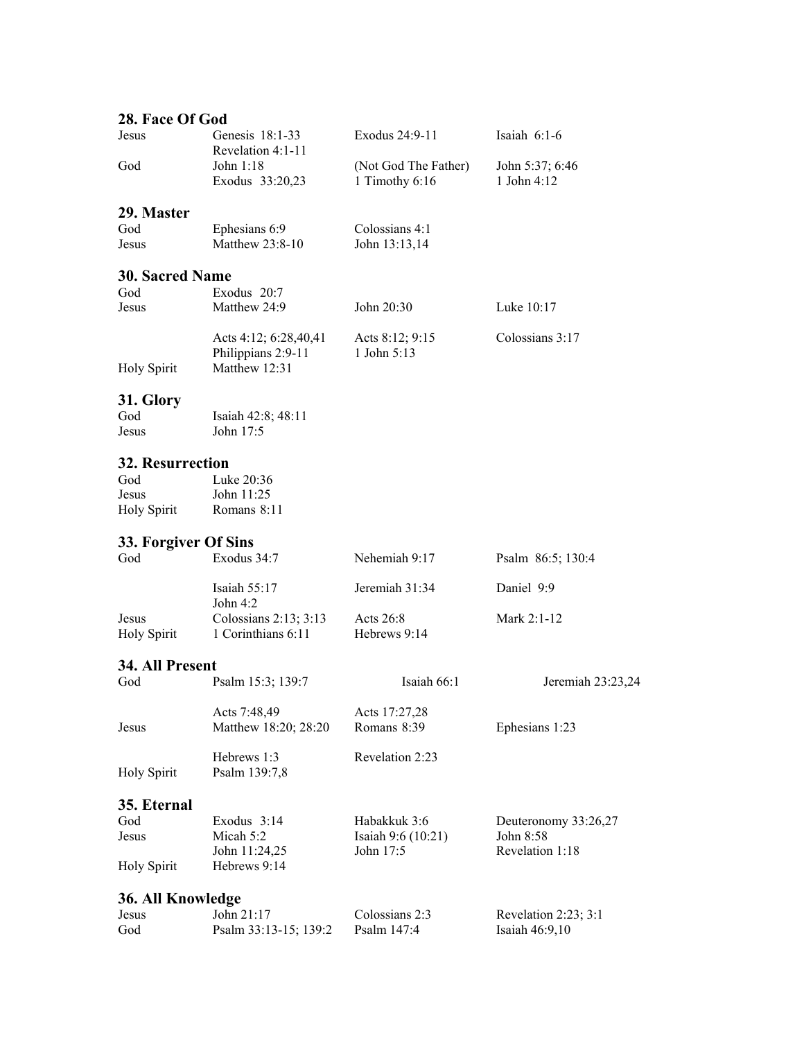| 28. Face Of God         |                                      |                                        |                                   |
|-------------------------|--------------------------------------|----------------------------------------|-----------------------------------|
| Jesus                   | Genesis 18:1-33<br>Revelation 4:1-11 | Exodus 24:9-11                         | Isaiah $6:1-6$                    |
| God                     | John 1:18<br>Exodus 33:20,23         | (Not God The Father)<br>1 Timothy 6:16 | John 5:37; 6:46<br>1 John 4:12    |
| 29. Master<br>God       | Ephesians 6:9                        | Colossians 4:1                         |                                   |
| Jesus                   | Matthew 23:8-10                      | John 13:13,14                          |                                   |
| <b>30. Sacred Name</b>  |                                      |                                        |                                   |
| God                     | Exodus $20:7$                        |                                        |                                   |
| Jesus                   | Matthew 24:9                         | John 20:30                             | Luke 10:17                        |
|                         | Acts 4:12; 6:28,40,41                | Acts 8:12; 9:15                        | Colossians 3:17                   |
| Holy Spirit             | Philippians 2:9-11<br>Matthew 12:31  | 1 John $5:13$                          |                                   |
| 31. Glory               |                                      |                                        |                                   |
| God                     | Isaiah 42:8; 48:11                   |                                        |                                   |
| Jesus                   | John 17:5                            |                                        |                                   |
| <b>32. Resurrection</b> |                                      |                                        |                                   |
| God                     | Luke 20:36                           |                                        |                                   |
| Jesus                   | John 11:25                           |                                        |                                   |
| <b>Holy Spirit</b>      | Romans 8:11                          |                                        |                                   |
| 33. Forgiver Of Sins    |                                      |                                        |                                   |
| God                     | Exodus 34:7                          | Nehemiah 9:17                          | Psalm 86:5; 130:4                 |
|                         | Isaiah $55:17$<br>John $4:2$         | Jeremiah 31:34                         | Daniel 9:9                        |
| Jesus                   | Colossians 2:13; 3:13                | Acts 26:8                              | Mark 2:1-12                       |
| <b>Holy Spirit</b>      | 1 Corinthians 6:11                   | Hebrews 9:14                           |                                   |
| <b>34. All Present</b>  |                                      |                                        |                                   |
| God                     | Psalm 15:3; 139:7                    | Isaiah 66:1                            | Jeremiah 23:23,24                 |
|                         | Acts 7:48,49                         | Acts 17:27,28                          |                                   |
| Jesus                   | Matthew 18:20; 28:20                 | Romans 8:39                            | Ephesians 1:23                    |
|                         | Hebrews 1:3                          | Revelation 2:23                        |                                   |
| <b>Holy Spirit</b>      | Psalm 139:7,8                        |                                        |                                   |
| 35. Eternal             |                                      |                                        |                                   |
| God<br>Jesus            | Exodus $3:14$<br>Micah 5:2           | Habakkuk 3:6<br>Isaiah 9:6 (10:21)     | Deuteronomy 33:26,27<br>John 8:58 |
|                         | John 11:24,25                        | John 17:5                              | Revelation 1:18                   |
| <b>Holy Spirit</b>      | Hebrews 9:14                         |                                        |                                   |
| 36. All Knowledge       |                                      |                                        |                                   |
| Jesus                   | John 21:17                           | Colossians 2:3                         | Revelation 2:23; 3:1              |
| God                     | Psalm 33:13-15; 139:2                | Psalm 147:4                            | Isaiah 46:9,10                    |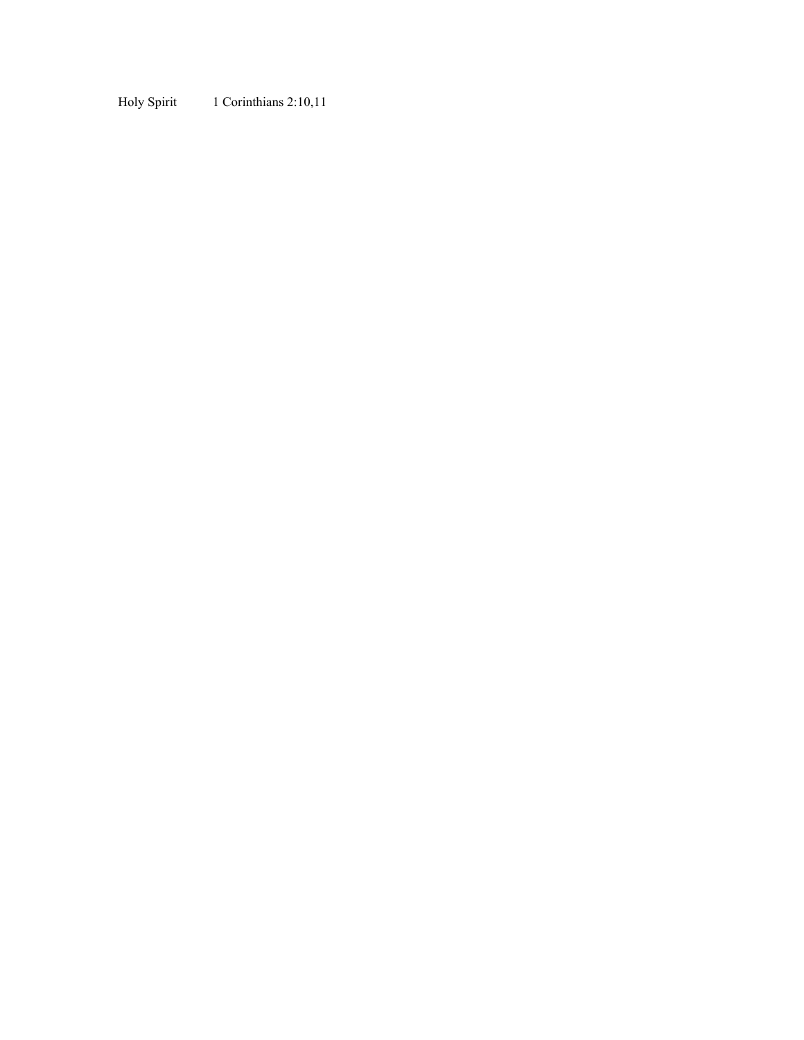Holy Spirit 1 Corinthians 2:10,11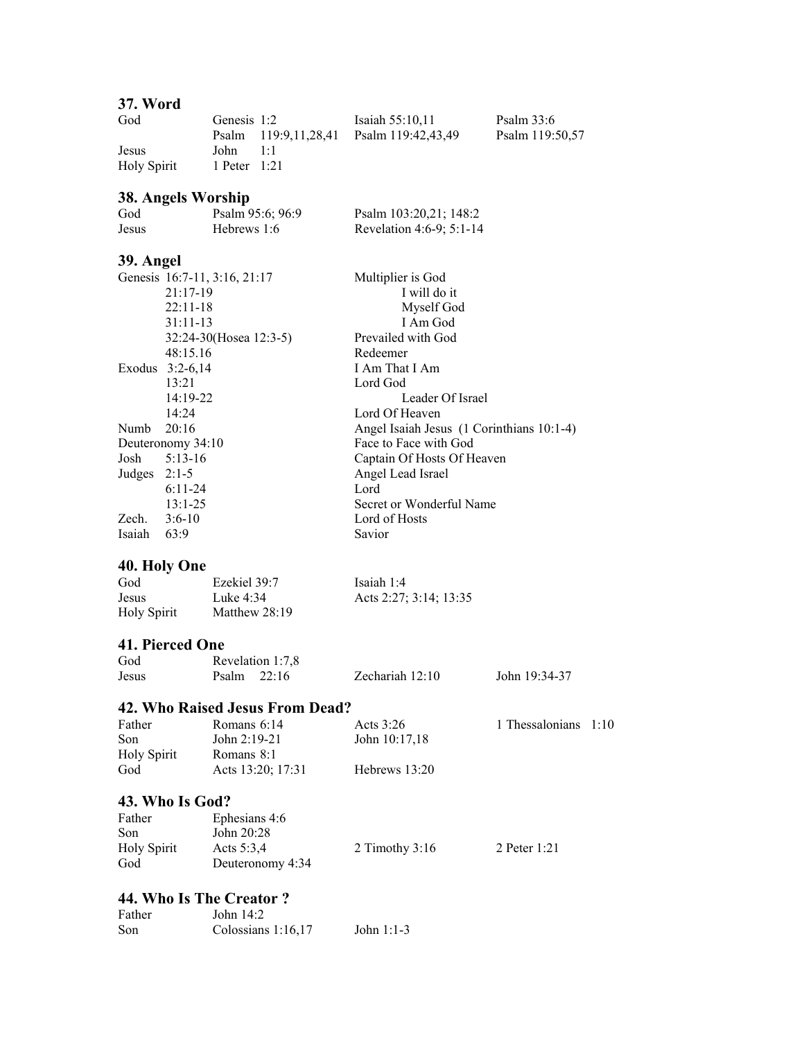| <b>37. Word</b><br>God<br>Jesus<br><b>Holy Spirit</b> | Genesis 1:2<br>119:9, 11, 28, 41<br>Psalm<br>1:1<br>John<br>1 Peter 1:21 | Isaiah 55:10,11<br>Psalm 119:42,43,49 | Psalm $33:6$<br>Psalm 119:50,57 |
|-------------------------------------------------------|--------------------------------------------------------------------------|---------------------------------------|---------------------------------|
| 38. Angels Worship                                    |                                                                          |                                       |                                 |
| God                                                   | Psalm 95:6; 96:9                                                         | Psalm 103:20,21; 148:2                |                                 |
| Jesus                                                 | Hebrews 1:6                                                              | Revelation 4:6-9; 5:1-14              |                                 |

### **39. Angel**

|                | Genesis 16:7-11, 3:16, 21:17 | Multiplier is God                         |
|----------------|------------------------------|-------------------------------------------|
|                | $21:17-19$                   | I will do it                              |
|                | $22:11-18$                   | Myself God                                |
|                | $31:11-13$                   | I Am God                                  |
|                | 32:24-30(Hosea 12:3-5)       | Prevailed with God                        |
|                | 48:15.16                     | Redeemer                                  |
|                | Exodus $3:2-6.14$            | I Am That I Am                            |
|                | 13:21                        | Lord God                                  |
|                | 14:19-22                     | Leader Of Israel                          |
|                | 14:24                        | Lord Of Heaven                            |
| Numb $20:16$   |                              | Angel Isaiah Jesus (1 Corinthians 10:1-4) |
|                | Deuteronomy 34:10            | Face to Face with God                     |
|                | Josh 5:13-16                 | Captain Of Hosts Of Heaven                |
| Judges $2:1-5$ |                              | Angel Lead Israel                         |
|                | $6:11-24$                    | Lord                                      |
|                | $13:1-25$                    | Secret or Wonderful Name                  |
| Zech. $3:6-10$ |                              | Lord of Hosts                             |
| Isaiah         | 63:9                         | Savior                                    |

## **40. Holy One**

| God                | Ezekiel 39:7  | Isaiah 1:4             |
|--------------------|---------------|------------------------|
| Jesus              | Luke 4:34     | Acts 2:27; 3:14; 13:35 |
| <b>Holy Spirit</b> | Matthew 28:19 |                        |

# **41. Pierced One**

| 41. Pierced One |                  |                   |               |
|-----------------|------------------|-------------------|---------------|
| God             | Revelation 1:7.8 |                   |               |
| Jesus           | Psalm $22:16$    | Zechariah $12:10$ | John 19:34-37 |

### **42. Who Raised Jesus From Dead?**

| Father             | Romans $6:14$     | Acts $3:26$     | 1 Thessalonians 1:10 |  |
|--------------------|-------------------|-----------------|----------------------|--|
| Son                | John $2:19-21$    | John $10:17.18$ |                      |  |
| <b>Holy Spirit</b> | Romans 8:1        |                 |                      |  |
| God                | Acts 13:20; 17:31 | Hebrews $13:20$ |                      |  |

### **43. Who Is God?**

| Father             | Ephesians 4:6    |                  |              |
|--------------------|------------------|------------------|--------------|
| Son                | John 20:28       |                  |              |
| <b>Holy Spirit</b> | Acts $5:3.4$     | 2 Timothy $3:16$ | 2 Peter 1:21 |
| God                | Deuteronomy 4:34 |                  |              |

## **44. Who Is The Creator ?**

| Father | John $14:2$          |              |
|--------|----------------------|--------------|
| Son    | Colossians $1:16,17$ | John $1:1-3$ |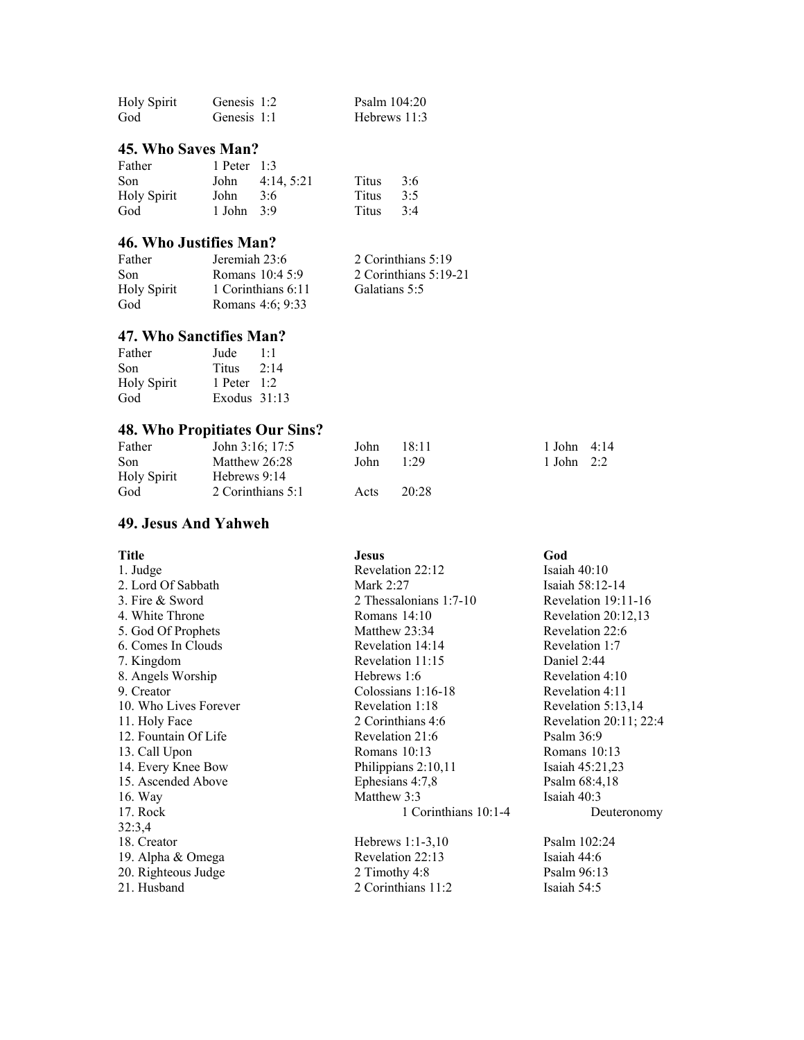| <b>Holy Spirit</b> | Genesis 1:2 | Psalm $104:20$ |
|--------------------|-------------|----------------|
| God                | Genesis 1:1 | Hebrews $11:3$ |

## **45. Who Saves Man?**

| Father             | 1 Peter $1:3$  |                  |       |     |
|--------------------|----------------|------------------|-------|-----|
| Son                |                | John $4:14.5:21$ | Titus | 3:6 |
| <b>Holy Spirit</b> | John           | 3:6              | Titus | 3:5 |
| God                | $1$ John $3:9$ |                  | Titus | 3.4 |

# **46. Who Justifies Man?**

| Father             | Jeremiah 23:6      | 2 Corinthians 5:19    |
|--------------------|--------------------|-----------------------|
| Son                | Romans 10:4 5:9    | 2 Corinthians 5:19-21 |
| <b>Holy Spirit</b> | 1 Corinthians 6:11 | Galatians 5:5         |
| God                | Romans 4:6; 9:33   |                       |

## **47. Who Sanctifies Man?**

| Father             | Jude           | 1:1  |
|--------------------|----------------|------|
| Son                | Titus          | 2:14 |
| <b>Holy Spirit</b> | 1 Peter $1:2$  |      |
| God                | Exodus $31:13$ |      |

# **48. Who Propitiates Our Sins?**

| Father             | John 3:16; 17:5   | John | 18:11 | 1 John $4:14$  |
|--------------------|-------------------|------|-------|----------------|
| Son                | Matthew 26:28     | John | 1.29  | $1$ John $2:2$ |
| <b>Holy Spirit</b> | Hebrews 9:14      |      |       |                |
| God                | 2 Corinthians 5:1 | Acts | 20:28 |                |

# **49. Jesus And Yahweh**

| Revelation 22:12<br>1. Judge<br>2. Lord Of Sabbath<br>Mark $2:27$<br>3. Fire & Sword<br>2 Thessalonians 1:7-10<br>4. White Throne<br>Romans $14:10$<br>5. God Of Prophets<br>Matthew 23:34<br>6. Comes In Clouds<br>Revelation 14:14 | Isaiah 40:10<br>Isaiah 58:12-14<br>Revelation 19:11-16<br>Revelation 20:12,13<br>Revelation 22:6<br>Revelation 1:7 |
|--------------------------------------------------------------------------------------------------------------------------------------------------------------------------------------------------------------------------------------|--------------------------------------------------------------------------------------------------------------------|
|                                                                                                                                                                                                                                      |                                                                                                                    |
|                                                                                                                                                                                                                                      |                                                                                                                    |
|                                                                                                                                                                                                                                      |                                                                                                                    |
|                                                                                                                                                                                                                                      |                                                                                                                    |
|                                                                                                                                                                                                                                      |                                                                                                                    |
|                                                                                                                                                                                                                                      |                                                                                                                    |
| Revelation 11:15<br>7. Kingdom                                                                                                                                                                                                       | Daniel 2:44                                                                                                        |
| 8. Angels Worship<br>Hebrews 1:6                                                                                                                                                                                                     | Revelation 4:10                                                                                                    |
| Colossians $1:16-18$<br>9. Creator                                                                                                                                                                                                   | Revelation 4:11                                                                                                    |
| 10. Who Lives Forever<br>Revelation 1:18                                                                                                                                                                                             | Revelation 5:13,14                                                                                                 |
| 2 Corinthians 4:6<br>11. Holy Face                                                                                                                                                                                                   | Revelation 20:11; 22:4                                                                                             |
| 12. Fountain Of Life<br>Revelation 21:6                                                                                                                                                                                              | Psalm $36:9$                                                                                                       |
| Romans $10:13$<br>13. Call Upon                                                                                                                                                                                                      | Romans $10:13$                                                                                                     |
| Philippians $2:10,11$<br>14. Every Knee Bow                                                                                                                                                                                          | Isaiah $45:21,23$                                                                                                  |
| Ephesians 4:7,8<br>15. Ascended Above                                                                                                                                                                                                | Psalm 68:4,18                                                                                                      |
| Matthew 3:3<br>16. Way                                                                                                                                                                                                               | Isaiah $40:3$                                                                                                      |
| 1 Corinthians 10:1-4<br>17. Rock                                                                                                                                                                                                     | Deuteronomy                                                                                                        |
| 32:3,4                                                                                                                                                                                                                               |                                                                                                                    |
| 18. Creator<br>Hebrews $1:1-3,10$                                                                                                                                                                                                    | Psalm $102:24$                                                                                                     |
| Revelation 22:13<br>19. Alpha & Omega                                                                                                                                                                                                | Isaiah $44:6$                                                                                                      |
| 20. Righteous Judge<br>2 Timothy 4:8                                                                                                                                                                                                 | Psalm 96:13                                                                                                        |
| 21. Husband<br>2 Corinthians 11:2<br>Isaiah 54:5                                                                                                                                                                                     |                                                                                                                    |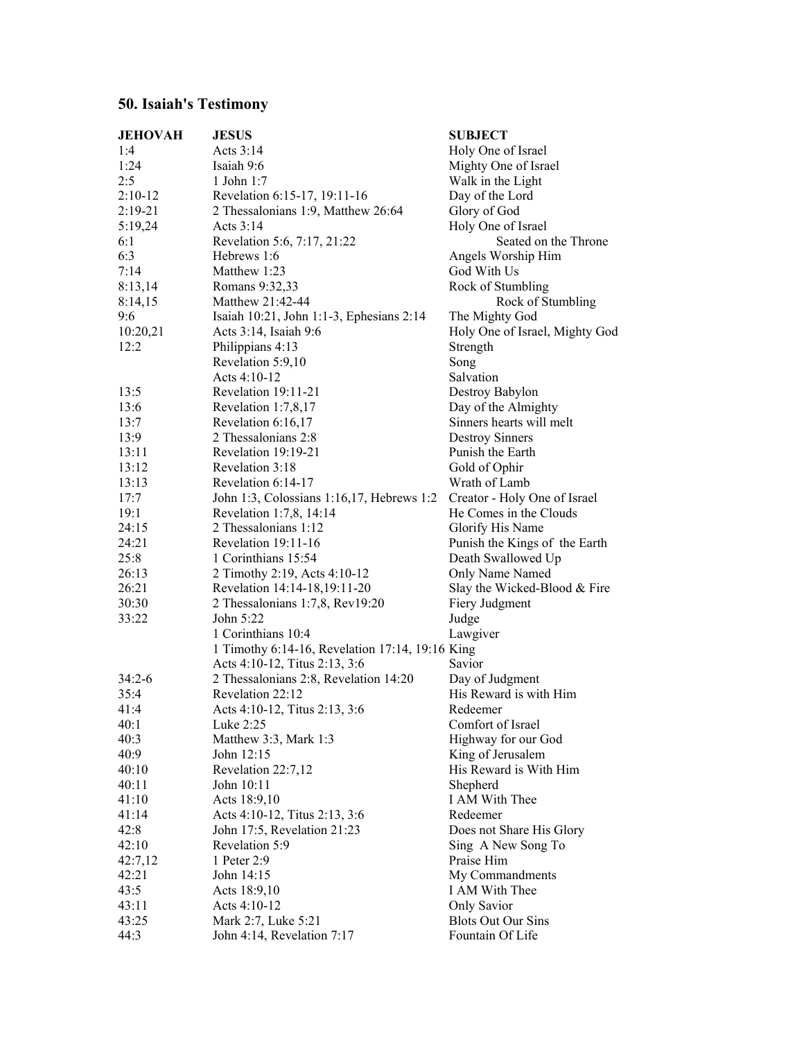# **50. Isaiah's Testimony**

| <b>JEHOVAH</b> | <b>JESUS</b>                                    | <b>SUBJECT</b>                 |
|----------------|-------------------------------------------------|--------------------------------|
| 1:4            | Acts $3:14$                                     | Holy One of Israel             |
| 1:24           | Isaiah 9:6                                      | Mighty One of Israel           |
| 2:5            | 1 John $1:7$                                    | Walk in the Light              |
| $2:10-12$      | Revelation 6:15-17, 19:11-16                    | Day of the Lord                |
| $2:19-21$      | 2 Thessalonians 1:9, Matthew 26:64              | Glory of God                   |
| 5:19,24        | Acts 3:14                                       | Holy One of Israel             |
| 6:1            | Revelation 5:6, 7:17, 21:22                     | Seated on the Throne           |
| 6:3            | Hebrews 1:6                                     | Angels Worship Him             |
| 7:14           | Matthew 1:23                                    | God With Us                    |
| 8:13,14        | Romans 9:32,33                                  | Rock of Stumbling              |
| 8:14,15        | Matthew 21:42-44                                | Rock of Stumbling              |
| 9:6            | Isaiah 10:21, John 1:1-3, Ephesians 2:14        | The Mighty God                 |
| 10:20,21       | Acts 3:14, Isaiah 9:6                           | Holy One of Israel, Mighty God |
| 12:2           | Philippians 4:13                                | Strength                       |
|                | Revelation 5:9,10                               | Song                           |
|                | Acts $4:10-12$                                  | Salvation                      |
| 13:5           | Revelation 19:11-21                             | Destroy Babylon                |
| 13:6           | Revelation 1:7,8,17                             | Day of the Almighty            |
| 13:7           | Revelation 6:16,17                              | Sinners hearts will melt       |
| 13:9           | 2 Thessalonians 2:8                             | <b>Destroy Sinners</b>         |
| 13:11          | Revelation 19:19-21                             | Punish the Earth               |
|                | Revelation 3:18                                 | Gold of Ophir                  |
| 13:12          | Revelation 6:14-17                              | Wrath of Lamb                  |
| 13:13          |                                                 |                                |
| 17:7           | John 1:3, Colossians 1:16,17, Hebrews 1:2       | Creator - Holy One of Israel   |
| 19:1           | Revelation 1:7,8, 14:14                         | He Comes in the Clouds         |
| 24:15          | 2 Thessalonians 1:12                            | Glorify His Name               |
| 24:21          | Revelation 19:11-16                             | Punish the Kings of the Earth  |
| 25:8           | 1 Corinthians 15:54                             | Death Swallowed Up             |
| 26:13          | 2 Timothy 2:19, Acts 4:10-12                    | Only Name Named                |
| 26:21          | Revelation 14:14-18,19:11-20                    | Slay the Wicked-Blood & Fire   |
| 30:30          | 2 Thessalonians 1:7,8, Rev19:20                 | Fiery Judgment                 |
| 33:22          | John 5:22                                       | Judge                          |
|                | 1 Corinthians 10:4                              | Lawgiver                       |
|                | 1 Timothy 6:14-16, Revelation 17:14, 19:16 King |                                |
|                | Acts 4:10-12, Titus 2:13, 3:6                   | Savior                         |
| $34:2-6$       | 2 Thessalonians 2:8, Revelation 14:20           | Day of Judgment                |
| 35:4           | Revelation 22:12                                | His Reward is with Him         |
| 41:4           | Acts 4:10-12, Titus 2:13, 3:6                   | Redeemer                       |
| 40:1           | Luke 2:25                                       | Comfort of Israel              |
| 40:3           | Matthew 3:3, Mark 1:3                           | Highway for our God            |
| 40:9           | John 12:15                                      | King of Jerusalem              |
| 40:10          | Revelation 22:7,12                              | His Reward is With Him         |
| 40:11          | John 10:11                                      | Shepherd                       |
| 41:10          | Acts 18:9,10                                    | I AM With Thee                 |
| 41:14          | Acts 4:10-12, Titus 2:13, 3:6                   | Redeemer                       |
| 42:8           | John 17:5, Revelation 21:23                     | Does not Share His Glory       |
| 42:10          | Revelation 5:9                                  | Sing A New Song To             |
| 42:7,12        | 1 Peter 2:9                                     | Praise Him                     |
| 42:21          | John 14:15                                      | My Commandments                |
| 43:5           | Acts 18:9,10                                    | I AM With Thee                 |
| 43:11          | Acts 4:10-12                                    | <b>Only Savior</b>             |
| 43:25          | Mark 2:7, Luke 5:21                             | <b>Blots Out Our Sins</b>      |
| 44:3           | John 4:14, Revelation 7:17                      | Fountain Of Life               |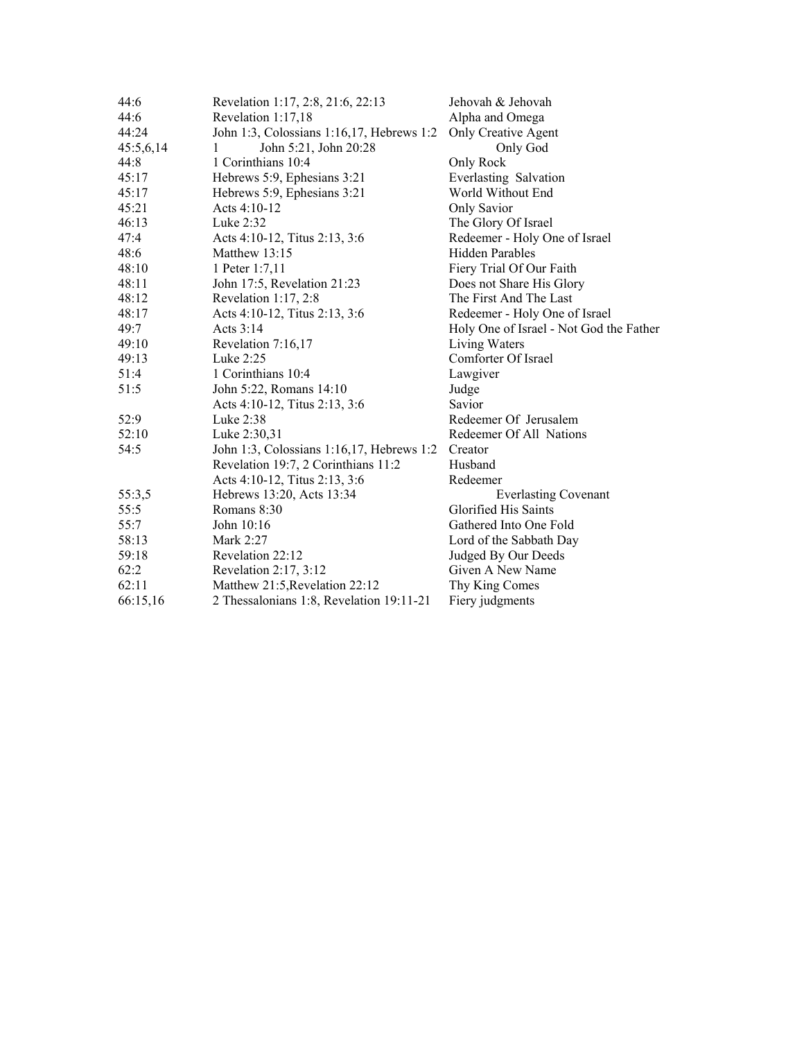| 44:6      | Revelation 1:17, 2:8, 21:6, 22:13                | Jehovah & Jehovah                       |  |
|-----------|--------------------------------------------------|-----------------------------------------|--|
| 44:6      | Revelation 1:17,18                               | Alpha and Omega                         |  |
| 44:24     | John 1:3, Colossians 1:16,17, Hebrews 1:2        | <b>Only Creative Agent</b>              |  |
| 45:5,6,14 | John 5:21, John 20:28                            | Only God                                |  |
| 44:8      | 1 Corinthians 10:4                               | Only Rock                               |  |
| 45:17     | Hebrews 5:9, Ephesians 3:21                      | Everlasting Salvation                   |  |
| 45:17     | Hebrews 5:9, Ephesians 3:21                      | World Without End                       |  |
| 45:21     | Acts $4:10-12$                                   | <b>Only Savior</b>                      |  |
| 46:13     | Luke $2:32$                                      | The Glory Of Israel                     |  |
| 47:4      | Acts 4:10-12, Titus 2:13, 3:6                    | Redeemer - Holy One of Israel           |  |
| 48:6      | Matthew 13:15                                    | <b>Hidden Parables</b>                  |  |
| 48:10     | 1 Peter 1:7,11                                   | Fiery Trial Of Our Faith                |  |
| 48:11     | John 17:5, Revelation 21:23                      | Does not Share His Glory                |  |
| 48:12     | Revelation 1:17, 2:8                             | The First And The Last                  |  |
| 48:17     | Acts 4:10-12, Titus 2:13, 3:6                    | Redeemer - Holy One of Israel           |  |
| 49:7      | Acts $3:14$                                      | Holy One of Israel - Not God the Father |  |
| 49:10     | Revelation 7:16,17                               | <b>Living Waters</b>                    |  |
| 49:13     | Luke $2:25$                                      | Comforter Of Israel                     |  |
| 51:4      | 1 Corinthians 10:4                               | Lawgiver                                |  |
| 51:5      | John 5:22, Romans 14:10                          | Judge                                   |  |
|           | Acts 4:10-12, Titus 2:13, 3:6                    | Savior                                  |  |
| 52:9      | Luke $2:38$                                      | Redeemer Of Jerusalem                   |  |
| 52:10     | Luke 2:30,31                                     | Redeemer Of All Nations                 |  |
| 54:5      | John 1:3, Colossians 1:16,17, Hebrews 1:2        | Creator                                 |  |
|           | Revelation 19:7, 2 Corinthians 11:2              | Husband                                 |  |
|           | Acts 4:10-12, Titus 2:13, 3:6                    | Redeemer                                |  |
| 55:3,5    | Hebrews 13:20, Acts 13:34                        | <b>Everlasting Covenant</b>             |  |
| 55:5      | Romans 8:30                                      | <b>Glorified His Saints</b>             |  |
| 55:7      | John 10:16                                       | Gathered Into One Fold                  |  |
| 58:13     | Mark 2:27                                        | Lord of the Sabbath Day                 |  |
| 59:18     | Revelation 22:12<br>Judged By Our Deeds          |                                         |  |
| 62:2      | Revelation 2:17, 3:12                            | Given A New Name                        |  |
| 62:11     | Matthew 21:5, Revelation 22:12<br>Thy King Comes |                                         |  |
| 66:15,16  | 2 Thessalonians 1:8, Revelation 19:11-21         | Fiery judgments                         |  |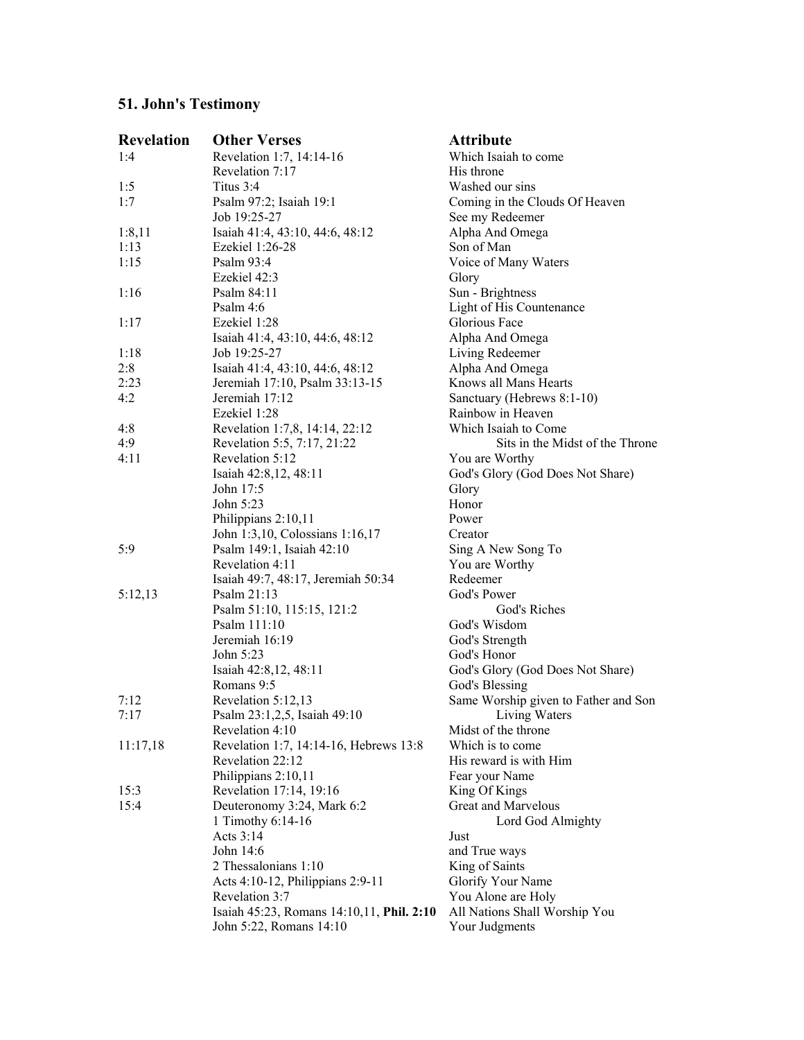# **51. John's Testimony**

| <b>Revelation</b> | <b>Other Verses</b>                       | <b>Attribute</b>                     |
|-------------------|-------------------------------------------|--------------------------------------|
| 1:4               | Revelation 1:7, 14:14-16                  | Which Isaiah to come                 |
|                   | Revelation 7:17                           | His throne                           |
| 1:5               | Titus 3:4                                 | Washed our sins                      |
| 1:7               | Psalm 97:2; Isaiah 19:1                   | Coming in the Clouds Of Heaven       |
|                   | Job 19:25-27                              | See my Redeemer                      |
| 1:8,11            | Isaiah 41:4, 43:10, 44:6, 48:12           | Alpha And Omega                      |
| 1:13              | Ezekiel 1:26-28                           | Son of Man                           |
| 1:15              | Psalm $93:4$                              | Voice of Many Waters                 |
|                   | Ezekiel 42:3                              | Glory                                |
| 1:16              | Psalm 84:11                               | Sun - Brightness                     |
|                   | Psalm 4:6                                 | Light of His Countenance             |
| 1:17              | Ezekiel 1:28                              | Glorious Face                        |
|                   | Isaiah 41:4, 43:10, 44:6, 48:12           | Alpha And Omega                      |
| 1:18              | Job 19:25-27                              | Living Redeemer                      |
| 2:8               | Isaiah 41:4, 43:10, 44:6, 48:12           | Alpha And Omega                      |
| 2:23              | Jeremiah 17:10, Psalm 33:13-15            | Knows all Mans Hearts                |
| 4:2               | Jeremiah 17:12                            | Sanctuary (Hebrews 8:1-10)           |
|                   | Ezekiel 1:28                              | Rainbow in Heaven                    |
| 4:8               | Revelation 1:7,8, 14:14, 22:12            | Which Isaiah to Come                 |
| 4:9               | Revelation 5:5, 7:17, 21:22               | Sits in the Midst of the Throne      |
| 4:11              | Revelation 5:12                           | You are Worthy                       |
|                   |                                           | God's Glory (God Does Not Share)     |
|                   | Isaiah 42:8,12, 48:11<br>John 17:5        | Glory                                |
|                   | John 5:23                                 | Honor                                |
|                   | Philippians 2:10,11                       | Power                                |
|                   | John 1:3,10, Colossians 1:16,17           | Creator                              |
| 5:9               | Psalm 149:1, Isaiah 42:10                 |                                      |
|                   | Revelation 4:11                           | Sing A New Song To                   |
|                   |                                           | You are Worthy                       |
|                   | Isaiah 49:7, 48:17, Jeremiah 50:34        | Redeemer                             |
| 5:12,13           | Psalm 21:13                               | God's Power                          |
|                   | Psalm 51:10, 115:15, 121:2                | God's Riches                         |
|                   | Psalm 111:10                              | God's Wisdom                         |
|                   | Jeremiah 16:19                            | God's Strength                       |
|                   | John 5:23                                 | God's Honor                          |
|                   | Isaiah 42:8,12, 48:11                     | God's Glory (God Does Not Share)     |
|                   | Romans 9:5                                | God's Blessing                       |
| 7:12              | Revelation 5:12,13                        | Same Worship given to Father and Son |
| 7:17              | Psalm 23:1,2,5, Isaiah 49:10              | Living Waters                        |
|                   | Revelation 4:10                           | Midst of the throne                  |
| 11:17,18          | Revelation 1:7, 14:14-16, Hebrews 13:8    | Which is to come                     |
|                   | Revelation 22:12                          | His reward is with Him               |
|                   | Philippians 2:10,11                       | Fear your Name                       |
| 15:3              | Revelation 17:14, 19:16                   | King Of Kings                        |
| 15:4              | Deuteronomy 3:24, Mark 6:2                | Great and Marvelous                  |
|                   | 1 Timothy 6:14-16                         | Lord God Almighty                    |
|                   | Acts 3:14                                 | Just                                 |
|                   | John 14:6                                 | and True ways                        |
|                   | 2 Thessalonians 1:10                      | King of Saints                       |
|                   | Acts 4:10-12, Philippians 2:9-11          | Glorify Your Name                    |
|                   | Revelation 3:7                            | You Alone are Holy                   |
|                   | Isaiah 45:23, Romans 14:10,11, Phil. 2:10 | All Nations Shall Worship You        |
|                   | John 5:22, Romans 14:10                   | Your Judgments                       |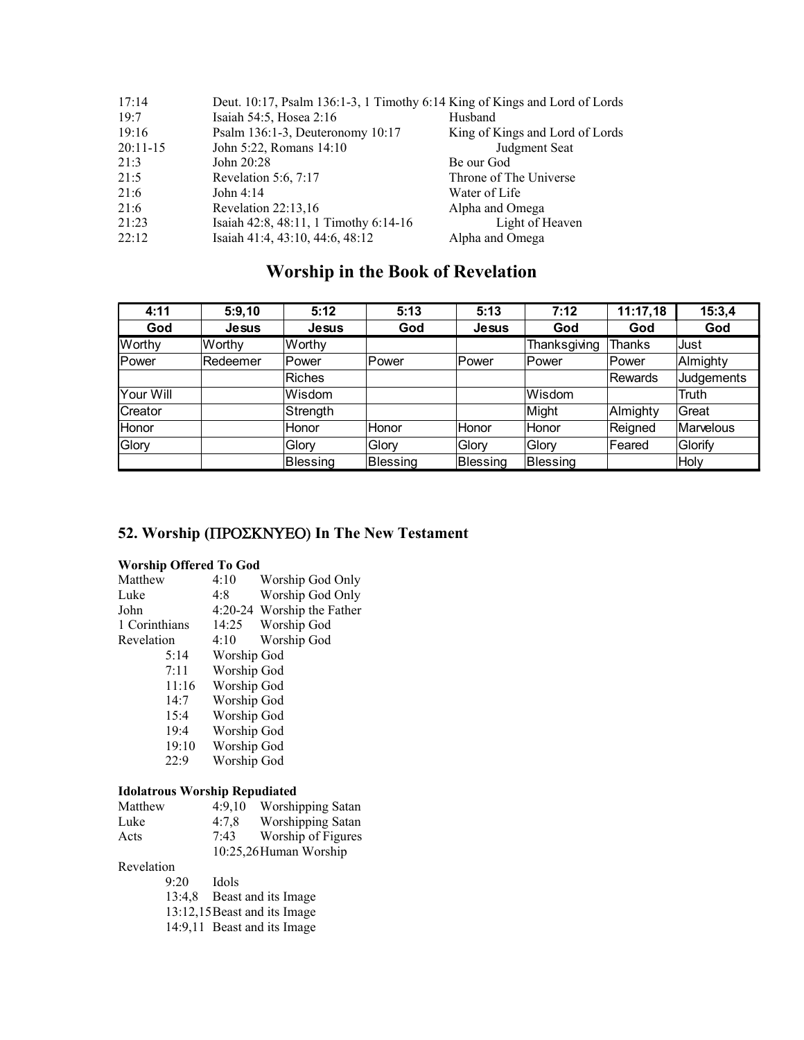| 17:14      | Deut. 10:17, Psalm 136:1-3, 1 Timothy 6:14 King of Kings and Lord of Lords |                                 |
|------------|----------------------------------------------------------------------------|---------------------------------|
| 19:7       | Isaiah 54:5, Hosea 2:16                                                    | Husband                         |
| 19:16      | Psalm 136:1-3, Deuteronomy 10:17                                           | King of Kings and Lord of Lords |
| $20:11-15$ | John 5:22, Romans 14:10                                                    | Judgment Seat                   |
| 21:3       | John 20:28                                                                 | Be our God                      |
| 21:5       | Revelation 5:6, $7:17$                                                     | Throne of The Universe          |
| 21:6       | John $4:14$                                                                | Water of Life                   |
| 21:6       | Revelation $22:13,16$                                                      | Alpha and Omega                 |
| 21:23      | Isaiah 42:8, 48:11, 1 Timothy 6:14-16                                      | Light of Heaven                 |
| 22:12      | Isaiah 41:4, 43:10, 44:6, 48:12                                            | Alpha and Omega                 |

# **Worship in the Book of Revelation**

| 4:11      | 5:9,10       | 5:12         | 5:13          | 5:13         | 7:12         | 11:17,18     | 15:3,4           |
|-----------|--------------|--------------|---------------|--------------|--------------|--------------|------------------|
| God       | <b>Jesus</b> | <b>Jesus</b> | God           | <b>Jesus</b> | God          | God          | God              |
| Worthy    | Worthy       | Worthy       |               |              | Thanksgiving | Thanks       | lJust            |
| Power     | Redeemer     | <b>Power</b> | <b>IPower</b> | Power        | Power        | <b>Power</b> | Almighty         |
|           |              | Riches       |               |              |              | Rewards      | Judgements       |
| Your Will |              | Wisdom       |               |              | Wisdom       |              | Truth            |
| Creator   |              | Strength     |               |              | Might        | Almighty     | Great            |
| Honor     |              | Honor        | Honor         | Honor        | Honor        | Reigned      | <b>Marvelous</b> |
| Glory     |              | Glory        | Glory         | Glory        | Glory        | Feared       | Glorify          |
|           |              | Blessing     | Blessing      | Blessing     | Blessing     |              | Holy             |

# **52. Worship (**ΠΡΟΣΚΝΥΕΟ) **In The New Testament**

## **Worship Offered To God**

| 4:10        | Worship God Only           |
|-------------|----------------------------|
| 4:8         | Worship God Only           |
|             | 4:20-24 Worship the Father |
| 14:25       | Worship God                |
| 4:10        | Worship God                |
| Worship God |                            |
| Worship God |                            |
| Worship God |                            |
| Worship God |                            |
| Worship God |                            |
| Worship God |                            |
| Worship God |                            |
| Worship God |                            |
|             |                            |

#### **Idolatrous Worship Repudiated**

| Matthew    |        | 4:9,10 | Worshipping Satan            |
|------------|--------|--------|------------------------------|
| Luke       |        | 4:7,8  | Worshipping Satan            |
| Acts       |        | 7.43   | Worship of Figures           |
|            |        |        | 10:25,26Human Worship        |
| Revelation |        |        |                              |
|            | 9:20   | Idols  |                              |
|            | 13:4.8 |        | Beast and its Image          |
|            |        |        | 13:12,15 Beast and its Image |
|            |        |        | 14:9,11 Beast and its Image  |
|            |        |        |                              |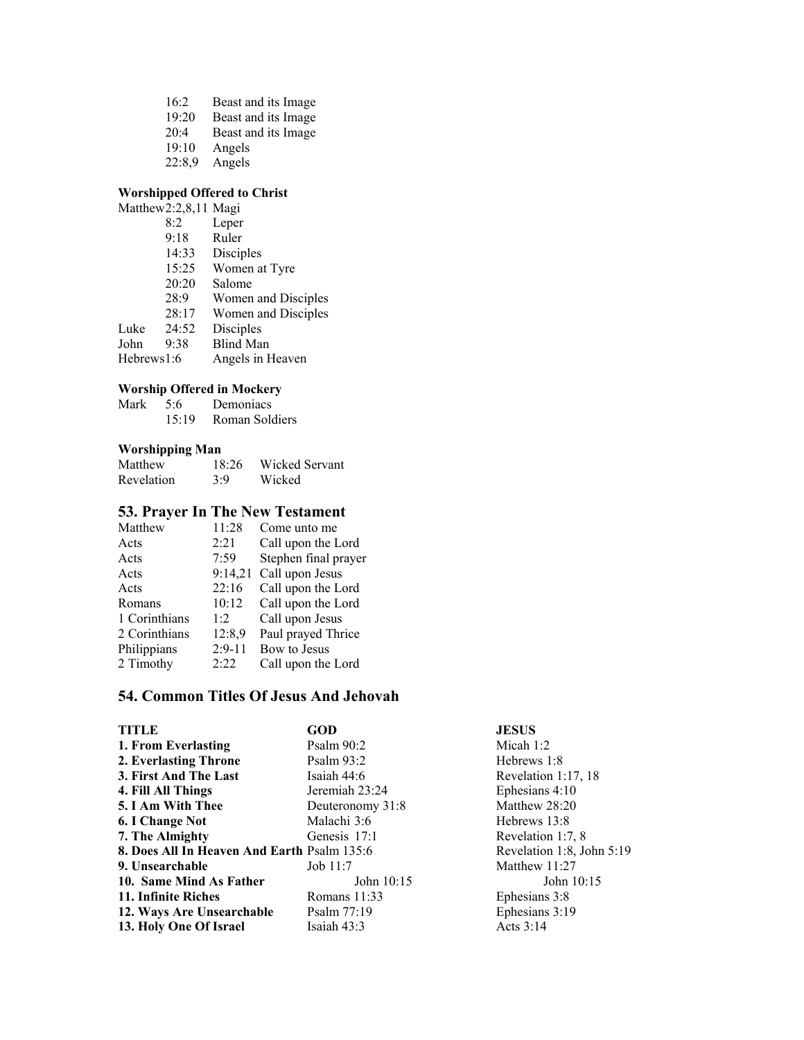- 16:2 Beast and its Image 19:20 Beast and its Image<br>20:4 Beast and its Image Beast and its Image 19:10 Angels
- 
- 22:8,9 Angels

#### **Worshipped Offered to Christ**

Matthew 2:2,8,11 Magi

|            | 8:2   | Leper               |
|------------|-------|---------------------|
|            | 9:18  | Ruler               |
|            | 14:33 | Disciples           |
|            | 15:25 | Women at Tyre       |
|            | 20:20 | Salome              |
|            | 28:9  | Women and Disciples |
|            | 28:17 | Women and Disciples |
| Luke       | 24:52 | <b>Disciples</b>    |
| John       | 9:38  | <b>Blind Man</b>    |
| Hebrews1:6 |       | Angels in Heaven    |

#### **Worship Offered in Mockery**  Mark

| 5:6   | Demoniacs      |
|-------|----------------|
| 15:19 | Roman Soldiers |

#### **Worshipping Man**

| Matthew    | 18:26 | Wicked Servant |
|------------|-------|----------------|
| Revelation | 3.9   | Wicked         |

### **53. Prayer In The New Testament**

| Matthew       | 11:28    | Come unto me         |
|---------------|----------|----------------------|
| Acts          | 2:21     | Call upon the Lord   |
| Acts          | 7:59     | Stephen final prayer |
| Acts          | 9:14,21  | Call upon Jesus      |
| Acts          | 22:16    | Call upon the Lord   |
| Romans        | 10:12    | Call upon the Lord   |
| 1 Corinthians | 1.2      | Call upon Jesus      |
| 2 Corinthians | 12:8,9   | Paul prayed Thrice   |
| Philippians   | $2:9-11$ | Bow to Jesus         |
| 2 Timothy     | 2.22     | Call upon the Lord   |
|               |          |                      |

## **54. Common Titles Of Jesus And Jehovah**

| <b>TITLE</b>                                       | GOD              | <b>JESUS</b>              |
|----------------------------------------------------|------------------|---------------------------|
| 1. From Everlasting                                | Psalm $90:2$     | Micah $1:2$               |
| 2. Everlasting Throne                              | Psalm $93:2$     | Hebrews 1:8               |
| 3. First And The Last                              | Isaiah 44:6      | Revelation 1:17, 18       |
| 4. Fill All Things                                 | Jeremiah 23:24   | Ephesians 4:10            |
| 5. I Am With Thee                                  | Deuteronomy 31:8 | Matthew 28:20             |
| 6. I Change Not                                    | Malachi 3:6      | Hebrews 13:8              |
| 7. The Almighty                                    | Genesis 17:1     | Revelation 1:7, 8         |
| <b>8. Does All In Heaven And Earth Psalm 135:6</b> |                  | Revelation 1:8, John 5:19 |
| 9. Unsearchable                                    | Job $11:7$       | Matthew 11:27             |
| 10. Same Mind As Father                            | John 10:15       | John 10:15                |
| 11. Infinite Riches                                | Romans $11:33$   | Ephesians 3:8             |
| 12. Ways Are Unsearchable                          | Psalm $77:19$    | Ephesians 3:19            |
| 13. Holy One Of Israel                             | Isaiah $43:3$    | Acts $3:14$               |
|                                                    |                  |                           |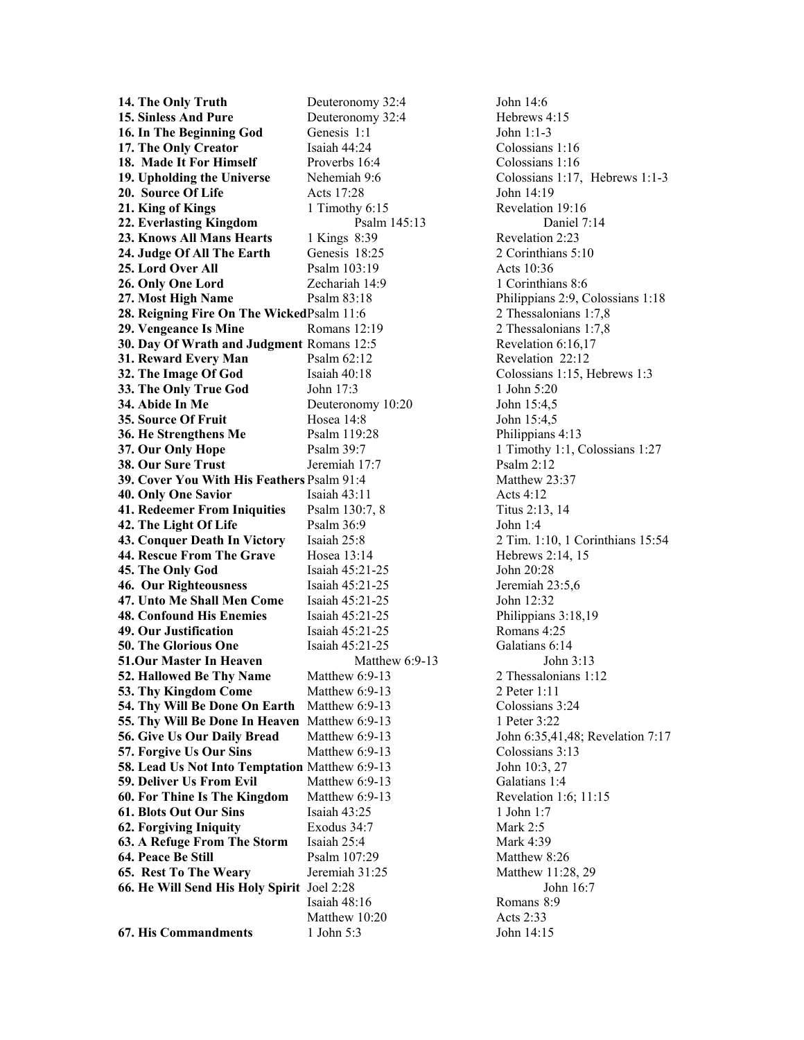**14. The Only Truth**  Deuteronomy 32:4 John 14:6 **15. Sinless And Pure Deuteronomy 32:4** Hebrews 4:15 **16. In The Beginning God** Genesis 1:1 John 1:1-3 **17. The Only Creator Isaiah 44:24** Colossians 1:16 **18. Made It For Himself** Proverbs 16:4 Colossians 1:16 **19. Upholding the Universe** Nehemiah 9:6 Colossians 1:17, Hebrews 1:1-3 **20. Source Of Life** Acts 17:28 John 14:19 **21. King of Kings 1 Timothy 6:15** Revelation 19:16 **22. Everlasting Kingdom** Psalm 145:13 Daniel 7:14 **23. Knows All Mans Hearts** 1 Kings 8:39 Revelation 2:23 **24. Judge Of All The Earth** Genesis 18:25 2 Corinthians 5:10 **25. Lord Over All** Psalm 103:19 Acts 10:36 **26. Only One Lord** Zechariah 14:9 1 Corinthians 8:6 **27. Most High Name** Psalm 83:18 Philippians 2:9, Colossians 1:18 **28. Reigning Fire On The Wicked Psalm 11:6** 2 Thessalonians 1:7,8 **29. Vengeance Is Mine Romans 12:19** 2 Thessalonians 1:7,8 **30. Day Of Wrath and Judgment** Romans 12:5 Revelation 6:16,17 **31. Reward Every Man** Psalm 62:12 Revelation 22:12 **32. The Image Of God** Isaiah 40:18 Colossians 1:15, Hebrews 1:3 **33. The Only True God**  John 17:3 1 John 5:20 **34. Abide In Me Deuteronomy 10:20** John 15:4,5 **35. Source Of Fruit** Hosea 14:8 John 15:4,5 **36. He Strengthens Me Psalm 119:28** Philippians 4:13 **37. Our Only Hope Psalm 39:7** 1 Timothy 1:1, Colossians 1:27 **38. Our Sure Trust Jeremiah 17:7** Psalm 2:12 **39. Cover You With His Feathers Psalm 91:4** Matthew 23:37 **40. Only One Savior** Isaiah 43:11 Acts 4:12 **41. Redeemer From Iniquities** Psalm 130:7, 8 Titus 2:13, 14 **42. The Light Of Life** Psalm 36:9 John 1:4 **43. Conquer Death In Victory** Isaiah 25:8 2 Tim. 1:10, 1 Corinthians 15:54 **44. Rescue From The Grave** Hosea 13:14 Hebrews 2:14, 15 **45. The Only God** Isaiah 45:21-25 John 20:28 **46. Our Righteousness** Isaiah 45:21-25 Jeremiah 23:5,6 **47. Unto Me Shall Men Come** Isaiah 45:21-25 John 12:32 **48. Confound His Enemies** Isaiah 45:21-25 Philippians 3:18,19 **49. Our Justification** Isaiah 45:21-25 Romans 4:25 **50. The Glorious One** Isaiah 45:21-25 Galatians 6:14 **51.Our Master In Heaven Matthew 6:9-13** John 3:13 **52. Hallowed Be Thy Name Matthew 6:9-13** 2 Thessalonians 1:12 **53. Thy Kingdom Come** Matthew 6:9-13 2 Peter 1:11 **54. Thy Will Be Done On Earth** Matthew 6:9-13 Colossians 3:24 **55. Thy Will Be Done In Heaven** Matthew 6:9-13 1 Peter 3:22 **56. Give Us Our Daily Bread** Matthew 6:9-13 John 6:35,41,48; Revelation 7:17 **57. Forgive Us Our Sins** Matthew 6:9-13 Colossians 3:13 **58. Lead Us Not Into Temptation** Matthew 6:9-13 John 10:3, 27 **59. Deliver Us From Evil Matthew 6:9-13** Galatians 1:4 **60. For Thine Is The Kingdom** Matthew 6:9-13 Revelation 1:6; 11:15 **61. Blots Out Our Sins** Isaiah 43:25 1 John 1:7 **62. Forgiving Iniquity** Exodus 34:7 Mark 2:5 **63. A Refuge From The Storm** Isaiah 25:4 Mark 4:39 **64. Peace Be Still** Psalm 107:29 Matthew 8:26 **65. Rest To The Weary** Jeremiah 31:25 Matthew 11:28, 29 **66. He Will Send His Holy Spirit** Joel 2:28 John 16:7 Isaiah 48:16 Romans 8:9 Matthew 10:20 **Acts 2:33 67. His Commandments** 1 John 5:3 John 14:15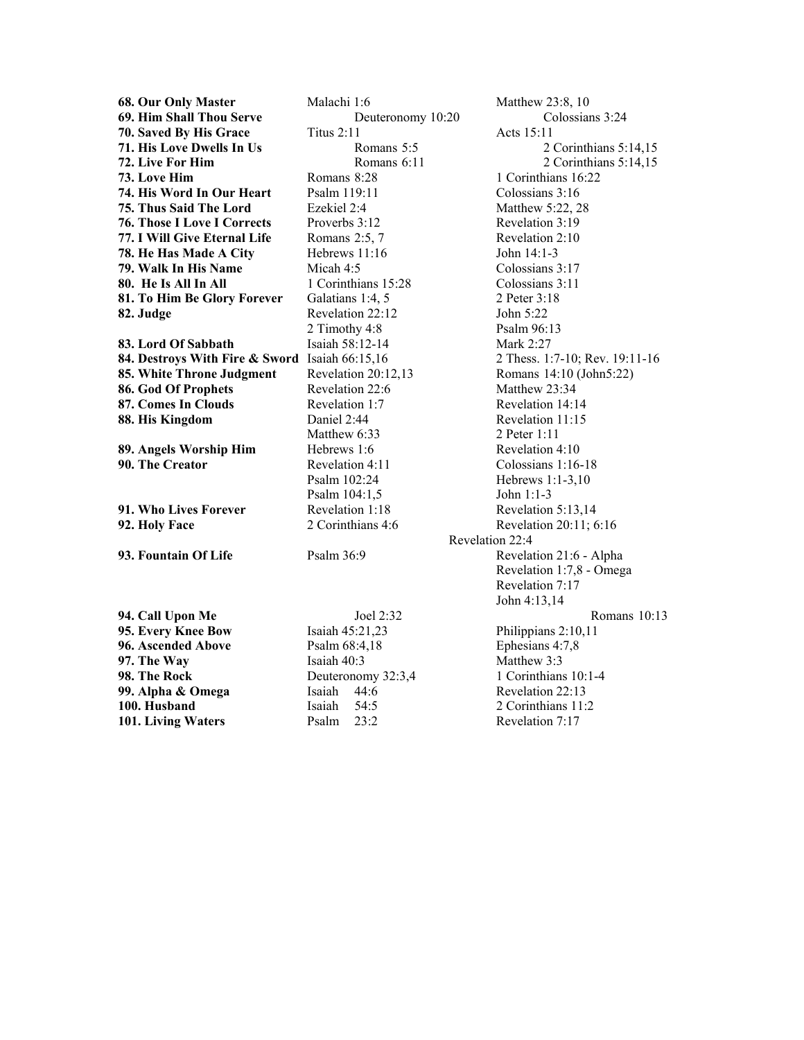| 68. Our Only Master                                       | Malachi 1:6         | Matthew 23:8, 10               |
|-----------------------------------------------------------|---------------------|--------------------------------|
| 69. Him Shall Thou Serve                                  | Deuteronomy 10:20   | Colossians 3:24                |
| 70. Saved By His Grace                                    | <b>Titus 2:11</b>   | Acts 15:11                     |
| 71. His Love Dwells In Us                                 | Romans 5:5          | 2 Corinthians 5:14,15          |
| 72. Live For Him                                          | Romans 6:11         | 2 Corinthians 5:14,15          |
| 73. Love Him                                              | Romans 8:28         | 1 Corinthians 16:22            |
| 74. His Word In Our Heart                                 | Psalm 119:11        | Colossians 3:16                |
| 75. Thus Said The Lord                                    | Ezekiel 2:4         | Matthew 5:22, 28               |
| <b>76. Those I Love I Corrects</b>                        | Proverbs 3:12       | Revelation 3:19                |
| 77. I Will Give Eternal Life                              | Romans 2:5, 7       | Revelation 2:10                |
| 78. He Has Made A City                                    | Hebrews 11:16       | John 14:1-3                    |
| 79. Walk In His Name                                      | Micah $4:5$         | Colossians 3:17                |
| 80. He Is All In All                                      | 1 Corinthians 15:28 | Colossians 3:11                |
| 81. To Him Be Glory Forever                               | Galatians 1:4, 5    | 2 Peter 3:18                   |
| 82. Judge                                                 | Revelation 22:12    | John 5:22                      |
|                                                           | 2 Timothy 4:8       | Psalm 96:13                    |
| 83. Lord Of Sabbath                                       | Isaiah 58:12-14     | Mark 2:27                      |
| <b>84. Destroys With Fire &amp; Sword</b> Isaiah 66:15,16 |                     | 2 Thess. 1:7-10; Rev. 19:11-16 |
| 85. White Throne Judgment                                 | Revelation 20:12,13 | Romans 14:10 (John5:22)        |
| 86. God Of Prophets                                       | Revelation 22:6     | Matthew 23:34                  |
| 87. Comes In Clouds                                       | Revelation 1:7      | Revelation 14:14               |
| 88. His Kingdom                                           | Daniel 2:44         | Revelation 11:15               |
|                                                           | Matthew 6:33        | 2 Peter 1:11                   |
| 89. Angels Worship Him                                    | Hebrews 1:6         | Revelation 4:10                |
| 90. The Creator                                           | Revelation 4:11     | Colossians 1:16-18             |
|                                                           | Psalm 102:24        | Hebrews 1:1-3,10               |
|                                                           | Psalm 104:1,5       | John 1:1-3                     |
| 91. Who Lives Forever                                     | Revelation 1:18     | Revelation 5:13,14             |
| 92. Holy Face                                             | 2 Corinthians 4:6   | Revelation 20:11; 6:16         |
|                                                           | Revelation 22:4     |                                |
| 93. Fountain Of Life                                      | Psalm 36:9          | Revelation 21:6 - Alpha        |
|                                                           |                     | Revelation 1:7,8 - Omega       |
|                                                           |                     | Revelation 7:17                |
|                                                           |                     | John 4:13,14                   |
| 94. Call Upon Me                                          | Joel 2:32           | Romans $10:13$                 |
| 95. Every Knee Bow                                        | Isaiah 45:21,23     | Philippians 2:10,11            |
| 96. Ascended Above                                        | Psalm 68:4,18       | Ephesians 4:7,8                |
| 97. The Way                                               | Isaiah 40:3         | Matthew 3:3                    |
| 98. The Rock                                              | Deuteronomy 32:3,4  | 1 Corinthians 10:1-4           |
| 99. Alpha & Omega                                         | 44:6<br>Isaiah      | Revelation 22:13               |
| 100. Husband                                              | 54:5<br>Isaiah      | 2 Corinthians 11:2             |
| 101. Living Waters                                        | 23:2<br>Psalm       | Revelation 7:17                |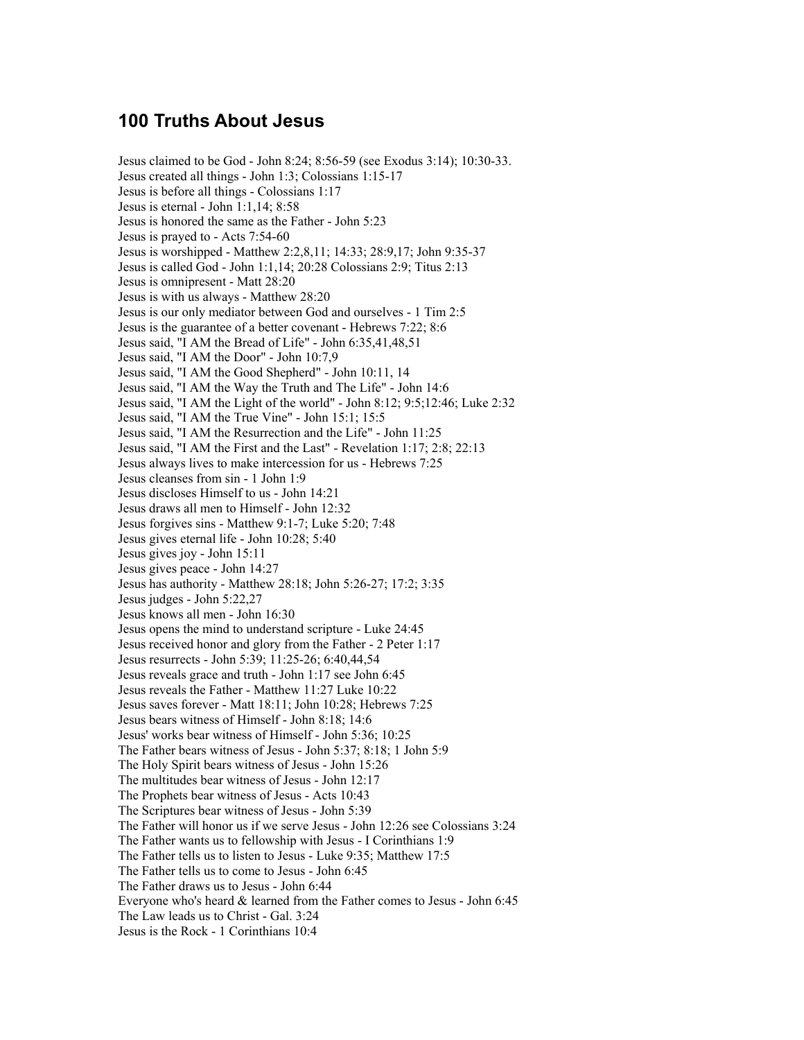# **100 Truths About Jesus**

Jesus claimed to be God - John 8:24; 8:56-59 (see Exodus 3:14); 10:30-33. Jesus created all things - John 1:3; Colossians 1:15-17 Jesus is before all things - Colossians 1:17 Jesus is eternal - John 1:1,14; 8:58 Jesus is honored the same as the Father - John 5:23 Jesus is prayed to - Acts 7:54-60 Jesus is worshipped - Matthew 2:2,8,11; 14:33; 28:9,17; John 9:35-37 Jesus is called God - John 1:1,14; 20:28 Colossians 2:9; Titus 2:13 Jesus is omnipresent - Matt 28:20 Jesus is with us always - Matthew 28:20 Jesus is our only mediator between God and ourselves - 1 Tim 2:5 Jesus is the guarantee of a better covenant - Hebrews 7:22; 8:6 Jesus said, "I AM the Bread of Life" - John 6:35,41,48,51 Jesus said, "I AM the Door" - John 10:7,9 Jesus said, "I AM the Good Shepherd" - John 10:11, 14 Jesus said, "I AM the Way the Truth and The Life" - John 14:6 Jesus said, "I AM the Light of the world" - John 8:12; 9:5;12:46; Luke 2:32 Jesus said, "I AM the True Vine" - John 15:1; 15:5 Jesus said, "I AM the Resurrection and the Life" - John 11:25 Jesus said, "I AM the First and the Last" - Revelation 1:17; 2:8; 22:13 Jesus always lives to make intercession for us - Hebrews 7:25 Jesus cleanses from sin - 1 John 1:9 Jesus discloses Himself to us - John 14:21 Jesus draws all men to Himself - John 12:32 Jesus forgives sins - Matthew 9:1-7; Luke 5:20; 7:48 Jesus gives eternal life - John 10:28; 5:40 Jesus gives joy - John 15:11 Jesus gives peace - John 14:27 Jesus has authority - Matthew 28:18; John 5:26-27; 17:2; 3:35 Jesus judges - John 5:22,27 Jesus knows all men - John 16:30 Jesus opens the mind to understand scripture - Luke 24:45 Jesus received honor and glory from the Father - 2 Peter 1:17 Jesus resurrects - John 5:39; 11:25-26; 6:40,44,54 Jesus reveals grace and truth - John 1:17 see John 6:45 Jesus reveals the Father - Matthew 11:27 Luke 10:22 Jesus saves forever - Matt 18:11; John 10:28; Hebrews 7:25 Jesus bears witness of Himself - John 8:18; 14:6 Jesus' works bear witness of Himself - John 5:36; 10:25 The Father bears witness of Jesus - John 5:37; 8:18; 1 John 5:9 The Holy Spirit bears witness of Jesus - John 15:26 The multitudes bear witness of Jesus - John 12:17 The Prophets bear witness of Jesus - Acts 10:43 The Scriptures bear witness of Jesus - John 5:39 The Father will honor us if we serve Jesus - John 12:26 see Colossians 3:24 The Father wants us to fellowship with Jesus - I Corinthians 1:9 The Father tells us to listen to Jesus - Luke 9:35; Matthew 17:5 The Father tells us to come to Jesus - John 6:45 The Father draws us to Jesus - John 6:44 Everyone who's heard & learned from the Father comes to Jesus - John 6:45 The Law leads us to Christ - Gal. 3:24 Jesus is the Rock - 1 Corinthians 10:4